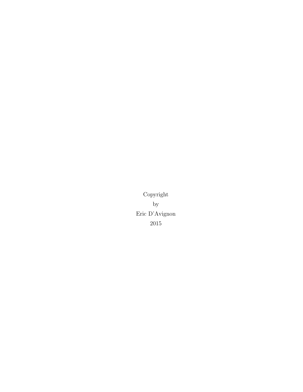<span id="page-0-0"></span>Copyright by Eric D'Avignon 2015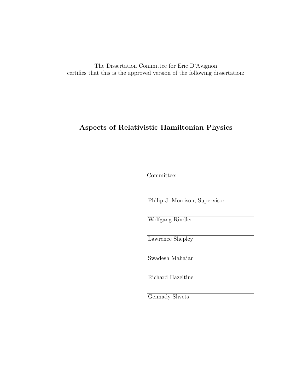The Dissertation Committee for Eric D'Avignon certifies that this is the approved version of the following dissertation:

# Aspects of Relativistic Hamiltonian Physics

Committee:

Philip J. Morrison, Supervisor

Wolfgang Rindler

Lawrence Shepley

Swadesh Mahajan

Richard Hazeltine

Gennady Shvets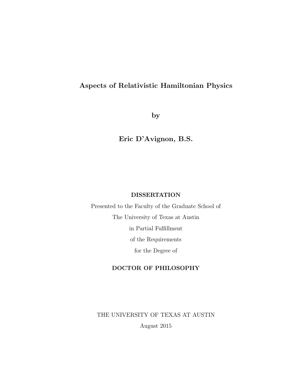# Aspects of Relativistic Hamiltonian Physics

by

Eric D'Avignon, B.S.

### DISSERTATION

Presented to the Faculty of the Graduate School of The University of Texas at Austin in Partial Fulfillment of the Requirements for the Degree of

## DOCTOR OF PHILOSOPHY

THE UNIVERSITY OF TEXAS AT AUSTIN August 2015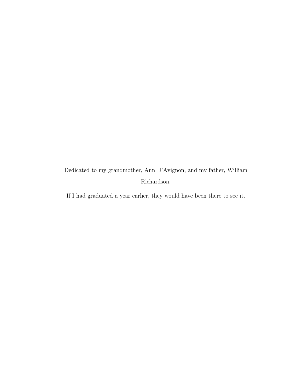Dedicated to my grandmother, Ann D'Avignon, and my father, William Richardson.

If I had graduated a year earlier, they would have been there to see it.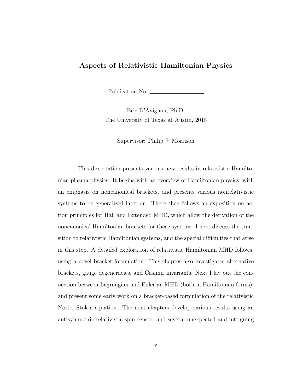## Aspects of Relativistic Hamiltonian Physics

Publication No.

Eric D'Avignon, Ph.D. The University of Texas at Austin, 2015

Supervisor: Philip J. Morrison

This dissertation presents various new results in relativistic Hamiltonian plasma physics. It begins with an overview of Hamiltonian physics, with an emphasis on noncanonical brackets, and presents various nonrelativistic systems to be generalized later on. There then follows an exposition on action principles for Hall and Extended MHD, which allow the derivation of the noncanonical Hamiltonian brackets for those systems. I next discuss the transition to relativistic Hamiltonian systems, and the special difficulties that arise in this step. A detailed exploration of relativistic Hamiltonian MHD follows, using a novel bracket formulation. This chapter also investigates alternative brackets, gauge degeneracies, and Casimir invariants. Next I lay out the connection between Lagrangian and Eulerian MHD (both in Hamiltonian forms), and present some early work on a bracket-based formulation of the relativistic Navier-Stokes equation. The next chapters develop various results using an antisymmetric relativistic spin tensor, and several unexpected and intriguing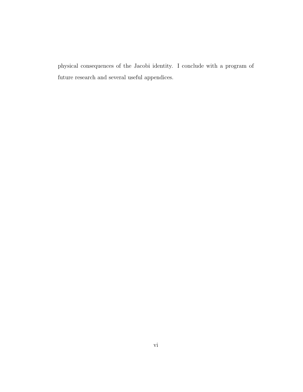physical consequences of the Jacobi identity. I conclude with a program of future research and several useful appendices.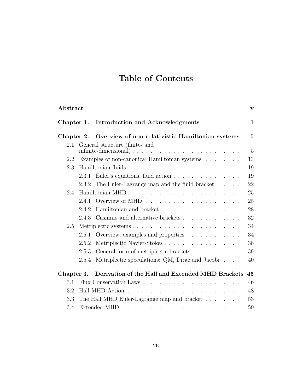# Table of Contents

| Abstract                 |                                                   |                                                                                      |                                |     |  |
|--------------------------|---------------------------------------------------|--------------------------------------------------------------------------------------|--------------------------------|-----|--|
| Chapter 1.<br>Chapter 2. |                                                   | Introduction and Acknowledgments<br>Overview of non-relativistic Hamiltonian systems | $\mathbf{1}$<br>$\overline{5}$ |     |  |
|                          |                                                   |                                                                                      |                                | 2.1 |  |
| 2.2                      |                                                   | Examples of non-canonical Hamiltonian systems                                        | 13                             |     |  |
| 2.3                      |                                                   | Hamiltonian fluids                                                                   | 19                             |     |  |
|                          | 2.3.1                                             | Euler's equations, fluid action                                                      | 19                             |     |  |
|                          | 2.3.2                                             | The Euler-Lagrange map and the fluid bracket                                         | 22                             |     |  |
| 2.4                      |                                                   |                                                                                      |                                |     |  |
|                          | 2.4.1                                             |                                                                                      | 25                             |     |  |
|                          | 2.4.2                                             | Hamiltonian and bracket                                                              | 28                             |     |  |
|                          | 2.4.3                                             | Casimirs and alternative brackets                                                    | 32                             |     |  |
| 2.5                      |                                                   |                                                                                      |                                |     |  |
|                          | 2.5.1                                             | Overview, examples and properties                                                    | 34                             |     |  |
|                          | 2.5.2                                             | Metriplectic Navier-Stokes                                                           | 38                             |     |  |
|                          | 2.5.3                                             |                                                                                      | 39                             |     |  |
|                          | 2.5.4                                             | Metriplectic speculations: QM, Dirac and Jacobi                                      | 40                             |     |  |
| Chapter 3.               |                                                   | Derivation of the Hall and Extended MHD Brackets                                     | 45                             |     |  |
| 3.1                      |                                                   |                                                                                      | 46                             |     |  |
| 3.2                      | 48                                                |                                                                                      |                                |     |  |
| 3.3                      | The Hall MHD Euler-Lagrange map and bracket<br>53 |                                                                                      |                                |     |  |
| 3.4                      |                                                   |                                                                                      | 59                             |     |  |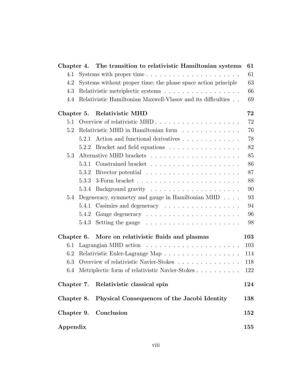| Chapter 4. |                                      | The transition to relativistic Hamiltonian systems                          | 61  |  |  |  |
|------------|--------------------------------------|-----------------------------------------------------------------------------|-----|--|--|--|
| 4.1        |                                      |                                                                             | 61  |  |  |  |
| 4.2        |                                      | Systems without proper time; the phase space action principle<br>63         |     |  |  |  |
| 4.3        |                                      | Relativistic metriplectic systems                                           | 66  |  |  |  |
| 4.4        |                                      | Relativistic Hamiltonian Maxwell-Vlasov and its difficulties                | 69  |  |  |  |
|            |                                      | Chapter 5. Relativistic MHD                                                 | 72  |  |  |  |
| 5.1        |                                      |                                                                             | 72  |  |  |  |
| 5.2        | Relativistic MHD in Hamiltonian form |                                                                             |     |  |  |  |
|            |                                      | 5.2.1 Action and functional derivatives                                     | 78  |  |  |  |
|            | 5.2.2                                | Bracket and field equations $\ldots \ldots \ldots \ldots \ldots$            | 82  |  |  |  |
| 5.3        |                                      | Alternative MHD brackets $\ldots \ldots \ldots \ldots \ldots \ldots \ldots$ | 85  |  |  |  |
|            | 5.3.1                                | Constrained bracket $\ldots \ldots \ldots \ldots \ldots \ldots \ldots$      | 86  |  |  |  |
|            | 5.3.2                                |                                                                             | 87  |  |  |  |
|            | 5.3.3                                |                                                                             | 88  |  |  |  |
|            | 5.3.4                                |                                                                             | 90  |  |  |  |
| 5.4        |                                      | Degeneracy, symmetry and gauge in Hamiltonian MHD $\dots$                   | 93  |  |  |  |
|            | 5.4.1                                | Casimirs and degeneracy                                                     | 94  |  |  |  |
|            | 5.4.2                                |                                                                             | 96  |  |  |  |
|            | 5.4.3                                | Setting the gauge $\dots \dots \dots \dots \dots \dots \dots$               | 98  |  |  |  |
| Chapter 6. |                                      | More on relativistic fluids and plasmas                                     | 103 |  |  |  |
| 6.1        |                                      |                                                                             | 103 |  |  |  |
| 6.2        |                                      | Relativistic Euler-Lagrange Map                                             | 114 |  |  |  |
| 6.3        |                                      | Overview of relativistic Navier-Stokes                                      | 118 |  |  |  |
| 6.4        |                                      | Metriplectic form of relativistic Navier-Stokes                             | 122 |  |  |  |
|            |                                      | Chapter 7. Relativistic classical spin                                      | 124 |  |  |  |
| Chapter 8. |                                      | Physical Consequences of the Jacobi Identity                                | 138 |  |  |  |
| Chapter 9. |                                      | Conclusion                                                                  | 152 |  |  |  |
| Appendix   |                                      |                                                                             |     |  |  |  |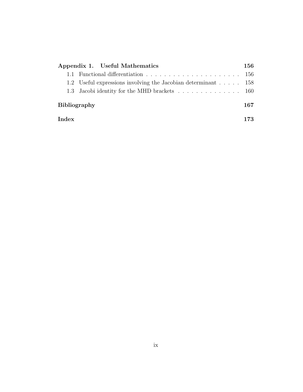| Appendix 1. Useful Mathematics                                | 156 |  |  |
|---------------------------------------------------------------|-----|--|--|
|                                                               |     |  |  |
| 1.2 Useful expressions involving the Jacobian determinant 158 |     |  |  |
|                                                               |     |  |  |
| <b>Bibliography</b>                                           |     |  |  |
| Index                                                         |     |  |  |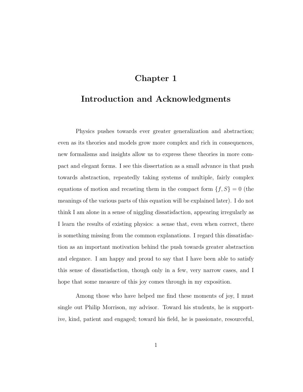# Chapter 1

# <span id="page-9-0"></span>Introduction and Acknowledgments

Physics pushes towards ever greater generalization and abstraction; even as its theories and models grow more complex and rich in consequences, new formalisms and insights allow us to express these theories in more compact and elegant forms. I see this dissertation as a small advance in that push towards abstraction, repeatedly taking systems of multiple, fairly complex equations of motion and recasting them in the compact form  ${f, S} = 0$  (the meanings of the various parts of this equation will be explained later). I do not think I am alone in a sense of niggling dissatisfaction, appearing irregularly as I learn the results of existing physics: a sense that, even when correct, there is something missing from the common explanations. I regard this dissatisfaction as an important motivation behind the push towards greater abstraction and elegance. I am happy and proud to say that I have been able to satisfy this sense of dissatisfaction, though only in a few, very narrow cases, and I hope that some measure of this joy comes through in my exposition.

Among those who have helped me find these moments of joy, I must single out Philip Morrison, my advisor. Toward his students, he is supportive, kind, patient and engaged; toward his field, he is passionate, resourceful,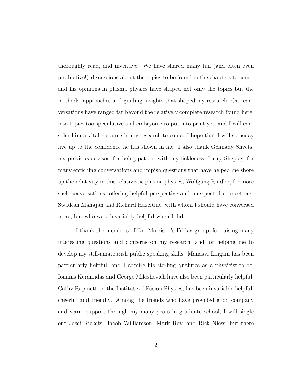thoroughly read, and inventive. We have shared many fun (and often even productive!) discussions about the topics to be found in the chapters to come, and his opinions in plasma physics have shaped not only the topics but the methods, approaches and guiding insights that shaped my research. Our conversations have ranged far beyond the relatively complete research found here, into topics too speculative and embryonic to put into print yet, and I will consider him a vital resource in my research to come. I hope that I will someday live up to the confidence he has shown in me. I also thank Gennady Shvets, my previous advisor, for being patient with my fickleness; Larry Shepley, for many enriching conversations and impish questions that have helped me shore up the relativity in this relativistic plasma physics; Wolfgang Rindler, for more such conversations, offering helpful perspective and unexpected connections; Swadesh Mahajan and Richard Hazeltine, with whom I should have conversed more, but who were invariably helpful when I did.

I thank the members of Dr. Morrison's Friday group, for raising many interesting questions and concerns on my research, and for helping me to develop my still-amateurish public speaking skills. Manasvi Lingam has been particularly helpful, and I admire his sterling qualities as a physicist-to-be; Ioannis Keramidas and George Miloshevich have also been particularly helpful. Cathy Rapinett, of the Institute of Fusion Physics, has been invariable helpful, cheerful and friendly. Among the friends who have provided good company and warm support through my many years in graduate school, I will single out Josef Rickets, Jacob Williamson, Mark Roy, and Rick Niess, but there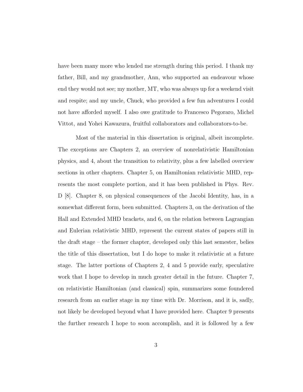have been many more who lended me strength during this period. I thank my father, Bill, and my grandmother, Ann, who supported an endeavour whose end they would not see; my mother, MT, who was always up for a weekend visit and respite; and my uncle, Chuck, who provided a few fun adventures I could not have afforded myself. I also owe gratitude to Francesco Pegoraro, Michel Vittot, and Yohei Kawazura, fruitful collaborators and collaborators-to-be.

Most of the material in this dissertation is original, albeit incomplete. The exceptions are Chapters [2,](#page-13-0) an overview of nonrelativistic Hamiltonian physics, and [4,](#page-69-0) about the transition to relativity, plus a few labelled overview sections in other chapters. Chapter [5,](#page-80-0) on Hamiltonian relativistic MHD, represents the most complete portion, and it has been published in Phys. Rev. D [\[8\]](#page-176-0). Chapter [8,](#page-146-0) on physical consequences of the Jacobi Identity, has, in a somewhat different form, been submitted. Chapters [3,](#page-53-0) on the derivation of the Hall and Extended MHD brackets, and [6,](#page-111-0) on the relation between Lagrangian and Eulerian relativistic MHD, represent the current states of papers still in the draft stage – the former chapter, developed only this last semester, belies the title of this dissertation, but I do hope to make it relativistic at a future stage. The latter portions of Chapters [2,](#page-13-0) [4](#page-69-0) and [5](#page-80-0) provide early, speculative work that I hope to develop in much greater detail in the future. Chapter [7,](#page-132-0) on relativistic Hamiltonian (and classical) spin, summarizes some foundered research from an earlier stage in my time with Dr. Morrison, and it is, sadly, not likely be developed beyond what I have provided here. Chapter [9](#page-160-0) presents the further research I hope to soon accomplish, and it is followed by a few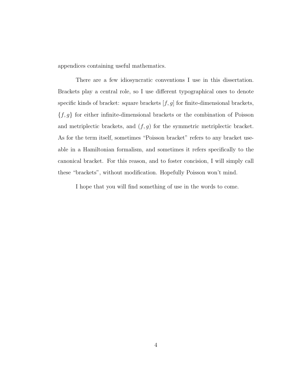appendices containing useful mathematics.

There are a few idiosyncratic conventions I use in this dissertation. Brackets play a central role, so I use different typographical ones to denote specific kinds of bracket: square brackets  $[f, g]$  for finite-dimensional brackets,  ${f, g}$  for either infinite-dimensional brackets or the combination of Poisson and metriplectic brackets, and  $(f, g)$  for the symmetric metriplectic bracket. As for the term itself, sometimes "Poisson bracket" refers to any bracket useable in a Hamiltonian formalism, and sometimes it refers specifically to the canonical bracket. For this reason, and to foster concision, I will simply call these "brackets", without modification. Hopefully Poisson won't mind.

I hope that you will find something of use in the words to come.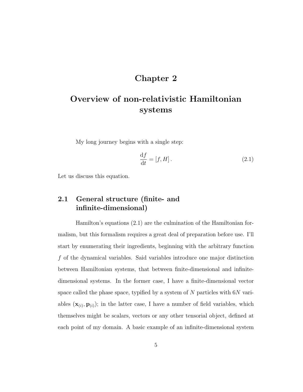# Chapter 2

# <span id="page-13-0"></span>Overview of non-relativistic Hamiltonian systems

My long journey begins with a single step:

<span id="page-13-2"></span>
$$
\frac{\mathrm{d}f}{\mathrm{d}t} = [f, H].\tag{2.1}
$$

Let us discuss this equation.

## <span id="page-13-1"></span>2.1 General structure (finite- and infinite-dimensional)

Hamilton's equations [\(2.1\)](#page-13-2) are the culmination of the Hamiltonian formalism, but this formalism requires a great deal of preparation before use. I'll start by enumerating their ingredients, beginning with the arbitrary function f of the dynamical variables. Said variables introduce one major distinction between Hamiltonian systems, that between finite-dimensional and infinitedimensional systems. In the former case, I have a finite-dimensional vector space called the phase space, typified by a system of  $N$  particles with  $6N$  variables  $(\mathbf{x}_{(i)}, \mathbf{p}_{(i)})$ ; in the latter case, I have a number of field variables, which themselves might be scalars, vectors or any other tensorial object, defined at each point of my domain. A basic example of an infinite-dimensional system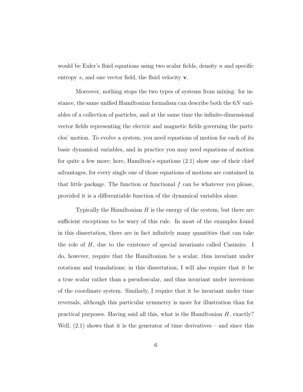would be Euler's fluid equations using two scalar fields, density n and specific entropy s, and one vector field, the fluid velocity **v**.

Moreover, nothing stops the two types of systems from mixing: for instance, the same unified Hamiltonian formalism can describe both the 6N variables of a collection of particles, and at the same time the infinite-dimensional vector fields representing the electric and magnetic fields governing the particles' motion. To evolve a system, you need equations of motion for each of its basic dynamical variables, and in practice you may need equations of motion for quite a few more; here, Hamilton's equations [\(2.1\)](#page-13-2) show one of their chief advantages, for every single one of those equations of motions are contained in that little package. The function or functional  $f$  can be whatever you please, provided it is a differentiable function of the dynamical variables alone.

Typically the Hamiltonian  $H$  is the energy of the system, but there are sufficient exceptions to be wary of this rule. In most of the examples found in this dissertation, there are in fact infinitely many quantities that can take the role of  $H$ , due to the existence of special invariants called Casimirs. I do, however, require that the Hamiltonian be a scalar, thus invariant under rotations and translations; in this dissertation, I will also require that it be a true scalar rather than a pseudoscalar, and thus invariant under inversions of the coordinate system. Similarly, I require that it be invariant under time reversals, although this particular symmetry is more for illustration than for practical purposes. Having said all this, what is the Hamiltonian  $H$ , exactly? Well,  $(2.1)$  shows that it is the generator of time derivatives – and since this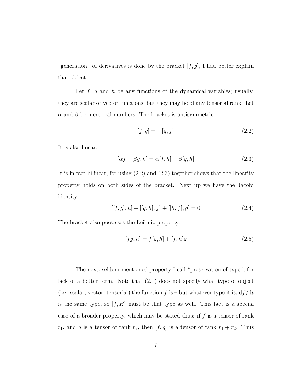"generation" of derivatives is done by the bracket  $[f, g]$ , I had better explain that object.

Let  $f$ ,  $g$  and  $h$  be any functions of the dynamical variables; usually, they are scalar or vector functions, but they may be of any tensorial rank. Let  $\alpha$  and  $\beta$  be mere real numbers. The bracket is antisymmetric:

<span id="page-15-0"></span>
$$
[f, g] = -[g, f] \tag{2.2}
$$

It is also linear:

<span id="page-15-1"></span>
$$
[\alpha f + \beta g, h] = \alpha[f, h] + \beta[g, h]
$$
\n(2.3)

It is in fact bilinear, for using [\(2.2\)](#page-15-0) and [\(2.3\)](#page-15-1) together shows that the linearity property holds on both sides of the bracket. Next up we have the Jacobi identity:

<span id="page-15-3"></span>
$$
[[f, g], h] + [[g, h], f] + [[h, f], g] = 0 \tag{2.4}
$$

The bracket also possesses the Leibniz property:

<span id="page-15-2"></span>
$$
[fg, h] = f[g, h] + [f, h]g
$$
\n(2.5)

The next, seldom-mentioned property I call "preservation of type", for lack of a better term. Note that [\(2.1\)](#page-13-2) does not specify what type of object (i.e. scalar, vector, tensorial) the function f is – but whatever type it is,  $df/dt$ is the same type, so  $[f, H]$  must be that type as well. This fact is a special case of a broader property, which may be stated thus: if  $f$  is a tensor of rank  $r_1$ , and g is a tensor of rank  $r_2$ , then  $[f, g]$  is a tensor of rank  $r_1 + r_2$ . Thus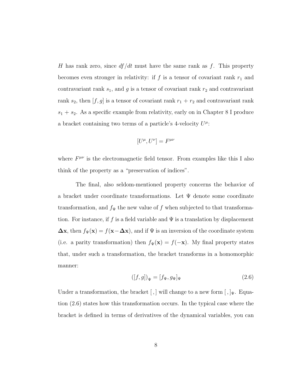H has rank zero, since  $df/dt$  must have the same rank as f. This property becomes even stronger in relativity: if  $f$  is a tensor of covariant rank  $r_1$  and contravariant rank  $s_1$ , and g is a tensor of covariant rank  $r_2$  and contravariant rank  $s_2$ , then  $[f, g]$  is a tensor of covariant rank  $r_1 + r_2$  and contravariant rank  $s_1 + s_2$ . As a specific example from relativity, early on in Chapter [8](#page-146-0) I produce a bracket containing two terms of a particle's 4-velocity  $U^{\mu}$ :

$$
[U^{\mu}, U^{\nu}] = F^{\mu\nu}
$$

where  $F^{\mu\nu}$  is the electromagnetic field tensor. From examples like this I also think of the property as a "preservation of indices".

The final, also seldom-mentioned property concerns the behavior of a bracket under coordinate transformations. Let  $\Psi$  denote some coordinate transformation, and  $f_\Psi$  the new value of  $f$  when subjected to that transformation. For instance, if f is a field variable and  $\Psi$  is a translation by displacement  $\Delta$ x, then  $f_{\Psi}(\mathbf{x}) = f(\mathbf{x}-\Delta\mathbf{x})$ , and if  $\Psi$  is an inversion of the coordinate system (i.e. a parity transformation) then  $f_{\Psi}(\mathbf{x}) = f(-\mathbf{x})$ . My final property states that, under such a transformation, the bracket transforms in a homomorphic manner:

<span id="page-16-0"></span>
$$
([f,g])_{\Psi} = [f_{\Psi}, g_{\Psi}]_{\Psi}
$$
\n
$$
(2.6)
$$

Under a transformation, the bracket [,] will change to a new form  $[ , ]_{\Psi}$ . Equation [\(2.6\)](#page-16-0) states how this transformation occurs. In the typical case where the bracket is defined in terms of derivatives of the dynamical variables, you can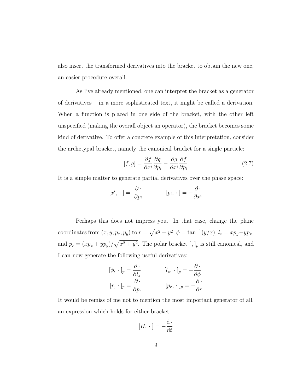also insert the transformed derivatives into the bracket to obtain the new one, an easier procedure overall.

As I've already mentioned, one can interpret the bracket as a generator of derivatives – in a more sophisticated text, it might be called a derivation. When a function is placed in one side of the bracket, with the other left unspecified (making the overall object an operator), the bracket becomes some kind of derivative. To offer a concrete example of this interpretation, consider the archetypal bracket, namely the canonical bracket for a single particle:

<span id="page-17-0"></span>
$$
[f,g] = \frac{\partial f}{\partial x^i} \frac{\partial g}{\partial p_i} - \frac{\partial g}{\partial x^i} \frac{\partial f}{\partial p_i}
$$
 (2.7)

It is a simple matter to generate partial derivatives over the phase space:

$$
[x^i, \cdot] = \frac{\partial \cdot}{\partial p_i} \qquad [p_i, \cdot] = -\frac{\partial \cdot}{\partial x^i}
$$

Perhaps this does not impress you. In that case, change the plane coordinates from  $(x, y, p_x, p_y)$  to  $r = \sqrt{x^2 + y^2}$ ,  $\phi = \tan^{-1}(y/x)$ ,  $l_z = xp_y - yp_x$ , and  $p_r = (xp_x + yp_y)/\sqrt{x^2 + y^2}$ . The polar bracket  $[,]_p$  is still canonical, and I can now generate the following useful derivatives:

$$
[\phi, \cdot]_p = \frac{\partial \cdot}{\partial l_z} \qquad [l_z, \cdot]_p = -\frac{\partial \cdot}{\partial \phi}
$$

$$
[r, \cdot]_p = \frac{\partial \cdot}{\partial p_r} \qquad [p_r, \cdot]_p = -\frac{\partial \cdot}{\partial r}
$$

It would be remiss of me not to mention the most important generator of all, an expression which holds for either bracket:

$$
[H, \cdot \,] = -\frac{\mathrm{d} \cdot}{\mathrm{d} t}
$$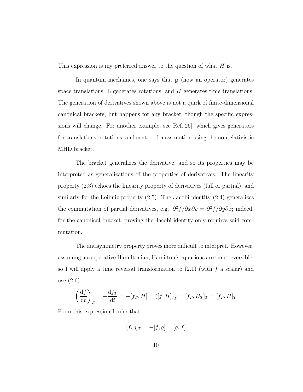This expression is my preferred answer to the question of what H is.

In quantum mechanics, one says that **p** (now an operator) generates space translations,  $\bf{L}$  generates rotations, and  $H$  generates time translations. The generation of derivatives shown above is not a quirk of finite-dimensional canonical brackets, but happens for any bracket, though the specific expressions will change. For another example, see Ref.[\[26\]](#page-178-0), which gives generators for translations, rotations, and center-of-mass motion using the nonrelativistic MHD bracket.

The bracket generalizes the derivative, and so its properties may be interpreted as generalizations of the properties of derivatives. The linearity property [\(2.3\)](#page-15-1) echoes the linearity property of derivatives (full or partial), and similarly for the Leibniz property [\(2.5\)](#page-15-2). The Jacobi identity [\(2.4\)](#page-15-3) generalizes the commutation of partial derivatives, e.g.  $\frac{\partial^2 f}{\partial x \partial y} = \frac{\partial^2 f}{\partial y \partial x}$ ; indeed, for the canonical bracket, proving the Jacobi identity only requires said commutation.

The antisymmetry property proves more difficult to interpret. However, assuming a cooperative Hamiltonian, Hamilton's equations are time-reversible, so I will apply a time reversal transformation to  $(2.1)$  (with f a scalar) and use [\(2.6\)](#page-16-0):

$$
\left(\frac{\mathrm{d}f}{\mathrm{d}t}\right)_T = -\frac{\mathrm{d}f_T}{\mathrm{d}t} = -[f_T, H] = ([f, H])_T = [f_T, H_T]_T = [f_T, H]_T
$$

From this expression I infer that

$$
[f, g]_T = -[f, g] = [g, f]
$$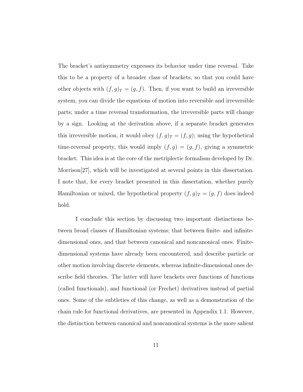The bracket's antisymmetry expresses its behavior under time reversal. Take this to be a property of a broader class of brackets, so that you could have other objects with  $(f, g)_T = (g, f)$ . Then, if you want to build an irreversible system, you can divide the equations of motion into reversible and irreversible parts; under a time reversal transformation, the irreversible parts will change by a sign. Looking at the derivation above, if a separate bracket generates this irreversible motion, it would obey  $(f, g)_T = (f, g)$ ; using the hypothetical time-reversal property, this would imply  $(f, g) = (g, f)$ , giving a symmetric bracket. This idea is at the core of the metriplectic formalism developed by Dr. Morrison[\[27\]](#page-178-1), which will be investigated at several points in this dissertation. I note that, for every bracket presented in this dissertation, whether purely Hamiltonian or mixed, the hypothetical property  $(f, g)_T = (g, f)$  does indeed hold.

I conclude this section by discussing two important distinctions between broad classes of Hamiltonian systems; that between finite- and infinitedimensional ones, and that between canonical and noncanonical ones. Finitedimensional systems have already been encountered, and describe particle or other motion involving discrete elements, whereas infinite-dimensional ones describe field theories. The latter will have brackets over functions of functions (called functionals), and functional (or Frechet) derivatives instead of partial ones. Some of the subtleties of this change, as well as a demonstration of the chain rule for functional derivatives, are presented in Appendix [1.1.](#page-164-1) However, the distinction between canonical and noncanonical systems is the more salient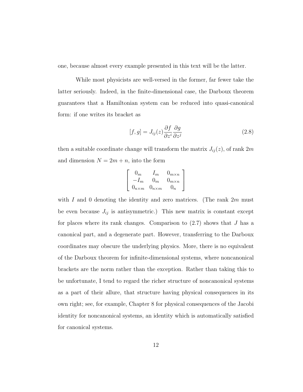one, because almost every example presented in this text will be the latter.

While most physicists are well-versed in the former, far fewer take the latter seriously. Indeed, in the finite-dimensional case, the Darboux theorem guarantees that a Hamiltonian system can be reduced into quasi-canonical form: if one writes its bracket as

<span id="page-20-0"></span>
$$
[f, g] = J_{ij}(z) \frac{\partial f}{\partial z^i} \frac{\partial g}{\partial z^j}
$$
 (2.8)

then a suitable coordinate change will transform the matrix  $J_{ij}(z)$ , of rank  $2m$ and dimension  $N = 2m + n$ , into the form

$$
\left[\begin{array}{ccc}0_m & I_m & 0_{m \times n} \\ -I_m & 0_m & 0_{m \times n} \\ 0_{n \times m} & 0_{n \times m} & 0_n\end{array}\right]
$$

with I and 0 denoting the identity and zero matrices. (The rank  $2m$  must be even because  $J_{ij}$  is antisymmetric.) This new matrix is constant except for places where its rank changes. Comparison to  $(2.7)$  shows that J has a canonical part, and a degenerate part. However, transferring to the Darboux coordinates may obscure the underlying physics. More, there is no equivalent of the Darboux theorem for infinite-dimensional systems, where noncanonical brackets are the norm rather than the exception. Rather than taking this to be unfortunate, I tend to regard the richer structure of noncanonical systems as a part of their allure, that structure having physical consequences in its own right; see, for example, Chapter [8](#page-146-0) for physical consequences of the Jacobi identity for noncanonical systems, an identity which is automatically satisfied for canonical systems.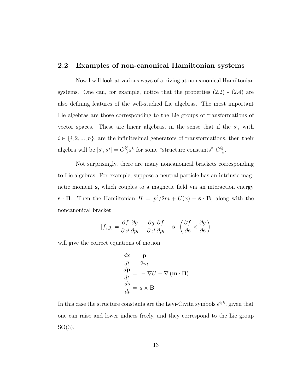## <span id="page-21-0"></span>2.2 Examples of non-canonical Hamiltonian systems

Now I will look at various ways of arriving at noncanonical Hamiltonian systems. One can, for example, notice that the properties  $(2.2)$  -  $(2.4)$  are also defining features of the well-studied Lie algebras. The most important Lie algebras are those corresponding to the Lie groups of transformations of vector spaces. These are linear algebras, in the sense that if the  $s^i$ , with  $i \in \{i,2,...,n\},$  are the infinitesimal generators of transformations, then their algebra will be  $[s^i, s^j] = C_{\mu}^{ij}$  $\frac{i}{k} s^k$  for some "structure constants"  $C^{ij}_{\ \mu}$  $_k^j.$ 

Not surprisingly, there are many noncanonical brackets corresponding to Lie algebras. For example, suppose a neutral particle has an intrinsic magnetic moment s, which couples to a magnetic field via an interaction energy  $\mathbf{s} \cdot \mathbf{B}$ . Then the Hamiltonian  $H = p^2/2m + U(x) + \mathbf{s} \cdot \mathbf{B}$ , along with the noncanonical bracket

$$
[f,g] = \frac{\partial f}{\partial x^i} \frac{\partial g}{\partial p_i} - \frac{\partial g}{\partial x^i} \frac{\partial f}{\partial p_i} - \mathbf{s} \cdot \left( \frac{\partial f}{\partial \mathbf{s}} \times \frac{\partial g}{\partial \mathbf{s}} \right)
$$

will give the correct equations of motion

$$
\frac{d\mathbf{x}}{dt} = \frac{\mathbf{p}}{2m}
$$
  
\n
$$
\frac{d\mathbf{p}}{dt} = -\nabla U - \nabla (\mathbf{m} \cdot \mathbf{B})
$$
  
\n
$$
\frac{d\mathbf{s}}{dt} = \mathbf{s} \times \mathbf{B}
$$

In this case the structure constants are the Levi-Civita symbols  $\epsilon^{ijk}$ , given that one can raise and lower indices freely, and they correspond to the Lie group  $SO(3)$ .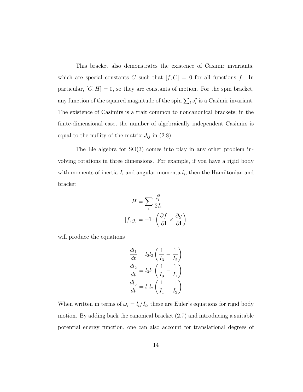This bracket also demonstrates the existence of Casimir invariants, which are special constants C such that  $[f, C] = 0$  for all functions f. In particular,  $[C, H] = 0$ , so they are constants of motion. For the spin bracket, any function of the squared magnitude of the spin  $\sum_i s_i^2$  is a Casimir invariant. The existence of Casimirs is a trait common to noncanonical brackets; in the finite-dimensional case, the number of algebraically independent Casimirs is equal to the nullity of the matrix  $J_{ij}$  in [\(2.8\)](#page-20-0).

The Lie algebra for  $SO(3)$  comes into play in any other problem involving rotations in three dimensions. For example, if you have a rigid body with moments of inertia  $I_i$  and angular momenta  $l_i$ , then the Hamiltonian and bracket

$$
H = \sum_{i} \frac{l_i^2}{2I_i}
$$

$$
[f, g] = -1 \cdot \left(\frac{\partial f}{\partial \mathbf{l}} \times \frac{\partial g}{\partial \mathbf{l}}\right)
$$

will produce the equations

$$
\frac{dl_1}{dt} = l_2 l_3 \left(\frac{1}{I_3} - \frac{1}{I_2}\right)
$$

$$
\frac{dl_2}{dt} = l_3 l_1 \left(\frac{1}{I_3} - \frac{1}{I_1}\right)
$$

$$
\frac{dl_3}{dt} = l_1 l_2 \left(\frac{1}{I_1} - \frac{1}{I_2}\right)
$$

When written in terms of  $\omega_i = l_i / I_i$ , these are Euler's equations for rigid body motion. By adding back the canonical bracket [\(2.7\)](#page-17-0) and introducing a suitable potential energy function, one can also account for translational degrees of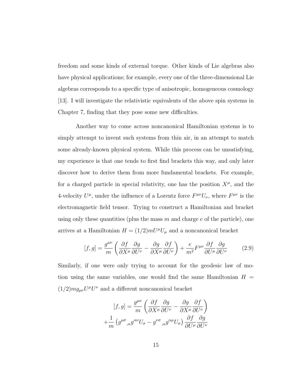freedom and some kinds of external torque. Other kinds of Lie algebras also have physical applications; for example, every one of the three-dimensional Lie algebras corresponds to a specific type of anisotropic, homogeneous cosmology [\[13\]](#page-176-1). I will investigate the relativistic equivalents of the above spin systems in Chapter [7,](#page-132-0) finding that they pose some new difficulties.

Another way to come across noncanonical Hamiltonian systems is to simply attempt to invent such systems from thin air, in an attempt to match some already-known physical system. While this process can be unsatisfying, my experience is that one tends to first find brackets this way, and only later discover how to derive them from more fundamental brackets. For example, for a charged particle in special relativity, one has the position  $X^{\mu}$ , and the 4-velocity  $U^{\mu}$ , under the influence of a Lorentz force  $F^{\mu\nu}U_{\nu}$ , where  $F^{\mu\nu}$  is the electromagnetic field tensor. Trying to construct a Hamiltonian and bracket using only these quantities (plus the mass  $m$  and charge  $e$  of the particle), one arrives at a Hamiltonian  $H = (1/2) m U^{\mu} U_{\mu}$  and a noncanonical bracket

<span id="page-23-0"></span>
$$
[f,g] = \frac{g^{\mu\nu}}{m} \left( \frac{\partial f}{\partial X^{\mu}} \frac{\partial g}{\partial U^{\nu}} - \frac{\partial g}{\partial X^{\mu}} \frac{\partial f}{\partial U^{\nu}} \right) + \frac{e}{m^2} F^{\mu\nu} \frac{\partial f}{\partial U^{\mu}} \frac{\partial g}{\partial U^{\nu}} \tag{2.9}
$$

Similarly, if one were only trying to account for the geodesic law of motion using the same variables, one would find the same Hamiltonian  $H =$  $(1/2)mg_{\mu\nu}U^{\mu}U^{\nu}$  and a different noncanonical bracket

$$
[f,g] = \frac{g^{\mu\nu}}{m} \left( \frac{\partial f}{\partial X^{\mu}} \frac{\partial g}{\partial U^{\nu}} - \frac{\partial g}{\partial X^{\mu}} \frac{\partial f}{\partial U^{\nu}} \right)
$$

$$
+ \frac{1}{m} \left( g^{\mu\sigma}{}_{,\alpha} g^{\alpha\nu} U_{\sigma} - g^{\nu\sigma}{}_{,\alpha} g^{\alpha\mu} U_{\sigma} \right) \frac{\partial f}{\partial U^{\mu}} \frac{\partial g}{\partial U^{\nu}}
$$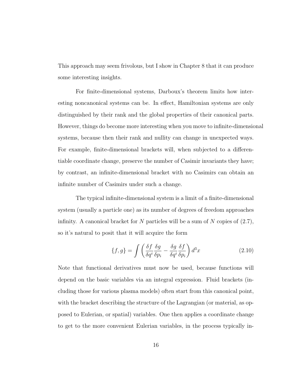This approach may seem frivolous, but I show in Chapter [8](#page-146-0) that it can produce some interesting insights.

For finite-dimensional systems, Darboux's theorem limits how interesting noncanonical systems can be. In effect, Hamiltonian systems are only distinguished by their rank and the global properties of their canonical parts. However, things do become more interesting when you move to infinite-dimensional systems, because then their rank and nullity can change in unexpected ways. For example, finite-dimensional brackets will, when subjected to a differentiable coordinate change, preserve the number of Casimir invariants they have; by contrast, an infinite-dimensional bracket with no Casimirs can obtain an infinite number of Casimirs under such a change.

The typical infinite-dimensional system is a limit of a finite-dimensional system (usually a particle one) as its number of degrees of freedom approaches infinity. A canonical bracket for N particles will be a sum of N copies of  $(2.7)$ , so it's natural to posit that it will acquire the form

<span id="page-24-0"></span>
$$
\{f,g\} = \int \left(\frac{\delta f}{\delta q^i} \frac{\delta g}{\delta p_i} - \frac{\delta g}{\delta q^i} \frac{\delta f}{\delta p_i}\right) d^3 x \tag{2.10}
$$

Note that functional derivatives must now be used, because functions will depend on the basic variables via an integral expression. Fluid brackets (including those for various plasma models) often start from this canonical point, with the bracket describing the structure of the Lagrangian (or material, as opposed to Eulerian, or spatial) variables. One then applies a coordinate change to get to the more convenient Eulerian variables, in the process typically in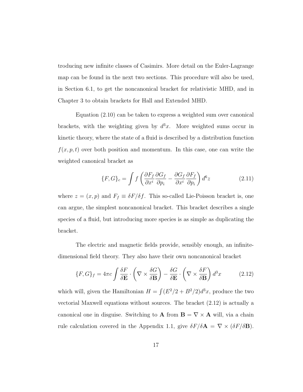troducing new infinite classes of Casimirs. More detail on the Euler-Lagrange map can be found in the next two sections. This procedure will also be used, in Section [6.1,](#page-111-1) to get the noncanonical bracket for relativistic MHD, and in Chapter [3](#page-53-0) to obtain brackets for Hall and Extended MHD.

Equation [\(2.10\)](#page-24-0) can be taken to express a weighted sum over canonical brackets, with the weighting given by  $d^3x$ . More weighted sums occur in kinetic theory, where the state of a fluid is described by a distribution function  $f(x, p, t)$  over both position and momentum. In this case, one can write the weighted canonical bracket as

<span id="page-25-1"></span>
$$
\{F, G\}_c = \int f \left( \frac{\partial F_f}{\partial x^i} \frac{\partial G_f}{\partial p_i} - \frac{\partial G_f}{\partial x^i} \frac{\partial F_f}{\partial p_i} \right) d^6 z \tag{2.11}
$$

where  $z = (x, p)$  and  $F_f \equiv \delta F/\delta f$ . This so-called Lie-Poisson bracket is, one can argue, the simplest noncanonical bracket. This bracket describes a single species of a fluid, but introducing more species is as simple as duplicating the bracket.

The electric and magnetic fields provide, sensibly enough, an infinitedimensional field theory. They also have their own noncanonical bracket

<span id="page-25-0"></span>
$$
\{F, G\}_f = 4\pi c \int \frac{\delta F}{\delta \mathbf{E}} \cdot \left(\nabla \times \frac{\delta G}{\delta \mathbf{B}}\right) - \frac{\delta G}{\delta \mathbf{E}} \cdot \left(\nabla \times \frac{\delta F}{\delta \mathbf{B}}\right) d^3 x \tag{2.12}
$$

which will, given the Hamiltonian  $H = \int (E^2/2 + B^2/2)d^3x$ , produce the two vectorial Maxwell equations without sources. The bracket [\(2.12\)](#page-25-0) is actually a canonical one in disguise. Switching to **A** from  $\mathbf{B} = \nabla \times \mathbf{A}$  will, via a chain rule calculation covered in the Appendix [1.1,](#page-164-1) give  $\delta F/\delta {\bf A} = \nabla \times (\delta F/\delta {\bf B}).$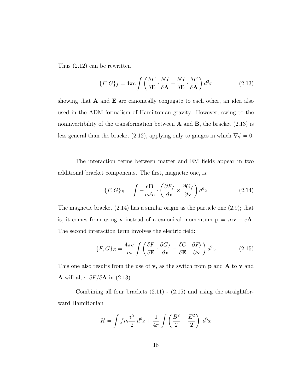Thus [\(2.12\)](#page-25-0) can be rewritten

<span id="page-26-0"></span>
$$
\{F, G\}_f = 4\pi c \int \left(\frac{\delta F}{\delta \mathbf{E}} \cdot \frac{\delta G}{\delta \mathbf{A}} - \frac{\delta G}{\delta \mathbf{E}} \cdot \frac{\delta F}{\delta \mathbf{A}}\right) d^3 x \tag{2.13}
$$

showing that  $A$  and  $E$  are canonically conjugate to each other, an idea also used in the ADM formalism of Hamiltonian gravity. However, owing to the noninvertibility of the transformation between  $\bf{A}$  and  $\bf{B}$ , the bracket [\(2.13\)](#page-26-0) is less general than the bracket [\(2.12\)](#page-25-0), applying only to gauges in which  $\nabla \phi = 0$ .

The interaction terms between matter and EM fields appear in two additional bracket components. The first, magnetic one, is:

<span id="page-26-1"></span>
$$
\{F, G\}_B = \int -\frac{e\mathbf{B}}{m^2 c} \cdot \left(\frac{\partial F_f}{\partial \mathbf{v}} \times \frac{\partial G_f}{\partial \mathbf{v}}\right) d^6 z \tag{2.14}
$$

The magnetic bracket [\(2.14\)](#page-26-1) has a similar origin as the particle one [\(2.9\)](#page-23-0); that is, it comes from using **v** instead of a canonical momentum  $\mathbf{p} = m\mathbf{v} - e\mathbf{A}$ . The second interaction term involves the electric field:

<span id="page-26-2"></span>
$$
\{F, G\}_E = \frac{4\pi e}{m} \int \left(\frac{\delta F}{\delta \mathbf{E}} \cdot \frac{\partial G_f}{\partial \mathbf{v}} - \frac{\delta G}{\delta \mathbf{E}} \cdot \frac{\partial F_f}{\partial \mathbf{v}}\right) d^6 z \tag{2.15}
$$

This one also results from the use of  $\bf{v}$ , as the switch from  $\bf{p}$  and  $\bf{A}$  to  $\bf{v}$  and **A** will alter  $\delta F/\delta A$  in [\(2.13\)](#page-26-0).

Combining all four brackets  $(2.11)$  -  $(2.15)$  and using the straightforward Hamiltonian

$$
H = \int fm \frac{v^2}{2} d^6 z + \frac{1}{4\pi} \int \left(\frac{B^2}{2} + \frac{E^2}{2}\right) d^3 x
$$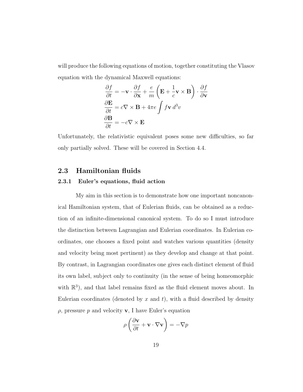will produce the following equations of motion, together constituting the Vlasov equation with the dynamical Maxwell equations:

$$
\frac{\partial f}{\partial t} = -\mathbf{v} \cdot \frac{\partial f}{\partial \mathbf{x}} + \frac{e}{m} \left( \mathbf{E} + \frac{1}{c} \mathbf{v} \times \mathbf{B} \right) \cdot \frac{\partial f}{\partial \mathbf{v}}
$$

$$
\frac{\partial \mathbf{E}}{\partial t} = c \nabla \times \mathbf{B} + 4\pi e \int f \mathbf{v} \, d^3 v
$$

$$
\frac{\partial \mathbf{B}}{\partial t} = -c \nabla \times \mathbf{E}
$$

Unfortunately, the relativistic equivalent poses some new difficulties, so far only partially solved. These will be covered in Section [4.4.](#page-77-0)

### <span id="page-27-1"></span><span id="page-27-0"></span>2.3 Hamiltonian fluids

#### 2.3.1 Euler's equations, fluid action

My aim in this section is to demonstrate how one important noncanonical Hamiltonian system, that of Eulerian fluids, can be obtained as a reduction of an infinite-dimensional canonical system. To do so I must introduce the distinction between Lagrangian and Eulerian coordinates. In Eulerian coordinates, one chooses a fixed point and watches various quantities (density and velocity being most pertinent) as they develop and change at that point. By contrast, in Lagrangian coordinates one gives each distinct element of fluid its own label, subject only to continuity (in the sense of being homeomorphic with  $\mathbb{R}^3$ ), and that label remains fixed as the fluid element moves about. In Eulerian coordinates (denoted by  $x$  and  $t$ ), with a fluid described by density  $\rho$ , pressure p and velocity **v**, I have Euler's equation

$$
\rho \left( \frac{\partial \mathbf{v}}{\partial t} + \mathbf{v} \cdot \nabla \mathbf{v} \right) = -\nabla p
$$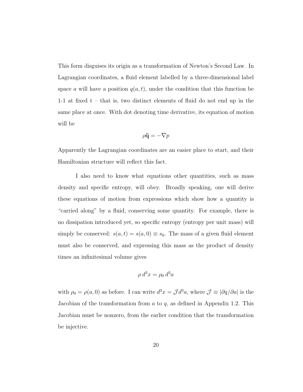This form disguises its origin as a transformation of Newton's Second Law. In Lagrangian coordinates, a fluid element labelled by a three-dimensional label space a will have a position  $q(a, t)$ , under the condition that this function be 1-1 at fixed t – that is, two distinct elements of fluid do not end up in the same place at once. With dot denoting time derivative, its equation of motion will be

$$
\rho \ddot{\mathbf{q}} = -\nabla p
$$

Apparently the Lagrangian coordinates are an easier place to start, and their Hamiltonian structure will reflect this fact.

I also need to know what equations other quantities, such as mass density and specific entropy, will obey. Broadly speaking, one will derive these equations of motion from expressions which show how a quantity is "carried along" by a fluid, conserving some quantity. For example, there is no dissipation introduced yet, so specific entropy (entropy per unit mass) will simply be conserved:  $s(a, t) = s(a, 0) \equiv s_0$ . The mass of a given fluid element must also be conserved, and expressing this mass as the product of density times an infinitesimal volume gives

$$
\rho \, d^3x = \rho_0 \, d^3a
$$

with  $\rho_0 = \rho(a, 0)$  as before. I can write  $d^3x = \mathcal{J}d^3a$ , where  $\mathcal{J} \equiv |\partial q/\partial a|$  is the Jacobian of the transformation from  $a$  to  $q$ , as defined in Appendix [1.2.](#page-166-0) This Jacobian must be nonzero, from the earlier condition that the transformation be injective.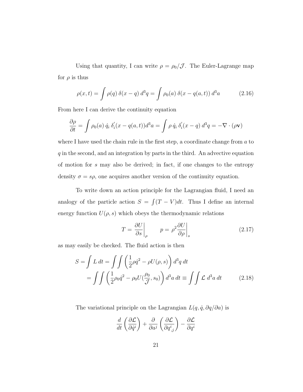Using that quantity, I can write  $\rho = \rho_0/\mathcal{J}$ . The Euler-Lagrange map for  $\rho$  is thus

<span id="page-29-2"></span>
$$
\rho(x,t) = \int \rho(q) \,\delta(x-q) \, d^3q = \int \rho_0(a) \,\delta(x-q(a,t)) \, d^3a \tag{2.16}
$$

From here I can derive the continuity equation

$$
\frac{\partial \rho}{\partial t} = \int \rho_0(a) \dot{q}_i \, \delta'_i(x - q(a, t)) d^3 a = \int \rho \, \dot{q}_i \, \delta'_i(x - q) \, d^3 q = -\nabla \cdot (\rho \mathbf{v})
$$

where I have used the chain rule in the first step, a coordinate change from  $a$  to q in the second, and an integration by parts in the third. An advective equation of motion for s may also be derived; in fact, if one changes to the entropy density  $\sigma = s\rho$ , one acquires another version of the continuity equation.

To write down an action principle for the Lagrangian fluid, I need an analogy of the particle action  $S = \int (T - V) dt$ . Thus I define an internal energy function  $U(\rho, s)$  which obeys the thermodynamic relations

<span id="page-29-1"></span><span id="page-29-0"></span>
$$
T = \frac{\partial U}{\partial s}\Big|_{\rho} \qquad p = \rho^2 \frac{\partial U}{\partial \rho}\Big|_{s} \tag{2.17}
$$

as may easily be checked. The fluid action is then

$$
S = \int L dt = \int \int \left(\frac{1}{2}\rho \dot{q}^2 - \rho U(\rho, s)\right) d^3 q dt
$$
  
= 
$$
\int \int \left(\frac{1}{2}\rho_0 \dot{q}^2 - \rho_0 U(\frac{\rho_0}{\mathcal{J}}, s_0)\right) d^3 a dt \equiv \int \int \mathcal{L} d^3 a dt
$$
 (2.18)

The variational principle on the Lagrangian  $L(q, \dot{q}, \partial q/\partial a)$  is

$$
\frac{d}{dt}\left(\frac{\partial \mathcal{L}}{\partial \dot{q}^i}\right) + \frac{\partial}{\partial a^j}\left(\frac{\partial \mathcal{L}}{\partial q^i_{,j}}\right) - \frac{\partial \mathcal{L}}{\partial q^i}
$$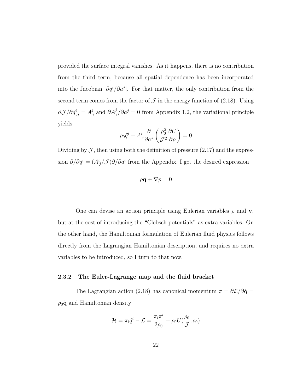provided the surface integral vanishes. As it happens, there is no contribution from the third term, because all spatial dependence has been incorporated into the Jacobian  $|\partial q^i/\partial a^j|$ . For that matter, the only contribution from the second term comes from the factor of  $\mathcal J$  in the energy function of [\(2.18\)](#page-29-0). Using  $\partial \mathcal{J}/\partial q^i_{\,,j} = A^j_{\,i}$  $\partial_i$  and  $\partial A_i^j / \partial a^j = 0$  from Appendix [1.2,](#page-166-0) the variational principle yields

$$
\rho_0 \ddot{q}^i + A^i_j \frac{\partial}{\partial a^j} \left( \frac{\rho_0^2}{\mathcal{J}^2} \frac{\partial U}{\partial \rho} \right) = 0
$$

Dividing by  $\mathcal{J}$ , then using both the definition of pressure [\(2.17\)](#page-29-1) and the expression  $\partial/\partial q^i = (A^i_{j}/\mathcal{J})\partial/\partial a^i$  from the Appendix, I get the desired expression

$$
\rho \ddot{\mathbf{q}} + \nabla p = 0
$$

One can devise an action principle using Eulerian variables  $\rho$  and v, but at the cost of introducing the "Clebsch potentials" as extra variables. On the other hand, the Hamiltonian formulation of Eulerian fluid physics follows directly from the Lagrangian Hamiltonian description, and requires no extra variables to be introduced, so I turn to that now.

#### <span id="page-30-0"></span>2.3.2 The Euler-Lagrange map and the fluid bracket

The Lagrangian action [\(2.18\)](#page-29-0) has canonical momentum  $\pi = \partial \mathcal{L}/\partial \dot{\mathbf{q}} =$  $\rho_0 \dot{\mathbf{q}}$  and Hamiltonian density

$$
\mathcal{H} = \pi_i \dot{q}^i - \mathcal{L} = \frac{\pi_i \pi^i}{2\rho_0} + \rho_0 U(\frac{\rho_0}{\mathcal{J}}, s_0)
$$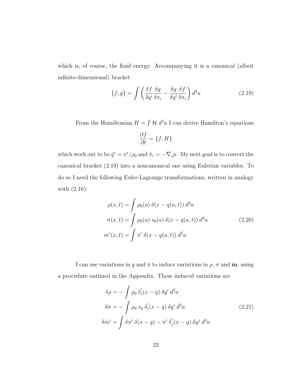which is, of course, the fluid energy. Accompanying it is a canonical (albeit infinite-dimensional) bracket

<span id="page-31-0"></span>
$$
\{f,g\} = \int \left(\frac{\delta f}{\delta q^i} \frac{\delta g}{\delta \pi_i} - \frac{\delta g}{\delta q^i} \frac{\delta f}{\delta \pi_i}\right) d^3 a \tag{2.19}
$$

From the Hamiltonian  $H = \int \mathcal{H} d^3 a$  I can derive Hamilton's equations

$$
\frac{\partial f}{\partial t} = \{f, H\}
$$

which work out to be  $\dot{q}^i = \pi^i/\rho_0$  and  $\dot{\pi}_i = -\nabla_i p$ . My next goal is to convert the canonical bracket [\(2.19\)](#page-31-0) into a noncanonical one using Eulerian variables. To do so I need the following Euler-Lagrange transformations, written in analogy with [\(2.16\)](#page-29-2):

$$
\rho(x,t) = \int \rho_0(a) \delta(x - q(a,t)) d^3a
$$

$$
\sigma(x,t) = \int \rho_0(a) s_0(a) \delta(x - q(a,t)) d^3a
$$
(2.20)
$$
m^i(x,t) = \int \pi^i \delta(x - q(a,t)) d^3a
$$

I can use variations in q and  $\pi$  to induce variations in  $\rho$ ,  $\sigma$  and **m**, using a procedure outlined in the Appendix. These induced variations are

<span id="page-31-1"></span>
$$
\delta \rho = -\int \rho_0 \delta_i'(x - q) \delta q^i d^3 a
$$
  

$$
\delta \sigma = -\int \rho_0 s_0 \delta_i'(x - q) \delta q^i d^3 a
$$
  

$$
\delta m^i = \int \delta \pi^i \delta(x - q) - \pi^i \delta_j'(x - q) \delta q^j d^3 a
$$
\n(2.21)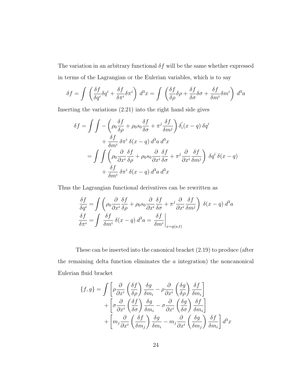The variation in an arbitrary functional  $\delta f$  will be the same whether expressed in terms of the Lagrangian or the Eulerian variables, which is to say

$$
\delta f = \int \left( \frac{\delta f}{\delta q^i} \delta q^i + \frac{\delta f}{\delta \pi^i} \delta \pi^i \right) d^3 x = \int \left( \frac{\delta f}{\delta \rho} \delta \rho + \frac{\delta f}{\delta \sigma} \delta \sigma + \frac{\delta f}{\delta m^i} \delta m^i \right) d^3 a
$$

Inserting the variations [\(2.21\)](#page-31-1) into the right hand side gives

$$
\delta f = \int \int -\left(\rho_0 \frac{\delta f}{\delta \rho} + \rho_0 s_0 \frac{\delta f}{\delta \sigma} + \pi^j \frac{\delta f}{\delta m^j}\right) \delta_i'(x - q) \delta q^i
$$

$$
+ \frac{\delta f}{\delta m^i} \delta \pi^i \delta(x - q) d^3 a d^3 x
$$

$$
= \int \int \left(\rho_0 \frac{\partial}{\partial x^i} \frac{\delta f}{\delta \rho} + \rho_0 s_0 \frac{\partial}{\partial x^i} \frac{\delta f}{\delta \sigma} + \pi^j \frac{\partial}{\partial x^i} \frac{\delta f}{\delta m^j}\right) \delta q^i \delta(x - q)
$$

$$
+ \frac{\delta f}{\delta m^i} \delta \pi^i \delta(x - q) d^3 a d^3 x
$$

Thus the Lagrangian functional derivatives can be rewritten as

$$
\frac{\delta f}{\delta q^i} = \int \left( \rho_0 \frac{\partial}{\partial x^i} \frac{\delta f}{\delta \rho} + \rho_0 s_0 \frac{\partial}{\partial x^i} \frac{\delta f}{\delta \sigma} + \pi^j \frac{\partial}{\partial x^i} \frac{\delta f}{\delta m^j} \right) \delta(x - q) d^3 a
$$
  

$$
\frac{\delta f}{\delta \pi^i} = \int \frac{\delta f}{\delta m^i} \delta(x - q) d^3 a = \frac{\delta f}{\delta m^i} \Big|_{x = q(a, t)}
$$

These can be inserted into the canonical bracket [\(2.19\)](#page-31-0) to produce (after the remaining delta function eliminates the  $a$  integration) the noncanonical Eulerian fluid bracket

$$
\{f,g\} = \int \left[ \rho \frac{\partial}{\partial x^i} \left( \frac{\delta f}{\delta \rho} \right) \frac{\delta g}{\delta m_i} - \rho \frac{\partial}{\partial x^i} \left( \frac{\delta g}{\delta \rho} \right) \frac{\delta f}{\delta m_i} \right] + \left[ \sigma \frac{\partial}{\partial x^i} \left( \frac{\delta f}{\delta \sigma} \right) \frac{\delta g}{\delta m_i} - \sigma \frac{\partial}{\partial x^i} \left( \frac{\delta g}{\delta \sigma} \right) \frac{\delta f}{\delta m_i} \right] + \left[ m_j \frac{\partial}{\partial x^i} \left( \frac{\delta f}{\delta m_j} \right) \frac{\delta g}{\delta m_i} - m_j \frac{\partial}{\partial x^i} \left( \frac{\delta g}{\delta m_j} \right) \frac{\delta f}{\delta m_i} \right] d^3 x
$$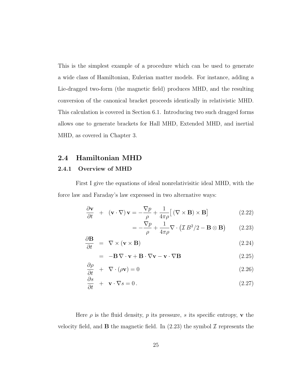This is the simplest example of a procedure which can be used to generate a wide class of Hamiltonian, Eulerian matter models. For instance, adding a Lie-dragged two-form (the magnetic field) produces MHD, and the resulting conversion of the canonical bracket proceeds identically in relativistic MHD. This calculation is covered in Section [6.1.](#page-111-1) Introducing two such dragged forms allows one to generate brackets for Hall MHD, Extended MHD, and inertial MHD, as covered in Chapter [3.](#page-53-0)

### <span id="page-33-0"></span>2.4 Hamiltonian MHD

### <span id="page-33-1"></span>2.4.1 Overview of MHD

First I give the equations of ideal nonrelativisitic ideal MHD, with the force law and Faraday's law expressed in two alternative ways:

<span id="page-33-2"></span>
$$
\frac{\partial \mathbf{v}}{\partial t} + (\mathbf{v} \cdot \nabla) \mathbf{v} = -\frac{\nabla p}{\rho} + \frac{1}{4\pi \rho} [(\nabla \times \mathbf{B}) \times \mathbf{B}] \tag{2.22}
$$

$$
= -\frac{\nabla p}{\rho} + \frac{1}{4\pi\rho} \nabla \cdot (\mathcal{I}B^2/2 - \mathbf{B} \otimes \mathbf{B}) \qquad (2.23)
$$

$$
\frac{\partial \mathbf{B}}{\partial t} = \nabla \times (\mathbf{v} \times \mathbf{B}) \tag{2.24}
$$

$$
= -\mathbf{B}\nabla \cdot \mathbf{v} + \mathbf{B} \cdot \nabla \mathbf{v} - \mathbf{v} \cdot \nabla \mathbf{B}
$$
 (2.25)

$$
\frac{\partial \rho}{\partial t} + \nabla \cdot (\rho \mathbf{v}) = 0 \tag{2.26}
$$

$$
\frac{\partial s}{\partial t} + \mathbf{v} \cdot \nabla s = 0.
$$
 (2.27)

Here  $\rho$  is the fluid density, p its pressure, s its specific entropy, v the velocity field, and **B** the magnetic field. In  $(2.23)$  the symbol  $\mathcal I$  represents the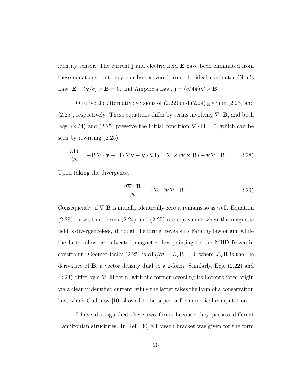identity tensor. The current j and electric field E have been eliminated from these equations, but they can be recovered from the ideal conductor Ohm's Law,  $\mathbf{E} + (\mathbf{v}/c) \times \mathbf{B} = 0$ , and Ampére's Law,  $\mathbf{j} = (c/4\pi)\nabla \times \mathbf{B}$ .

Observe the alternative versions of [\(2.22\)](#page-33-2) and [\(2.24\)](#page-33-2) given in [\(2.23\)](#page-33-2) and  $(2.25)$ , respectively. These equations differ by terms involving  $\nabla \cdot \mathbf{B}$ , and both Eqs. [\(2.24\)](#page-33-2) and [\(2.25\)](#page-33-2) preserve the initial condition  $\nabla \cdot \mathbf{B} = 0$ , which can be seen by rewriting [\(2.25\)](#page-33-2):

<span id="page-34-0"></span>
$$
\frac{\partial \mathbf{B}}{\partial t} = -\mathbf{B} \nabla \cdot \mathbf{v} + \mathbf{B} \cdot \nabla \mathbf{v} - \mathbf{v} \cdot \nabla \mathbf{B} = \nabla \times (\mathbf{v} \times \mathbf{B}) - \mathbf{v} \nabla \cdot \mathbf{B}.
$$
 (2.28)

Upon taking the divergence,

$$
\frac{\partial \nabla \cdot \mathbf{B}}{\partial t} = -\nabla \cdot (\mathbf{v} \nabla \cdot \mathbf{B}).
$$
\n(2.29)

Consequently, if  $\nabla \cdot \mathbf{B}$  is initially identically zero it remains so as well. Equation [\(2.28\)](#page-34-0) shows that forms [\(2.24\)](#page-33-2) and [\(2.25\)](#page-33-2) are equivalent when the magnetic field is divergenceless, although the former reveals its Faraday law origin, while the latter show an advected magnetic flux pointing to the MHD frozen-in constraint. Geometrically [\(2.25\)](#page-33-2) is  $\partial \mathbf{B}/\partial t + \mathcal{L}_{\mathbf{v}} \mathbf{B} = 0$ , where  $\mathcal{L}_{\mathbf{v}} \mathbf{B}$  is the Lie derivative of B, a vector density dual to a 2-form. Similarly, Eqs. [\(2.22\)](#page-33-2) and [\(2.23\)](#page-33-2) differ by a  $\nabla \cdot \mathbf{B}$  term, with the former revealing its Lorentz force origin via a clearly identified current, while the latter takes the form of a conservation law, which Gudunov [\[10\]](#page-176-2) showed to be superior for numerical computation.

I have distinguished these two forms because they possess different Hamiltonian structures. In Ref. [\[30\]](#page-178-2) a Poisson bracket was given for the form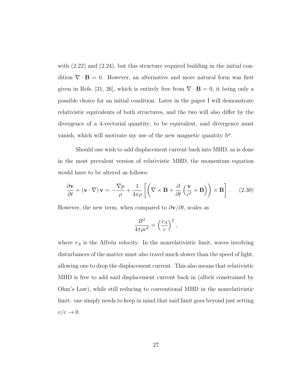with  $(2.22)$  and  $(2.24)$ , but this structure required building in the initial condition  $\nabla \cdot \mathbf{B} = 0$ . However, an alternative and more natural form was first given in Refs. [\[31,](#page-178-3) [26\]](#page-178-0), which is entirely free from  $\nabla \cdot \mathbf{B} = 0$ , it being only a possible choice for an initial condition. Later in the paper I will demonstrate relativistic equivalents of both structures, and the two will also differ by the divergence of a 4-vectorial quantity; to be equivalent, said divergence must vanish, which will motivate my use of the new magnetic quantity  $h^{\mu}$ .

Should one wish to add displacement current back into MHD, as is done in the most prevalent version of relativistic MHD, the momentum equation would have to be altered as follows:

$$
\frac{\partial \mathbf{v}}{\partial t} + (\mathbf{v} \cdot \nabla) \mathbf{v} = -\frac{\nabla p}{\rho} + \frac{1}{4\pi \rho} \left[ \left( \nabla \times \mathbf{B} + \frac{\partial}{\partial t} \left( \frac{\mathbf{v}}{c^2} \times \mathbf{B} \right) \right) \times \mathbf{B} \right].
$$
 (2.30)

However, the new term, when compared to  $\partial \mathbf{v}/\partial t$ , scales as

$$
\frac{B^2}{4\pi\rho c^2} = \left(\frac{v_A}{c}\right)^2,
$$

where  $v_A$  is the Alfvén velocity. In the nonrelativistic limit, waves involving disturbances of the matter must also travel much slower than the speed of light, allowing one to drop the displacement current. This also means that relativistic MHD is free to add said displacement current back in (albeit constrained by Ohm's Law), while still reducing to conventional MHD in the nonrelativistic limit: one simply needs to keep in mind that said limit goes beyond just setting  $v/c \rightarrow 0$ .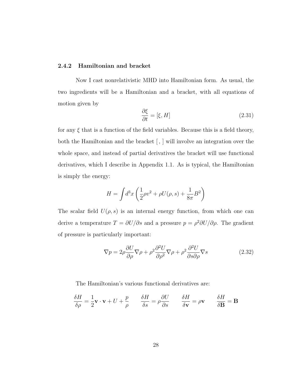#### 2.4.2 Hamiltonian and bracket

Now I cast nonrelativistic MHD into Hamiltonian form. As usual, the two ingredients will be a Hamiltonian and a bracket, with all equations of motion given by

<span id="page-36-0"></span>
$$
\frac{\partial \xi}{\partial t} = [\xi, H] \tag{2.31}
$$

for any  $\xi$  that is a function of the field variables. Because this is a field theory, both the Hamiltonian and the bracket [, ] will involve an integration over the whole space, and instead of partial derivatives the bracket will use functional derivatives, which I describe in Appendix [1.1.](#page-164-0) As is typical, the Hamiltonian is simply the energy:

$$
H = \int d^{3}x \left(\frac{1}{2}\rho v^{2} + \rho U(\rho, s) + \frac{1}{8\pi}B^{2}\right)
$$

The scalar field  $U(\rho, s)$  is an internal energy function, from which one can derive a temperature  $T = \partial U/\partial s$  and a pressure  $p = \rho^2 \partial U/\partial \rho$ . The gradient of pressure is particularly important:

<span id="page-36-1"></span>
$$
\nabla p = 2\rho \frac{\partial U}{\partial \rho} \nabla \rho + \rho^2 \frac{\partial^2 U}{\partial \rho^2} \nabla \rho + \rho^2 \frac{\partial^2 U}{\partial s \partial \rho} \nabla s \qquad (2.32)
$$

The Hamiltonian's various functional derivatives are:

$$
\frac{\delta H}{\delta \rho} = \frac{1}{2} \mathbf{v} \cdot \mathbf{v} + U + \frac{p}{\rho} \qquad \frac{\delta H}{\delta s} = \rho \frac{\partial U}{\partial s} \qquad \frac{\delta H}{\delta \mathbf{v}} = \rho \mathbf{v} \qquad \frac{\delta H}{\delta \mathbf{B}} = \mathbf{B}
$$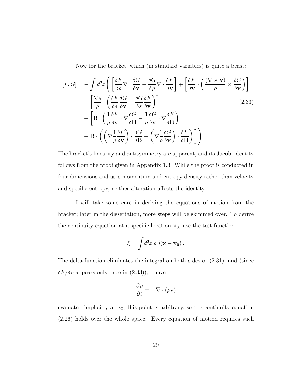<span id="page-37-0"></span>Now for the bracket, which (in standard variables) is quite a beast:

$$
[F, G] = -\int d^3x \left( \left[ \frac{\delta F}{\delta \rho} \nabla \cdot \frac{\delta G}{\delta \mathbf{v}} - \frac{\delta G}{\delta \rho} \nabla \cdot \frac{\delta F}{\delta \mathbf{v}} \right] + \left[ \frac{\delta F}{\delta \mathbf{v}} \cdot \left( \frac{(\nabla \times \mathbf{v})}{\rho} \times \frac{\delta G}{\delta \mathbf{v}} \right) \right] + \left[ \frac{\nabla s}{\rho} \cdot \left( \frac{\delta F}{\delta s} \frac{\delta G}{\delta \mathbf{v}} - \frac{\delta G}{\delta s} \frac{\delta F}{\delta \mathbf{v}} \right) \right] + \left[ \mathbf{B} \cdot \left( \frac{1}{\rho} \frac{\delta F}{\delta \mathbf{v}} \cdot \nabla \frac{\delta G}{\delta \mathbf{B}} - \frac{1}{\rho} \frac{\delta G}{\delta \mathbf{v}} \cdot \nabla \frac{\delta F}{\delta \mathbf{B}} \right) + \mathbf{B} \cdot \left( \left( \nabla \frac{1}{\rho} \frac{\delta F}{\delta \mathbf{v}} \right) \cdot \frac{\delta G}{\delta \mathbf{B}} - \left( \nabla \frac{1}{\rho} \frac{\delta G}{\delta \mathbf{v}} \right) \cdot \frac{\delta F}{\delta \mathbf{B}} \right) \right)
$$
(2.33)

The bracket's linearity and antisymmetry are apparent, and its Jacobi identity follows from the proof given in Appendix [1.3.](#page-168-0) While the proof is conducted in four dimensions and uses momentum and entropy density rather than velocity and specific entropy, neither alteration affects the identity.

I will take some care in deriving the equations of motion from the bracket; later in the dissertation, more steps will be skimmed over. To derive the continuity equation at a specific location  $x_0$ , use the test function

$$
\xi = \int d^3x \, \rho \, \delta(\mathbf{x} - \mathbf{x_0}).
$$

The delta function eliminates the integral on both sides of [\(2.31\)](#page-36-0), and (since  $\delta F/\delta \rho$  appears only once in [\(2.33\)](#page-37-0)), I have

$$
\frac{\partial \rho}{\partial t} = -\nabla \cdot (\rho \mathbf{v})
$$

evaluated implicitly at  $x_0$ ; this point is arbitrary, so the continuity equation [\(2.26\)](#page-33-0) holds over the whole space. Every equation of motion requires such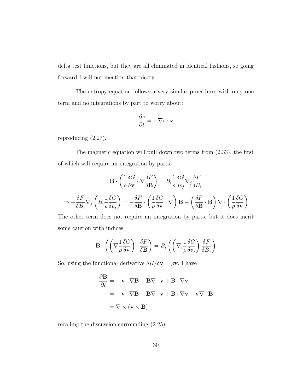delta test functions, but they are all eliminated in identical fashions, so going forward I will not mention that nicety.

The entropy equation follows a very similar procedure, with only one term and no integrations by part to worry about:

$$
\frac{\partial s}{\partial t} = -\nabla s \cdot \mathbf{v}
$$

reproducing [\(2.27\)](#page-33-0).

The magnetic equation will pull down two terms from [\(2.33\)](#page-37-0), the first of which will require an integration by parts:

$$
\mathbf{B} \cdot \left( \frac{1}{\rho} \frac{\delta G}{\delta \mathbf{v}} \cdot \nabla \frac{\delta F}{\delta \mathbf{B}} \right) = B_i \frac{1}{\rho} \frac{\delta G}{\delta v_j} \nabla_j \frac{\delta F}{\delta B_i}
$$

$$
\Rightarrow -\frac{\delta F}{\delta B_i} \nabla_j \left( B_i \frac{1}{\rho} \frac{\delta G}{\delta v_j} \right) = -\frac{\delta F}{\delta \mathbf{B}} \cdot \left( \frac{1}{\rho} \frac{\delta G}{\delta \mathbf{v}} \cdot \nabla \right) \mathbf{B} - \left( \frac{\delta F}{\delta \mathbf{B}} \cdot \mathbf{B} \right) \nabla \cdot \left( \frac{1}{\rho} \frac{\delta G}{\delta \mathbf{v}} \right)
$$

The other term does not require an integration by parts, but it does merit some caution with indices:

$$
\mathbf{B} \cdot \left( \left( \nabla \frac{1}{\rho} \frac{\delta G}{\delta \mathbf{v}} \right) \cdot \frac{\delta F}{\delta \mathbf{B}} \right) = B_i \left( \left( \nabla_i \frac{1}{\rho} \frac{\delta G}{\delta v_j} \right) \frac{\delta F}{\delta B_j} \right)
$$

So, using the functional derivative  $\delta H/\delta \mathbf{v} = \rho \mathbf{v}$ , I have

$$
\frac{\partial \mathbf{B}}{\partial t} = -\mathbf{v} \cdot \nabla \mathbf{B} - \mathbf{B} \nabla \cdot \mathbf{v} + \mathbf{B} \cdot \nabla \mathbf{v}
$$
  
= -\mathbf{v} \cdot \nabla \mathbf{B} - \mathbf{B} \nabla \cdot \mathbf{v} + \mathbf{B} \cdot \nabla \mathbf{v} + \mathbf{v} \nabla \cdot \mathbf{B}  
= \nabla \times (\mathbf{v} \times \mathbf{B})

recalling the discussion surrounding [\(2.25\)](#page-33-0).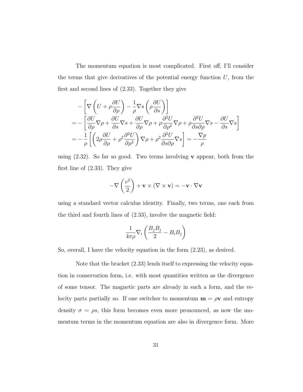The momentum equation is most complicated. First off, I'll consider the terms that give derivatives of the potential energy function  $U$ , from the first and second lines of [\(2.33\)](#page-37-0). Together they give

$$
- \left[ \nabla \left( U + \rho \frac{\partial U}{\partial \rho} \right) - \frac{1}{\rho} \nabla s \left( \rho \frac{\partial U}{\partial s} \right) \right]
$$
  
= 
$$
- \left[ \frac{\partial U}{\partial \rho} \nabla \rho + \frac{\partial U}{\partial s} \nabla s + \frac{\partial U}{\partial \rho} \nabla \rho + \rho \frac{\partial^2 U}{\partial \rho^2} \nabla \rho + \rho \frac{\partial^2 U}{\partial s \partial \rho} \nabla s - \frac{\partial U}{\partial s} \nabla s \right]
$$
  
= 
$$
- \frac{1}{\rho} \left[ \left( 2\rho \frac{\partial U}{\partial \rho} + \rho^2 \frac{\partial^2 U}{\partial \rho^2} \right) \nabla \rho + \rho^2 \frac{\partial^2 U}{\partial s \partial \rho} \nabla s \right] = - \frac{\nabla p}{\rho}
$$

using  $(2.32)$ . So far so good. Two terms involving **v** appear, both from the first line of [\(2.33\)](#page-37-0). They give

$$
-\nabla\left(\frac{v^2}{2}\right) + \mathbf{v} \times (\nabla \times \mathbf{v}) = -\mathbf{v} \cdot \nabla \mathbf{v}
$$

using a standard vector calculus identity. Finally, two terms, one each from the third and fourth lines of [\(2.33\)](#page-37-0), involve the magnetic field:

$$
\frac{1}{4\pi\rho}\nabla_i\left(\frac{B_jB_j}{2} - B_iB_j\right)
$$

So, overall, I have the velocity equation in the form [\(2.23\)](#page-33-0), as desired.

Note that the bracket [\(2.33\)](#page-37-0) lends itself to expressing the velocity equation in conservation form, i.e. with most quantities written as the divergence of some tensor. The magnetic parts are already in such a form, and the velocity parts partially so. If one switches to momentum  $\mathbf{m} = \rho \mathbf{v}$  and entropy density  $\sigma = \rho s$ , this form becomes even more pronounced, as now the momentum terms in the momentum equation are also in divergence form. More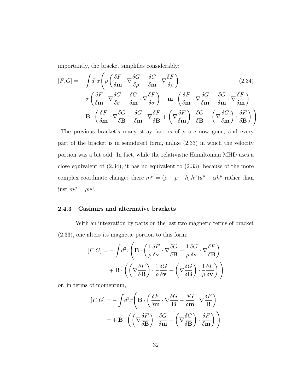importantly, the bracket simplifies considerably:

<span id="page-40-0"></span>
$$
[F, G] = -\int d^3x \left( \rho \left( \frac{\delta F}{\delta \mathbf{m}} \cdot \nabla \frac{\delta G}{\delta \rho} - \frac{\delta G}{\delta \mathbf{m}} \cdot \nabla \frac{\delta F}{\delta \rho} \right) \right) \tag{2.34}
$$
  
+  $\sigma \left( \frac{\delta F}{\delta \mathbf{m}} \cdot \nabla \frac{\delta G}{\delta \sigma} - \frac{\delta G}{\delta \mathbf{m}} \cdot \nabla \frac{\delta F}{\delta \sigma} \right) + \mathbf{m} \cdot \left( \frac{\delta F}{\delta \mathbf{m}} \cdot \nabla \frac{\delta G}{\delta \mathbf{m}} - \frac{\delta G}{\delta \mathbf{m}} \cdot \nabla \frac{\delta F}{\delta \mathbf{m}} \right) + \mathbf{B} \cdot \left( \frac{\delta F}{\delta \mathbf{m}} \cdot \nabla \frac{\delta G}{\delta \mathbf{B}} - \frac{\delta G}{\delta \mathbf{m}} \cdot \nabla \frac{\delta F}{\delta \mathbf{B}} + \left( \nabla \frac{\delta F}{\delta \mathbf{m}} \right) \cdot \frac{\delta G}{\delta \mathbf{B}} - \left( \nabla \frac{\delta G}{\delta \mathbf{m}} \right) \cdot \frac{\delta F}{\delta \mathbf{B}} \right) \right)$ 

The previous bracket's many stray factors of  $\rho$  are now gone, and every part of the bracket is in semidirect form, unlike [\(2.33\)](#page-37-0) in which the velocity portion was a bit odd. In fact, while the relativistic Hamiltonian MHD uses a close equivalent of [\(2.34\)](#page-40-0), it has no equivalent to [\(2.33\)](#page-37-0), because of the more complex coordinate change: there  $m^{\mu} = (\rho + p - h_{\mu}h^{\mu})u^{\mu} + \alpha h^{\mu}$  rather than just  $m^{\mu} = \rho u^{\mu}$ .

#### 2.4.3 Casimirs and alternative brackets

With an integration by parts on the last two magnetic terms of bracket [\(2.33\)](#page-37-0), one alters its magnetic portion to this form:

$$
[F, G] = -\int d^3x \left( \mathbf{B} \cdot \left( \frac{1}{\rho} \frac{\delta F}{\delta \mathbf{v}} \cdot \nabla \frac{\delta G}{\delta \mathbf{B}} - \frac{1}{\rho} \frac{\delta G}{\delta \mathbf{v}} \cdot \nabla \frac{\delta F}{\delta \mathbf{B}} \right) \right) + \mathbf{B} \cdot \left( \left( \nabla \frac{\delta F}{\delta \mathbf{B}} \right) \cdot \frac{1}{\rho} \frac{\delta G}{\delta \mathbf{v}} - \left( \nabla \frac{\delta G}{\delta \mathbf{B}} \right) \cdot \frac{1}{\rho} \frac{\delta F}{\delta \mathbf{v}} \right) \right)
$$

or, in terms of momentum,

$$
[F, G] = -\int d^3x \left( \mathbf{B} \cdot \left( \frac{\delta F}{\delta \mathbf{m}} \cdot \nabla \frac{\delta G}{\mathbf{B}} - \frac{\delta G}{\delta \mathbf{m}} \cdot \nabla \frac{\delta F}{\mathbf{B}} \right) \right)
$$

$$
= + \mathbf{B} \cdot \left( \left( \nabla \frac{\delta F}{\delta \mathbf{B}} \right) \cdot \frac{\delta G}{\delta \mathbf{m}} - \left( \nabla \frac{\delta G}{\delta \mathbf{B}} \right) \cdot \frac{\delta F}{\delta \mathbf{m}} \right) \right)
$$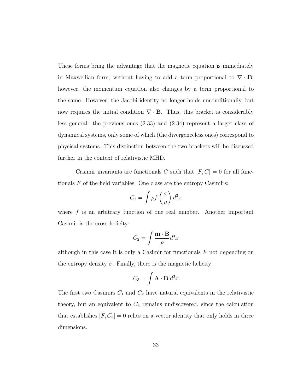These forms bring the advantage that the magnetic equation is immediately in Maxwellian form, without having to add a term proportional to  $\nabla \cdot \mathbf{B}$ ; however, the momentum equation also changes by a term proportional to the same. However, the Jacobi identity no longer holds unconditionally, but now requires the initial condition  $\nabla \cdot \mathbf{B}$ . Thus, this bracket is considerably less general: the previous ones [\(2.33\)](#page-37-0) and [\(2.34\)](#page-40-0) represent a larger class of dynamical systems, only some of which (the divergenceless ones) correspond to physical systems. This distinction between the two brackets will be discussed further in the context of relativistic MHD.

Casimir invariants are functionals C such that  $[F, C] = 0$  for all functionals  $F$  of the field variables. One class are the entropy Casimirs:

$$
C_1 = \int \rho f\left(\frac{\sigma}{\rho}\right) d^3x
$$

where  $f$  is an arbitrary function of one real number. Another important Casimir is the cross-helicity:

$$
C_2 = \int \frac{\mathbf{m} \cdot \mathbf{B}}{\rho} d^3 x
$$

although in this case it is only a Casimir for functionals  $F$  not depending on the entropy density  $\sigma$ . Finally, there is the magnetic helicity

$$
C_3 = \int \mathbf{A} \cdot \mathbf{B} \, d^3x
$$

The first two Casimirs  $C_1$  and  $C_2$  have natural equivalents in the relativistic theory, but an equivalent to  $C_3$  remains undiscovered, since the calculation that establishes  $[F, C_3] = 0$  relies on a vector identity that only holds in three dimensions.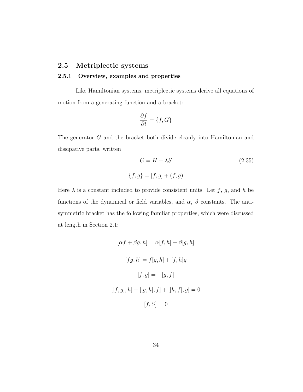### 2.5 Metriplectic systems

#### 2.5.1 Overview, examples and properties

Like Hamiltonian systems, metriplectic systems derive all equations of motion from a generating function and a bracket:

$$
\frac{\partial f}{\partial t} = \{f, G\}
$$

The generator G and the bracket both divide cleanly into Hamiltonian and dissipative parts, written

<span id="page-42-0"></span>
$$
G = H + \lambda S \tag{2.35}
$$

$$
\{f, g\} = [f, g] + (f, g)
$$

Here  $\lambda$  is a constant included to provide consistent units. Let  $f$ ,  $g$ , and  $h$  be functions of the dynamical or field variables, and  $\alpha$ ,  $\beta$  constants. The antisymmetric bracket has the following familiar properties, which were discussed at length in Section [2.1:](#page-13-0)

$$
[\alpha f + \beta g, h] = \alpha[f, h] + \beta[g, h]
$$

$$
[fg, h] = f[g, h] + [f, h]g
$$

$$
[f, g] = -[g, f]
$$

$$
[[f, g], h] + [[g, h], f] + [[h, f], g] = 0
$$

$$
[f, S] = 0
$$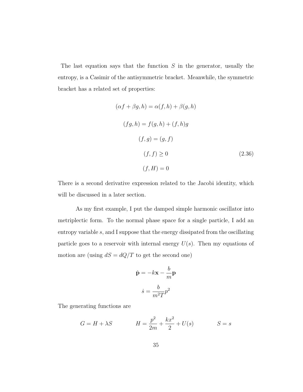The last equation says that the function  $S$  in the generator, usually the entropy, is a Casimir of the antisymmetric bracket. Meanwhile, the symmetric bracket has a related set of properties:

<span id="page-43-0"></span>
$$
(\alpha f + \beta g, h) = \alpha(f, h) + \beta(g, h)
$$
  

$$
(fg, h) = f(g, h) + (f, h)g
$$
  

$$
(f, g) = (g, f)
$$
  

$$
(f, f) \ge 0
$$
  

$$
(f, H) = 0
$$
  

$$
(2.36)
$$

There is a second derivative expression related to the Jacobi identity, which will be discussed in a later section.

As my first example, I put the damped simple harmonic oscillator into metriplectic form. To the normal phase space for a single particle, I add an entropy variable s, and I suppose that the energy dissipated from the oscillating particle goes to a reservoir with internal energy  $U(s)$ . Then my equations of motion are (using  $dS = dQ/T$  to get the second one)

$$
\dot{\mathbf{p}} = -k\mathbf{x} - \frac{b}{m}\mathbf{p}
$$

$$
\dot{s} = \frac{b}{m^2T}p^2
$$

The generating functions are

$$
G = H + \lambda S \qquad H = \frac{p^2}{2m} + \frac{kx^2}{2} + U(s) \qquad S = s
$$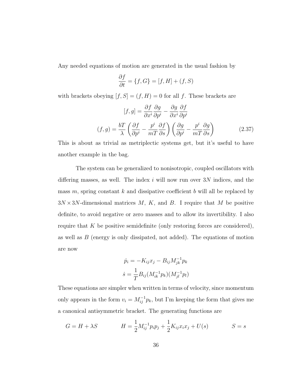Any needed equations of motion are generated in the usual fashion by

$$
\frac{\partial f}{\partial t} = \{f, G\} = [f, H] + (f, S)
$$

with brackets obeying  $[f,S] = (f,H) = 0$  for all  $f$  . These brackets are

$$
[f,g] = \frac{\partial f}{\partial x^i} \frac{\partial g}{\partial p^i} - \frac{\partial g}{\partial x^i} \frac{\partial f}{\partial p^i}
$$

$$
(f,g) = \frac{bT}{\lambda} \left( \frac{\partial f}{\partial p^i} - \frac{p^i}{mT} \frac{\partial f}{\partial s} \right) \left( \frac{\partial g}{\partial p^i} - \frac{p^i}{mT} \frac{\partial g}{\partial s} \right)
$$
(2.37)

This is about as trivial as metriplectic systems get, but it's useful to have another example in the bag.

The system can be generalized to nonisotropic, coupled oscillators with differing masses, as well. The index  $i$  will now run over  $3N$  indices, and the mass  $m$ , spring constant k and dissipative coefficient b will all be replaced by  $3N \times 3N$ -dimensional matrices M, K, and B. I require that M be positive definite, to avoid negative or zero masses and to allow its invertibility. I also require that  $K$  be positive semidefinite (only restoring forces are considered), as well as  $B$  (energy is only dissipated, not added). The equations of motion are now

$$
\dot{p}_i = -K_{ij}x_j - B_{ij}M_{jk}^{-1}p_k
$$

$$
\dot{s} = \frac{1}{T}B_{ij}(M_{ik}^{-1}p_k)(M_{jl}^{-1}p_l)
$$

These equations are simpler when written in terms of velocity, since momentum only appears in the form  $v_i = M_{ij}^{-1} p_k$ , but I'm keeping the form that gives me a canonical antisymmetric bracket. The generating functions are

$$
G = H + \lambda S \qquad H = \frac{1}{2} M_{ij}^{-1} p_i p_j + \frac{1}{2} K_{ij} x_i x_j + U(s) \qquad S = s
$$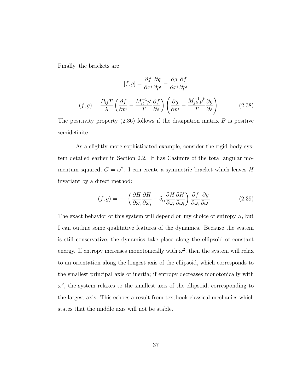Finally, the brackets are

<span id="page-45-0"></span>
$$
[f,g] = \frac{\partial f}{\partial x^i} \frac{\partial g}{\partial p^i} - \frac{\partial g}{\partial x^i} \frac{\partial f}{\partial p^i}
$$

$$
(f,g) = \frac{B_{ij}T}{\lambda} \left( \frac{\partial f}{\partial p^i} - \frac{M_{il}^{-1}p^l}{T} \frac{\partial f}{\partial s} \right) \left( \frac{\partial g}{\partial p^j} - \frac{M_{jk}^{-1}p^k}{T} \frac{\partial g}{\partial s} \right)
$$
(2.38)

The positivity property  $(2.36)$  follows if the dissipation matrix  $B$  is positive semidefinite.

As a slightly more sophisticated example, consider the rigid body system detailed earlier in Section [2.2.](#page-21-0) It has Casimirs of the total angular momentum squared,  $C = \omega^2$ . I can create a symmetric bracket which leaves H invariant by a direct method:

<span id="page-45-1"></span>
$$
(f,g) = -\left[ \left( \frac{\partial H}{\partial \omega_i} \frac{\partial H}{\partial \omega_j} - \delta_{ij} \frac{\partial H}{\partial \omega_l} \frac{\partial H}{\partial \omega_l} \right) \frac{\partial f}{\partial \omega_i} \frac{\partial g}{\partial \omega_j} \right]
$$
(2.39)

The exact behavior of this system will depend on my choice of entropy  $S$ , but I can outline some qualitative features of the dynamics. Because the system is still conservative, the dynamics take place along the ellipsoid of constant energy. If entropy increases monotonically with  $\omega^2$ , then the system will relax to an orientation along the longest axis of the ellipsoid, which corresponds to the smallest principal axis of inertia; if entropy decreases monotonically with  $\omega^2$ , the system relaxes to the smallest axis of the ellipsoid, corresponding to the largest axis. This echoes a result from textbook classical mechanics which states that the middle axis will not be stable.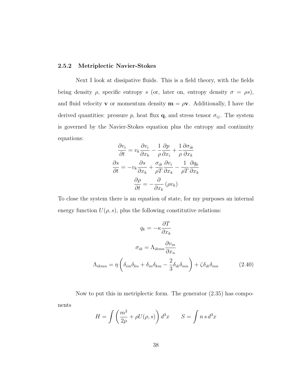#### 2.5.2 Metriplectic Navier-Stokes

Next I look at dissipative fluids. This is a field theory, with the fields being density  $\rho$ , specific entropy s (or, later on, entropy density  $\sigma = \rho s$ ), and fluid velocity **v** or momentum density  $\mathbf{m} = \rho \mathbf{v}$ . Additionally, I have the derived quantities: pressure p, heat flux  $\mathbf{q}$ , and stress tensor  $\sigma_{ij}$ . The system is governed by the Navier-Stokes equation plus the entropy and continuity equations:

$$
\frac{\partial v_i}{\partial t} = v_k \frac{\partial v_i}{\partial x_k} - \frac{1}{\rho} \frac{\partial p}{\partial x_i} + \frac{1}{\rho} \frac{\partial \sigma_{ik}}{\partial x_k}
$$

$$
\frac{\partial s}{\partial t} = -v_k \frac{\partial s}{\partial x_k} + \frac{\sigma_{ik}}{\rho T} \frac{\partial v_i}{\partial x_k} - \frac{1}{\rho T} \frac{\partial q_k}{\partial x_k}
$$

$$
\frac{\partial \rho}{\partial t} = -\frac{\partial}{\partial x_k} (\rho v_k)
$$

To close the system there is an equation of state, for my purposes an internal energy function  $U(\rho, s)$ , plus the following constitutive relations:

$$
q_k = -\kappa \frac{\partial T}{\partial x_k}
$$

$$
\sigma_{ik} = \Lambda_{ikmn} \frac{\partial v_m}{\partial x_n}
$$

$$
\Lambda_{ikmn} = \eta \left( \delta_{im} \delta_{kn} + \delta_{in} \delta_{km} - \frac{2}{3} \delta_{ik} \delta_{mn} \right) + \zeta \delta_{ik} \delta_{mn} \tag{2.40}
$$

Now to put this in metriplectic form. The generator [\(2.35\)](#page-42-0) has components

$$
H = \int \left(\frac{m^2}{2\rho} + \rho U(\rho, s)\right) d^3x \qquad S = \int n s \, d^3x
$$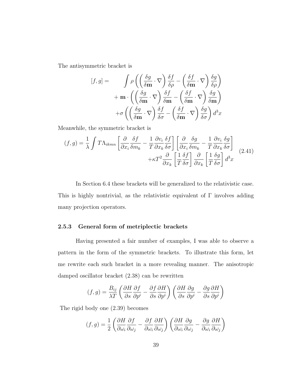The antisymmetric bracket is

$$
[f,g] = \int \rho \left( \left( \frac{\delta g}{\delta \mathbf{m}} \cdot \nabla \right) \frac{\delta f}{\delta \rho} - \left( \frac{\delta f}{\delta \mathbf{m}} \cdot \nabla \right) \frac{\delta g}{\delta \rho} \right) + \mathbf{m} \cdot \left( \left( \frac{\delta g}{\delta \mathbf{m}} \cdot \nabla \right) \frac{\delta f}{\delta \mathbf{m}} - \left( \frac{\delta f}{\delta \mathbf{m}} \cdot \nabla \right) \frac{\delta g}{\delta \mathbf{m}} \right) + \sigma \left( \left( \frac{\delta g}{\delta \mathbf{m}} \cdot \nabla \right) \frac{\delta f}{\delta \sigma} - \left( \frac{\delta f}{\delta \mathbf{m}} \cdot \nabla \right) \frac{\delta g}{\delta \sigma} \right) d^3 x
$$

Meanwhile, the symmetric bracket is

<span id="page-47-0"></span>
$$
(f,g) = \frac{1}{\lambda} \int T\Lambda_{ikmn} \left[ \frac{\partial}{\partial x_i} \frac{\delta f}{\delta m_k} - \frac{1}{T} \frac{\partial v_i}{\partial x_k} \frac{\delta f}{\delta \sigma} \right] \left[ \frac{\partial}{\partial x_i} \frac{\delta g}{\delta m_k} - \frac{1}{T} \frac{\partial v_i}{\partial x_k} \frac{\delta g}{\delta \sigma} \right] + \kappa T^2 \frac{\partial}{\partial x_k} \left[ \frac{1}{T} \frac{\delta f}{\delta \sigma} \right] \frac{\partial}{\partial x_k} \left[ \frac{1}{T} \frac{\delta g}{\delta \sigma} \right] d^3 x \tag{2.41}
$$

In Section [6.4](#page-130-0) these brackets will be generalized to the relativistic case. This is highly nontrivial, as the relativistic equivalent of  $\Gamma$  involves adding many projection operators.

#### 2.5.3 General form of metriplectic brackets

Having presented a fair number of examples, I was able to observe a pattern in the form of the symmetric brackets. To illustrate this form, let me rewrite each such bracket in a more revealing manner. The anisotropic damped oscillator bracket [\(2.38\)](#page-45-0) can be rewritten

$$
(f,g) = \frac{B_{ij}}{\lambda T} \left( \frac{\partial H}{\partial s} \frac{\partial f}{\partial p^i} - \frac{\partial f}{\partial s} \frac{\partial H}{\partial p^i} \right) \left( \frac{\partial H}{\partial s} \frac{\partial g}{\partial p^i} - \frac{\partial g}{\partial s} \frac{\partial H}{\partial p^i} \right)
$$

The rigid body one [\(2.39\)](#page-45-1) becomes

$$
(f,g)=\frac{1}{2}\left(\frac{\partial H}{\partial \omega_i}\frac{\partial f}{\partial \omega_j}-\frac{\partial f}{\partial \omega_i}\frac{\partial H}{\partial \omega_j}\right)\left(\frac{\partial H}{\partial \omega_i}\frac{\partial g}{\partial \omega_j}-\frac{\partial g}{\partial \omega_i}\frac{\partial H}{\partial \omega_j}\right)
$$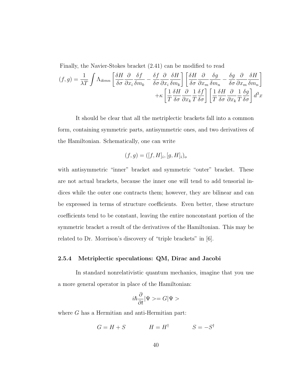Finally, the Navier-Stokes bracket [\(2.41\)](#page-47-0) can be modified to read

$$
(f,g) = \frac{1}{\lambda T} \int \Lambda_{ikmn} \left[ \frac{\delta H}{\delta \sigma} \frac{\partial}{\partial x_i} \frac{\delta f}{\delta m_k} - \frac{\delta f}{\delta \sigma} \frac{\partial}{\partial x_i} \frac{\delta H}{\delta m_k} \right] \left[ \frac{\delta H}{\delta \sigma} \frac{\partial}{\partial x_m} \frac{\delta g}{\delta m_n} - \frac{\delta g}{\delta \sigma} \frac{\partial}{\partial x_m} \frac{\delta H}{\delta m_n} \right] + \kappa \left[ \frac{1}{T} \frac{\delta H}{\delta \sigma} \frac{\partial}{\partial x_k} \frac{1}{T} \frac{\delta f}{\delta \sigma} \right] \left[ \frac{1}{T} \frac{\delta H}{\delta \sigma} \frac{\partial}{\partial x_k} \frac{1}{T} \frac{\delta g}{\delta \sigma} \right] d^3 x
$$

It should be clear that all the metriplectic brackets fall into a common form, containing symmetric parts, antisymmetric ones, and two derivatives of the Hamiltonian. Schematically, one can write

$$
(f,g) = ([f,H]_i, [g,H]_i)_o
$$

with antisymmetric "inner" bracket and symmetric "outer" bracket. These are not actual brackets, because the inner one will tend to add tensorial indices while the outer one contracts them; however, they are bilinear and can be expressed in terms of structure coefficients. Even better, these structure coefficients tend to be constant, leaving the entire nonconstant portion of the symmetric bracket a result of the derivatives of the Hamiltonian. This may be related to Dr. Morrison's discovery of "triple brackets" in [\[6\]](#page-175-0).

#### 2.5.4 Metriplectic speculations: QM, Dirac and Jacobi

In standard nonrelativistic quantum mechanics, imagine that you use a more general operator in place of the Hamiltonian:

$$
i\hbar\frac{\partial}{\partial t}|\Psi>=G|\Psi>
$$

where G has a Hermitian and anti-Hermitian part:

$$
G = H + S \qquad \qquad H = H^{\dagger} \qquad \qquad S = -S^{\dagger}
$$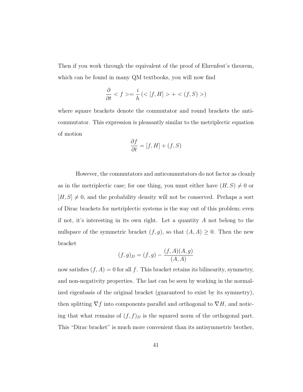Then if you work through the equivalent of the proof of Ehrenfest's theorem, which can be found in many QM textbooks, you will now find

$$
\frac{\partial}{\partial t} < f > = \frac{i}{h} \left( < [f, H] > + < (f, S) > \right)
$$

where square brackets denote the commutator and round brackets the anticommutator. This expression is pleasantly similar to the metriplectic equation of motion

$$
\frac{\partial f}{\partial t} = [f, H] + (f, S)
$$

However, the commutators and anticommutators do not factor as cleanly as in the metriplectic case; for one thing, you must either have  $(H, S) \neq 0$  or  $[H, S] \neq 0$ , and the probability density will not be conserved. Perhaps a sort of Dirac brackets for metriplectic systems is the way out of this problem; even if not, it's interesting in its own right. Let a quantity  $A$  not belong to the nullspace of the symmetric bracket  $(f, g)$ , so that  $(A, A) \geq 0$ . Then the new bracket

$$
(f,g)_D = (f,g) - \frac{(f,A)(A,g)}{(A,A)}
$$

now satisfies  $(f, A) = 0$  for all f. This bracket retains its bilinearity, symmetry, and non-negativity properties. The last can be seen by working in the normalized eigenbasis of the original bracket (guaranteed to exist by its symmetry), then splitting  $\nabla f$  into components parallel and orthogonal to  $\nabla H$ , and noticing that what remains of  $(f, f)_D$  is the squared norm of the orthogonal part. This "Dirac bracket" is much more convenient than its antisymmetric brother,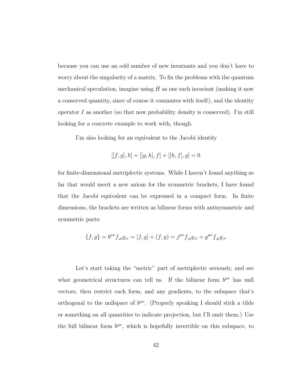because you can use an odd number of new invariants and you don't have to worry about the singularity of a matrix. To fix the problems with the quantum mechanical speculation, imagine using  $H$  as one such invariant (making it now a conserved quantity, since of course it commutes with itself), and the identity operator  $I$  as another (so that now probability density is conserved). I'm still looking for a concrete example to work with, though.

I'm also looking for an equivalent to the Jacobi identity

$$
[[f,g],h] + [[g,h],f] + [[h,f],g] = 0
$$

for finite-dimensional metriplectic systems. While I haven't found anything so far that would merit a new axiom for the symmetric brackets, I have found that the Jacobi equivalent can be expressed in a compact form. In finite dimensions, the brackets are written as bilinear forms with antisymmetric and symmetric parts:

$$
\{f,g\} = b^{\mu\nu}f_{,\mu}g_{,\nu} = [f,g] + (f,g) = j^{\mu\nu}f_{,\mu}g_{,\nu} + g^{\mu\nu}f_{,\mu}g_{,\nu}
$$

Let's start taking the "metric" part of metriplectic seriously, and see what geometrical structures can tell us. If the bilinear form  $b^{\mu\nu}$  has null vectors, then restrict each form, and any gradients, to the subspace that's orthogonal to the nullspace of  $b^{\mu\nu}$ . (Properly speaking I should stick a tilde or something on all quantities to indicate projection, but I'll omit them.) Use the full bilinear form  $b^{\mu\nu}$ , which is hopefully invertible on this subspace, to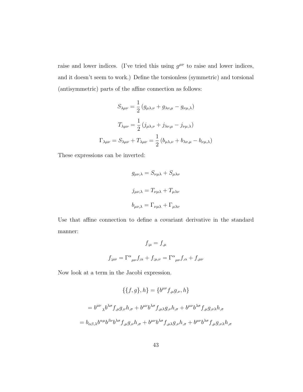raise and lower indices. (I've tried this using  $g^{\mu\nu}$  to raise and lower indices, and it doesn't seem to work.) Define the torsionless (symmetric) and torsional (antisymmetric) parts of the affine connection as follows:

$$
S_{\lambda\mu\nu} = \frac{1}{2} (g_{\mu\lambda,\nu} + g_{\lambda\nu,\mu} - g_{\nu\mu,\lambda})
$$

$$
T_{\lambda\mu\nu} = \frac{1}{2} (j_{\mu\lambda,\nu} + j_{\lambda\nu,\mu} - j_{\nu\mu,\lambda})
$$

$$
\Gamma_{\lambda\mu\nu} = S_{\lambda\mu\nu} + T_{\lambda\mu\nu} = \frac{1}{2} (b_{\mu\lambda,\nu} + b_{\lambda\nu,\mu} - b_{\nu\mu,\lambda})
$$

These expressions can be inverted:

$$
g_{\mu\nu,\lambda} = S_{\nu\mu\lambda} + S_{\mu\lambda\nu}
$$

$$
j_{\mu\nu,\lambda} = T_{\nu\mu\lambda} + T_{\mu\lambda\nu}
$$

$$
b_{\mu\nu,\lambda} = \Gamma_{\nu\mu\lambda} + \Gamma_{\mu\lambda\nu}
$$

Use that affine connection to define a covariant derivative in the standard manner:

$$
f_{;\mu} = f_{,\mu}
$$
  

$$
f_{;\mu\nu} = \Gamma^{\alpha}{}_{\mu\nu} f_{;\alpha} + f_{;\mu,\nu} = \Gamma^{\alpha}{}_{\mu\nu} f_{,\alpha} + f_{,\mu\nu}
$$

Now look at a term in the Jacobi expression.

$$
\{\{f,g\},h\} = \{b^{\mu\nu}f_{,\mu}g_{,\nu},h\}
$$

$$
= b^{\mu\nu}{}_{\lambda}b^{\lambda\sigma}f_{,\mu}g_{,\nu}h_{,\sigma} + b^{\mu\nu}b^{\lambda\sigma}f_{,\mu\lambda}g_{,\nu}h_{,\sigma} + b^{\mu\nu}b^{\lambda\sigma}f_{,\mu}g_{,\nu\lambda}h_{,\sigma}
$$

$$
= b_{\alpha\beta,\lambda}b^{\alpha\mu}b^{\beta\nu}b^{\lambda\sigma}f_{,\mu}g_{,\nu}h_{,\sigma} + b^{\mu\nu}b^{\lambda\sigma}f_{,\mu\lambda}g_{,\nu}h_{,\sigma} + b^{\mu\nu}b^{\lambda\sigma}f_{,\mu}g_{,\nu\lambda}h_{,\sigma}
$$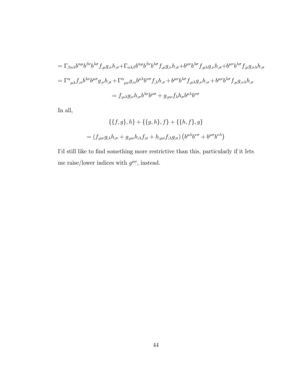$$
= \Gamma_{\beta\alpha\lambda}b^{\alpha\mu}b^{\beta\nu}b^{\lambda\sigma}f_{,\mu}g_{,\nu}h_{,\sigma} + \Gamma_{\alpha\lambda\beta}b^{\alpha\mu}b^{\beta\nu}b^{\lambda\sigma}f_{,\mu}g_{,\nu}h_{,\sigma} + b^{\mu\nu}b^{\lambda\sigma}f_{,\mu\lambda}g_{,\nu}h_{,\sigma} + b^{\mu\nu}b^{\lambda\sigma}f_{,\mu}g_{,\nu\lambda}h_{,\sigma}
$$
  

$$
= \Gamma^{\alpha}{}_{\mu\lambda}f_{,\alpha}b^{\lambda\nu}b^{\mu\sigma}g_{,\nu}h_{,\sigma} + \Gamma^{\alpha}{}_{\mu\nu}g_{,\alpha}b^{\mu\lambda}b^{\nu\sigma}f_{,\lambda}h_{,\sigma} + b^{\mu\nu}b^{\lambda\sigma}f_{,\mu\lambda}g_{,\nu}h_{,\sigma} + b^{\mu\nu}b^{\lambda\sigma}f_{,\mu}g_{,\nu\lambda}h_{,\sigma}
$$
  

$$
= f_{;\mu\lambda}g_{;\nu}h_{;\sigma}b^{\lambda\nu}b^{\mu\sigma} + g_{;\mu\nu}f_{\lambda}h_{\sigma}b^{\mu\lambda}b^{\nu\sigma}
$$

In all,

$$
\{\{f,g\},h\} + \{\{g,h\},f\} + \{\{h,f\},g\}
$$

$$
= (f_{;\mu\nu}g_{;\lambda}h_{;\sigma} + g_{;\mu\nu}h_{;\lambda}f_{;\sigma} + h_{;\mu\nu}f_{;\lambda}g_{;\sigma})\left(b^{\mu\lambda}b^{\nu\sigma} + b^{\mu\sigma}b^{\nu\lambda}\right)
$$

I'd still like to find something more restrictive than this, particularly if it lets me raise/lower indices with  $g^{\mu\nu}$ , instead.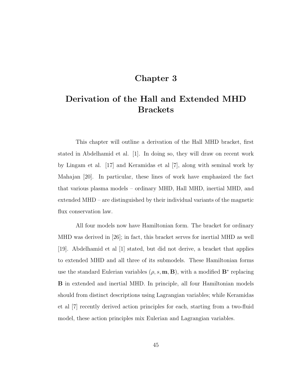## Chapter 3

# Derivation of the Hall and Extended MHD **Brackets**

This chapter will outline a derivation of the Hall MHD bracket, first stated in Abdelhamid et al. [\[1\]](#page-175-1). In doing so, they will draw on recent work by Lingam et al. [\[17\]](#page-177-0) and Keramidas et al [\[7\]](#page-175-2), along with seminal work by Mahajan [\[20\]](#page-177-1). In particular, these lines of work have emphasized the fact that various plasma models – ordinary MHD, Hall MHD, inertial MHD, and extended MHD – are distinguished by their individual variants of the magnetic flux conservation law.

All four models now have Hamiltonian form. The bracket for ordinary MHD was derived in [\[26\]](#page-178-0); in fact, this bracket serves for inertial MHD as well [\[19\]](#page-177-2). Abdelhamid et al [\[1\]](#page-175-1) stated, but did not derive, a bracket that applies to extended MHD and all three of its submodels. These Hamiltonian forms use the standard Eulerian variables  $(\rho, s, m, B)$ , with a modified  $\mathbf{B}^*$  replacing B in extended and inertial MHD. In principle, all four Hamiltonian models should from distinct descriptions using Lagrangian variables; while Keramidas et al [\[7\]](#page-175-2) recently derived action principles for each, starting from a two-fluid model, these action principles mix Eulerian and Lagrangian variables.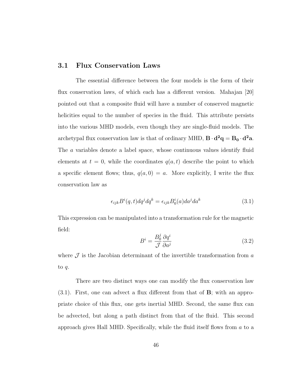#### 3.1 Flux Conservation Laws

The essential difference between the four models is the form of their flux conservation laws, of which each has a different version. Mahajan [\[20\]](#page-177-1) pointed out that a composite fluid will have a number of conserved magnetic helicities equal to the number of species in the fluid. This attribute persists into the various MHD models, even though they are single-fluid models. The archetypal flux conservation law is that of ordinary MHD,  $B \cdot d^2q = B_0 \cdot d^2a$ . The a variables denote a label space, whose continuous values identify fluid elements at  $t = 0$ , while the coordinates  $q(a, t)$  describe the point to which a specific element flows; thus,  $q(a, 0) = a$ . More explicitly, I write the flux conservation law as

<span id="page-54-0"></span>
$$
\epsilon_{ijk}B^{i}(q,t)dq^{j}dq^{k} = \epsilon_{ijk}B_{0}^{i}(a)da^{j}da^{k}
$$
\n(3.1)

This expression can be manipulated into a transformation rule for the magnetic field:

<span id="page-54-1"></span>
$$
B^i = \frac{B_0^j}{\mathcal{J}} \frac{\partial q^i}{\partial a^j} \tag{3.2}
$$

where  $\mathcal J$  is the Jacobian determinant of the invertible transformation from  $a$ to q.

There are two distinct ways one can modify the flux conservation law [\(3.1\)](#page-54-0). First, one can advect a flux different from that of B; with an appropriate choice of this flux, one gets inertial MHD. Second, the same flux can be advected, but along a path distinct from that of the fluid. This second approach gives Hall MHD. Specifically, while the fluid itself flows from  $a$  to a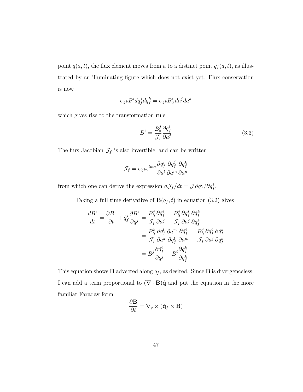point  $q(a, t)$ , the flux element moves from a to a distinct point  $q_f(a, t)$ , as illustrated by an illuminating figure which does not exist yet. Flux conservation is now

$$
\epsilon_{ijk} B^i dq^j_f dq^k_f = \epsilon_{ijk} B^i_0 \, da^j da^k
$$

which gives rise to the transformation rule

$$
B^i = \frac{B_0^j}{\mathcal{J}_f} \frac{\partial q_f^i}{\partial a^j} \tag{3.3}
$$

The flux Jacobian  $\mathcal{J}_f$  is also invertible, and can be written

$$
\mathcal{J}_f = \epsilon_{ijk} \epsilon^{lmn} \frac{\partial q_f^i}{\partial a^l} \frac{\partial q_f^j}{\partial a^m} \frac{\partial q_f^k}{\partial a^n}
$$

from which one can derive the expression  $dJ_f/dt = \mathcal{J}\partial \dot{q}_f^i / \partial q_f^i$ .

Taking a full time derivative of  $\mathbf{B}(q_f, t)$  in equation [\(3.2\)](#page-54-1) gives

$$
\frac{dB^i}{dt} = \frac{\partial B^i}{\partial t} + \dot{q}_f^j \frac{\partial B^i}{\partial q^j} = \frac{B_0^j}{\mathcal{J}_f} \frac{\partial \dot{q}_f^i}{\partial a^j} - \frac{B_0^j}{\mathcal{J}_f} \frac{\partial q_f^i}{\partial a^j} \frac{\partial \dot{q}_f^k}{\partial q_f^k}
$$

$$
= \frac{B_0^k}{\mathcal{J}_f} \frac{\partial q_f^l}{\partial a^k} \frac{\partial a^m}{\partial q_f^l} \frac{\partial \dot{q}_f^i}{\partial a^m} - \frac{B_0^j}{\mathcal{J}_f} \frac{\partial q_f^i}{\partial a^j} \frac{\partial \dot{q}_f^k}{\partial q_f^k}
$$

$$
= B^j \frac{\partial \dot{q}_f^i}{\partial q^j} - B^i \frac{\partial \dot{q}_f^k}{\partial q_f^k}
$$

This equation shows **B** advected along  $q_f$ , as desired. Since **B** is divergenceless, I can add a term proportional to  $(\nabla \cdot \mathbf{B})\dot{\mathbf{q}}$  and put the equation in the more familiar Faraday form

$$
\frac{\partial \mathbf{B}}{\partial t} = \nabla_q \times (\dot{\mathbf{q}}_f \times \mathbf{B})
$$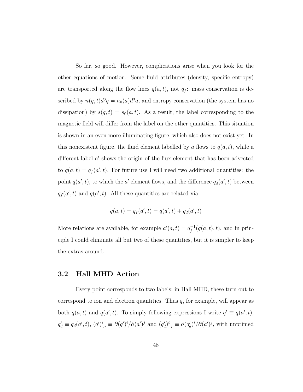So far, so good. However, complications arise when you look for the other equations of motion. Some fluid attributes (density, specific entropy) are transported along the flow lines  $q(a, t)$ , not  $q_f$ : mass conservation is described by  $n(q, t)d^3q = n_0(a)d^3a$ , and entropy conservation (the system has no dissipation) by  $s(q, t) = s_0(a, t)$ . As a result, the label corresponding to the magnetic field will differ from the label on the other quantities. This situation is shown in an even more illuminating figure, which also does not exist yet. In this nonexistent figure, the fluid element labelled by a flows to  $q(a, t)$ , while a different label  $a'$  shows the origin of the flux element that has been advected to  $q(a,t) = q_f(a',t)$ . For future use I will need two additional quantities: the point  $q(a', t)$ , to which the a' element flows, and the difference  $q_d(a', t)$  between  $q_f(a',t)$  and  $q(a',t)$ . All these quantities are related via

$$
q(a,t) = q_f(a',t) = q(a',t) + q_d(a',t)
$$

More relations are available, for example  $a'(a,t) = q_f^{-1}$  $f^{-1}(q(a,t),t)$ , and in principle I could eliminate all but two of these quantities, but it is simpler to keep the extras around.

#### 3.2 Hall MHD Action

Every point corresponds to two labels; in Hall MHD, these turn out to correspond to ion and electron quantities. Thus  $q$ , for example, will appear as both  $q(a, t)$  and  $q(a', t)$ . To simply following expressions I write  $q' \equiv q(a', t)$ ,  $q'_d \equiv q_d(a',t)$ ,  $(q')^i_{,j} \equiv \partial (q')^i / \partial (a')^j$  and  $(q'_d)^i_{,j} \equiv \partial (q'_d)^i / \partial (a')^j$ , with unprimed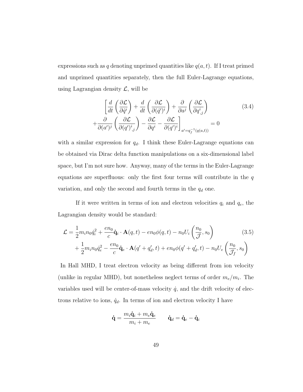expressions such as q denoting unprimed quantities like  $q(a, t)$ . If I treat primed and unprimed quantities separately, then the full Euler-Lagrange equations, using Lagrangian density  $\mathcal{L}$ , will be

<span id="page-57-1"></span>
$$
\left[\frac{d}{dt}\left(\frac{\partial \mathcal{L}}{\partial \dot{q}^i}\right) + \frac{d}{dt}\left(\frac{\partial \mathcal{L}}{\partial (\dot{q}^i)^i}\right) + \frac{\partial}{\partial a^j}\left(\frac{\partial \mathcal{L}}{\partial q^i_{,j}}\right) \right]
$$
\n
$$
+ \frac{\partial}{\partial (a^i)^j}\left(\frac{\partial \mathcal{L}}{\partial (q^i)^i_{,j}}\right) - \frac{\partial \mathcal{L}}{\partial q^i} - \frac{\partial \mathcal{L}}{\partial (q^i)^i}\right]_{a^i = q_f^{-1}(q(a,t))} = 0
$$
\n(3.4)

with a similar expression for  $q_d$ . I think these Euler-Lagrange equations can be obtained via Dirac delta function manipulations on a six-dimensional label space, but I'm not sure how. Anyway, many of the terms in the Euler-Lagrange equations are superfluous: only the first four terms will contribute in the  $q$ variation, and only the second and fourth terms in the  $q_d$  one.

If it were written in terms of ion and electron velocities  $q_i$  and  $q_e$ , the Lagrangian density would be standard:

$$
\mathcal{L} = \frac{1}{2} m_i n_0 \dot{q}_i^2 + \frac{en_0}{c} \dot{\mathbf{q}}_i \cdot \mathbf{A}(q, t) - en_0 \phi(q, t) - n_0 U_i \left(\frac{n_0}{\mathcal{J}}, s_0\right) + \frac{1}{2} m_i n_0 \dot{q}_e^2 - \frac{en_0}{c} \dot{\mathbf{q}}_e \cdot \mathbf{A}(q' + q'_d, t) + en_0 \phi(q' + q'_d, t) - n_0 U_e \left(\frac{n_0}{\mathcal{J}_f}, s_0\right)
$$
\n(3.5)

In Hall MHD, I treat electron velocity as being different from ion velocity (unlike in regular MHD), but nonetheless neglect terms of order  $m_e/m_i$ . The variables used will be center-of-mass velocity  $\dot{q}$ , and the drift velocity of electrons relative to ions,  $\dot{q}_d$ . In terms of ion and electron velocity I have

<span id="page-57-0"></span>
$$
\dot{\mathbf{q}} = \frac{m_i \dot{\mathbf{q}}_i + m_e \dot{\mathbf{q}}_e}{m_i + m_e} \qquad \dot{\mathbf{q}}_d = \dot{\mathbf{q}}_e - \dot{\mathbf{q}}_i
$$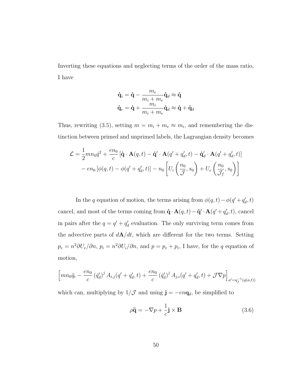Inverting these equations and neglecting terms of the order of the mass ratio, I have

$$
\begin{aligned} \dot{\mathbf{q}}_i &= \dot{\mathbf{q}} - \frac{m_e}{m_i + m_e} \dot{\mathbf{q}}_d \approx \dot{\mathbf{q}} \\ \dot{\mathbf{q}}_e &= \dot{\mathbf{q}} + \frac{m_i}{m_i + m_e} \dot{\mathbf{q}}_d \approx \dot{\mathbf{q}} + \dot{\mathbf{q}}_d \end{aligned}
$$

Thus, rewriting [\(3.5\)](#page-57-0), setting  $m = m_i + m_e \approx m_i$ , and remembering the distinction between primed and unprimed labels, the Lagrangian density becomes

$$
\mathcal{L} = \frac{1}{2}mn_0\dot{q}^2 + \frac{en_0}{c}\left[\dot{\mathbf{q}}\cdot\mathbf{A}(q,t) - \dot{\mathbf{q}}'\cdot\mathbf{A}(q'+q'_d,t) - \dot{\mathbf{q}}'_d\cdot\mathbf{A}(q'+q'_d,t)\right] - en_0\left[\phi(q,t) - \phi(q'+q'_d,t)\right] - n_0\left[U_i\left(\frac{n_0}{\mathcal{J}},s_0\right) + U_e\left(\frac{n_0}{\mathcal{J}_f},s_0\right)\right]
$$

In the q equation of motion, the terms arising from  $\phi(q, t) - \phi(q' + q'_d, t)$ cancel, and most of the terms coming from  $\dot{\mathbf{q}} \cdot \mathbf{A}(q, t) - \dot{\mathbf{q}}' \cdot \mathbf{A}(q' + q'_d, t)$ , cancel in pairs after the  $q = q' + q'_d$  evaluation. The only surviving term comes from the advective parts of  $d\mathbf{A}/dt$ , which are different for the two terms. Setting  $p_e = n^2 \partial U_e / \partial n$ ,  $p_i = n^2 \partial U_i / \partial n$ , and  $p = p_e + p_i$ , I have, for the q equation of motion,

$$
\left[ mn_0 \ddot{q}_i - \frac{en_0}{c} (\dot{q}'_d)^j A_{i,j} (q' + q'_d, t) + \frac{en_0}{c} (\dot{q}'_d)^j A_{j,i} (q' + q'_d, t) + \mathcal{J} \nabla p \right]_{a' = q_f^{-1}(q(a,t))}
$$

which can, multiplying by  $1/\mathcal{J}$  and using  $\mathbf{j} = -en\mathbf{q}_d$ , be simplified to

$$
\rho \ddot{\mathbf{q}} = -\nabla p + \frac{1}{c} \mathbf{j} \times \mathbf{B} \tag{3.6}
$$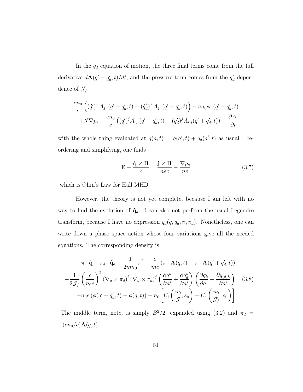In the  $q_d$  equation of motion, the three final terms come from the full derivative  $d\mathbf{A}(q' + q'_d, t)/dt$ , and the pressure term comes from the  $q'_d$  dependence of  $\mathcal{J}_f$ :

$$
\frac{en_0}{c} ((\dot{q}')^j A_{j,i}(q' + q'_d, t) + (\dot{q}'_d)^j A_{j,i}(q' + q'_d, t)) - en_0\phi_{,i}(q' + q'_d, t) + \mathcal{J}\nabla p_e - \frac{en_0}{c} ((q')^j A_{i,j}(q' + q'_d, t) - (q'_d)^j A_{i,j}(q' + q'_d, t)) - \frac{\partial A_i}{\partial t}
$$

with the whole thing evaluated at  $q(a,t) = q(a',t) + q_d(a',t)$  as usual. Reordering and simplifying, one finds

<span id="page-59-1"></span><span id="page-59-0"></span>
$$
\mathbf{E} + \frac{\dot{\mathbf{q}} \times \mathbf{B}}{c} = \frac{\mathbf{j} \times \mathbf{B}}{nec} - \frac{\nabla p_e}{n e}
$$
 (3.7)

which is Ohm's Law for Hall MHD.

However, the theory is not yet complete, because I am left with no way to find the evolution of  $\dot{\mathbf{q}}_d$ . I can also not perform the usual Legendre transform, because I have no expression  $\dot{q}_d(q, q_d, \pi, \pi_d)$ . Nonetheless, one can write down a phase space action whose four variations give all the needed equations. The corresponding density is

$$
\pi \cdot \dot{\mathbf{q}} + \pi_d \cdot \dot{\mathbf{q}}_d - \frac{1}{2mn_0} \pi^2 + \frac{e}{mc} \left( \pi \cdot \mathbf{A}(q, t) - \pi \cdot \mathbf{A}(q' + q'_d, t) \right)
$$

$$
-\frac{1}{2\mathcal{J}_f} \left( \frac{c}{n_0 e} \right)^2 (\nabla_a \times \pi_d)^i (\nabla_a \times \pi_d)^j \left( \frac{\partial q^k}{\partial a^i} + \frac{\partial q_d^k}{\partial a^i} \right) \left( \frac{\partial q_k}{\partial a^i} + \frac{\partial q_{(d)k}}{\partial a^i} \right) \quad (3.8)
$$

$$
+ n_0 e \left( \phi(q' + q'_d, t) - \phi(q, t) \right) - n_0 \left[ U_i \left( \frac{n_0}{\mathcal{J}}, s_0 \right) + U_e \left( \frac{n_0}{\mathcal{J}_f}, s_0 \right) \right]
$$

The middle term, note, is simply  $B^2/2$ , expanded using [\(3.2\)](#page-54-1) and  $\pi_d$  =  $-(en_0/c)\mathbf{A}(q,t).$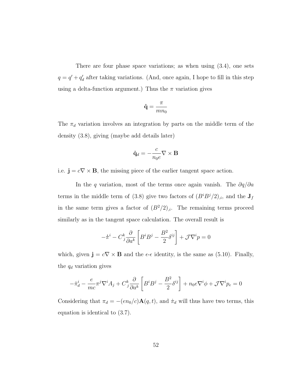There are four phase space variations; as when using [\(3.4\)](#page-57-1), one sets  $q = q' + q'_d$  after taking variations. (And, once again, I hope to fill in this step using a delta-function argument.) Thus the  $\pi$  variation gives

$$
\dot{\mathbf{q}} = \frac{\pi}{mn_0}
$$

The  $\pi_d$  variation involves an integration by parts on the middle term of the density [\(3.8\)](#page-59-0), giving (maybe add details later)

$$
\dot{\mathbf{q}}_d = -\frac{c}{n_0 e} \nabla \times \mathbf{B}
$$

i.e.  $\mathbf{j} = c\nabla \times \mathbf{B}$ , the missing piece of the earlier tangent space action.

In the q variation, most of the terms once again vanish. The  $\partial q/\partial a$ terms in the middle term of [\(3.8\)](#page-59-0) give two factors of  $(B^{i}B^{j}/2)_{i}$ , and the  $J_{f}$ in the same term gives a factor of  $(B^2/2)_{i}$ . The remaining terms proceed similarly as in the tangent space calculation. The overall result is

$$
-\dot{\pi}^i - C_j^k \frac{\partial}{\partial a^k} \left[ B^i B^j - \frac{B^2}{2} \delta^{ij} \right] + \mathcal{J} \nabla^i p = 0
$$

which, given  $\mathbf{j} = c\nabla \times \mathbf{B}$  and the  $\epsilon$ - $\epsilon$  identity, is the same as [\(5.10\)](#page-83-0). Finally, the  $q_d$  variation gives

$$
-\dot{\pi}_d^i - \frac{e}{mc}\pi^j \nabla^i A_j + C_j^k \frac{\partial}{\partial a^k} \left[ B^i B^j - \frac{B^2}{2} \delta^{ij} \right] + n_0 e \nabla^i \phi + \mathcal{J} \nabla^i p_e = 0
$$

Considering that  $\pi_d = -(en_0/c)\mathbf{A}(q, t)$ , and  $\dot{\pi}_d$  will thus have two terms, this equation is identical to [\(3.7\)](#page-59-1).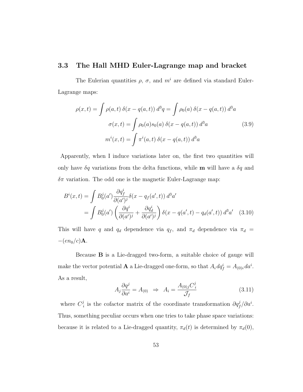### 3.3 The Hall MHD Euler-Lagrange map and bracket

The Eulerian quantities  $\rho$ ,  $\sigma$ , and  $m^i$  are defined via standard Euler-Lagrange maps:

<span id="page-61-1"></span>
$$
\rho(x,t) = \int \rho(a,t) \,\delta(x - q(a,t)) \,d^3q = \int \rho_0(a) \,\delta(x - q(a,t)) \,d^3a
$$

$$
\sigma(x,t) = \int \rho_0(a) s_0(a) \,\delta(x - q(a,t)) \,d^3a \tag{3.9}
$$

$$
m^i(x,t) = \int \pi^i(a,t) \,\delta(x - q(a,t)) \,d^3a
$$

Apparently, when I induce variations later on, the first two quantities will only have  $\delta q$  variations from the delta functions, while **m** will have a  $\delta q$  and  $\delta \pi$  variation. The odd one is the magnetic Euler-Lagrange map:

$$
B^{i}(x,t) = \int B_{0}^{j}(a') \frac{\partial q_{f}^{i}}{\partial (a')^{j}} \delta(x - q_{f}(a',t)) d^{3}a'
$$
  
= 
$$
\int B_{0}^{j}(a') \left( \frac{\partial q^{i}}{\partial (a')^{j}} + \frac{\partial q_{d}^{i}}{\partial (a')^{j}} \right) \delta(x - q(a',t) - q_{d}(a',t)) d^{3}a' \quad (3.10)
$$

This will have q and  $q_d$  dependence via  $q_f$ , and  $\pi_d$  dependence via  $\pi_d$  =  $-(en_0/c)$ **A**.

Because B is a Lie-dragged two-form, a suitable choice of gauge will make the vector potential **A** a Lie-dragged one-form, so that  $A_i dq_f^i = A_{(0)i} da^i$ . As a result,

<span id="page-61-2"></span><span id="page-61-0"></span>
$$
A_j \frac{\partial q^j}{\partial a^i} = A_{(0)} \Rightarrow A_i = \frac{A_{(0)j} C_i^j}{\mathcal{J}_f}
$$
\n(3.11)

where  $C_j^j$ <sup>i</sup> is the cofactor matrix of the coordinate transformation  $\partial q_f^j / \partial a^i$ . Thus, something peculiar occurs when one tries to take phase space variations: because it is related to a Lie-dragged quantity,  $\pi_d(t)$  is determined by  $\pi_d(0)$ ,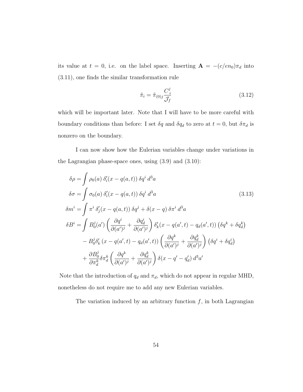its value at  $t = 0$ , i.e. on the label space. Inserting  $\mathbf{A} = -(c/en_0)\pi_d$  into [\(3.11\)](#page-61-0), one finds the similar transformation rule

<span id="page-62-1"></span><span id="page-62-0"></span>
$$
\tilde{\pi}_i = \tilde{\pi}_{(0)i} \frac{C_i^j}{\mathcal{J}_f} \tag{3.12}
$$

which will be important later. Note that I will have to be more careful with boundary conditions than before: I set  $\delta q$  and  $\delta q_d$  to zero at  $t = 0$ , but  $\delta \pi_d$  is nonzero on the boundary.

I can now show how the Eulerian variables change under variations in the Lagrangian phase-space ones, using [\(3.9\)](#page-61-1) and [\(3.10\)](#page-61-2):

$$
\delta \rho = \int \rho_0(a) \delta_i'(x - q(a, t)) \delta q^i d^3 a
$$
  
\n
$$
\delta \sigma = \int \sigma_0(a) \delta_i'(x - q(a, t)) \delta q^i d^3 a
$$
\n
$$
\delta m^i = \int \pi^i \delta_j'(x - q(a, t)) \delta q^j + \delta(x - q) \delta \pi^i d^3 a
$$
\n
$$
\delta B^i = \int B_0^j(a') \left( \frac{\partial q^i}{\partial (a')^j} + \frac{\partial q_d^i}{\partial (a')^j} \right) \delta_k'(x - q(a', t) - q_d(a', t)) \left( \delta q^k + \delta q_d^k \right)
$$
\n
$$
- B_0^j \delta_k'(x - q(a', t) - q_d(a', t)) \left( \frac{\partial q^k}{\partial (a')^j} + \frac{\partial q_d^k}{\partial (a')^j} \right) \left( \delta q^i + \delta q_d^i \right)
$$
\n
$$
+ \frac{\partial B_0^j}{\partial \pi_d^k} \delta \pi_d^k \left( \frac{\partial q^k}{\partial (a')^j} + \frac{\partial q_d^k}{\partial (a')^j} \right) \delta(x - q' - q'_d) d^3 a'
$$
\n
$$
(3.13)
$$

Note that the introduction of  $q_d$  and  $\pi_d$ , which do not appear in regular MHD, nonetheless do not require me to add any new Eulerian variables.

The variation induced by an arbitrary function  $f$ , in both Lagrangian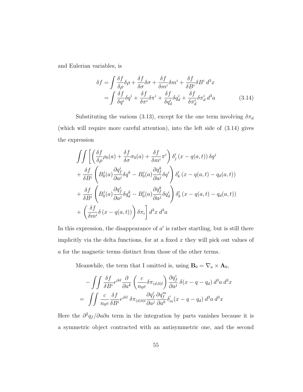and Eulerian variables, is

<span id="page-63-0"></span>
$$
\delta f = \int \frac{\delta f}{\delta \rho} \delta \rho + \frac{\delta f}{\delta \sigma} \delta \sigma + \frac{\delta f}{\delta m^i} \delta m^i + \frac{\delta f}{\delta B^i} \delta B^i d^3 x
$$
  
= 
$$
\int \frac{\delta f}{\delta q^i} \delta q^i + \frac{\delta f}{\delta \pi^i} \delta \pi^i + \frac{\delta f}{\delta q_d^i} \delta q_d^i + \frac{\delta f}{\delta \pi_d^i} \delta \pi_d^i d^3 a
$$
(3.14)

Substituting the various [\(3.13\)](#page-62-0), except for the one term involving  $\delta \pi_d$ (which will require more careful attention), into the left side of [\(3.14\)](#page-63-0) gives the expression

$$
\int\int\left[\left(\frac{\delta f}{\delta \rho}\rho_0(a) + \frac{\delta f}{\delta \sigma}\sigma_0(a) + \frac{\delta f}{\delta m^i}\pi^i\right)\delta'_j(x - q(a, t))\delta q^j\right] \n+ \frac{\delta f}{\delta B^i}\left(B_0^j(a)\frac{\partial q^i_f}{\partial a^j}\delta q^k - B_0^j(a)\frac{\partial q^k_f}{\partial a^j}\delta q^i\right)\delta'_k(x - q(a, t) - q_d(a, t)) \n+ \frac{\delta f}{\delta B^i}\left(B_0^j(a)\frac{\partial q^i_f}{\partial a^j}\delta q^k_d - B_0^j(a)\frac{\partial q^k_f}{\partial a^j}\delta q^i_d\right)\delta'_k(x - q(a, t) - q_d(a, t)) \n+ \left(\frac{\delta f}{\delta m^i}\delta(x - q(a, t))\right)\delta \pi_i\right]d^3x d^3a
$$

In this expression, the disappearance of  $a'$  is rather startling, but is still there implicitly via the delta functions, for at a fixed  $x$  they will pick out values of a for the magnetic terms distinct from those of the other terms.

Meanwhile, the term that I omitted is, using  $\mathbf{B}_0 = \nabla_a \times \mathbf{A}_0$ ,

$$
-\int \int \frac{\delta f}{\delta B^i} \epsilon^{jkl} \frac{\partial}{\partial a^k} \left( \frac{c}{n_0 e} \delta \pi_{(d,0)l} \right) \frac{\partial q_f^i}{\partial a^j} \delta(x - q - q_d) d^3 a d^3 x
$$

$$
= \int \int \frac{c}{n_0 e} \frac{\delta f}{\delta B^i} \epsilon^{jkl} \delta \pi_{(d,0)l} \frac{\partial q_f^i}{\partial a^j} \frac{\partial q_f^m}{\partial a^k} \delta_m'(x - q - q_d) d^3 a d^3 x
$$

Here the  $\partial^2 q_f / \partial a \partial a$  term in the integration by parts vanishes because it is a symmetric object contracted with an antisymmetric one, and the second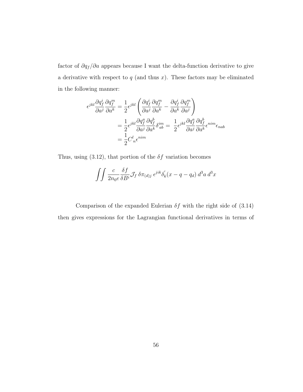factor of  $\partial q_f /\partial a$  appears because I want the delta-function derivative to give a derivative with respect to  $q$  (and thus  $x$ ). These factors may be eliminated in the following manner:

$$
\begin{split} \epsilon^{jkl}\frac{\partial q^i_f}{\partial a^j}\frac{\partial q^m_f}{\partial a^k} &= \frac{1}{2}\epsilon^{jkl}\left(\frac{\partial q^i_f}{\partial a^j}\frac{\partial q^m_f}{\partial a^k} - \frac{\partial q^i_f}{\partial a^k}\frac{\partial q^m_f}{\partial a^j}\right) \\ &= \frac{1}{2}\epsilon^{jkl}\frac{\partial q^a_f}{\partial a^j}\frac{\partial q^b_f}{\partial a^k}\delta^{im}_{ab} = \frac{1}{2}\epsilon^{jkl}\frac{\partial q^a_f}{\partial a^j}\frac{\partial q^b_f}{\partial a^k}\epsilon^{nim}\epsilon_{nab} \\ &= \frac{1}{2}C^l_{\phantom{l}n}\epsilon^{nim} \end{split}
$$

Thus, using  $(3.12)$ , that portion of the  $\delta f$  variation becomes

$$
\int \int \frac{c}{2n_0 e} \frac{\delta f}{\delta B^i} \mathcal{J}_f \, \delta \pi_{(d)j} \, \epsilon^{jik} \delta'_k(x - q - q_d) \, d^3a \, d^3x
$$

Comparison of the expanded Eulerian  $\delta f$  with the right side of [\(3.14\)](#page-63-0) then gives expressions for the Lagrangian functional derivatives in terms of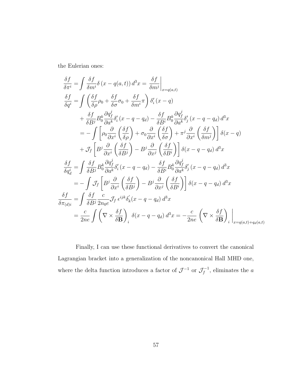the Eulerian ones:

$$
\frac{\delta f}{\delta \pi^{i}} = \int \frac{\delta f}{\delta m^{i}} \delta (x - q(a, t)) d^{3}x = \frac{\delta f}{\delta m^{j}} \Big|_{x = q(a, t)}
$$
\n
$$
\frac{\delta f}{\delta q^{i}} = \int \left( \frac{\delta f}{\delta \rho} \rho_{0} + \frac{\delta f}{\delta \sigma} \sigma_{0} + \frac{\delta f}{\delta m^{i}} \right) \delta'_{i} (x - q)
$$
\n
$$
+ \frac{\delta f}{\delta B^{j}} B_{0}^{k} \frac{\partial q_{f}^{j}}{\partial a^{k}} \delta'_{i} (x - q - q_{d}) - \frac{\delta f}{\delta B^{i}} B_{0}^{k} \frac{\partial q_{f}^{j}}{\partial a^{k}} \delta'_{j} (x - q - q_{d}) d^{3}x
$$
\n
$$
= - \int \left[ \rho_{0} \frac{\partial}{\partial x^{i}} \left( \frac{\delta f}{\delta \rho} \right) + \sigma_{0} \frac{\partial}{\partial x^{i}} \left( \frac{\delta f}{\delta \sigma} \right) + \pi^{j} \frac{\partial}{\partial x^{i}} \left( \frac{\delta f}{\delta m^{j}} \right) \right] \delta (x - q)
$$
\n
$$
+ \mathcal{J}_{f} \left[ B^{j} \frac{\partial}{\partial x^{i}} \left( \frac{\delta f}{\delta B^{j}} \right) - B^{j} \frac{\partial}{\partial x^{j}} \left( \frac{\delta f}{\delta B^{i}} \right) \right] \delta (x - q - q_{d}) d^{3}x
$$
\n
$$
\frac{\delta f}{\delta q_{d}^{i}} = \int \frac{\delta f}{\delta B^{j}} B_{0}^{k} \frac{\partial q_{f}^{j}}{\partial a^{k}} \delta'_{i} (x - q - q_{d}) - \frac{\delta f}{\delta B^{i}} B_{0}^{k} \frac{\partial q_{f}^{j}}{\partial a^{k}} \delta'_{j} (x - q - q_{d}) d^{3}x
$$
\n
$$
= - \int \mathcal{J}_{f} \left[ B^{j} \frac{\partial}{\partial x^{i}} \left( \frac{\delta f}{\delta B^{j}} \right) - B^{j} \frac{\partial}{\partial x^{j}} \left( \frac{\delta f}{\delta B^{i}} \right) \right] \delta (x - q - q_{d}) d^{3}x
$$
\n $$ 

Finally, I can use these functional derivatives to convert the canonical Lagrangian bracket into a generalization of the noncanonical Hall MHD one, where the delta function introduces a factor of  $\mathcal{J}^{-1}$  or  $\mathcal{J}_f^{-1}$  $f_f^{-1}$ , eliminates the a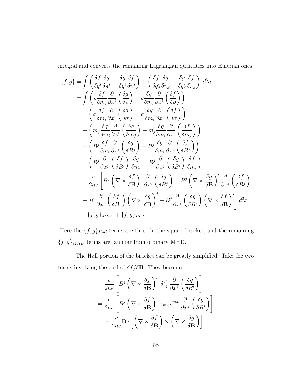integral and converts the remaining Lagrangian quantities into Eulerian ones:

$$
\{f,g\} = \int \left(\frac{\delta f}{\delta q^i} \frac{\delta g}{\delta \pi^i} - \frac{\delta g}{\delta q^i} \frac{\delta f}{\delta \pi^i}\right) + \left(\frac{\delta f}{\delta q^i_d} \frac{\delta g}{\delta \pi^i_d} - \frac{\delta g}{\delta q^i_d} \frac{\delta f}{\delta \pi^i_d}\right) d^3 a
$$
  
\n
$$
= \int \left(\rho \frac{\delta f}{\delta m_i} \frac{\partial}{\partial x^i} \left(\frac{\delta g}{\delta \rho}\right) - \rho \frac{\delta g}{\delta m_i} \frac{\partial}{\partial x^i} \left(\frac{\delta f}{\delta \rho}\right)\right)
$$
  
\n
$$
+ \left(\sigma \frac{\delta f}{\delta m_i} \frac{\partial}{\partial x^i} \left(\frac{\delta g}{\delta \sigma}\right) - \sigma \frac{\delta g}{\delta m_i} \frac{\partial}{\partial x^i} \left(\frac{\delta f}{\delta \sigma}\right)\right)
$$
  
\n
$$
+ \left(m_j \frac{\delta f}{\delta m_i} \frac{\partial}{\partial x^i} \left(\frac{\delta g}{\delta m_j}\right) - m_j \frac{\delta g}{\delta m_i} \frac{\partial}{\partial x^i} \left(\frac{\delta f}{\delta m_j}\right)\right)
$$
  
\n
$$
+ \left(B^j \frac{\delta f}{\delta m_i} \frac{\partial}{\partial x^i} \left(\frac{\delta g}{\delta B^i}\right) - B^j \frac{\delta g}{\delta m_i} \frac{\partial}{\partial x^i} \left(\frac{\delta f}{\delta B^j}\right)\right)
$$
  
\n
$$
+ \left(B^j \frac{\partial}{\partial x^j} \left(\frac{\delta f}{\delta B^i}\right) \frac{\delta g}{\delta m_i} - B^j \frac{\partial}{\partial x^j} \left(\frac{\delta g}{\delta B^i}\right) \frac{\delta f}{\delta m_i}\right)
$$
  
\n
$$
+ \frac{c}{2ne} \left[B^j \left(\nabla \times \frac{\delta f}{\delta \mathbf{B}}\right)^i \frac{\partial}{\partial x^i} \left(\frac{\delta g}{\delta B^j}\right) - B^j \left(\nabla \times \frac{\delta g}{\delta \mathbf{B}}\right)^i \frac{\partial}{\partial x^i} \left(\frac{\delta f}{\delta B^j}\right)\right]
$$
  
\n<math display="</math>

Here the  $\{f,g\}_{Hall}$  terms are those in the square bracket, and the remaining  $\{f,g\}_{MHD}$  terms are familiar from ordinary MHD.

The Hall portion of the bracket can be greatly simplified. Take the two terms involving the curl of  $\delta f/\delta \mathbf{B}$ . They become

$$
\frac{c}{2ne} \left[ B^j \left( \nabla \times \frac{\delta f}{\delta \mathbf{B}} \right)^i \delta_{ij}^{kl} \frac{\partial}{\partial x^k} \left( \frac{\delta g}{\delta B^l} \right) \right]
$$
  
=  $\frac{c}{2ne} \left[ B^j \left( \nabla \times \frac{\delta f}{\delta \mathbf{B}} \right)^i \epsilon_{mij} \epsilon^{mkl} \frac{\partial}{\partial x^k} \left( \frac{\delta g}{\delta B^l} \right) \right]$   
=  $-\frac{c}{2ne} \mathbf{B} \cdot \left[ \left( \nabla \times \frac{\delta f}{\delta \mathbf{B}} \right) \times \left( \nabla \times \frac{\delta g}{\delta \mathbf{B}} \right) \right]$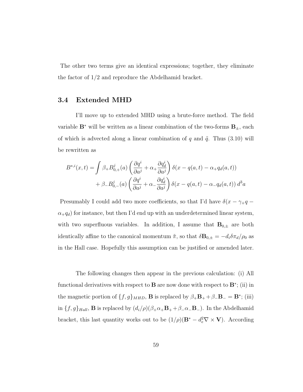The other two terms give an identical expressions; together, they eliminate the factor of 1/2 and reproduce the Abdelhamid bracket.

### 3.4 Extended MHD

I'll move up to extended MHD using a brute-force method. The field variable  $\mathbf{B}^*$  will be written as a linear combination of the two-forms  $\mathbf{B}_{\pm}$ , each of which is advected along a linear combination of q and  $\tilde{q}$ . Thus [\(3.10\)](#page-61-2) will be rewritten as

$$
B^{*,i}(x,t) = \int \beta_+ B^j_{0,+}(a) \left( \frac{\partial q^i}{\partial a^j} + \alpha_+ \frac{\partial q^i_d}{\partial a^j} \right) \delta(x - q(a,t) - \alpha_+ q_d(a,t))
$$
  
+  $\beta_- B^j_{0,-}(a) \left( \frac{\partial q^i}{\partial a^j} + \alpha_- \frac{\partial q^i_d}{\partial a^j} \right) \delta(x - q(a,t) - \alpha_- q_d(a,t)) d^3a$ 

Presumably I could add two more coefficients, so that I'd have  $\delta(x - \gamma_+ q$  $\alpha_+q_d$ ) for instance, but then I'd end up with an underdetermined linear system, with two superfluous variables. In addition, I assume that  $\mathbf{B}_{0,\pm}$  are both identically affine to the canonical momentum  $\tilde{\pi}$ , so that  $\delta \mathbf{B}_{0,\pm} = -d_i \delta \pi_d / \rho_0$  as in the Hall case. Hopefully this assumption can be justified or amended later.

The following changes then appear in the previous calculation: (i) All functional derivatives with respect to **B** are now done with respect to  $\mathbf{B}^*$ ; (ii) in the magnetic portion of  $\{f, g\}_{MHD}$ , **B** is replaced by  $\beta_+ \mathbf{B}_+ + \beta_- \mathbf{B}_- = \mathbf{B}^*$ ; (iii) in  $\{f, g\}_{Hall}$ , **B** is replaced by  $(d_i/\rho)(\beta_+\alpha_+\mathbf{B}_++\beta_-\alpha_-\mathbf{B}_-)$ . In the Abdelhamid bracket, this last quantity works out to be  $(1/\rho)(\mathbf{B}^* - d_e^2 \nabla \times \mathbf{V})$ . According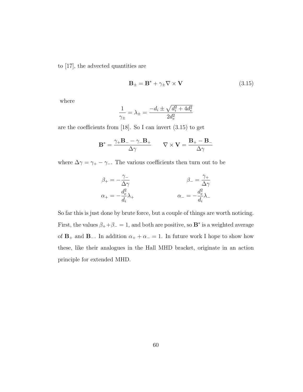to [\[17\]](#page-177-0), the advected quantities are

<span id="page-68-0"></span>
$$
\mathbf{B}_{\pm} = \mathbf{B}^* + \gamma_{\pm} \nabla \times \mathbf{V} \tag{3.15}
$$

where

$$
\frac{1}{\gamma_{\pm}} = \lambda_{\pm} = \frac{-d_i \pm \sqrt{d_i^2 + 4d_e^2}}{2d_e^2}
$$

are the coefficients from [\[18\]](#page-177-3). So I can invert [\(3.15\)](#page-68-0) to get

$$
\mathbf{B}^* = \frac{\gamma_+ \mathbf{B}_- - \gamma_- \mathbf{B}_+}{\Delta \gamma} \qquad \nabla \times \mathbf{V} = \frac{\mathbf{B}_+ - \mathbf{B}_-}{\Delta \gamma}
$$

where  $\Delta \gamma = \gamma_+ - \gamma_-$ . The various coefficients then turn out to be

$$
\beta_{+} = -\frac{\gamma_{-}}{\Delta \gamma} \qquad \beta_{-} = \frac{\gamma_{+}}{\Delta \gamma} \n\alpha_{+} = -\frac{d_{e}^{2}}{d_{i}} \lambda_{+} \qquad \alpha_{-} = -\frac{d_{e}^{2}}{d_{i}} \lambda_{-}
$$

So far this is just done by brute force, but a couple of things are worth noticing. First, the values  $\beta_+ + \beta_- = 1$ , and both are positive, so **B**<sup>\*</sup> is a weighted average of  $\mathbf{B}_+$  and  $\mathbf{B}_-$ . In addition  $\alpha_+ + \alpha_- = 1$ . In future work I hope to show how these, like their analogues in the Hall MHD bracket, originate in an action principle for extended MHD.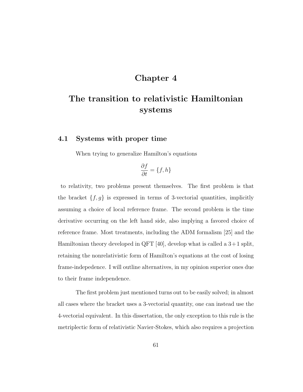## Chapter 4

# The transition to relativistic Hamiltonian systems

#### 4.1 Systems with proper time

When trying to generalize Hamilton's equations

$$
\frac{\partial f}{\partial t} = \{f, h\}
$$

to relativity, two problems present themselves. The first problem is that the bracket  $\{f, g\}$  is expressed in terms of 3-vectorial quantities, implicitly assuming a choice of local reference frame. The second problem is the time derivative occurring on the left hand side, also implying a favored choice of reference frame. Most treatments, including the ADM formalism [\[25\]](#page-177-4) and the Hamiltonian theory developed in QFT [\[40\]](#page-179-0), develop what is called a  $3+1$  split, retaining the nonrelativistic form of Hamilton's equations at the cost of losing frame-indepedence. I will outline alternatives, in my opinion superior ones due to their frame independence.

The first problem just mentioned turns out to be easily solved; in almost all cases where the bracket uses a 3-vectorial quantity, one can instead use the 4-vectorial equivalent. In this dissertation, the only exception to this rule is the metriplectic form of relativistic Navier-Stokes, which also requires a projection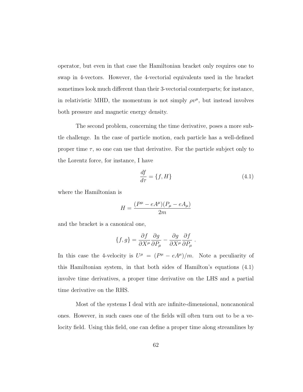operator, but even in that case the Hamiltonian bracket only requires one to swap in 4-vectors. However, the 4-vectorial equivalents used in the bracket sometimes look much different than their 3-vectorial counterparts; for instance, in relativistic MHD, the momentum is not simply  $\rho v^{\mu}$ , but instead involves both pressure and magnetic energy density.

The second problem, concerning the time derivative, poses a more subtle challenge. In the case of particle motion, each particle has a well-defined proper time  $\tau$ , so one can use that derivative. For the particle subject only to the Lorentz force, for instance, I have

<span id="page-70-0"></span>
$$
\frac{df}{d\tau} = \{f, H\} \tag{4.1}
$$

.

where the Hamiltonian is

$$
H = \frac{(P^{\mu} - eA^{\mu})(P_{\mu} - eA_{\mu})}{2m}
$$

and the bracket is a canonical one,

$$
\{f,g\} = \frac{\partial f}{\partial X^{\mu}} \frac{\partial g}{\partial P_{\mu}} - \frac{\partial g}{\partial X^{\mu}} \frac{\partial f}{\partial P_{\mu}}
$$

In this case the 4-velocity is  $U^{\mu} = (P^{\mu} - eA^{\mu})/m$ . Note a peculiarity of this Hamiltonian system, in that both sides of Hamilton's equations [\(4.1\)](#page-70-0) involve time derivatives, a proper time derivative on the LHS and a partial time derivative on the RHS.

Most of the systems I deal with are infinite-dimensional, noncanonical ones. However, in such cases one of the fields will often turn out to be a velocity field. Using this field, one can define a proper time along streamlines by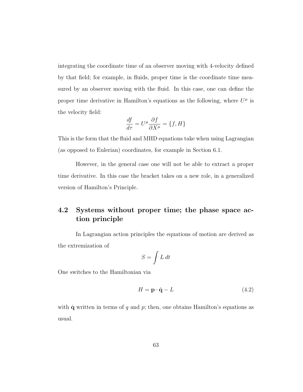integrating the coordinate time of an observer moving with 4-velocity defined by that field; for example, in fluids, proper time is the coordinate time measured by an observer moving with the fluid. In this case, one can define the proper time derivative in Hamilton's equations as the following, where  $U^{\mu}$  is the velocity field:

$$
\frac{df}{d\tau} = U^{\mu} \frac{\partial f}{\partial X^{\mu}} = \{f, H\}
$$

This is the form that the fluid and MHD equations take when using Lagrangian (as opposed to Eulerian) coordinates, for example in Section [6.1.](#page-111-0)

However, in the general case one will not be able to extract a proper time derivative. In this case the bracket takes on a new role, in a generalized version of Hamilton's Principle.

# 4.2 Systems without proper time; the phase space action principle

In Lagrangian action principles the equations of motion are derived as the extremization of

$$
S = \int L \, dt
$$

One switches to the Hamiltonian via

$$
H = \mathbf{p} \cdot \dot{\mathbf{q}} - L \tag{4.2}
$$

with  $\dot{q}$  written in terms of q and p; then, one obtains Hamilton's equations as usual.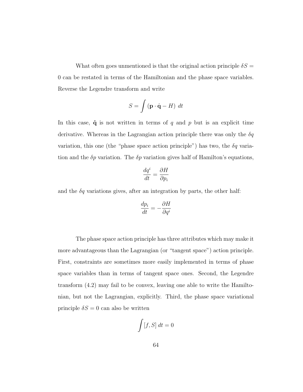What often goes unmentioned is that the original action principle  $\delta S =$ 0 can be restated in terms of the Hamiltonian and the phase space variables. Reverse the Legendre transform and write

$$
S = \int \left(\mathbf{p} \cdot \dot{\mathbf{q}} - H\right) dt
$$

In this case,  $\dot{\mathbf{q}}$  is not written in terms of q and p but is an explicit time derivative. Whereas in the Lagrangian action principle there was only the  $\delta q$ variation, this one (the "phase space action principle") has two, the  $\delta q$  variation and the  $\delta p$  variation. The  $\delta p$  variation gives half of Hamilton's equations,

$$
\frac{dq^i}{dt} = \frac{\partial H}{\partial p_i}
$$

and the  $\delta q$  variations gives, after an integration by parts, the other half:

$$
\frac{dp_i}{dt} = -\frac{\partial H}{\partial q^i}
$$

The phase space action principle has three attributes which may make it more advantageous than the Lagrangian (or "tangent space") action principle. First, constraints are sometimes more easily implemented in terms of phase space variables than in terms of tangent space ones. Second, the Legendre transform [\(4.2\)](#page-71-0) may fail to be convex, leaving one able to write the Hamiltonian, but not the Lagrangian, explicitly. Third, the phase space variational principle  $\delta S = 0$  can also be written

$$
\int [f, S] dt = 0
$$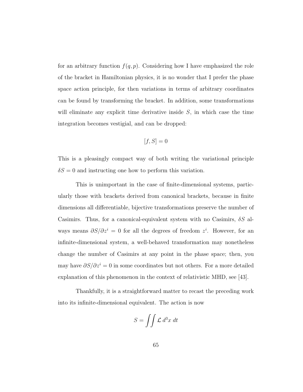for an arbitrary function  $f(q, p)$ . Considering how I have emphasized the role of the bracket in Hamiltonian physics, it is no wonder that I prefer the phase space action principle, for then variations in terms of arbitrary coordinates can be found by transforming the bracket. In addition, some transformations will eliminate any explicit time derivative inside  $S$ , in which case the time integration becomes vestigial, and can be dropped:

$$
[f, S] = 0
$$

This is a pleasingly compact way of both writing the variational principle  $\delta S = 0$  and instructing one how to perform this variation.

This is unimportant in the case of finite-dimensional systems, particularly those with brackets derived from canonical brackets, because in finite dimensions all differentiable, bijective transformations preserve the number of Casimirs. Thus, for a canonical-equivalent system with no Casimirs,  $\delta S$  always means  $\partial S/\partial z^i = 0$  for all the degrees of freedom  $z^i$ . However, for an infinite-dimensional system, a well-behaved transformation may nonetheless change the number of Casimirs at any point in the phase space; then, you may have  $\partial S/\partial z^i = 0$  in some coordinates but not others. For a more detailed explanation of this phenomenon in the context of relativistic MHD, see [\[43\]](#page-180-0).

Thankfully, it is a straightforward matter to recast the preceding work into its infinite-dimensional equivalent. The action is now

$$
S = \iint \mathcal{L} d^3x \, dt
$$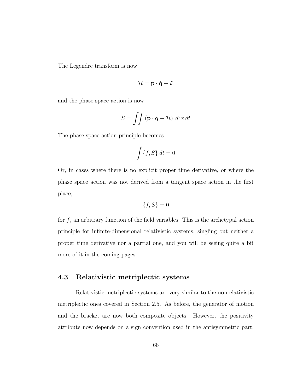The Legendre transform is now

$$
\mathcal{H} = \mathbf{p} \cdot \dot{\mathbf{q}} - \mathcal{L}
$$

and the phase space action is now

$$
S = \iint \left( \mathbf{p} \cdot \dot{\mathbf{q}} - \mathcal{H} \right) d^3x dt
$$

The phase space action principle becomes

$$
\int \{f, S\} \, dt = 0
$$

Or, in cases where there is no explicit proper time derivative, or where the phase space action was not derived from a tangent space action in the first place,

$$
\{f, S\} = 0
$$

for  $f$ , an arbitrary function of the field variables. This is the archetypal action principle for infinite-dimensional relativistic systems, singling out neither a proper time derivative nor a partial one, and you will be seeing quite a bit more of it in the coming pages.

## 4.3 Relativistic metriplectic systems

Relativistic metriplectic systems are very similar to the nonrelativistic metriplectic ones covered in Section [2.5.](#page-42-0) As before, the generator of motion and the bracket are now both composite objects. However, the positivity attribute now depends on a sign convention used in the antisymmetric part,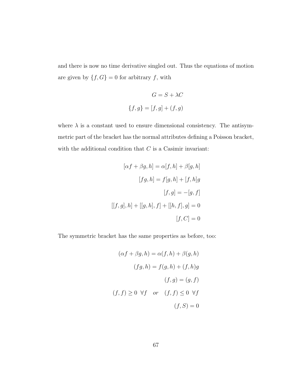and there is now no time derivative singled out. Thus the equations of motion are given by  $\{f,G\}=0$  for arbitrary  $f$ , with

$$
G = S + \lambda C
$$

$$
\{f, g\} = [f, g] + (f, g)
$$

where  $\lambda$  is a constant used to ensure dimensional consistency. The antisymmetric part of the bracket has the normal attributes defining a Poisson bracket, with the additional condition that  $C$  is a Casimir invariant:

$$
[\alpha f + \beta g, h] = \alpha[f, h] + \beta[g, h]
$$

$$
[fg, h] = f[g, h] + [f, h]g
$$

$$
[f, g] = -[g, f]
$$

$$
[[f, g], h] + [[g, h], f] + [[h, f], g] = 0
$$

$$
[f, C] = 0
$$

The symmetric bracket has the same properties as before, too:

$$
(\alpha f + \beta g, h) = \alpha(f, h) + \beta(g, h)
$$

$$
(fg, h) = f(g, h) + (f, h)g
$$

$$
(f, g) = (g, f)
$$

$$
(f, f) \ge 0 \ \forall f \quad or \quad (f, f) \le 0 \ \forall f
$$

$$
(f, S) = 0
$$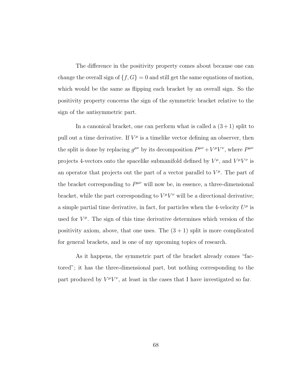The difference in the positivity property comes about because one can change the overall sign of  $\{f, G\} = 0$  and still get the same equations of motion, which would be the same as flipping each bracket by an overall sign. So the positivity property concerns the sign of the symmetric bracket relative to the sign of the antisymmetric part.

In a canonical bracket, one can perform what is called a  $(3+1)$  split to pull out a time derivative. If  $V^{\mu}$  is a timelike vector defining an observer, then the split is done by replacing  $g^{\mu\nu}$  by its decomposition  $P^{\mu\nu} + V^{\mu}V^{\nu}$ , where  $P^{\mu\nu}$ projects 4-vectors onto the spacelike submanifold defined by  $V^{\mu}$ , and  $V^{\mu}V^{\nu}$  is an operator that projects out the part of a vector parallel to  $V^{\mu}$ . The part of the bracket corresponding to  $P^{\mu\nu}$  will now be, in essence, a three-dimensional bracket, while the part corresponding to  $V^{\mu}V^{\nu}$  will be a directional derivative; a simple partial time derivative, in fact, for particles when the 4-velocity  $U^{\mu}$  is used for  $V^{\mu}$ . The sign of this time derivative determines which version of the positivity axiom, above, that one uses. The  $(3 + 1)$  split is more complicated for general brackets, and is one of my upcoming topics of research.

As it happens, the symmetric part of the bracket already comes "factored"; it has the three-dimensional part, but nothing corresponding to the part produced by  $V^{\mu}V^{\nu}$ , at least in the cases that I have investigated so far.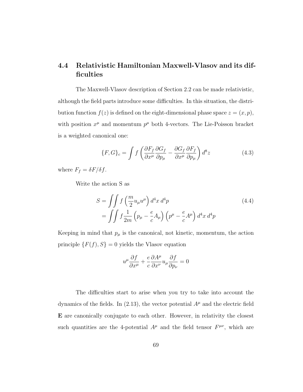# 4.4 Relativistic Hamiltonian Maxwell-Vlasov and its difficulties

The Maxwell-Vlasov description of Section [2.2](#page-21-0) can be made relativistic, although the field parts introduce some difficulties. In this situation, the distribution function  $f(z)$  is defined on the eight-dimensional phase space  $z = (x, p)$ , with position  $x^{\mu}$  and momentum  $p^{\mu}$  both 4-vectors. The Lie-Poisson bracket is a weighted canonical one:

<span id="page-77-1"></span>
$$
\{F, G\}_c = \int f \left( \frac{\partial F_f}{\partial x^\mu} \frac{\partial G_f}{\partial p_\mu} - \frac{\partial G_f}{\partial x^\mu} \frac{\partial F_f}{\partial p_\mu} \right) d^8 z \tag{4.3}
$$

where  $F_f = \delta F / \delta f$ .

Write the action S as

$$
S = \iint f\left(\frac{m}{2}u_{\mu}u^{\mu}\right)d^4x d^4p
$$
  
= 
$$
\iint f\frac{1}{2m}\left(p_{\mu} - \frac{e}{c}A_{\mu}\right)\left(p^{\mu} - \frac{e}{c}A^{\mu}\right)d^4x d^4p
$$
 (4.4)

Keeping in mind that  $p_{\mu}$  is the canonical, not kinetic, momentum, the action principle  $\{F(f), S\} = 0$  yields the Vlasov equation

<span id="page-77-0"></span>
$$
u^{\mu}\frac{\partial f}{\partial x^{\mu}} + \frac{e}{c}\frac{\partial A^{\mu}}{\partial x^{\nu}}u_{\mu}\frac{\partial f}{\partial p_{\nu}} = 0
$$

The difficulties start to arise when you try to take into account the dynamics of the fields. In [\(2.13\)](#page-26-0), the vector potential  $A^{\mu}$  and the electric field E are canonically conjugate to each other. However, in relativity the closest such quantities are the 4-potential  $A^{\mu}$  and the field tensor  $F^{\mu\nu}$ , which are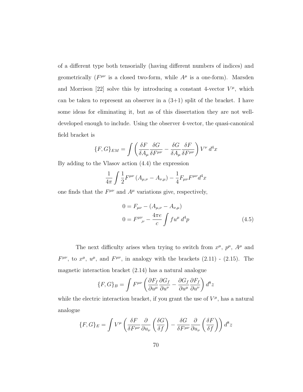of a different type both tensorially (having different numbers of indices) and geometrically ( $F^{\mu\nu}$  is a closed two-form, while  $A^{\mu}$  is a one-form). Marsden and Morrison [\[22\]](#page-177-0) solve this by introducing a constant 4-vector  $V^{\mu}$ , which can be taken to represent an observer in a  $(3+1)$  split of the bracket. I have some ideas for eliminating it, but as of this dissertation they are not welldeveloped enough to include. Using the observer 4-vector, the quasi-canonical field bracket is

$$
\{F, G\}_{EM} = \int \left( \frac{\delta F}{\delta A_{\mu}} \frac{\delta G}{\delta F^{\mu \nu}} - \frac{\delta G}{\delta A_{\mu}} \frac{\delta F}{\delta F^{\mu \nu}} \right) V^{\nu} d^{4}x
$$

By adding to the Vlasov action [\(4.4\)](#page-77-0) the expression

$$
\frac{1}{4\pi} \int \frac{1}{2} F^{\mu\nu} \left( A_{\mu,\nu} - A_{\nu,\mu} \right) - \frac{1}{4} F_{\mu\nu} F^{\mu\nu} d^4 x
$$

one finds that the  $F^{\mu\nu}$  and  $A^{\mu}$  variations give, respectively,

<span id="page-78-0"></span>
$$
0 = F_{\mu\nu} - (A_{\mu,\nu} - A_{\nu,\mu})
$$
  

$$
0 = F^{\mu\nu}_{\ \nu} - \frac{4\pi e}{c} \int f u^{\mu} d^{4}p
$$
 (4.5)

The next difficulty arises when trying to switch from  $x^{\mu}$ ,  $p^{\mu}$ ,  $A^{\mu}$  and  $F^{\mu\nu}$ , to  $x^{\mu}$ ,  $u^{\mu}$ , and  $F^{\mu\nu}$ , in analogy with the brackets [\(2.11\)](#page-25-0) - [\(2.15\)](#page-26-1). The magnetic interaction bracket [\(2.14\)](#page-26-2) has a natural analogue

$$
\{F, G\}_B = \int F^{\mu\nu} \left( \frac{\partial F_f}{\partial u^{\mu}} \frac{\partial G_f}{\partial u^{\nu}} - \frac{\partial G_f}{\partial u^{\mu}} \frac{\partial F_f}{\partial u^{\nu}} \right) d^8 z
$$

while the electric interaction bracket, if you grant the use of  $V^{\mu}$ , has a natural analogue

$$
\{F, G\}_E = \int V^{\mu} \left( \frac{\delta F}{\delta F^{\mu\nu}} \frac{\partial}{\partial u_{\nu}} \left( \frac{\delta G}{\delta f} \right) - \frac{\delta G}{\delta F^{\mu\nu}} \frac{\partial}{\partial u_{\nu}} \left( \frac{\delta F}{\delta f} \right) \right) d^8 z
$$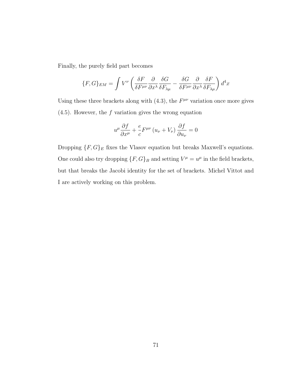Finally, the purely field part becomes

$$
\{F, G\}_{EM} = \int V^{\nu} \left( \frac{\delta F}{\delta F^{\mu \nu}} \frac{\partial}{\partial x^{\lambda}} \frac{\delta G}{\delta F_{\lambda \mu}} - \frac{\delta G}{\delta F^{\mu \nu}} \frac{\partial}{\partial x^{\lambda}} \frac{\delta F}{\delta F_{\lambda \mu}} \right) d^4 x
$$

Using these three brackets along with  $(4.3)$ , the  $F^{\mu\nu}$  variation once more gives  $(4.5)$ . However, the f variation gives the wrong equation

$$
u^{\mu} \frac{\partial f}{\partial x^{\mu}} + \frac{e}{c} F^{\mu \nu} (u_{\nu} + V_{\nu}) \frac{\partial f}{\partial u_{\nu}} = 0
$$

Dropping  $\{F,G\}_E$  fixes the Vlasov equation but breaks Maxwell's equations. One could also try dropping  $\{F, G\}_B$  and setting  $V^{\mu} = u^{\mu}$  in the field brackets, but that breaks the Jacobi identity for the set of brackets. Michel Vittot and I are actively working on this problem.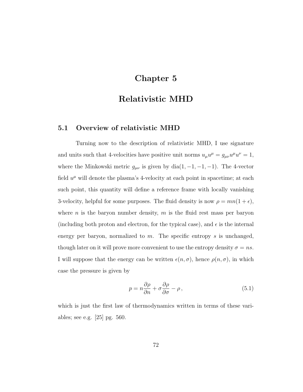# Chapter 5

# Relativistic MHD

### 5.1 Overview of relativistic MHD

Turning now to the description of relativistic MHD, I use signature and units such that 4-velocities have positive unit norms  $u_{\mu}u^{\mu} = g_{\mu\nu}u^{\mu}u^{\nu} = 1$ , where the Minkowski metric  $g_{\mu\nu}$  is given by dia(1, -1, -1, -1). The 4-vector field  $u^{\mu}$  will denote the plasma's 4-velocity at each point in spacetime; at each such point, this quantity will define a reference frame with locally vanishing 3-velocity, helpful for some purposes. The fluid density is now  $\rho = mn(1 + \epsilon)$ , where *n* is the baryon number density,  $m$  is the fluid rest mass per baryon (including both proton and electron, for the typical case), and  $\epsilon$  is the internal energy per baryon, normalized to  $m$ . The specific entropy  $s$  is unchanged, though later on it will prove more convenient to use the entropy density  $\sigma = ns$ . I will suppose that the energy can be written  $\epsilon(n, \sigma)$ , hence  $\rho(n, \sigma)$ , in which case the pressure is given by

$$
p = n \frac{\partial \rho}{\partial n} + \sigma \frac{\partial \rho}{\partial \sigma} - \rho, \qquad (5.1)
$$

which is just the first law of thermodynamics written in terms of these variables; see e.g. [\[25\]](#page-177-1) pg. 560.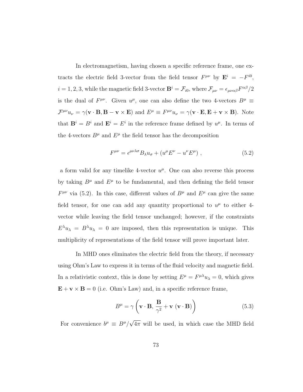In electromagnetism, having chosen a specific reference frame, one extracts the electric field 3-vector from the field tensor  $F^{\mu\nu}$  by  $\mathbf{E}^{i} = -F^{i0}$ ,  $i = 1, 2, 3$ , while the magnetic field 3-vector  $\mathbf{B}^i = \mathcal{F}_{i0}$ , where  $\mathcal{F}_{\mu\nu} = \epsilon_{\mu\nu\alpha\beta} F^{\alpha\beta}/2$ is the dual of  $F^{\mu\nu}$ . Given  $u^{\mu}$ , one can also define the two 4-vectors  $B^{\mu} \equiv$  $\mathcal{F}^{\mu\nu}u_{\nu} = \gamma(\mathbf{v} \cdot \mathbf{B}, \mathbf{B} - \mathbf{v} \times \mathbf{E})$  and  $E^{\mu} \equiv F^{\mu\nu}u_{\nu} = \gamma(\mathbf{v} \cdot \mathbf{E}, \mathbf{E} + \mathbf{v} \times \mathbf{B})$ . Note that  $\mathbf{B}^i = B^i$  and  $\mathbf{E}^i = E^i$  in the reference frame defined by  $u^{\mu}$ . In terms of the 4-vectors  $B^{\mu}$  and  $E^{\mu}$  the field tensor has the decomposition

<span id="page-81-0"></span>
$$
F^{\mu\nu} = \epsilon^{\mu\nu\lambda\sigma} B_{\lambda} u_{\sigma} + (u^{\mu} E^{\nu} - u^{\nu} E^{\mu}), \qquad (5.2)
$$

a form valid for any timelike 4-vector  $u^{\mu}$ . One can also reverse this process by taking  $B^{\mu}$  and  $E^{\mu}$  to be fundamental, and then defining the field tensor  $F^{\mu\nu}$  via [\(5.2\)](#page-81-0). In this case, different values of  $B^{\mu}$  and  $E^{\mu}$  can give the same field tensor, for one can add any quantity proportional to  $u^{\mu}$  to either 4vector while leaving the field tensor unchanged; however, if the constraints  $E^{\lambda}u_{\lambda} = B^{\lambda}u_{\lambda} = 0$  are imposed, then this representation is unique. This multiplicity of representations of the field tensor will prove important later.

In MHD ones eliminates the electric field from the theory, if necessary using Ohm's Law to express it in terms of the fluid velocity and magnetic field. In a relativistic context, this is done by setting  $E^{\mu} = F^{\mu\lambda}u_{\lambda} = 0$ , which gives  $\mathbf{E} + \mathbf{v} \times \mathbf{B} = 0$  (i.e. Ohm's Law) and, in a specific reference frame,

<span id="page-81-1"></span>
$$
B^{\mu} = \gamma \left( \mathbf{v} \cdot \mathbf{B}, \, \frac{\mathbf{B}}{\gamma^2} + \mathbf{v} \left( \mathbf{v} \cdot \mathbf{B} \right) \right) \tag{5.3}
$$

For convenience  $b^{\mu} \equiv B^{\mu}/A$ √  $4\pi$  will be used, in which case the MHD field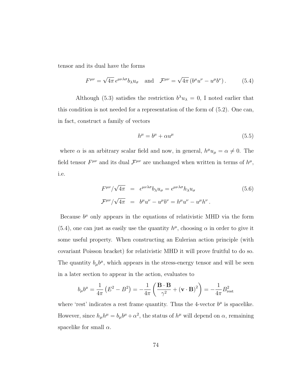tensor and its dual have the forms

<span id="page-82-0"></span>
$$
F^{\mu\nu} = \sqrt{4\pi} \,\epsilon^{\mu\nu\lambda\sigma} b_{\lambda} u_{\sigma} \quad \text{and} \quad \mathcal{F}^{\mu\nu} = \sqrt{4\pi} \left( b^{\mu} u^{\nu} - u^{\mu} b^{\nu} \right). \tag{5.4}
$$

Although [\(5.3\)](#page-81-1) satisfies the restriction  $b^{\lambda}u_{\lambda}=0$ , I noted earlier that this condition is not needed for a representation of the form of [\(5.2\)](#page-81-0). One can, in fact, construct a family of vectors

<span id="page-82-3"></span>
$$
h^{\mu} = b^{\mu} + \alpha u^{\mu} \tag{5.5}
$$

where  $\alpha$  is an arbitrary scalar field and now, in general,  $h^{\mu}u_{\mu} = \alpha \neq 0$ . The field tensor  $F^{\mu\nu}$  and its dual  $\mathcal{F}^{\mu\nu}$  are unchanged when written in terms of  $h^{\mu}$ , i.e.

<span id="page-82-2"></span>
$$
F^{\mu\nu}/\sqrt{4\pi} = \epsilon^{\mu\nu\lambda\sigma} b_{\lambda} u_{\sigma} = \epsilon^{\mu\nu\lambda\sigma} h_{\lambda} u_{\sigma}
$$
\n
$$
\mathcal{F}^{\mu\nu}/\sqrt{4\pi} = b^{\mu} u^{\nu} - u^{\mu} b^{\nu} = h^{\mu} u^{\nu} - u^{\mu} h^{\nu}.
$$
\n(5.6)

Because  $b^{\mu}$  only appears in the equations of relativistic MHD via the form [\(5.4\)](#page-82-0), one can just as easily use the quantity  $h^{\mu}$ , choosing  $\alpha$  in order to give it some useful property. When constructing an Eulerian action principle (with covariant Poisson bracket) for relativistic MHD it will prove fruitful to do so. The quantity  $b_{\mu}b^{\mu}$ , which appears in the stress-energy tensor and will be seen in a later section to appear in the action, evaluates to

<span id="page-82-1"></span>
$$
b_{\mu}b^{\mu} = \frac{1}{4\pi} \left( E^2 - B^2 \right) = -\frac{1}{4\pi} \left( \frac{\mathbf{B} \cdot \mathbf{B}}{\gamma^2} + (\mathbf{v} \cdot \mathbf{B})^2 \right) = -\frac{1}{4\pi} B_{\text{rest}}^2
$$

where 'rest' indicates a rest frame quantity. Thus the 4-vector  $b^{\mu}$  is spacelike. However, since  $h_{\mu}h^{\mu} = b_{\mu}b^{\mu} + \alpha^2$ , the status of  $h^{\mu}$  will depend on  $\alpha$ , remaining spacelike for small  $\alpha$ .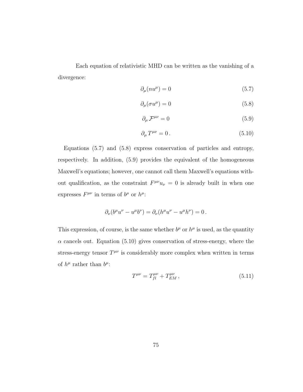Each equation of relativistic MHD can be written as the vanishing of a divergence:

$$
\partial_{\mu}(nu^{\mu}) = 0 \tag{5.7}
$$

<span id="page-83-0"></span>
$$
\partial_{\mu}(\sigma u^{\mu}) = 0 \tag{5.8}
$$

<span id="page-83-1"></span>
$$
\partial_{\mu} \mathcal{F}^{\mu\nu} = 0 \tag{5.9}
$$

<span id="page-83-2"></span>
$$
\partial_{\mu}T^{\mu\nu} = 0. \tag{5.10}
$$

Equations [\(5.7\)](#page-82-1) and [\(5.8\)](#page-83-0) express conservation of particles and entropy, respectively. In addition, [\(5.9\)](#page-83-1) provides the equivalent of the homogeneous Maxwell's equations; however, one cannot call them Maxwell's equations without qualification, as the constraint  $F^{\mu\nu}u_{\nu} = 0$  is already built in when one expresses  $F^{\mu\nu}$  in terms of  $b^{\mu}$  or  $h^{\mu}$ :

$$
\partial_{\nu}(b^{\mu}u^{\nu}-u^{\mu}b^{\nu})=\partial_{\nu}(h^{\mu}u^{\nu}-u^{\mu}h^{\nu})=0.
$$

This expression, of course, is the same whether  $b^{\mu}$  or  $h^{\mu}$  is used, as the quantity  $\alpha$  cancels out. Equation [\(5.10\)](#page-83-2) gives conservation of stress-energy, where the stress-energy tensor  $T^{\mu\nu}$  is considerably more complex when written in terms of  $h^{\mu}$  rather than  $b^{\mu}$ :

<span id="page-83-3"></span>
$$
T^{\mu\nu} = T_{fl}^{\mu\nu} + T_{EM}^{\mu\nu} \,, \tag{5.11}
$$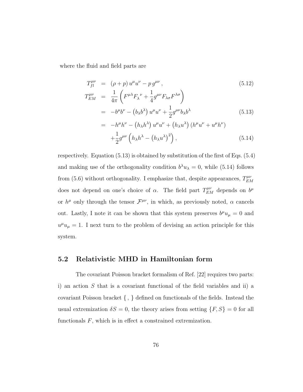where the fluid and field parts are

<span id="page-84-0"></span>
$$
T_{fl}^{\mu\nu} = (\rho + p) u^{\mu} u^{\nu} - p g^{\mu\nu},
$$
\n
$$
T_{EM}^{\mu\nu} = \frac{1}{4\pi} \left( F^{\mu\lambda} F_{\lambda}{}^{\nu} + \frac{1}{4} g^{\mu\nu} F_{\lambda\sigma} F^{\lambda\sigma} \right)
$$
\n
$$
= -b^{\mu} b^{\nu} - (b_{\lambda} b^{\lambda}) u^{\mu} u^{\nu} + \frac{1}{2} g^{\mu\nu} b_{\lambda} b^{\lambda}
$$
\n
$$
= -h^{\mu} h^{\nu} - (h_{\lambda} h^{\lambda}) u^{\mu} u^{\nu} + (h_{\lambda} u^{\lambda}) (h^{\mu} u^{\nu} + u^{\mu} h^{\nu})
$$
\n
$$
+ \frac{1}{2} g^{\mu\nu} \left( h_{\lambda} h^{\lambda} - (h_{\lambda} u^{\lambda})^{2} \right),
$$
\n(5.14)

respectively. Equation [\(5.13\)](#page-84-0) is obtained by substitution of the first of Eqs. [\(5.4\)](#page-82-0) and making use of the orthogonality condition  $b^{\lambda}u_{\lambda} = 0$ , while [\(5.14\)](#page-84-0) follows from [\(5.6\)](#page-82-2) without orthogonality. I emphasize that, despite appearances,  $T_{EN}^{\mu\nu}$ EM does not depend on one's choice of  $\alpha$ . The field part  $T_{EM}^{\mu\nu}$  depends on  $b^{\mu}$ or  $h^{\mu}$  only through the tensor  $\mathcal{F}^{\mu\nu}$ , in which, as previously noted,  $\alpha$  cancels out. Lastly, I note it can be shown that this system preserves  $b^{\mu}u_{\mu} = 0$  and  $u^{\mu}u_{\mu} = 1$ . I next turn to the problem of devising an action principle for this system.

## 5.2 Relativistic MHD in Hamiltonian form

The covariant Poisson bracket formalism of Ref. [\[22\]](#page-177-0) requires two parts: i) an action  $S$  that is a covariant functional of the field variables and ii) a covariant Poisson bracket  $\{\ ,\ \}$  defined on functionals of the fields. Instead the usual extremization  $\delta S = 0$ , the theory arises from setting  $\{F, S\} = 0$  for all functionals  $F$ , which is in effect a constrained extremization.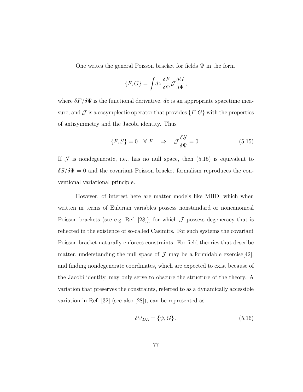One writes the general Poisson bracket for fields  $\Psi$  in the form

$$
\{F,G\} = \int dz \, \frac{\delta F}{\delta \Psi} \mathcal{J} \frac{\delta G}{\delta \Psi} \,,
$$

where  $\delta F/\delta \Psi$  is the functional derivative, dz is an appropriate spacetime measure, and  $\mathcal J$  is a cosymplectic operator that provides  $\{F,G\}$  with the properties of antisymmetry and the Jacobi identity. Thus

<span id="page-85-0"></span>
$$
\{F, S\} = 0 \quad \forall \ F \quad \Rightarrow \quad \mathcal{J}\frac{\delta S}{\delta \Psi} = 0. \tag{5.15}
$$

If  $\cal J$  is nondegenerate, i.e., has no null space, then [\(5.15\)](#page-85-0) is equivalent to  $\delta S/\delta \Psi = 0$  and the covariant Poisson bracket formalism reproduces the conventional variational principle.

However, of interest here are matter models like MHD, which when written in terms of Eulerian variables possess nonstandard or noncanonical Poisson brackets (see e.g. Ref. [\[28\]](#page-178-0)), for which  $\mathcal J$  possess degeneracy that is reflected in the existence of so-called Casimirs. For such systems the covariant Poisson bracket naturally enforces constraints. For field theories that describe matter, understanding the null space of  $\mathcal J$  may be a formidable exercise [\[42\]](#page-179-0), and finding nondegenerate coordinates, which are expected to exist because of the Jacobi identity, may only serve to obscure the structure of the theory. A variation that preserves the constraints, referred to as a dynamically accessible variation in Ref. [\[32\]](#page-178-1) (see also [\[28\]](#page-178-0)), can be represented as

$$
\delta\Psi_{DA} = \{\psi, G\},\tag{5.16}
$$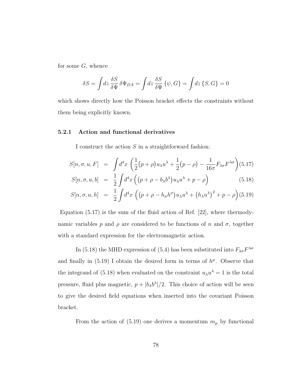for some  $G$ , whence

$$
\delta S = \int dz \frac{\delta S}{\delta \Psi} \delta \Psi_{DA} = \int dz \frac{\delta S}{\delta \Psi} \{\psi, G\} = \int dz \{S, G\} = 0
$$

which shows directly how the Poisson bracket effects the constraints without them being explicitly known.

#### 5.2.1 Action and functional derivatives

I construct the action  $S$  in a straightforward fashion:

<span id="page-86-0"></span>
$$
S[n, \sigma, u, F] = \int d^4x \left( \frac{1}{2} (p + \rho) u_{\lambda} u^{\lambda} + \frac{1}{2} (p - \rho) - \frac{1}{16\pi} F_{\lambda \sigma} F^{\lambda \sigma} \right) (5.17)
$$
  

$$
S[n, \sigma, u, b] = \frac{1}{2} \int d^4x \left( (p + \rho - b_{\lambda} b^{\lambda}) u_{\lambda} u^{\lambda} + p - \rho \right) \tag{5.18}
$$

$$
S[n, \sigma, u, h] = \frac{1}{2} \int d^4x \left( (p + \rho - h_{\sigma} h^{\sigma}) u_{\lambda} u^{\lambda} + (h_{\lambda} u^{\lambda})^2 + p - \rho \right) (5.19)
$$

Equation [\(5.17\)](#page-86-0) is the sum of the fluid action of Ref. [\[22\]](#page-177-0), where thermodynamic variables p and  $\rho$  are considered to be functions of n and  $\sigma$ , together with a standard expression for the electromagnetic action.

In [\(5.18\)](#page-86-0) the MHD expression of [\(5.4\)](#page-82-0) has been substituted into  $F_{\lambda\sigma}F^{\lambda\sigma}$ and finally in  $(5.19)$  I obtain the desired form in terms of  $h^{\mu}$ . Observe that the integrand of [\(5.18\)](#page-86-0) when evaluated on the constraint  $u_{\lambda}u^{\lambda} = 1$  is the total pressure, fluid plus magnetic,  $p + |b_{\lambda}b^{\lambda}|/2$ . This choice of action will be seen to give the desired field equations when inserted into the covariant Poisson bracket.

From the action of [\(5.19\)](#page-86-0) one derives a momentum  $m_{\mu}$  by functional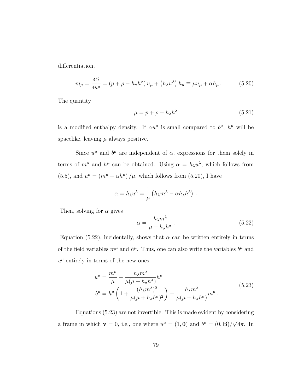differentiation,

<span id="page-87-0"></span>
$$
m_{\mu} = \frac{\delta S}{\delta u^{\mu}} = (p + \rho - h_{\sigma} h^{\sigma}) u_{\mu} + (h_{\lambda} u^{\lambda}) h_{\mu} \equiv \mu u_{\mu} + \alpha h_{\mu}.
$$
 (5.20)

The quantity

<span id="page-87-3"></span>
$$
\mu = p + \rho - h_{\lambda} h^{\lambda} \tag{5.21}
$$

is a modified enthalpy density. If  $\alpha u^{\mu}$  is small compared to  $b^{\mu}$ ,  $h^{\mu}$  will be spacelike, leaving  $\mu$  always positive.

Since  $u^{\mu}$  and  $b^{\mu}$  are independent of  $\alpha$ , expressions for them solely in terms of  $m^{\mu}$  and  $h^{\mu}$  can be obtained. Using  $\alpha = h_{\lambda} u^{\lambda}$ , which follows from [\(5.5\)](#page-82-3), and  $u^{\mu} = (m^{\mu} - \alpha h^{\mu}) / \mu$ , which follows from [\(5.20\)](#page-87-0), I have

$$
\alpha = h_{\lambda} u^{\lambda} = \frac{1}{\mu} \left( h_{\lambda} m^{\lambda} - \alpha h_{\lambda} h^{\lambda} \right) .
$$

Then, solving for  $\alpha$  gives

<span id="page-87-1"></span>
$$
\alpha = \frac{h_{\lambda} m^{\lambda}}{\mu + h_{\sigma} h^{\sigma}}.
$$
\n(5.22)

Equation [\(5.22\)](#page-87-1), incidentally, shows that  $\alpha$  can be written entirely in terms of the field variables  $m^{\mu}$  and  $h^{\mu}$ . Thus, one can also write the variables  $b^{\mu}$  and  $u^{\mu}$  entirely in terms of the new ones:

<span id="page-87-2"></span>
$$
u^{\mu} = \frac{m^{\mu}}{\mu} - \frac{h_{\lambda}m^{\lambda}}{\mu(\mu + h_{\sigma}h^{\sigma})}h^{\mu}
$$
  

$$
b^{\mu} = h^{\mu} \left(1 + \frac{(h_{\lambda}m^{\lambda})^2}{\mu(\mu + h_{\sigma}h^{\sigma})^2}\right) - \frac{h_{\lambda}m^{\lambda}}{\mu(\mu + h_{\sigma}h^{\sigma})}m^{\mu}.
$$
 (5.23)

Equations [\(5.23\)](#page-87-2) are not invertible. This is made evident by considering a frame in which  $\mathbf{v} = 0$ , i.e., one where  $u^{\mu} = (1, \mathbf{0})$  and  $b^{\mu} = (0, \mathbf{B})/$ √ 4π. In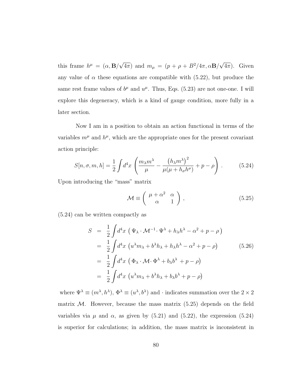this frame  $h^{\mu} = (\alpha, \mathbf{B})$ √  $\overline{4\pi}$ ) and  $m_{\mu} = (p + \rho + B^2/4\pi, \alpha \mathbf{B})$ √  $(4\pi)$ . Given any value of  $\alpha$  these equations are compatible with [\(5.22\)](#page-87-1), but produce the same rest frame values of  $b^{\mu}$  and  $u^{\mu}$ . Thus, Eqs. [\(5.23\)](#page-87-2) are not one-one. I will explore this degeneracy, which is a kind of gauge condition, more fully in a later section.

Now I am in a position to obtain an action functional in terms of the variables  $m^{\mu}$  and  $h^{\mu}$ , which are the appropriate ones for the present covariant action principle:

<span id="page-88-0"></span>
$$
S[n, \sigma, m, h] = \frac{1}{2} \int d^4x \left( \frac{m_\lambda m^\lambda}{\mu} - \frac{\left( h_\lambda m^\lambda \right)^2}{\mu(\mu + h_\sigma h^\sigma)} + p - \rho \right). \tag{5.24}
$$

Upon introducing the "mass" matrix

<span id="page-88-1"></span>
$$
\mathcal{M} \equiv \left( \begin{array}{cc} \mu + \alpha^2 & \alpha \\ \alpha & 1 \end{array} \right), \tag{5.25}
$$

[\(5.24\)](#page-88-0) can be written compactly as

<span id="page-88-2"></span>
$$
S = \frac{1}{2} \int d^4x \left( \Psi_{\lambda} \cdot \mathcal{M}^{-1} \cdot \Psi^{\lambda} + h_{\lambda} h^{\lambda} - \alpha^2 + p - \rho \right)
$$
  
\n
$$
= \frac{1}{2} \int d^4x \left( u^{\lambda} m_{\lambda} + b^{\lambda} h_{\lambda} + h_{\lambda} h^{\lambda} - \alpha^2 + p - \rho \right) \qquad (5.26)
$$
  
\n
$$
= \frac{1}{2} \int d^4x \left( \Phi_{\lambda} \cdot \mathcal{M} \cdot \Phi^{\lambda} + b_{\lambda} b^{\lambda} + p - \rho \right)
$$
  
\n
$$
= \frac{1}{2} \int d^4x \left( u^{\lambda} m_{\lambda} + b^{\lambda} h_{\lambda} + b_{\lambda} b^{\lambda} + p - \rho \right)
$$

where  $\Psi^{\lambda} \equiv (m^{\lambda}, h^{\lambda}), \Phi^{\lambda} \equiv (u^{\lambda}, b^{\lambda})$  and  $\cdot$  indicates summation over the  $2 \times 2$ matrix  $M$ . However, because the mass matrix  $(5.25)$  depends on the field variables via  $\mu$  and  $\alpha$ , as given by [\(5.21\)](#page-87-3) and [\(5.22\)](#page-87-1), the expression [\(5.24\)](#page-88-0) is superior for calculations; in addition, the mass matrix is inconsistent in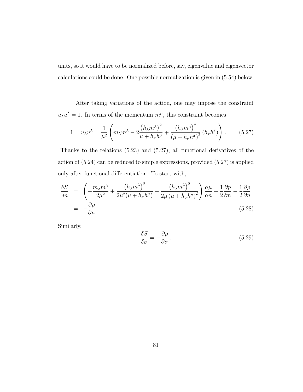units, so it would have to be normalized before, say, eigenvalue and eigenvector calculations could be done. One possible normalization is given in [\(5.54\)](#page-104-0) below.

After taking variations of the action, one may impose the constraint  $u_{\lambda}u^{\lambda}=1$ . In terms of the momentum  $m^{\mu}$ , this constraint becomes

<span id="page-89-0"></span>
$$
1 = u_{\lambda} u^{\lambda} = \frac{1}{\mu^2} \left( m_{\lambda} m^{\lambda} - 2 \frac{\left( h_{\lambda} m^{\lambda} \right)^2}{\mu + h_{\sigma} h^{\sigma}} + \frac{\left( h_{\lambda} m^{\lambda} \right)^2}{\left( \mu + h_{\sigma} h^{\sigma} \right)^2} \left( h_{\tau} h^{\tau} \right) \right). \tag{5.27}
$$

Thanks to the relations [\(5.23\)](#page-87-2) and [\(5.27\)](#page-89-0), all functional derivatives of the action of [\(5.24\)](#page-88-0) can be reduced to simple expressions, provided [\(5.27\)](#page-89-0) is applied only after functional differentiation. To start with,

<span id="page-89-1"></span>
$$
\frac{\delta S}{\delta n} = \left( -\frac{m_{\lambda} m^{\lambda}}{2\mu^2} + \frac{\left( h_{\lambda} m^{\lambda} \right)^2}{2\mu^2 (\mu + h_{\sigma} h^{\sigma})} + \frac{\left( h_{\lambda} m^{\lambda} \right)^2}{2\mu \left( \mu + h_{\sigma} h^{\sigma} \right)^2} \right) \frac{\partial \mu}{\partial n} + \frac{1}{2} \frac{\partial p}{\partial n} - \frac{1}{2} \frac{\partial \rho}{\partial n}
$$
\n
$$
= -\frac{\partial \rho}{\partial n}.
$$
\n(5.28)

Similarly,

<span id="page-89-2"></span>
$$
\frac{\delta S}{\delta \sigma} = -\frac{\partial \rho}{\partial \sigma}.
$$
\n(5.29)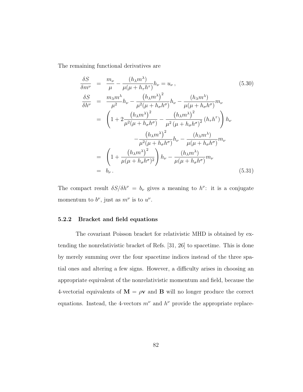The remaining functional derivatives are

<span id="page-90-0"></span>
$$
\frac{\delta S}{\delta m^{\nu}} = \frac{m_{\nu}}{\mu} - \frac{(h_{\lambda}m^{\lambda})}{\mu(\mu + h_{\tau}h^{\tau})}h_{\nu} = u_{\nu},
$$
\n
$$
\frac{\delta S}{\delta h^{\nu}} = \frac{m_{\lambda}m^{\lambda}}{\mu^2}h_{\nu} - \frac{(h_{\lambda}m^{\lambda})^2}{\mu^2(\mu + h_{\sigma}h^{\sigma})}h_{\nu} - \frac{(h_{\lambda}m^{\lambda})}{\mu(\mu + h_{\sigma}h^{\sigma})}m_{\nu}
$$
\n
$$
= \left(1 + 2\frac{(h_{\lambda}m^{\lambda})^2}{\mu^2(\mu + h_{\sigma}h^{\sigma})} - \frac{(h_{\lambda}m^{\lambda})^2}{\mu^2(\mu + h_{\sigma}h^{\sigma})^2}(h_{\tau}h^{\tau})\right)h_{\nu}
$$
\n
$$
- \frac{(h_{\lambda}m^{\lambda})^2}{\mu^2(\mu + h_{\sigma}h^{\sigma})}h_{\nu} - \frac{(h_{\lambda}m^{\lambda})}{\mu(\mu + h_{\sigma}h^{\sigma})}m_{\nu}
$$
\n
$$
= \left(1 + \frac{(h_{\lambda}m^{\lambda})^2}{\mu(\mu + h_{\sigma}h^{\sigma})^2}\right)h_{\nu} - \frac{(h_{\lambda}m^{\lambda})}{\mu(\mu + h_{\sigma}h^{\sigma})}m_{\nu}
$$
\n
$$
= b_{\nu}.
$$
\n(5.31)

The compact result  $\delta S/\delta h^{\nu} = b_{\nu}$  gives a meaning to  $h^{\nu}$ : it is a conjugate momentum to  $b^{\nu}$ , just as  $m^{\nu}$  is to  $u^{\nu}$ .

#### 5.2.2 Bracket and field equations

The covariant Poisson bracket for relativistic MHD is obtained by extending the nonrelativistic bracket of Refs. [\[31,](#page-178-2) [26\]](#page-178-3) to spacetime. This is done by merely summing over the four spacetime indices instead of the three spatial ones and altering a few signs. However, a difficulty arises in choosing an appropriate equivalent of the nonrelativistic momentum and field, because the 4-vectorial equivalents of  $\mathbf{M} = \rho \mathbf{v}$  and  $\mathbf{B}$  will no longer produce the correct equations. Instead, the 4-vectors  $m^{\nu}$  and  $h^{\nu}$  provide the appropriate replace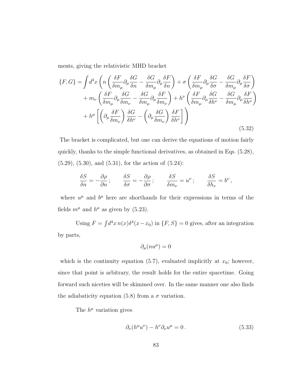ments, giving the relativistic MHD bracket

<span id="page-91-1"></span>
$$
\{F, G\} = \int d^4x \left( n \left( \frac{\delta F}{\delta m_\mu} \partial_\mu \frac{\delta G}{\delta n} - \frac{\delta G}{\delta m_\mu} \partial_\mu \frac{\delta F}{\delta n} \right) + \sigma \left( \frac{\delta F}{\delta m_\mu} \partial_\mu \frac{\delta G}{\delta \sigma} - \frac{\delta G}{\delta m_\mu} \partial_\mu \frac{\delta F}{\delta \sigma} \right) + m_\nu \left( \frac{\delta F}{\delta m_\mu} \partial_\mu \frac{\delta G}{\delta m_\nu} - \frac{\delta G}{\delta m_\mu} \partial_\mu \frac{\delta F}{\delta m_\nu} \right) + h^\nu \left( \frac{\delta F}{\delta m_\mu} \partial_\mu \frac{\delta G}{\delta h^\nu} - \frac{\delta G}{\delta m_\mu} \partial_\mu \frac{\delta F}{\delta h^\nu} \right) + h^\mu \left[ \left( \partial_\mu \frac{\delta F}{\delta m_\nu} \right) \frac{\delta G}{\delta h^\nu} - \left( \partial_\mu \frac{\delta G}{\delta m_\nu} \right) \frac{\delta F}{\delta h^\nu} \right] \right)
$$
(5.32)

The bracket is complicated, but one can derive the equations of motion fairly quickly, thanks to the simple functional derivatives, as obtained in Eqs. [\(5.28\)](#page-89-1), [\(5.29\)](#page-89-2), [\(5.30\)](#page-90-0), and [\(5.31\)](#page-90-0), for the action of [\(5.24\)](#page-88-0):

$$
\frac{\delta S}{\delta n}=-\frac{\partial \rho}{\partial n}\,;\t\qquad\t\frac{\delta S}{\delta \sigma}=-\frac{\partial \rho}{\partial \sigma}\,;\t\qquad\t\frac{\delta S}{\delta m_{\nu}}=u^{\nu}\,;\t\qquad\t\frac{\delta S}{\delta h_{\nu}}=b^{\nu}\,,
$$

where  $u^{\mu}$  and  $b^{\mu}$  here are shorthands for their expressions in terms of the fields  $m^{\mu}$  and  $h^{\mu}$  as given by [\(5.23\)](#page-87-2).

Using  $F = \int d^4x \, n(x) \delta^4(x - x_0)$  in  $\{F, S\} = 0$  gives, after an integration by parts,

$$
\partial_{\mu}(nu^{\mu})=0
$$

which is the continuity equation [\(5.7\)](#page-82-1), evaluated implicitly at  $x_0$ ; however, since that point is arbitrary, the result holds for the entire spacetime. Going forward such niceties will be skimmed over. In the same manner one also finds the adiabaticity equation [\(5.8\)](#page-83-0) from a  $\sigma$  variation.

The  $h^{\mu}$  variation gives

<span id="page-91-0"></span>
$$
\partial_{\nu}(h^{\mu}u^{\nu}) - h^{\nu}\partial_{\nu}u^{\mu} = 0.
$$
\n(5.33)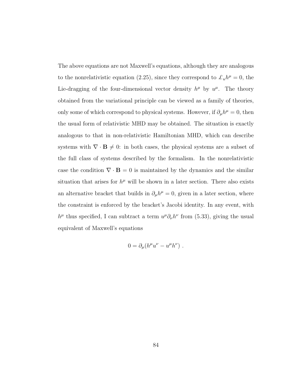The above equations are not Maxwell's equations, although they are analogous to the nonrelativistic equation [\(2.25\)](#page-33-0), since they correspond to  $\mathcal{L}_{u}h^{\mu}=0$ , the Lie-dragging of the four-dimensional vector density  $h^{\mu}$  by  $u^{\mu}$ . The theory obtained from the variational principle can be viewed as a family of theories, only some of which correspond to physical systems. However, if  $\partial_{\mu}h^{\mu} = 0$ , then the usual form of relativistic MHD may be obtained. The situation is exactly analogous to that in non-relativistic Hamiltonian MHD, which can describe systems with  $\nabla \cdot \mathbf{B} \neq 0$ : in both cases, the physical systems are a subset of the full class of systems described by the formalism. In the nonrelativistic case the condition  $\nabla \cdot \mathbf{B} = 0$  is maintained by the dynamics and the similar situation that arises for  $h^{\mu}$  will be shown in a later section. There also exists an alternative bracket that builds in  $\partial_{\mu}h^{\mu}=0$ , given in a later section, where the constraint is enforced by the bracket's Jacobi identity. In any event, with  $h^{\mu}$  thus specified, I can subtract a term  $u^{\mu}\partial_{\nu}h^{\nu}$  from [\(5.33\)](#page-91-0), giving the usual equivalent of Maxwell's equations

$$
0 = \partial_{\mu} (h^{\mu} u^{\nu} - u^{\mu} h^{\nu}) \ .
$$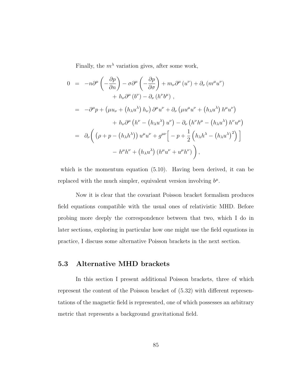Finally, the  $m^{\lambda}$  variation gives, after some work,

$$
0 = -n\partial^{\mu}\left(-\frac{\partial p}{\partial n}\right) - \sigma \partial^{\mu}\left(-\frac{\partial p}{\partial \sigma}\right) + m_{\nu}\partial^{\mu}\left(u^{\nu}\right) + \partial_{\nu}\left(m^{\mu}u^{\nu}\right) + h_{\nu}\partial^{\mu}\left(b^{\nu}\right) - \partial_{\nu}\left(h^{\nu}b^{\mu}\right) ,
$$
  

$$
= -\partial^{\mu}p + \left(\mu u_{\nu} + \left(h_{\lambda}u^{\lambda}\right)h_{\nu}\right)\partial^{\mu}u^{\nu} + \partial_{\nu}\left(\mu u^{\mu}u^{\nu} + \left(h_{\lambda}u^{\lambda}\right)h^{\mu}u^{\nu}\right) + h_{\nu}\partial^{\mu}\left(h^{\nu} - \left(h_{\lambda}u^{\lambda}\right)u^{\nu}\right) - \partial_{\nu}\left(h^{\nu}h^{\mu} - \left(h_{\lambda}u^{\lambda}\right)h^{\nu}u^{\mu}\right) = \partial_{\nu}\left(\left(\rho + p - \left(h_{\lambda}h^{\lambda}\right)\right)u^{\mu}u^{\nu} + g^{\mu\nu}\right[-p + \frac{1}{2}\left(h_{\lambda}h^{\lambda} - \left(h_{\lambda}u^{\lambda}\right)^{2}\right)\right] - h^{\mu}h^{\nu} + \left(h_{\lambda}u^{\lambda}\right)\left(h^{\mu}u^{\nu} + u^{\mu}h^{\nu}\right),
$$

which is the momentum equation  $(5.10)$ . Having been derived, it can be replaced with the much simpler, equivalent version involving  $b^{\mu}$ .

Now it is clear that the covariant Poisson bracket formalism produces field equations compatible with the usual ones of relativistic MHD. Before probing more deeply the correspondence between that two, which I do in later sections, exploring in particular how one might use the field equations in practice, I discuss some alternative Poisson brackets in the next section.

### 5.3 Alternative MHD brackets

In this section I present additional Poisson brackets, three of which represent the content of the Poisson bracket of [\(5.32\)](#page-91-1) with different representations of the magnetic field is represented, one of which possesses an arbitrary metric that represents a background gravitational field.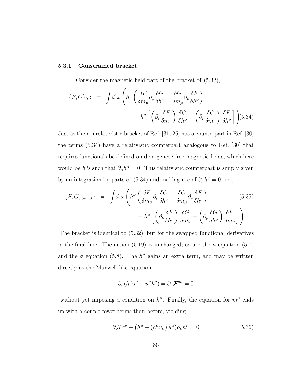#### 5.3.1 Constrained bracket

Consider the magnetic field part of the bracket of [\(5.32\)](#page-91-1),

<span id="page-94-0"></span>
$$
\{F, G\}_h: = \int d^4x \left( h^{\nu} \left( \frac{\delta F}{\delta m_{\mu}} \partial_{\mu} \frac{\delta G}{\delta h^{\nu}} - \frac{\delta G}{\delta m_{\mu}} \partial_{\mu} \frac{\delta F}{\delta h^{\nu}} \right) + h^{\mu} \left[ \left( \partial_{\mu} \frac{\delta F}{\delta m_{\nu}} \right) \frac{\delta G}{\delta h^{\nu}} - \left( \partial_{\mu} \frac{\delta G}{\delta m_{\nu}} \right) \frac{\delta F}{\delta h^{\nu}} \right] \right) (5.34)
$$

Just as the nonrelativistic bracket of Ref. [\[31,](#page-178-2) [26\]](#page-178-3) has a counterpart in Ref. [\[30\]](#page-178-4) the terms [\(5.34\)](#page-94-0) have a relativistic counterpart analogous to Ref. [\[30\]](#page-178-4) that requires functionals be defined on divergencee-free magnetic fields, which here would be  $h^{\mu}$ s such that  $\partial_{\mu}h^{\mu}=0$ . This relativistic counterpart is simply given by an integration by parts of [\(5.34\)](#page-94-0) and making use of  $\partial_\mu h^\mu = 0$ , i.e.,

<span id="page-94-1"></span>
$$
\{F, G\}_{\partial h=0} : = \int d^4x \left( h^{\nu} \left( \frac{\delta F}{\delta m_{\mu}} \partial_{\mu} \frac{\delta G}{\delta h^{\nu}} - \frac{\delta G}{\delta m_{\mu}} \partial_{\mu} \frac{\delta F}{\delta h^{\nu}} \right) \right. \left. + h^{\mu} \left[ \left( \partial_{\mu} \frac{\delta F}{\delta h^{\nu}} \right) \frac{\delta G}{\delta m_{\nu}} - \left( \partial_{\mu} \frac{\delta G}{\delta h^{\nu}} \right) \frac{\delta F}{\delta m_{\nu}} \right] \right).
$$
 (5.35)

The bracket is identical to [\(5.32\)](#page-91-1), but for the swapped functional derivatives in the final line. The action  $(5.19)$  is unchanged, as are the *n* equation  $(5.7)$ and the  $\sigma$  equation [\(5.8\)](#page-83-0). The  $h^{\mu}$  gains an extra term, and may be written directly as the Maxwell-like equation

$$
\partial_{\nu}(h^{\mu}u^{\nu}-u^{\mu}h^{\nu})=\partial_{\nu}\mathcal{F}^{\mu\nu}=0
$$

without yet imposing a condition on  $h^{\mu}$ . Finally, the equation for  $m^{\mu}$  ends up with a couple fewer terms than before, yielding

<span id="page-94-2"></span>
$$
\partial_{\nu}T^{\mu\nu} + \left(h^{\mu} - (h^{\sigma}u_{\sigma})u^{\mu}\right)\partial_{\nu}h^{\nu} = 0
$$
\n(5.36)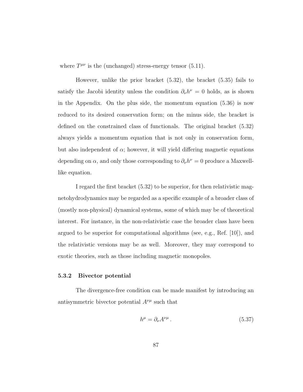where  $T^{\mu\nu}$  is the (unchanged) stress-energy tensor [\(5.11\)](#page-83-3).

However, unlike the prior bracket [\(5.32\)](#page-91-1), the bracket [\(5.35\)](#page-94-1) fails to satisfy the Jacobi identity unless the condition  $\partial_{\nu}h^{\nu}=0$  holds, as is shown in the Appendix. On the plus side, the momentum equation [\(5.36\)](#page-94-2) is now reduced to its desired conservation form; on the minus side, the bracket is defined on the constrained class of functionals. The original bracket [\(5.32\)](#page-91-1) always yields a momentum equation that is not only in conservation form, but also independent of  $\alpha$ ; however, it will yield differing magnetic equations depending on  $\alpha$ , and only those corresponding to  $\partial_{\nu}h^{\nu}=0$  produce a Maxwelllike equation.

I regard the first bracket [\(5.32\)](#page-91-1) to be superior, for then relativistic magnetohydrodynamics may be regarded as a specific example of a broader class of (mostly non-physical) dynamical systems, some of which may be of theoretical interest. For instance, in the non-relativistic case the broader class have been argued to be superior for computational algorithms (see, e.g., Ref. [\[10\]](#page-176-0)), and the relativistic versions may be as well. Moreover, they may correspond to exotic theories, such as those including magnetic monopoles.

#### <span id="page-95-1"></span>5.3.2 Bivector potential

The divergence-free condition can be made manifest by introducing an antisymmetric bivector potential  $A^{\nu\mu}$  such that

<span id="page-95-0"></span>
$$
h^{\mu} = \partial_{\nu} A^{\nu \mu} \,. \tag{5.37}
$$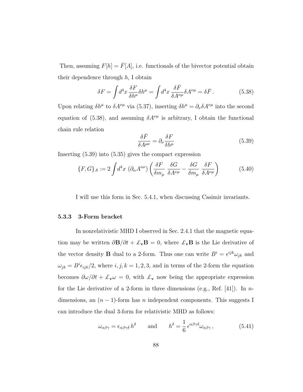Then, assuming  $F[h] = \bar{F}[A]$ , i.e. functionals of the bivector potential obtain their dependence through  $h$ , I obtain

<span id="page-96-0"></span>
$$
\delta F = \int d^4x \frac{\delta F}{\delta h^{\mu}} \delta h^{\mu} = \int d^4x \frac{\delta \bar{F}}{\delta A^{\nu \mu}} \delta A^{\nu \mu} = \delta \bar{F} \,. \tag{5.38}
$$

Upon relating  $\delta h^{\mu}$  to  $\delta A^{\nu\mu}$  via [\(5.37\)](#page-95-0), inserting  $\delta h^{\mu} = \partial_{\nu} \delta A^{\nu\mu}$  into the second equation of [\(5.38\)](#page-96-0), and assuming  $\delta A^{\nu\mu}$  is arbitrary, I obtain the functional chain rule relation

<span id="page-96-1"></span>
$$
\frac{\delta \bar{F}}{\delta A^{\mu\nu}} = \partial_{\nu} \frac{\delta F}{\delta h^{\mu}} \tag{5.39}
$$

Inserting [\(5.39\)](#page-96-1) into [\(5.35\)](#page-94-1) gives the compact expression

<span id="page-96-2"></span>
$$
\{F, G\}_A := 2 \int d^4x \, \left(\partial_\alpha A^{\alpha \nu}\right) \left(\frac{\delta F}{\delta m_\mu} \, \frac{\delta G}{\delta A^{\nu \mu}} - \frac{\delta G}{\delta m_\mu} \, \frac{\delta F}{\delta A^{\nu \mu}}\right) \tag{5.40}
$$

I will use this form in Sec. [5.4.1,](#page-102-0) when discussing Casimir invariants.

#### 5.3.3 3-Form bracket

In nonrelativistic MHD I observed in Sec. [2.4.1](#page-33-1) that the magnetic equation may be written  $\partial \mathbf{B}/\partial t + \mathcal{L}_{\mathbf{v}} \mathbf{B} = 0$ , where  $\mathcal{L}_{\mathbf{v}} \mathbf{B}$  is the Lie derivative of the vector density **B** dual to a 2-form. Thus one can write  $B^i = \epsilon^{ijk}\omega_{jk}$  and  $\omega_{jk} = B^{i} \epsilon_{ijk}/2$ , where  $i, j, k = 1, 2, 3$ , and in terms of the 2-form the equation becomes  $\partial \omega / \partial t + \mathcal{L}_{\mathbf{v}} \omega = 0$ , with  $\mathcal{L}_{\mathbf{v}}$  now being the appropriate expression for the Lie derivative of a 2-form in three dimensions (e.g., Ref. [\[41\]](#page-179-1)). In ndimensions, an  $(n - 1)$ -form has *n* independent components. This suggests I can introduce the dual 3-form for relativistic MHD as follows:

$$
\omega_{\alpha\beta\gamma} = \epsilon_{\alpha\beta\gamma\delta} h^{\delta} \quad \text{and} \quad h^{\delta} = \frac{1}{6} \epsilon^{\alpha\beta\gamma\delta} \omega_{\alpha\beta\gamma}, \tag{5.41}
$$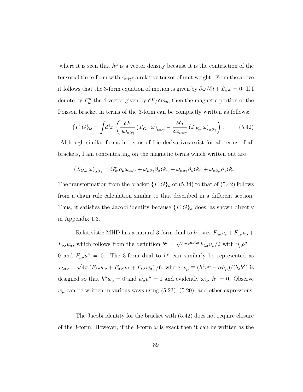where it is seen that  $h^{\mu}$  is a vector density because it is the contraction of the tensorial three-form with  $\epsilon_{\alpha\beta\gamma\delta}$  a relative tensor of unit weight. From the above it follows that the 3-form equation of motion is given by  $\partial \omega / \partial t + \mathcal{L}_u \omega = 0$ . If I denote by  $F_m^{\mu}$  the 4-vector given by  $\delta F/\delta m_{\mu}$ , then the magnetic portion of the Poisson bracket in terms of the 3-form can be compactly written as follows:

<span id="page-97-0"></span>
$$
\{F, G\}_{\omega} = \int d^4x \left( \frac{\delta F}{\delta \omega_{\alpha\beta\gamma}} (\pounds_{G_m} \omega)_{\alpha\beta\gamma} - \frac{\delta G}{\delta \omega_{\alpha\beta\gamma}} (\pounds_{F_m} \omega)_{\alpha\beta\gamma} \right). \tag{5.42}
$$

Although similar forms in terms of Lie derivatives exist for all terms of all brackets, I am concentrating on the magnetic terms which written out are

$$
(\pounds_{G_m} \omega)_{\alpha\beta\gamma} = G_m^\mu \partial_\mu \omega_{\alpha\beta\gamma} + \omega_{\mu\beta\gamma} \partial_\alpha G_m^\mu + \omega_{\alpha\mu\gamma} \partial_\beta G_m^\mu + \omega_{\alpha\beta\mu} \partial_\gamma G_m^\mu.
$$

The transformation from the bracket  $\{F, G\}_h$  of  $(5.34)$  to that of  $(5.42)$  follows from a chain rule calculation similar to that described in a different section. Thus, it satisfies the Jacobi identity because  $\{F, G\}_h$  does, as shown directly in Appendix [1.3.](#page-168-0)

Relativistic MHD has a natural 3-form dual to  $b^{\mu}$ , viz.  $F_{\lambda\sigma}u_{\nu} + F_{\sigma\nu}u_{\lambda} +$  $F_{\nu\lambda}u_{\sigma}$ , which follows from the definition  $b^{\mu} =$ √  $4\pi\epsilon^{\mu\nu\lambda\sigma}F_{\lambda\sigma}u_{\nu}/2$  with  $u_{\mu}b^{\mu}=$ 0 and  $F_{\mu\nu}u^{\nu} = 0$ . The 3-form dual to  $h^{\mu}$  can similarly be represented as  $\omega_{\lambda\sigma\nu} =$ √  $4\pi (F_{\lambda\sigma}w_{\nu} + F_{\sigma\nu}w_{\lambda} + F_{\nu\lambda}w_{\sigma})/6$ , where  $w_{\mu} \equiv (h^2u^{\mu} - \alpha h_{\mu})/(b_{\lambda}b^{\lambda})$  is designed so that  $h^{\mu}w_{\mu} = 0$  and  $w_{\mu}u^{\mu} = 1$  and evidently  $\omega_{\lambda\sigma\nu}h^{\mu} = 0$ . Observe  $w_{\mu}$  can be written in various ways using [\(5.23\)](#page-87-2), [\(5.20\)](#page-87-0), and other expressions.

The Jacobi identity for the bracket with [\(5.42\)](#page-97-0) does not require closure of the 3-form. However, if the 3-form  $\omega$  is exact then it can be written as the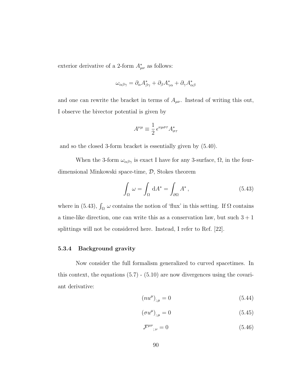exterior derivative of a 2-form  $A^*_{\mu\nu}$  as follows:

$$
\omega_{\alpha\beta\gamma} = \partial_{\alpha}A_{\beta\gamma}^* + \partial_{\beta}A_{\gamma\alpha}^* + \partial_{\gamma}A_{\alpha\beta}^*
$$

and one can rewrite the bracket in terms of  $A_{\mu\nu}$ . Instead of writing this out, I observe the bivector potential is given by

$$
A^{\nu\mu} \equiv \frac{1}{2} \, \epsilon^{\nu\mu\sigma\tau} A^*_{\sigma\tau}
$$

and so the closed 3-form bracket is essentially given by [\(5.40\)](#page-96-2).

When the 3-form  $\omega_{\alpha\beta\gamma}$  is exact I have for any 3-surface,  $\Omega$ , in the fourdimensional Minkowski space-time, D, Stokes theorem

<span id="page-98-0"></span>
$$
\int_{\Omega} \omega = \int_{\Omega} dA^* = \int_{\partial \Omega} A^*,
$$
\n(5.43)

where in [\(5.43\)](#page-98-0),  $\int_{\Omega} \omega$  contains the notion of 'flux' in this setting. If  $\Omega$  contains a time-like direction, one can write this as a conservation law, but such  $3 + 1$ splittings will not be considered here. Instead, I refer to Ref. [\[22\]](#page-177-0).

#### 5.3.4 Background gravity

Now consider the full formalism generalized to curved spacetimes. In this context, the equations  $(5.7)$  -  $(5.10)$  are now divergences using the covariant derivative:

$$
(nu^{\mu})_{;\mu} = 0 \tag{5.44}
$$

$$
(\sigma u^{\mu})_{;\mu} = 0 \tag{5.45}
$$

$$
\mathcal{F}^{\mu\nu}_{;\nu} = 0 \tag{5.46}
$$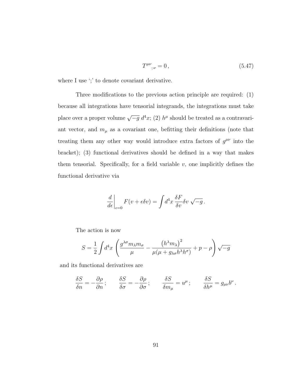<span id="page-99-0"></span>
$$
T^{\mu\nu}_{\ \ ;\nu} = 0\,,\tag{5.47}
$$

where I use ';' to denote covariant derivative.

Three modifications to the previous action principle are required: (1) because all integrations have tensorial integrands, the integrations must take place over a proper volume  $\sqrt{-g} d^4x$ ; (2)  $h^{\mu}$  should be treated as a contravariant vector, and  $m_{\mu}$  as a covariant one, befitting their definitions (note that treating them any other way would introduce extra factors of  $g^{\mu\nu}$  into the bracket); (3) functional derivatives should be defined in a way that makes them tensorial. Specifically, for a field variable  $v$ , one implicitly defines the functional derivative via

$$
\left. \frac{d}{d\epsilon} \right|_{\epsilon=0} F(v + \epsilon \delta v) = \int d^4x \, \frac{\delta F}{\delta v} \delta v \, \sqrt{-g} \, .
$$

The action is now

$$
S = \frac{1}{2} \int d^4x \left( \frac{g^{\lambda \sigma} m_{\lambda} m_{\sigma}}{\mu} - \frac{\left( h^{\lambda} m_{\lambda} \right)^2}{\mu \left( \mu + g_{\lambda \sigma} h^{\lambda} h^{\sigma} \right)} + p - \rho \right) \sqrt{-g}
$$

and its functional derivatives are

$$
\frac{\delta S}{\delta n} = -\frac{\partial \rho}{\partial n} \, ; \qquad \frac{\delta S}{\delta \sigma} = -\frac{\partial \rho}{\partial \sigma} \, ; \qquad \frac{\delta S}{\delta m_{\mu}} = u^{\mu} \, ; \qquad \frac{\delta S}{\delta h^{\mu}} = g_{\mu\nu} b^{\nu} \, .
$$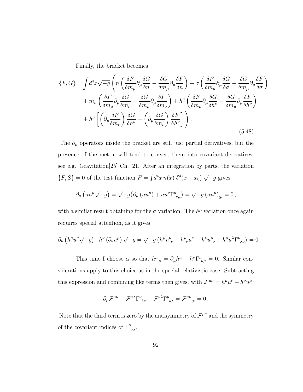Finally, the bracket becomes

<span id="page-100-0"></span>
$$
\{F, G\} = \int d^4x \sqrt{-g} \left( n \left( \frac{\delta F}{\delta m_{\mu}} \partial_{\mu} \frac{\delta G}{\delta n} - \frac{\delta G}{\delta m_{\mu}} \partial_{\mu} \frac{\delta F}{\delta n} \right) + \sigma \left( \frac{\delta F}{\delta m_{\mu}} \partial_{\mu} \frac{\delta G}{\delta \sigma} - \frac{\delta G}{\delta m_{\mu}} \partial_{\mu} \frac{\delta F}{\delta \sigma} \right) \right. \\
\left. + m_{\nu} \left( \frac{\delta F}{\delta m_{\mu}} \partial_{\mu} \frac{\delta G}{\delta m_{\nu}} - \frac{\delta G}{\delta m_{\mu}} \partial_{\mu} \frac{\delta F}{\delta m_{\nu}} \right) + h^{\nu} \left( \frac{\delta F}{\delta m_{\mu}} \partial_{\mu} \frac{\delta G}{\delta h^{\nu}} - \frac{\delta G}{\delta m_{\mu}} \partial_{\mu} \frac{\delta F}{\delta h^{\nu}} \right) \right. \\
\left. + h^{\mu} \left[ \left( \partial_{\mu} \frac{\delta F}{\delta m_{\nu}} \right) \frac{\delta G}{\delta h^{\nu}} - \left( \partial_{\mu} \frac{\delta G}{\delta m_{\nu}} \right) \frac{\delta F}{\delta h^{\nu}} \right] \right). \tag{5.48}
$$

The  $\partial_\mu$  operators inside the bracket are still just partial derivatives, but the presence of the metric will tend to convert them into covariant derivatives; see e.g. Gravitation[\[25\]](#page-177-1) Ch. 21. After an integration by parts, the variation  $\{F, S\} = 0$  of the test function  $F = \int d^4x \, n(x) \, \delta^4(x - x_0)$ √  $\overline{-g}$  gives

$$
\partial_{\mu} \left( nu^{\mu} \sqrt{-g} \right) = \sqrt{-g} \left( \partial_{\mu} \left( nu^{\mu} \right) + nu^{\nu} \Gamma^{\mu}_{\ \nu \mu} \right) = \sqrt{-g} \left( nu^{\mu} \right)_{;\mu} = 0 \,,
$$

with a similar result obtaining for the  $\sigma$  variation. The  $h^{\mu}$  variation once again requires special attention, as it gives

$$
\partial_{\nu} \left( h^{\mu} u^{\nu} \sqrt{-g} \right) - h^{\nu} \left( \partial_{\nu} u^{\mu} \right) \sqrt{-g} = \sqrt{-g} \left( h^{\mu} u^{\nu}_{\ \nu} + h^{\mu}_{\ \nu} u^{\nu} - h^{\nu} u^{\mu}_{\ \nu} + h^{\mu} u^{\lambda} \Gamma^{\nu}_{\ \lambda \nu} \right) = 0 \, .
$$

This time I choose  $\alpha$  so that  $h^{\mu}_{;\mu} = \partial_{\mu}h^{\mu} + h^{\nu}\Gamma^{\mu}_{\nu\mu} = 0$ . Similar considerations apply to this choice as in the special relativistic case. Subtracting this expression and combining like terms then gives, with  $\mathcal{F}^{\mu\nu} = h^{\mu}u^{\nu} - h^{\nu}u^{\mu}$ ,

$$
\partial_{\nu} \mathcal{F}^{\mu\nu} + \mathcal{F}^{\mu\lambda} \Gamma^{\nu}_{\ \ \lambda\nu} + \mathcal{F}^{\nu\lambda} \Gamma^{\mu}_{\ \ \nu\lambda} = \mathcal{F}^{\mu\nu}_{\ \ \nu} = 0 \, .
$$

Note that the third term is zero by the antisymmetry of  $\mathcal{F}^{\mu\nu}$  and the symmetry of the covariant indices of  $\Gamma^{\mu}_{\nu\lambda}$ .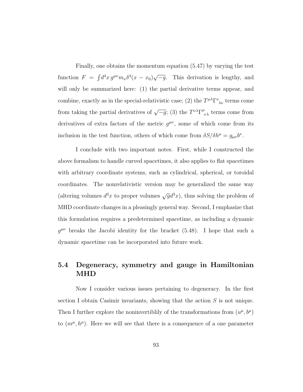Finally, one obtains the momentum equation [\(5.47\)](#page-99-0) by varying the test function  $F = \int d^4x \, g^{\mu\nu} m_\nu \delta^4(x - x_0)$ √  $\overline{-g}$ . This derivation is lengthy, and will only be summarized here: (1) the partial derivative terms appear, and combine, exactly as in the special-relativistic case; (2) the  $T^{\mu\lambda}\Gamma^\nu_{\phantom{\nu}\lambda\nu}$  terms come from taking the partial derivatives of  $\sqrt{-g}$ ; (3) the  $T^{\nu\lambda} \Gamma^{\mu}_{\nu\lambda}$  terms come from derivatives of extra factors of the metric  $g^{\mu\nu}$ , some of which come from its inclusion in the test function, others of which come from  $\delta S/\delta h^{\mu} = g_{\mu\nu}b^{\nu}$ .

I conclude with two important notes. First, while I constructed the above formalism to handle curved spacetimes, it also applies to flat spacetimes with arbitrary coordinate systems, such as cylindrical, spherical, or toroidal coordinates. The nonrelativistic version may be generalized the same way (altering volumes  $d^3x$  to proper volumes  $\sqrt{g}d^3x$ ), thus solving the problem of MHD coordinate changes in a pleasingly general way. Second, I emphasize that this formulation requires a predetermined spacetime, as including a dynamic  $g^{\mu\nu}$  breaks the Jacobi identity for the bracket [\(5.48\)](#page-100-0). I hope that such a dynamic spacetime can be incorporated into future work.

# 5.4 Degeneracy, symmetry and gauge in Hamiltonian MHD

Now I consider various issues pertaining to degeneracy. In the first section I obtain Casimir invariants, showing that the action  $S$  is not unique. Then I further explore the noninvertibility of the transformations from  $(u^{\mu}, b^{\mu})$ to  $(m^{\mu}, h^{\mu})$ . Here we will see that there is a consequence of a one parameter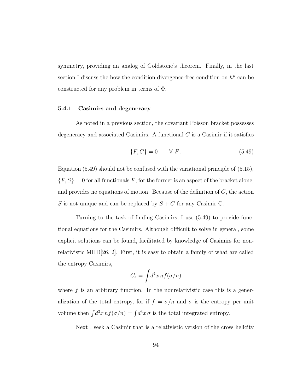symmetry, providing an analog of Goldstone's theorem. Finally, in the last section I discuss the how the condition divergence-free condition on  $h^{\mu}$  can be constructed for any problem in terms of Φ.

#### <span id="page-102-0"></span>5.4.1 Casimirs and degeneracy

As noted in a previous section, the covariant Poisson bracket possesses degeneracy and associated Casimirs. A functional  $C$  is a Casimir if it satisfies

<span id="page-102-1"></span>
$$
\{F, C\} = 0 \qquad \forall \ F. \tag{5.49}
$$

Equation [\(5.49\)](#page-102-1) should not be confused with the variational principle of [\(5.15\)](#page-85-0),  $\{F,S\}=0$  for all functionals  $F,$  for the former is an aspect of the bracket alone, and provides no equations of motion. Because of the definition of  $C$ , the action S is not unique and can be replaced by  $S + C$  for any Casimir C.

Turning to the task of finding Casimirs, I use [\(5.49\)](#page-102-1) to provide functional equations for the Casimirs. Although difficult to solve in general, some explicit solutions can be found, facilitated by knowledge of Casimirs for nonrelativistic MHD[\[26,](#page-178-3) [2\]](#page-175-0). First, it is easy to obtain a family of what are called the entropy Casimirs,

$$
C_s = \int d^4x \, n f(\sigma/n)
$$

where  $f$  is an arbitrary function. In the nonrelativistic case this is a generalization of the total entropy, for if  $f = \sigma/n$  and  $\sigma$  is the entropy per unit volume then  $\int d^3x \, nf(\sigma/n) = \int d^3x \, \sigma$  is the total integrated entropy.

Next I seek a Casimir that is a relativistic version of the cross helicity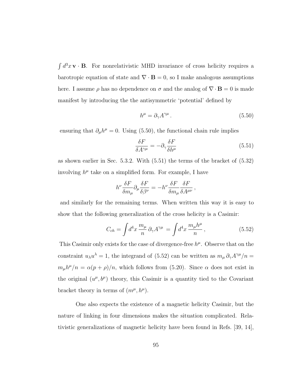$\int d^3x \mathbf{v} \cdot \mathbf{B}$ . For nonrelativistic MHD invariance of cross helicity requires a barotropic equation of state and  $\nabla \cdot \mathbf{B} = 0$ , so I make analogous assumptions here. I assume  $\rho$  has no dependence on  $\sigma$  and the analog of  $\nabla \cdot \mathbf{B} = 0$  is made manifest by introducing the the antisymmetric 'potential' defined by

<span id="page-103-0"></span>
$$
h^{\mu} = \partial_{\gamma} A^{\gamma \mu} \,. \tag{5.50}
$$

ensuring that  $\partial_{\mu}h^{\mu} = 0$ . Using [\(5.50\)](#page-103-0), the functional chain rule implies

<span id="page-103-1"></span>
$$
\frac{\delta F}{\delta A^{\gamma \mu}} = -\partial_{\gamma} \frac{\delta F}{\delta h^{\mu}} \tag{5.51}
$$

as shown earlier in Sec. [5.3.2.](#page-95-1) With [\(5.51\)](#page-103-1) the terms of the bracket of [\(5.32\)](#page-91-1) involving  $h^{\mu}$  take on a simplified form. For example, I have

$$
h^\nu \frac{\delta F}{\delta m_\mu} \partial_\mu \frac{\delta F}{\delta \beta^\nu} = - h^\nu \frac{\delta F}{\delta m_\mu} \frac{\delta F}{\delta A^{\mu\nu}} \,,
$$

and similarly for the remaining terms. When written this way it is easy to show that the following generalization of the cross helicity is a Casimir:

<span id="page-103-2"></span>
$$
C_{ch} = \int d^4x \, \frac{m_\mu}{n} \, \partial_\gamma A^{\gamma \mu} = \int d^4x \, \frac{m_\mu h^\mu}{n}, \tag{5.52}
$$

This Casimir only exists for the case of divergence-free  $h^{\mu}$ . Observe that on the constraint  $u_{\lambda}u^{\lambda} = 1$ , the integrand of [\(5.52\)](#page-103-2) can be written as  $m_{\mu}\partial_{\gamma}A^{\gamma\mu}/n =$  $m_{\mu}h^{\mu}/n = \alpha(p+\rho)/n$ , which follows from [\(5.20\)](#page-87-0). Since  $\alpha$  does not exist in the original  $(u^{\mu},b^{\mu})$  theory, this Casimir is a quantity tied to the Covariant bracket theory in terms of  $(m^{\mu}, h^{\mu})$ .

One also expects the existence of a magnetic helicity Casimir, but the nature of linking in four dimensions makes the situation complicated. Relativistic generalizations of magnetic helicity have been found in Refs. [\[39,](#page-179-2) [14\]](#page-176-1),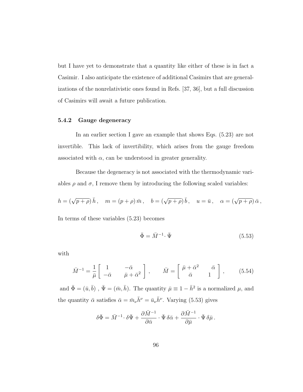but I have yet to demonstrate that a quantity like either of these is in fact a Casimir. I also anticipate the existence of additional Casimirs that are generalizations of the nonrelativistic ones found in Refs. [\[37,](#page-179-3) [36\]](#page-179-4), but a full discussion of Casimirs will await a future publication.

#### 5.4.2 Gauge degeneracy

In an earlier section I gave an example that shows Eqs. [\(5.23\)](#page-87-2) are not invertible. This lack of invertibility, which arises from the gauge freedom associated with  $\alpha$ , can be understood in greater generality.

Because the degeneracy is not associated with the thermodynamic variables  $\rho$  and  $\sigma$ , I remove them by introducing the following scaled variables:

$$
h = (\sqrt{p+\rho}) \bar{h}, \quad m = (p+\rho) \bar{m}, \quad b = (\sqrt{p+\rho}) \bar{b}, \quad u = \bar{u}, \quad \alpha = (\sqrt{p+\rho}) \bar{\alpha},
$$

In terms of these variables [\(5.23\)](#page-87-2) becomes

<span id="page-104-1"></span>
$$
\bar{\Phi} = \bar{M}^{-1} \cdot \bar{\Psi} \tag{5.53}
$$

with

<span id="page-104-0"></span>
$$
\bar{M}^{-1} = \frac{1}{\bar{\mu}} \begin{bmatrix} 1 & -\bar{\alpha} \\ -\bar{\alpha} & \bar{\mu} + \bar{\alpha}^2 \end{bmatrix}, \qquad \bar{M} = \begin{bmatrix} \bar{\mu} + \bar{\alpha}^2 & \bar{\alpha} \\ \bar{\alpha} & 1 \end{bmatrix}, \qquad (5.54)
$$

and  $\bar{\Phi} = (\bar{u}, \bar{b})$ ,  $\bar{\Psi} = (\bar{m}, \bar{h})$ . The quantity  $\bar{\mu} \equiv 1 - \bar{h}^2$  is a normalized  $\mu$ , and the quantity  $\bar{\alpha}$  satisfies  $\bar{\alpha} = \bar{m}_{\nu} \bar{h}^{\nu} = \bar{u}_{\nu} \bar{h}^{\nu}$ . Varying [\(5.53\)](#page-104-1) gives

$$
\delta\bar\Phi=\bar M^{-1}\!\cdot\delta\bar\Psi+\frac{\partial\bar M^{-1}}{\partial\bar\alpha}\cdot\bar\Psi\,\delta\bar\alpha+\frac{\partial\bar M^{-1}}{\partial\bar\mu}\cdot\bar\Psi\,\delta\bar\mu\,.
$$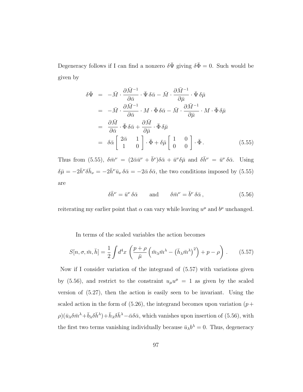Degeneracy follows if I can find a nonzero  $\delta \bar{\Psi}$  giving  $\delta \bar{\Phi} = 0$ . Such would be given by

<span id="page-105-0"></span>
$$
\delta\bar{\Psi} = -\bar{M} \cdot \frac{\partial \bar{M}^{-1}}{\partial \bar{\alpha}} \cdot \bar{\Psi} \, \delta\bar{\alpha} - \bar{M} \cdot \frac{\partial \bar{M}^{-1}}{\partial \bar{\mu}} \cdot \bar{\Psi} \, \delta\bar{\mu}
$$
\n
$$
= -\bar{M} \cdot \frac{\partial \bar{M}^{-1}}{\partial \bar{\alpha}} \cdot M \cdot \bar{\Phi} \, \delta\bar{\alpha} - \bar{M} \cdot \frac{\partial \bar{M}^{-1}}{\partial \bar{\mu}} \cdot M \cdot \bar{\Phi} \, \delta\bar{\mu}
$$
\n
$$
= \frac{\partial \bar{M}}{\partial \bar{\alpha}} \cdot \bar{\Phi} \, \delta\bar{\alpha} + \frac{\partial \bar{M}}{\partial \bar{\mu}} \cdot \bar{\Phi} \, \delta\bar{\mu}
$$
\n
$$
= \delta\bar{\alpha} \left[ \begin{array}{cc} 2\bar{\alpha} & 1 \\ 1 & 0 \end{array} \right] \cdot \bar{\Phi} + \delta\bar{\mu} \left[ \begin{array}{cc} 1 & 0 \\ 0 & 0 \end{array} \right] \cdot \bar{\Phi}. \tag{5.55}
$$

Thus from [\(5.55\)](#page-105-0),  $\delta \bar{m}^{\nu} = (2 \bar{\alpha} \bar{u}^{\nu} + \bar{b}^{\nu}) \delta \bar{\alpha} + \bar{u}^{\nu} \delta \bar{\mu}$  and  $\delta \bar{h}^{\nu} = \bar{u}^{\nu} \delta \bar{\alpha}$ . Using  $\delta \bar{\mu} = -2\bar{h}^{\nu} \delta \bar{h}_{\nu} = -2\bar{h}^{\nu} \bar{u}_{\nu} \delta \bar{\alpha} = -2\bar{\alpha} \delta \bar{\alpha}$ , the two conditions imposed by [\(5.55\)](#page-105-0) are

<span id="page-105-2"></span>
$$
\delta \bar{h}^{\nu} = \bar{u}^{\nu} \, \delta \bar{\alpha} \qquad \text{and} \qquad \delta \bar{m}^{\nu} = \bar{b}^{\nu} \, \delta \bar{\alpha} \,, \tag{5.56}
$$

reiterating my earlier point that  $\alpha$  can vary while leaving  $u^{\mu}$  and  $b^{\mu}$  unchanged.

In terms of the scaled variables the action becomes

<span id="page-105-1"></span>
$$
S[n, \sigma, \bar{m}, \bar{h}] = \frac{1}{2} \int d^4x \left( \frac{p + \rho}{\bar{\mu}} \left( \bar{m}_{\lambda} \bar{m}^{\lambda} - \left( \bar{h}_{\lambda} \bar{m}^{\lambda} \right)^2 \right) + p - \rho \right). \tag{5.57}
$$

Now if I consider variation of the integrand of [\(5.57\)](#page-105-1) with variations given by [\(5.56\)](#page-105-2), and restrict to the constraint  $u_{\mu}u^{\mu} = 1$  as given by the scaled version of [\(5.27\)](#page-89-0), then the action is easily seen to be invariant. Using the scaled action in the form of  $(5.26)$ , the integrand becomes upon variation  $(p+$  $\rho$ )( $\bar{u}_{\lambda}\delta\bar{m}^{\lambda}+\bar{b}_{\lambda}\delta\bar{h}^{\lambda}+\bar{h}_{\lambda}\delta\bar{h}^{\lambda}-\bar{\alpha}\delta\bar{\alpha}$ , which vanishes upon insertion of [\(5.56\)](#page-105-2), with the first two terms vanishing individually because  $\bar{u}_{\lambda}b^{\lambda} = 0$ . Thus, degeneracy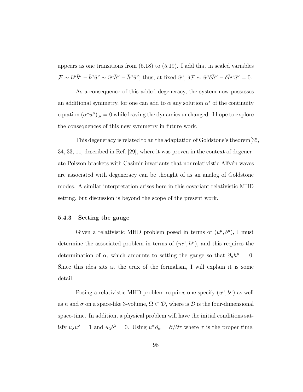appears as one transitions from [\(5.18\)](#page-86-0) to [\(5.19\)](#page-86-0). I add that in scaled variables  $\mathcal{F} \sim \bar{u}^{\mu} \bar{b}^{\nu} - \bar{b}^{\mu} \bar{u}^{\nu} \sim \bar{u}^{\mu} \bar{h}^{\nu} - \bar{h}^{\mu} \bar{u}^{\nu}$ ; thus, at fixed  $\bar{u}^{\mu}$ ,  $\delta \mathcal{F} \sim \bar{u}^{\mu} \delta \bar{h}^{\nu} - \delta \bar{h}^{\mu} \bar{u}^{\nu} = 0$ .

As a consequence of this added degeneracy, the system now possesses an additional symmetry, for one can add to  $\alpha$  any solution  $\alpha^*$  of the continuity equation  $(\alpha^* u^{\mu})_{,\mu} = 0$  while leaving the dynamics unchanged. I hope to explore the consequences of this new symmetry in future work.

This degeneracy is related to an the adaptation of Goldstone's theorem[\[35,](#page-179-5) [34,](#page-179-6) [33,](#page-178-5) [11\]](#page-176-2) described in Ref. [\[29\]](#page-178-6), where it was proven in the context of degenerate Poisson brackets with Casimir invariants that nonrelativistic Alfvén waves are associated with degeneracy can be thought of as an analog of Goldstone modes. A similar interpretation arises here in this covariant relativistic MHD setting, but discussion is beyond the scope of the present work.

#### 5.4.3 Setting the gauge

Given a relativistic MHD problem posed in terms of  $(u^{\mu}, b^{\mu})$ , I must determine the associated problem in terms of  $(m^{\mu}, h^{\mu})$ , and this requires the determination of  $\alpha$ , which amounts to setting the gauge so that  $\partial_{\mu}h^{\mu} = 0$ . Since this idea sits at the crux of the formalism, I will explain it is some detail.

Posing a relativistic MHD problem requires one specify  $(u^{\mu}, b^{\mu})$  as well as n and  $\sigma$  on a space-like 3-volume,  $\Omega \subset \mathcal{D}$ , where is  $\mathcal D$  is the four-dimensional space-time. In addition, a physical problem will have the initial conditions satisfy  $u_{\lambda}u^{\lambda} = 1$  and  $u_{\lambda}b^{\lambda} = 0$ . Using  $u^{\alpha}\partial_{\alpha} = \partial/\partial\tau$  where  $\tau$  is the proper time,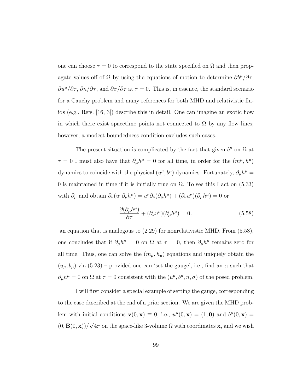one can choose  $\tau = 0$  to correspond to the state specified on  $\Omega$  and then propagate values off of  $\Omega$  by using the equations of motion to determine  $\partial b^{\mu}/\partial \tau$ ,  $\partial u^{\mu}/\partial \tau$ ,  $\partial n/\partial \tau$ , and  $\partial \sigma/\partial \tau$  at  $\tau = 0$ . This is, in essence, the standard scenario for a Cauchy problem and many references for both MHD and relativistic fluids (e.g., Refs. [\[16,](#page-176-3) [3\]](#page-175-1)) describe this in detail. One can imagine an exotic flow in which there exist spacetime points not connected to  $\Omega$  by any flow lines; however, a modest boundedness condition excludes such cases.

The present situation is complicated by the fact that given  $b^{\mu}$  on  $\Omega$  at  $\tau = 0$  I must also have that  $\partial_{\mu}h^{\mu} = 0$  for all time, in order for the  $(m^{\mu}, h^{\mu})$ dynamics to coincide with the physical  $(u^{\mu}, b^{\mu})$  dynamics. Fortunately,  $\partial_{\mu}h^{\mu} =$ 0 is maintained in time if it is initially true on  $\Omega$ . To see this I act on [\(5.33\)](#page-91-0) with  $\partial_{\mu}$  and obtain  $\partial_{\nu}(u^{\nu}\partial_{\mu}h^{\mu}) = u^{\nu}\partial_{\nu}(\partial_{\mu}h^{\mu}) + (\partial_{\nu}u^{\nu})(\partial_{\mu}h^{\mu}) = 0$  or

<span id="page-107-0"></span>
$$
\frac{\partial(\partial_{\mu}h^{\mu})}{\partial \tau} + (\partial_{\nu}u^{\nu})(\partial_{\mu}h^{\mu}) = 0, \qquad (5.58)
$$

an equation that is analogous to [\(2.29\)](#page-34-0) for nonrelativistic MHD. From [\(5.58\)](#page-107-0), one concludes that if  $\partial_\mu h^\mu = 0$  on  $\Omega$  at  $\tau = 0$ , then  $\partial_\mu h^\mu$  remains zero for all time. Thus, one can solve the  $(m_{\mu}, h_{\mu})$  equations and uniquely obtain the  $(u_{\mu}, b_{\mu})$  via  $(5.23)$  – provided one can 'set the gauge', i.e., find an  $\alpha$  such that  $\partial_{\mu}h^{\mu} = 0$  on  $\Omega$  at  $\tau = 0$  consistent with the  $(u^{\mu}, b^{\mu}, n, \sigma)$  of the posed problem.

I will first consider a special example of setting the gauge, corresponding to the case described at the end of a prior section. We are given the MHD problem with initial conditions  $\mathbf{v}(0,\mathbf{x}) \equiv 0$ , i.e.,  $u^{\mu}(0,\mathbf{x}) = (1,\mathbf{0})$  and  $b^{\mu}(0,\mathbf{x}) =$  $(0, \mathbf{B}(0, \mathbf{x}))/$ √  $4\pi$  on the space-like 3-volume  $\Omega$  with coordinates **x**, and we wish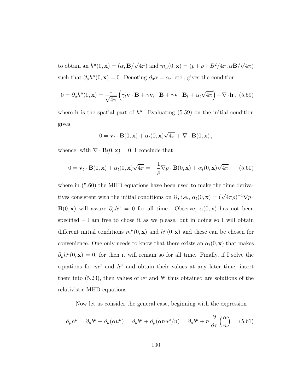to obtain an  $h^{\mu}(0, \mathbf{x}) = (\alpha, \mathbf{B})$ √  $\overline{4\pi}$ ) and  $m_{\mu}(0, \mathbf{x}) = (p + \rho + B^2/4\pi, \alpha \mathbf{B})$ √  $4\pi)$ such that  $\partial_{\mu}h^{\mu}(0, \mathbf{x}) = 0$ . Denoting  $\partial_{0}\alpha = \alpha_{t}$ , etc., gives the condition

<span id="page-108-0"></span>
$$
0 = \partial_{\mu} h^{\mu}(0, \mathbf{x}) = \frac{1}{\sqrt{4\pi}} \left( \gamma_t \mathbf{v} \cdot \mathbf{B} + \gamma \mathbf{v}_t \cdot \mathbf{B} + \gamma \mathbf{v} \cdot \mathbf{B}_t + \alpha_t \sqrt{4\pi} \right) + \nabla \cdot \mathbf{h}, \tag{5.59}
$$

where **h** is the spatial part of  $h^{\mu}$ . Evaluating [\(5.59\)](#page-108-0) on the initial condition gives

$$
0 = \mathbf{v}_t \cdot \mathbf{B}(0, \mathbf{x}) + \alpha_t(0, \mathbf{x})\sqrt{4\pi} + \nabla \cdot \mathbf{B}(0, \mathbf{x}),
$$

whence, with  $\nabla \cdot \mathbf{B}(0, \mathbf{x}) = 0$ , I conclude that

<span id="page-108-1"></span>
$$
0 = \mathbf{v}_t \cdot \mathbf{B}(0, \mathbf{x}) + \alpha_t(0, \mathbf{x})\sqrt{4\pi} = -\frac{1}{\rho}\nabla p \cdot \mathbf{B}(0, \mathbf{x}) + \alpha_t(0, \mathbf{x})\sqrt{4\pi}
$$
 (5.60)

where in [\(5.60\)](#page-108-1) the MHD equations have been used to make the time derivatives consistent with the initial conditions on  $\Omega$ , i.e.,  $\alpha_t(0, \mathbf{x}) = (\sqrt{4\pi}\rho)^{-1} \nabla p$ . **B**(0, x) will assure  $\partial_{\mu}h^{\mu} = 0$  for all time. Observe,  $\alpha(0, x)$  has not been specified – I am free to chose it as we please, but in doing so I will obtain different initial conditions  $m^{\mu}(0, \mathbf{x})$  and  $h^{\mu}(0, \mathbf{x})$  and these can be chosen for convenience. One only needs to know that there exists an  $\alpha_t(0, \mathbf{x})$  that makes  $\partial_\mu h^\mu(0, \mathbf{x}) = 0$ , for then it will remain so for all time. Finally, if I solve the equations for  $m^{\mu}$  and  $h^{\mu}$  and obtain their values at any later time, insert them into [\(5.23\)](#page-87-0), then values of  $u^{\mu}$  and  $b^{\mu}$  thus obtained are solutions of the relativistic MHD equations.

Now let us consider the general case, beginning with the expression

<span id="page-108-2"></span>
$$
\partial_{\mu}h^{\mu} = \partial_{\mu}b^{\mu} + \partial_{\mu}(\alpha u^{\mu}) = \partial_{\mu}b^{\mu} + \partial_{\mu}(\alpha n u^{\mu}/n) = \partial_{\mu}b^{\mu} + n \frac{\partial}{\partial \tau} \left(\frac{\alpha}{n}\right) \tag{5.61}
$$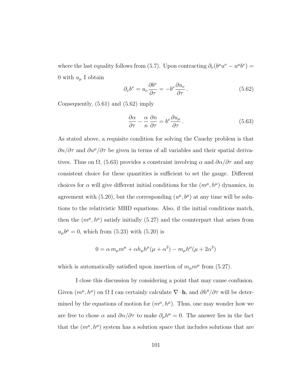where the last equality follows from [\(5.7\)](#page-82-0). Upon contracting  $\partial_{\nu} (b^{\mu}u^{\nu} - u^{\mu}b^{\nu}) =$ 0 with  $u_{\mu}$  I obtain

<span id="page-109-0"></span>
$$
\partial_{\nu}b^{\nu} = u_{\nu}\frac{\partial b^{\nu}}{\partial \tau} = -b^{\nu}\frac{\partial u_{\nu}}{\partial \tau}.
$$
\n(5.62)

Consequently, [\(5.61\)](#page-108-2) and [\(5.62\)](#page-109-0) imply

<span id="page-109-1"></span>
$$
\frac{\partial \alpha}{\partial \tau} - \frac{\alpha}{n} \frac{\partial n}{\partial \tau} = b^{\nu} \frac{\partial u_{\mu}}{\partial \tau}.
$$
 (5.63)

As stated above, a requisite condition for solving the Cauchy problem is that  $\partial n/\partial \tau$  and  $\partial u^{\mu}/\partial \tau$  be given in terms of all variables and their spatial derivatives. Thus on  $\Omega$ , [\(5.63\)](#page-109-1) provides a constraint involving  $\alpha$  and  $\partial \alpha/\partial \tau$  and any consistent choice for these quantities is sufficient to set the gauge. Different choices for  $\alpha$  will give different initial conditions for the  $(m^{\mu}, h^{\mu})$  dynamics, in agreement with  $(5.20)$ , but the corresponding  $(u^{\mu}, b^{\mu})$  at any time will be solutions to the relativistic MHD equations. Also, if the initial conditions match, then the  $(m^{\mu}, h^{\mu})$  satisfy initially [\(5.27\)](#page-89-0) and the counterpart that arises from  $u_{\mu}b^{\mu} = 0$ , which from [\(5.23\)](#page-87-0) with [\(5.20\)](#page-87-1) is

$$
0 = \alpha m_{\mu} m^{\mu} + \alpha h_{\mu} h^{\mu} (\mu + \alpha^2) - m_{\mu} h^{\mu} (\mu + 2\alpha^2)
$$

which is automatically satisfied upon insertion of  $m_{\mu}m^{\mu}$  from [\(5.27\)](#page-89-0).

I close this discussion by considering a point that may cause confusion. Given  $(m^{\mu}, h^{\mu})$  on  $\Omega$  I can certainly calculate  $\nabla \cdot \mathbf{h}$ , and  $\partial h^0/\partial \tau$  will be determined by the equations of motion for  $(m^{\mu}, h^{\mu})$ . Thus, one may wonder how we are free to chose  $\alpha$  and  $\partial \alpha/\partial \tau$  to make  $\partial_{\mu}h^{\mu}=0$ . The answer lies in the fact that the  $(m^{\mu}, h^{\mu})$  system has a solution space that includes solutions that are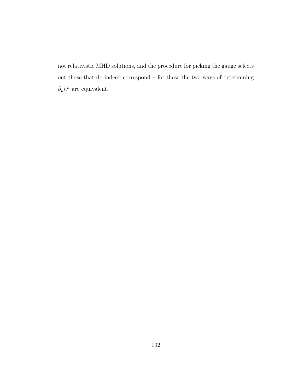not relativistic MHD solutions, and the procedure for picking the gauge selects out those that do indeed correspond – for these the two ways of determining  $\partial_{\mu}h^{\mu}$  are equivalent.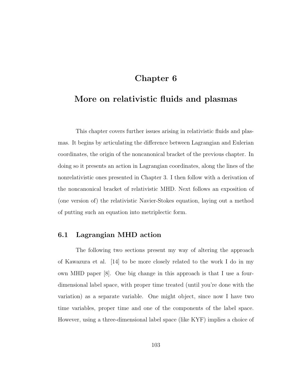## Chapter 6

# More on relativistic fluids and plasmas

This chapter covers further issues arising in relativistic fluids and plasmas. It begins by articulating the difference between Lagrangian and Eulerian coordinates, the origin of the noncanonical bracket of the previous chapter. In doing so it presents an action in Lagrangian coordinates, along the lines of the nonrelativistic ones presented in Chapter [3.](#page-53-0) I then follow with a derivation of the noncanonical bracket of relativistic MHD. Next follows an exposition of (one version of) the relativistic Navier-Stokes equation, laying out a method of putting such an equation into metriplectic form.

### 6.1 Lagrangian MHD action

The following two sections present my way of altering the approach of Kawazura et al. [\[14\]](#page-176-0) to be more closely related to the work I do in my own MHD paper [\[8\]](#page-176-1). One big change in this approach is that I use a fourdimensional label space, with proper time treated (until you're done with the variation) as a separate variable. One might object, since now I have two time variables, proper time and one of the components of the label space. However, using a three-dimensional label space (like KYF) implies a choice of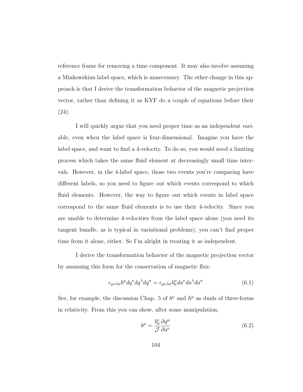reference frame for removing a time component. It may also involve assuming a Minkowskian label space, which is unnecessary. The other change in this approach is that I derive the transformation behavior of the magnetic projection vector, rather than defining it as KYF do a couple of equations before their (24).

I will quickly argue that you need proper time as an independent variable, even when the label space is four-dimensional. Imagine you have the label space, and want to find a 4-velocity. To do so, you would need a limiting process which takes the same fluid element at decreasingly small time intervals. However, in the 4-label space, those two events you're comparing have different labels, so you need to figure out which events correspond to which fluid elements. However, the way to figure out which events in label space correspond to the same fluid elements is to use their 4-velocity. Since you are unable to determine 4-velocities from the label space alone (you need its tangent bundle, as is typical in variational problems), you can't find proper time from it alone, either. So I'm alright in treating it as independent.

I derive the transformation behavior of the magnetic projection vector by assuming this form for the conservation of magnetic flux:

<span id="page-112-0"></span>
$$
\epsilon_{\mu\nu\lambda\sigma}b^{\mu}dq^{\nu}dq^{\lambda}dq^{\sigma} = \epsilon_{\mu\nu\lambda\sigma}b_0^{\mu}da^{\nu}da^{\lambda}da^{\sigma}
$$
 (6.1)

See, for example, the discussion Chap. [5](#page-80-0) of  $b^{\mu}$  and  $h^{\mu}$  as duals of three-forms in relativity. From this you can show, after some manipulation,

<span id="page-112-1"></span>
$$
b^{\mu} = \frac{b_0^{\nu}}{\mathcal{J}} \frac{\partial q^{\mu}}{\partial a^{\nu}}
$$
(6.2)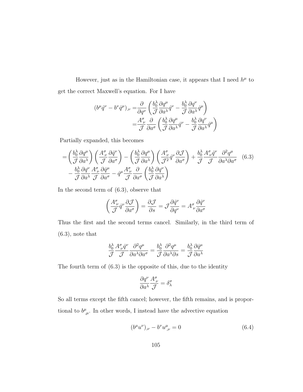However, just as in the Hamiltonian case, it appears that I need  $h^{\mu}$  to get the correct Maxwell's equation. For I have

$$
(b^{\mu}\dot{q}^{\nu} - b^{\nu}\dot{q}^{\mu})_{,\nu} = \frac{\partial}{\partial q^{\nu}} \left( \frac{b_0^{\lambda}}{\mathcal{J}} \frac{\partial q^{\mu}}{\partial a^{\lambda}} \dot{q}^{\nu} - \frac{b_0^{\lambda}}{\mathcal{J}} \frac{\partial q^{\nu}}{\partial a^{\lambda}} \dot{q}^{\mu} \right)
$$

$$
= \frac{A^{\sigma}_{\nu}}{\mathcal{J}} \frac{\partial}{\partial a^{\sigma}} \left( \frac{b_0^{\lambda}}{\mathcal{J}} \frac{\partial q^{\mu}}{\partial a^{\lambda}} \dot{q}^{\nu} - \frac{b_0^{\lambda}}{\mathcal{J}} \frac{\partial q^{\nu}}{\partial a^{\lambda}} \dot{q}^{\mu} \right)
$$

Partially expanded, this becomes

$$
= \left(\frac{b_0^{\lambda}}{\mathcal{J}}\frac{\partial q^{\mu}}{\partial a^{\lambda}}\right) \left(\frac{A^{\sigma}_{\nu}}{\mathcal{J}}\frac{\partial \dot{q}^{\nu}}{\partial a^{\sigma}}\right) - \left(\frac{b_0^{\lambda}}{\mathcal{J}}\frac{\partial q^{\mu}}{\partial a^{\lambda}}\right) \left(\frac{A^{\sigma}_{\nu}}{\mathcal{J}^2}\dot{q}^{\nu}\frac{\partial \mathcal{J}}{\partial a^{\sigma}}\right) + \frac{b_0^{\lambda}}{\mathcal{J}}\frac{A^{\sigma}_{\nu}\dot{q}^{\nu}}{\mathcal{J}}\frac{\partial^2 q^{\mu}}{\partial a^{\lambda}\partial a^{\sigma}} \quad (6.3)
$$

$$
- \frac{b_0^{\lambda}}{\mathcal{J}}\frac{\partial q^{\nu}}{\partial a^{\lambda}}\frac{A^{\sigma}_{\nu}}{\mathcal{J}}\frac{\partial \dot{q}^{\mu}}{\partial a^{\sigma}} - \dot{q}^{\mu}\frac{A^{\sigma}_{\nu}}{\mathcal{J}}\frac{\partial}{\partial a^{\sigma}} \left(\frac{b_0^{\lambda}}{\mathcal{J}}\frac{\partial q^{\nu}}{\partial a^{\lambda}}\right)
$$

In the second term of [\(6.3\)](#page-113-0), observe that

<span id="page-113-0"></span>
$$
\left(\frac{A^{\sigma}_{\nu}}{\mathcal{J}}\dot{q}^{\nu}\frac{\partial \mathcal{J}}{\partial a^{\sigma}}\right) = \frac{\partial \mathcal{J}}{\partial s} = \mathcal{J}\frac{\partial \dot{q}^{\nu}}{\partial q^{\nu}} = A^{\sigma}_{\nu}\frac{\partial \dot{q}^{\nu}}{\partial a^{\sigma}}
$$

Thus the first and the second terms cancel. Similarly, in the third term of [\(6.3\)](#page-113-0), note that

$$
\frac{b_0^{\lambda}}{\mathcal{J}} \frac{A^{\sigma}_{\ \nu} \dot{q}^{\nu}}{\mathcal{J}} \frac{\partial^2 q^{\mu}}{\partial a^{\lambda} \partial a^{\sigma}} = \frac{b_0^{\lambda}}{\mathcal{J}} \frac{\partial^2 q^{\mu}}{\partial a^{\lambda} \partial s} = \frac{b_0^{\lambda}}{\mathcal{J}} \frac{\partial \dot{q}^{\mu}}{\partial a^{\lambda}}
$$

The fourth term of [\(6.3\)](#page-113-0) is the opposite of this, due to the identity

$$
\frac{\partial q^\nu}{\partial a^\lambda}\frac{A^\sigma_{\;\nu}}{\mathcal{J}}=\delta^\sigma_\lambda
$$

So all terms except the fifth cancel; however, the fifth remains, and is proportional to  $b^{\mu}_{,\mu}$ . In other words, I instead have the advective equation

<span id="page-113-1"></span>
$$
(b^{\mu}u^{\nu})_{,\nu} - b^{\nu}u^{\mu}_{,\nu} = 0 \tag{6.4}
$$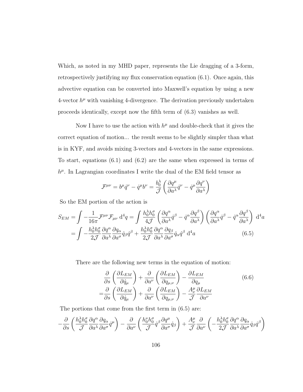Which, as noted in my MHD paper, represents the Lie dragging of a 3-form, retrospectively justifying my flux conservation equation [\(6.1\)](#page-112-0). Once again, this advective equation can be converted into Maxwell's equation by using a new  $4$ -vector  $h^{\mu}$  with vanishing 4-divergence. The derivation previously undertaken proceeds identically, except now the fifth term of [\(6.3\)](#page-113-0) vanishes as well.

Now I have to use the action with  $h^{\mu}$  and double-check that it gives the correct equation of motion... the result seems to be slightly simpler than what is in KYF, and avoids mixing 3-vectors and 4-vectors in the same expressions. To start, equations [\(6.1\)](#page-112-0) and [\(6.2\)](#page-112-1) are the same when expressed in terms of  $h^{\mu}$ . In Lagrangian coordinates I write the dual of the EM field tensor as

<span id="page-114-0"></span>
$$
\mathcal{F}^{\mu\nu} = b^{\mu}\dot{q}^{\nu} - \dot{q}^{\mu}b^{\nu} = \frac{b_0^{\lambda}}{\mathcal{J}} \left( \frac{\partial q^{\mu}}{\partial a^{\lambda}} \dot{q}^{\nu} - \dot{q}^{\mu} \frac{\partial q^{\nu}}{\partial a^{\lambda}} \right)
$$

So the EM portion of the action is

$$
S_{EM} = \int -\frac{1}{16\pi} \mathcal{F}^{\mu\nu} \mathcal{F}_{\mu\nu} d^4 q = \int \frac{h_0^{\lambda} h_0^{\sigma}}{4\mathcal{J}} \left( \frac{\partial q^{\alpha}}{\partial a^{\lambda}} \dot{q}^{\beta} - \dot{q}^{\alpha} \frac{\partial q^{\beta}}{\partial a^{\lambda}} \right) \left( \frac{\partial q^{\alpha}}{\partial a^{\lambda}} \dot{q}^{\beta} - \dot{q}^{\alpha} \frac{\partial q^{\beta}}{\partial a^{\lambda}} \right) d^4 a
$$
  
= 
$$
\int -\frac{h_0^{\lambda} h_0^{\sigma}}{2\mathcal{J}} \frac{\partial q^{\alpha}}{\partial a^{\lambda}} \frac{\partial q_{\alpha}}{\partial a^{\sigma}} \dot{q}_{\beta} \dot{q}^{\beta} + \frac{h_0^{\lambda} h_0^{\sigma}}{2\mathcal{J}} \frac{\partial q^{\alpha}}{\partial a^{\lambda}} \frac{\partial q_{\beta}}{\partial a^{\sigma}} \dot{q}_{\alpha} \dot{q}^{\beta} d^4 a
$$
(6.5)

There are the following new terms in the equation of motion:

<span id="page-114-1"></span>
$$
\frac{\partial}{\partial s} \left( \frac{\partial L_{EM}}{\partial \dot{q}_{\mu}} \right) + \frac{\partial}{\partial a^{\nu}} \left( \frac{\partial L_{EM}}{\partial q_{\mu,\nu}} \right) - \frac{\partial L_{EM}}{\partial q_{\mu}} \n= \frac{\partial}{\partial s} \left( \frac{\partial L_{EM}}{\partial \dot{q}_{\mu}} \right) + \frac{\partial}{\partial a^{\nu}} \left( \frac{\partial L_{EM}}{\partial q_{\mu,\nu}} \right) - \frac{A^{\mu}_{\nu}}{\mathcal{J}} \frac{\partial L_{EM}}{\partial a^{\nu}}
$$
\n(6.6)

The portions that come from the first term in [\(6.5\)](#page-114-0) are:

$$
-\frac{\partial}{\partial s}\left(\frac{h_0^{\lambda}h_0^{\sigma}}{\mathcal{J}}\frac{\partial q^{\alpha}}{\partial a^{\lambda}}\frac{\partial q_{\alpha}}{\partial a^{\sigma}}\dot{q}^{\mu}\right)-\frac{\partial}{\partial a^{\nu}}\left(\frac{h_0^{\nu}h_0^{\sigma}}{\mathcal{J}}\dot{q}^{\beta}\frac{\partial q^{\mu}}{\partial a^{\sigma}}\dot{q}_{\beta}\right)+\frac{A^{\mu}_{\nu}}{\mathcal{J}}\frac{\partial}{\partial a^{\nu}}\left(-\frac{h_0^{\lambda}h_0^{\sigma}}{2\mathcal{J}}\frac{\partial q^{\alpha}}{\partial a^{\lambda}}\frac{\partial q_{\alpha}}{\partial a^{\sigma}}\dot{q}_{\beta}\dot{q}^{\beta}\right)
$$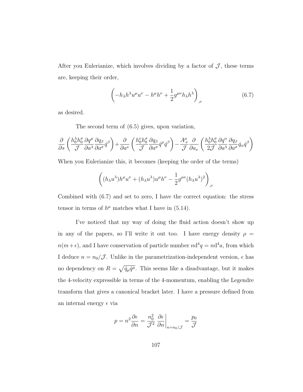After you Eulerianize, which involves dividing by a factor of  $J$ , these terms are, keeping their order,

<span id="page-115-0"></span>
$$
\left(-h_{\lambda}h^{\lambda}u^{\mu}u^{\nu}-h^{\mu}h^{\nu}+\frac{1}{2}g^{\mu\nu}h_{\lambda}h^{\lambda}\right)_{,\nu} \tag{6.7}
$$

as desired.

The second term of [\(6.5\)](#page-114-0) gives, upon variation,

$$
\frac{\partial}{\partial s}\left(\frac{h_0^{\lambda}h_0^{\sigma}}{\mathcal{J}}\frac{\partial q^{\mu}}{\partial a^{\lambda}}\frac{\partial q_{\beta}}{\partial a^{\sigma}}\dot{q}^{\beta}\right)+\frac{\partial}{\partial a^{\nu}}\left(\frac{h_0^{\nu}h_0^{\sigma}}{\mathcal{J}}\frac{\partial q_{\beta}}{\partial a^{\sigma}}\dot{q}^{\mu}\dot{q}^{\beta}\right)-\frac{A_{\ \nu }^{\mu}}{\mathcal{J}}\frac{\partial}{\partial a_{\nu}}\left(\frac{h_0^{\lambda}h_0^{\sigma}}{2\mathcal{J}}\frac{\partial q^{\alpha}}{\partial a^{\lambda}}\frac{\partial q_{\beta}}{\partial a^{\sigma}}\dot{q}_{\alpha}\dot{q}^{\beta}\right)
$$

When you Eulerianize this, it becomes (keeping the order of the terms)

$$
\left((h_{\lambda}u^{\lambda})h^{\mu}u^{\nu}+(h_{\lambda}u^{\lambda})u^{\mu}h^{\nu}-\frac{1}{2}g^{\mu\nu}(h_{\lambda}u^{\lambda})^2\right)_{,\nu}
$$

Combined with [\(6.7\)](#page-115-0) and set to zero, I have the correct equation: the stress tensor in terms of  $h^{\mu}$  matches what I have in [\(5.14\)](#page-84-0).

I've noticed that my way of doing the fluid action doesn't show up in any of the papers, so I'll write it out too. I have energy density  $\rho =$  $n(m+\epsilon)$ , and I have conservation of particle number  $nd^4q = nd^4a$ , from which I deduce  $n = n_0/\mathcal{J}$ . Unlike in the parametrization-independent version,  $\epsilon$  has no dependency on  $R = \sqrt{\dot{q}_{\mu}\dot{q}^{\mu}}$ . This seems like a disadvantage, but it makes the 4-velocity expressible in terms of the 4-momentum, enabling the Legendre transform that gives a canonical bracket later. I have a pressure defined from an internal energy  $\epsilon$  via

$$
p = n^2 \frac{\partial \epsilon}{\partial n} = \frac{n_0^2}{\mathcal{J}^2} \frac{\partial \epsilon}{\partial n} \bigg|_{n = n_0/\mathcal{J}} = \frac{p_0}{\mathcal{J}}
$$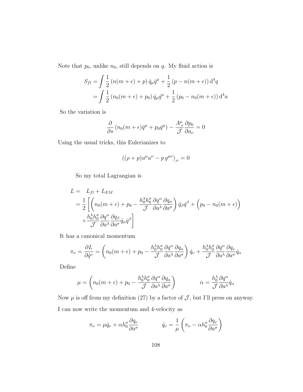Note that  $p_0$ , unlike  $n_0$ , still depends on  $q$ . My fluid action is

$$
S_{fl} = \int \frac{1}{2} (n(m + \epsilon) + p) \dot{q}_{\mu} \dot{q}^{\mu} + \frac{1}{2} (p - n(m + \epsilon)) d^4 q
$$
  
= 
$$
\int \frac{1}{2} (n_0(m + \epsilon) + p_0) \dot{q}_{\mu} \dot{q}^{\mu} + \frac{1}{2} (p_0 - n_0(m + \epsilon)) d^4 a
$$

So the variation is

$$
\frac{\partial}{\partial s} (n_0(m + \epsilon)\dot{q}^{\mu} + p_0 \dot{q}^{\mu}) - \frac{A^{\mu}_{\nu}}{\mathcal{J}} \frac{\partial p_0}{\partial a_{\nu}} = 0
$$

Using the usual tricks, this Eulerianizes to

$$
((\rho + p)u^{\mu}u^{\nu} - p g^{\mu\nu})_{,\nu} = 0
$$

So my total Lagrangian is

$$
L = L_{fl} + L_{EM}
$$
  
=  $\frac{1}{2} \left[ \left( n_0 (m + \epsilon) + p_0 - \frac{h_0^{\lambda} h_0^{\sigma}}{\mathcal{J}} \frac{\partial q^{\alpha}}{\partial a^{\lambda}} \frac{\partial q_{\alpha}}{\partial a^{\sigma}} \right) \dot{q}_{\beta} \dot{q}^{\beta} + \left( p_0 - n_0 (m + \epsilon) \right) + \frac{h_0^{\lambda} h_0^{\sigma}}{\mathcal{J}} \frac{\partial q^{\alpha}}{\partial a^{\lambda}} \dot{q}_{\alpha} \dot{q}^{\beta} \right]$ 

It has a canonical momentum

$$
\pi_{\nu} = \frac{\partial L}{\partial \dot{q}^{\nu}} = \left( n_0(m + \epsilon) + p_0 - \frac{h_0^{\lambda} h_0^{\sigma}}{\mathcal{J}} \frac{\partial q^{\alpha}}{\partial a^{\lambda}} \frac{\partial q_{\alpha}}{\partial a^{\sigma}} \right) \dot{q}_{\nu} + \frac{h_0^{\lambda} h_0^{\sigma}}{\mathcal{J}} \frac{\partial q^{\alpha}}{\partial a^{\lambda}} \frac{\partial q_{\nu}}{\partial a^{\sigma}} \dot{q}_{\alpha}
$$

Define

$$
\mu = \left( n_0(m + \epsilon) + p_0 - \frac{h_0^{\lambda} h_0^{\sigma}}{\mathcal{J}} \frac{\partial q^{\alpha}}{\partial a^{\lambda}} \frac{\partial q_{\alpha}}{\partial a^{\sigma}} \right) \qquad \alpha = \frac{h_0^{\lambda}}{\mathcal{J}} \frac{\partial q^{\alpha}}{\partial a^{\lambda}} \dot{q}_{\alpha}
$$

Now  $\mu$  is off from my definition (27) by a factor of  $\mathcal{J}$ , but I'll press on anyway. I can now write the momentum and 4-velocity as

$$
\pi_{\nu} = \mu \dot{q}_{\nu} + \alpha h_0^{\sigma} \frac{\partial q_{\nu}}{\partial a^{\sigma}} \qquad \dot{q}_{\nu} = \frac{1}{\mu} \left( \pi_{\nu} - \alpha h_0^{\sigma} \frac{\partial q_{\nu}}{\partial a^{\sigma}} \right)
$$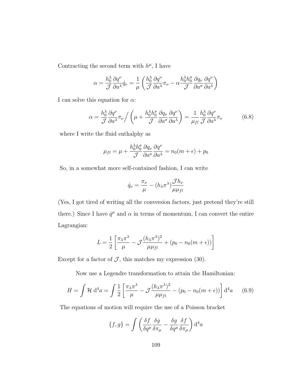Contracting the second term with  $h^{\mu}$ , I have

$$
\alpha = \frac{h_0^{\lambda}}{\mathcal{J}} \frac{\partial q^{\nu}}{\partial a^{\lambda}} \dot{q}_{\nu} = \frac{1}{\mu} \left( \frac{h_0^{\lambda}}{\mathcal{J}} \frac{\partial q^{\nu}}{\partial a^{\lambda}} \pi_{\nu} - \alpha \frac{h_0^{\lambda} h_0^{\sigma}}{\mathcal{J}} \frac{\partial q_{\nu}}{\partial a^{\sigma}} \frac{\partial q^{\nu}}{\partial a^{\lambda}} \right)
$$

I can solve this equation for  $\alpha$ :

<span id="page-117-0"></span>
$$
\alpha = \frac{h_0^{\lambda}}{\mathcal{J}} \frac{\partial q^{\nu}}{\partial a^{\lambda}} \pi_{\nu} / \left( \mu + \frac{h_0^{\lambda} h_0^{\sigma}}{\mathcal{J}} \frac{\partial q_{\nu}}{\partial a^{\sigma}} \frac{\partial q^{\nu}}{\partial a^{\lambda}} \right) = \frac{1}{\mu_{fl}} \frac{h_0^{\lambda}}{\mathcal{J}} \frac{\partial q^{\nu}}{\partial a^{\lambda}} \pi_{\nu}
$$
(6.8)

where I write the fluid enthalphy as

$$
\mu_{fl} = \mu + \frac{h_0^{\lambda} h_0^{\sigma}}{\mathcal{J}} \frac{\partial q_{\nu}}{\partial a^{\sigma}} \frac{\partial q^{\nu}}{\partial a^{\lambda}} = n_0(m + \epsilon) + p_0
$$

So, in a somewhat more self-contained fashion, I can write

$$
\dot{q}_{\nu} = \frac{\pi_{\nu}}{\mu} - (h_{\lambda} \pi^{\lambda}) \frac{\mathcal{J}h_{\nu}}{\mu \mu_{fl}}
$$

(Yes, I got tired of writing all the conversion factors, just pretend they're still there.) Since I have  $\dot{q}^{\mu}$  and  $\alpha$  in terms of momentum, I can convert the entire Lagrangian:

$$
L = \frac{1}{2} \left[ \frac{\pi_{\lambda} \pi^{\lambda}}{\mu} - \mathcal{J} \frac{(h_{\lambda} \pi^{\lambda})^2}{\mu \mu_{fl}} + (p_0 - n_0(m + \epsilon)) \right]
$$

Except for a factor of  $J$ , this matches my expression (30).

Now use a Legendre transformation to attain the Hamiltonian:

$$
H = \int \mathcal{H} \, \mathrm{d}^4 a = \int \frac{1}{2} \left[ \frac{\pi_\lambda \pi^\lambda}{\mu} - \mathcal{J} \frac{(h_\lambda \pi^\lambda)^2}{\mu \mu_{fl}} - (p_0 - n_0(m + \epsilon)) \right] \mathrm{d}^4 a \qquad (6.9)
$$

The equations of motion will require the use of a Poisson bracket

$$
\{f,g\} = \int \left(\frac{\delta f}{\delta q^{\mu}} \frac{\delta g}{\delta \pi_{\mu}} - \frac{\delta g}{\delta q^{\mu}} \frac{\delta f}{\delta \pi_{\mu}}\right) d^{4}a
$$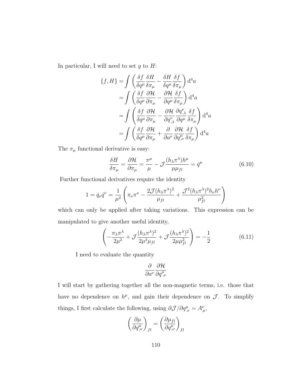In particular, I will need to set  $g$  to  $H$ :

$$
\{f, H\} = \int \left( \frac{\delta f}{\delta q^{\mu}} \frac{\delta H}{\delta \pi_{\mu}} - \frac{\delta H}{\delta q^{\mu}} \frac{\delta f}{\delta \pi_{\mu}} \right) d^{4}a
$$
  

$$
= \int \left( \frac{\delta f}{\delta q^{\mu}} \frac{\partial H}{\partial \pi_{\mu}} - \frac{\partial H}{\partial q^{\mu}} \frac{\delta f}{\delta \pi_{\mu}} \right) d^{4}a
$$
  

$$
= \int \left( \frac{\delta f}{\delta q^{\mu}} \frac{\partial H}{\partial \pi_{\mu}} - \frac{\partial H}{\partial q^{\nu}_{,\lambda}} \frac{\partial q^{\nu}_{,\lambda}}{\partial q^{\mu}} \frac{\delta f}{\delta \pi_{\mu}} \right) d^{4}a
$$
  

$$
= \int \left( \frac{\delta f}{\delta q^{\mu}} \frac{\partial H}{\partial \pi_{\mu}} + \frac{\partial}{\partial a^{\nu}} \frac{\partial H}{\partial q^{\mu}_{,\nu}} \frac{\delta f}{\delta \pi_{\mu}} \right) d^{4}a
$$

The  $\pi_\mu$  functional derivative is easy:

<span id="page-118-1"></span>
$$
\frac{\delta H}{\delta \pi_{\mu}} = \frac{\partial \mathcal{H}}{\partial \pi_{\mu}} = \frac{\pi^{\mu}}{\mu} - \mathcal{J} \frac{(h_{\lambda} \pi^{\lambda}) h^{\mu}}{\mu \mu_{fl}} = \dot{q}^{\mu} \tag{6.10}
$$

Further functional derivatives require the identity

$$
1 = \dot{q}_{\nu}\dot{q}^{\nu} = \frac{1}{\mu^2} \left( \pi_{\nu}\pi^{\nu} - \frac{2\mathcal{J}(h_{\lambda}\pi^{\lambda})^2}{\mu_{fl}} + \frac{\mathcal{J}^2(h_{\lambda}\pi^{\lambda})^2h_{\nu}h^{\nu}}{\mu_{fl}^2} \right)
$$

which can only be applied after taking variations. This expression can be manipulated to give another useful identity,

<span id="page-118-0"></span>
$$
\left(-\frac{\pi_{\lambda}\pi^{\lambda}}{2\mu^2} + \mathcal{J}\frac{(h_{\lambda}\pi^{\lambda})^2}{2\mu^2\mu_{fl}} + \mathcal{J}\frac{(h_{\lambda}\pi^{\lambda})^2}{2\mu\mu_{fl}^2}\right) = -\frac{1}{2}
$$
(6.11)

I need to evaluate the quantity

$$
\frac{\partial}{\partial a^\nu}\frac{\partial \mathcal{H}}{\partial q^\mu_{\ ,\nu}}
$$

I will start by gathering together all the non-magnetic terms, i.e. those that have no dependence on  $h^{\mu}$ , and gain their dependence on  $\mathcal{J}$ . To simplify things, I first calculate the following, using  $\partial \mathcal{J}/\partial q^{\mu}_{,\nu} = A^{\nu}_{\mu}$ ,

$$
\left(\frac{\partial \mu}{\partial q^\mu_{,\nu}}\right)_{fl} = \left(\frac{\partial \mu_{fl}}{\partial q^\mu_{,\nu}}\right)_{fl}
$$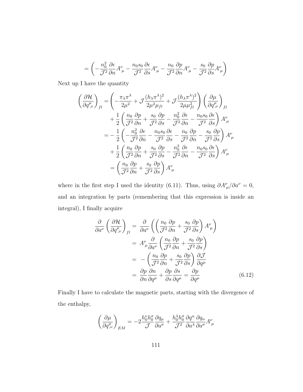$$
= \left(-\frac{n_0^2}{\mathcal{J}^2} \frac{\partial \epsilon}{\partial n} A^{\nu}_{\ \mu} - \frac{n_0 s_0}{\mathcal{J}^2} \frac{\partial \epsilon}{\partial s} A^{\nu}_{\ \mu} - \frac{n_0}{\mathcal{J}^2} \frac{\partial p}{\partial n} A^{\nu}_{\ \mu} - \frac{s_0}{\mathcal{J}^2} \frac{\partial p}{\partial s} A^{\nu}_{\ \mu}\right)
$$

Next up I have the quantity

$$
\left(\frac{\partial \mathcal{H}}{\partial q_{,\nu}^{\mu}}\right)_{fl} = \left(-\frac{\pi_{\lambda}\pi^{\lambda}}{2\mu^{2}} + \mathcal{J}\frac{(h_{\lambda}\pi^{\lambda})^{2}}{2\mu^{2}\mu_{fl}} + \mathcal{J}\frac{(h_{\lambda}\pi^{\lambda})^{2}}{2\mu\mu_{fl}^{2}}\right) \left(\frac{\partial\mu}{\partial q_{,\nu}^{\mu}}\right)_{fl}
$$
  
+ 
$$
\frac{1}{2} \left(\frac{n_{0}}{\mathcal{J}^{2}} \frac{\partial p}{\partial n} + \frac{s_{0}}{\mathcal{J}^{2}} \frac{\partial p}{\partial s} - \frac{n_{0}^{2}}{\mathcal{J}^{2}} \frac{\partial \epsilon}{\partial n} - \frac{n_{0}s_{0}}{\mathcal{J}^{2}} \frac{\partial \epsilon}{\partial s}\right) A_{\mu}^{\nu}
$$
  
= 
$$
-\frac{1}{2} \left(-\frac{n_{0}^{2}}{\mathcal{J}^{2}} \frac{\partial \epsilon}{\partial n} - \frac{n_{0}s_{0}}{\mathcal{J}^{2}} \frac{\partial \epsilon}{\partial s} - \frac{n_{0}}{\mathcal{J}^{2}} \frac{\partial p}{\partial n} - \frac{s_{0}}{\mathcal{J}^{2}} \frac{\partial p}{\partial s}\right) A_{\mu}^{\nu}
$$
  
+ 
$$
\frac{1}{2} \left(\frac{n_{0}}{\mathcal{J}^{2}} \frac{\partial p}{\partial n} + \frac{s_{0}}{\mathcal{J}^{2}} \frac{\partial p}{\partial s} - \frac{n_{0}^{2}}{\mathcal{J}^{2}} \frac{\partial \epsilon}{\partial n} - \frac{n_{0}s_{0}}{\mathcal{J}^{2}} \frac{\partial \epsilon}{\partial s}\right) A_{\mu}^{\nu}
$$
  
= 
$$
\left(\frac{n_{0}}{\mathcal{J}^{2}} \frac{\partial p}{\partial n} + \frac{s_{0}}{\mathcal{J}^{2}} \frac{\partial p}{\partial s}\right) A_{\mu}^{\nu}
$$

where in the first step I used the identity [\(6.11\)](#page-118-0). Thus, using  $\partial A^{\nu}_{\mu}/\partial a^{\nu} = 0$ , and an integration by parts (remembering that this expression is inside an integral), I finally acquire

$$
\frac{\partial}{\partial a^{\nu}} \left( \frac{\partial \mathcal{H}}{\partial q^{\mu}_{,\nu}} \right)_{fl} = \frac{\partial}{\partial a^{\nu}} \left( \left( \frac{n_0}{\mathcal{J}^2} \frac{\partial p}{\partial n} + \frac{s_0}{\mathcal{J}^2} \frac{\partial p}{\partial s} \right) A^{\nu}_{\mu} \right)
$$

$$
= A^{\nu}_{\mu} \frac{\partial}{\partial a^{\nu}} \left( \frac{n_0}{\mathcal{J}^2} \frac{\partial p}{\partial n} + \frac{s_0}{\mathcal{J}^2} \frac{\partial p}{\partial s} \right)
$$

$$
= - \left( \frac{n_0}{\mathcal{J}^2} \frac{\partial p}{\partial n} + \frac{s_0}{\mathcal{J}^2} \frac{\partial p}{\partial s} \right) \frac{\partial \mathcal{J}}{\partial q^{\mu}}
$$

$$
= \frac{\partial p}{\partial n} \frac{\partial n}{\partial q^{\mu}} + \frac{\partial p}{\partial s} \frac{\partial s}{\partial q^{\mu}} = \frac{\partial p}{\partial q^{\mu}}
$$
(6.12)

Finally I have to calculate the magnetic parts, starting with the divergence of the enthalpy,

<span id="page-119-0"></span>
$$
\left(\frac{\partial \mu}{\partial q^\mu_{,\nu}}\right)_{EM} = -2\frac{h_0^\nu h_0^\sigma}{\mathcal{J}}\frac{\partial q_\mu}{\partial a^\sigma} + \frac{h_0^\lambda h_0^\sigma}{\mathcal{J}^2}\frac{\partial q^\alpha}{\partial a^\lambda}\frac{\partial q_\alpha}{\partial a^\sigma}A^\nu_{\ \mu}
$$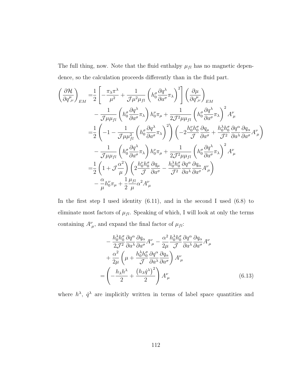The full thing, now. Note that the fluid enthalpy  $\mu_{fl}$  has no magnetic dependence, so the calculation proceeds differently than in the fluid part.

$$
\begin{split}\n&\left(\frac{\partial \mathcal{H}}{\partial q_{,\nu}^{\mu}}\right)_{EM} = \frac{1}{2} \left[ -\frac{\pi_{\lambda}\pi^{\lambda}}{\mu^{2}} + \frac{1}{\mathcal{J}\mu^{2}\mu_{fl}} \left( h_{0}^{\sigma} \frac{\partial q^{\lambda}}{\partial a^{\sigma}} \pi_{\lambda} \right)^{2} \right] \left( \frac{\partial \mu}{\partial q_{,\nu}^{\mu}} \right)_{EM} \\
&- \frac{1}{\mathcal{J}\mu\mu_{fl}} \left( h_{0}^{\sigma} \frac{\partial q^{\lambda}}{\partial a^{\sigma}} \pi_{\lambda} \right) h_{0}^{\nu} \pi_{\mu} + \frac{1}{2\mathcal{J}^{2}\mu\mu_{fl}} \left( h_{0}^{\sigma} \frac{\partial q^{\lambda}}{\partial a^{\sigma}} \pi_{\lambda} \right)^{2} A_{\mu}^{\nu} \\
&= \frac{1}{2} \left( -1 - \frac{1}{\mathcal{J}\mu\mu_{fl}^{2}} \left( h_{0}^{\sigma} \frac{\partial q^{\lambda}}{\partial a^{\sigma}} \pi_{\lambda} \right)^{2} \right) \left( -2\frac{h_{0}^{\nu}h_{0}^{\sigma}}{\mathcal{J}} \frac{\partial q_{\mu}}{\partial a^{\sigma}} + \frac{h_{0}^{\lambda}h_{0}^{\sigma}}{\mathcal{J}^{2}} \frac{\partial q^{\alpha}}{\partial a^{\lambda}} \frac{\partial q_{\alpha}}{\partial a^{\sigma}} A_{\mu}^{\nu} \right) \\
&- \frac{1}{\mathcal{J}\mu\mu_{fl}} \left( h_{0}^{\sigma} \frac{\partial q^{\lambda}}{\partial a^{\sigma}} \pi_{\lambda} \right) h_{0}^{\nu} \pi_{\mu} + \frac{1}{2\mathcal{J}^{2}\mu\mu_{fl}} \left( h_{0}^{\sigma} \frac{\partial q^{\lambda}}{\partial a^{\sigma}} \pi_{\lambda} \right)^{2} A_{\mu}^{\nu} \\
&= \frac{1}{2} \left( 1 + \mathcal{J} \frac{\alpha^{2}}{\mu} \right) \left( 2\frac{h_{0}^{\nu}h_{0}^{\sigma}}{\mathcal{J}} \frac{\partial q_{\mu}}{\partial a^{\sigma}} - \frac{h_{0}^{\lambda}h_{0}^{\sigma}}{\mathcal{J}^{2}} \frac{\partial q^{\alpha}}{\partial a^{\lambda}} \frac
$$

In the first step I used identity  $(6.11)$ , and in the second I used  $(6.8)$  to eliminate most factors of  $\mu_{fl}$ . Speaking of which, I will look at only the terms containing  $A^{\nu}_{\mu}$ , and expand the final factor of  $\mu_{fl}$ :

<span id="page-120-0"></span>
$$
-\frac{h_0^{\lambda}h_0^{\sigma}}{2\mathcal{J}^2} \frac{\partial q^{\alpha}}{\partial a^{\lambda}} \frac{\partial q_{\alpha}}{\partial a^{\sigma}} A^{\nu}_{\ \mu} - \frac{\alpha^2}{2\mu} \frac{h_0^{\lambda}h_0^{\sigma}}{\mathcal{J}} \frac{\partial q^{\alpha}}{\partial a^{\lambda}} \frac{\partial q_{\alpha}}{\partial a^{\sigma}} A^{\nu}_{\ \mu} + \frac{\alpha^2}{2\mu} \left( \mu + \frac{h_0^{\lambda}h_0^{\sigma}}{\mathcal{J}} \frac{\partial q^{\alpha}}{\partial a^{\lambda}} \frac{\partial q_{\alpha}}{\partial a^{\sigma}} \right) A^{\nu}_{\ \mu} = \left( -\frac{h_{\lambda}h^{\lambda}}{2} + \frac{(h_{\lambda}\dot{q}^{\lambda})^2}{2} \right) A^{\nu}_{\ \mu}
$$
(6.13)

where  $h^{\lambda}$ ,  $\dot{q}^{\lambda}$  are implicitly written in terms of label space quantities and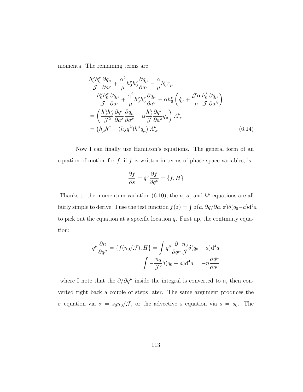momenta. The remaining terms are

$$
\frac{h_0^{\nu}h_0^{\sigma}}{\mathcal{J}} \frac{\partial q_{\mu}}{\partial a^{\sigma}} + \frac{\alpha^2}{\mu} h_0^{\nu}h_0^{\sigma} \frac{\partial q_{\mu}}{\partial a^{\sigma}} - \frac{\alpha}{\mu} h_0^{\nu} \pi_{\mu} \n= \frac{h_0^{\nu}h_0^{\sigma}}{\mathcal{J}} \frac{\partial q_{\mu}}{\partial a^{\sigma}} + \frac{\alpha^2}{\mu} h_0^{\nu}h_0^{\sigma} \frac{\partial q_{\mu}}{\partial a^{\sigma}} - \alpha h_0^{\nu} \left( \dot{q}_{\mu} + \frac{\mathcal{J}\alpha}{\mu} \frac{h_0^{\lambda}}{\mathcal{J}} \frac{\partial q_{\mu}}{\partial a^{\lambda}} \right) \n= \left( \frac{h_0^{\lambda}h_0^{\sigma}}{\mathcal{J}^2} \frac{\partial q^{\tau}}{\partial a^{\lambda}} \frac{\partial q_{\mu}}{\partial a^{\sigma}} - \alpha \frac{h_0^{\lambda}}{\mathcal{J}} \frac{\partial q^{\tau}}{\partial a^{\lambda}} \dot{q}_{\mu} \right) A_{\tau}^{\nu} \n= \left( h_{\mu}h^{\sigma} - (h_{\lambda}\dot{q}^{\lambda})h^{\sigma}\dot{q}_{\mu} \right) A_{\sigma}^{\nu}
$$
\n(6.14)

Now I can finally use Hamilton's equations. The general form of an equation of motion for  $f$ , if  $f$  is written in terms of phase-space variables, is

<span id="page-121-0"></span>
$$
\frac{\partial f}{\partial s} = \dot{q}^{\nu} \frac{\partial f}{\partial q^{\nu}} = \{f, H\}
$$

Thanks to the momentum variation [\(6.10\)](#page-118-1), the n,  $\sigma$ , and  $h^{\mu}$  equations are all fairly simple to derive. I use the test function  $f(z) = \int z(a, \partial q/\partial a, \pi) \delta(q_0-a) d^4 a$ to pick out the equation at a specific location  $q$ . First up, the continuity equation:

$$
\dot{q}^{\mu} \frac{\partial n}{\partial q^{\mu}} = \{ f(n_0/\mathcal{J}), H \} = \int \dot{q}^{\mu} \frac{\partial}{\partial q^{\mu}} \frac{n_0}{\mathcal{J}} \delta(q_0 - a) d^4 a
$$

$$
= \int -\frac{n_0}{\mathcal{J}^2} \delta(q_0 - a) d^4 a = -n \frac{\partial \dot{q}^{\mu}}{\partial q^{\mu}}
$$

where I note that the  $\partial/\partial q^{\mu}$  inside the integral is converted to a, then converted right back a couple of steps later. The same argument produces the σ equation via  $\sigma = s_0 n_0 / \mathcal{J}$ , or the advective s equation via  $s = s_0$ . The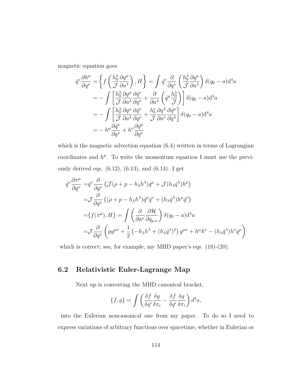magnetic equation goes

$$
\dot{q}^{\nu}\frac{\partial h^{\mu}}{\partial q^{\nu}} = \left\{ f\left(\frac{h_0^{\lambda}}{\mathcal{J}} \frac{\partial q^{\mu}}{\partial a^{\lambda}}\right), H \right\} = \int \dot{q}^{\nu} \frac{\partial}{\partial q^{\nu}} \left(\frac{h_0^{\lambda}}{\mathcal{J}} \frac{\partial q^{\mu}}{\partial a^{\lambda}}\right) \delta(q_0 - a) d^4 a
$$
  
\n
$$
= - \int \left[ \frac{h_0^{\lambda}}{\mathcal{J}} \frac{\partial q^{\mu}}{\partial a^{\lambda}} \frac{\partial q^{\nu}}{\partial q^{\nu}} + \frac{\partial}{\partial a^{\lambda}} \left(\dot{q}^{\mu} \frac{h_0^{\lambda}}{\mathcal{J}}\right) \right] \delta(q_0 - a) d^4 a
$$
  
\n
$$
= - \int \left[ \frac{h_0^{\lambda}}{\mathcal{J}} \frac{\partial q^{\mu}}{\partial a^{\lambda}} \frac{\partial q^{\nu}}{\partial q^{\nu}} + \frac{h_0^{\nu}}{\mathcal{J}} \frac{\partial q^{\lambda}}{\partial a^{\nu}} \frac{\partial q^{\mu}}{\partial q^{\lambda}} \right] \delta(q_0 - a) d^4 a
$$
  
\n
$$
= - h^{\mu} \frac{\partial \dot{q}^{\nu}}{\partial q^{\nu}} + h^{\nu} \frac{\partial \dot{q}^{\mu}}{\partial q^{\nu}}
$$

which is the magnetic advection equation  $(6.4)$  written in terms of Lagrangian coordinates and  $h^{\mu}$ . To write the momentum equation I must use the previously derived eqs.  $(6.12)$ ,  $(6.13)$ , and  $(6.14)$ . I get

$$
\dot{q}^{\nu} \frac{\partial \pi^{\mu}}{\partial q^{\nu}} = \dot{q}^{\nu} \frac{\partial}{\partial q^{\nu}} \left( \mathcal{J}(\rho + p - h_{\lambda} h^{\lambda}) \dot{q}^{\mu} + \mathcal{J}(h_{\lambda} \dot{q}^{\lambda}) h^{\mu} \right)
$$
\n
$$
= \mathcal{J} \frac{\partial}{\partial q^{\nu}} \left( (\rho + p - h_{\lambda} h^{\lambda}) \dot{q}^{\mu} \dot{q}^{\nu} + (h_{\lambda} \dot{q}^{\lambda}) h^{\mu} \dot{q}^{\nu} \right)
$$
\n
$$
= \{ f(\pi^{\mu}), H \} = \int \left( \frac{\partial}{\partial a^{\nu}} \frac{\partial \mathcal{H}}{\partial q_{\mu, \nu}} \right) \delta(q_0 - a) d^4 a
$$
\n
$$
= \mathcal{J} \frac{\partial}{\partial q^{\nu}} \left( p g^{\mu \nu} + \frac{1}{2} \left( -h_{\lambda} h^{\lambda} + (h_{\lambda} \dot{q}^{\lambda})^2 \right) g^{\mu \nu} + h^{\mu} h^{\nu} - (h_{\lambda} \dot{q}^{\lambda}) h^{\nu} \dot{q}^{\mu} \right)
$$

which is correct; see, for example, my MHD paper's eqs. (18)-(20).

### 6.2 Relativistic Euler-Lagrange Map

Next up is converting the MHD canonical bracket,

$$
\{f,g\} = \int \left(\frac{\delta f}{\delta q^i} \frac{\delta g}{\delta \pi_i} - \frac{\delta f}{\delta q^i} \frac{\delta g}{\delta \pi_i}\right) d^4 a,
$$

into the Eulerian noncanonical one from my paper. To do so I need to express variations of arbitrary functions over spacetime, whether in Eulerian or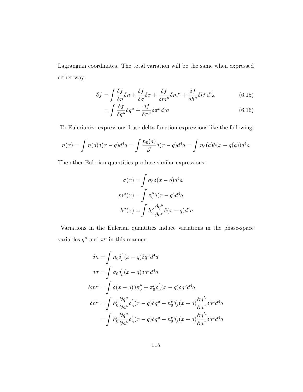Lagrangian coordinates. The total variation will be the same when expressed either way:

$$
\delta f = \int \frac{\delta f}{\delta n} \delta n + \frac{\delta f}{\delta \sigma} \delta \sigma + \frac{\delta f}{\delta m^{\mu}} \delta m^{\mu} + \frac{\delta f}{\delta h^{\mu}} \delta h^{\mu} d^{4} x \tag{6.15}
$$

<span id="page-123-0"></span>
$$
=\int \frac{\delta f}{\delta q^{\mu}} \delta q^{\mu} + \frac{\delta f}{\delta \pi^{\mu}} \delta \pi^{\mu} d^{4} a \tag{6.16}
$$

To Eulerianize expressions I use delta-function expressions like the following:

$$
n(x) = \int n(q)\delta(x - q)d^4q = \int \frac{n_0(a)}{\mathcal{J}} \delta(x - q)d^4q = \int n_0(a)\delta(x - q(a))d^4a
$$

The other Eulerian quantities produce similar expressions:

$$
\sigma(x) = \int \sigma_0 \delta(x - q) d^4 a
$$

$$
m^{\mu}(x) = \int \pi_0^{\mu} \delta(x - q) d^4 a
$$

$$
h^{\mu}(x) = \int h_0^{\nu} \frac{\partial q^{\mu}}{\partial a^{\nu}} \delta(x - q) d^4 a
$$

Variations in the Eulerian quantities induce variations in the phase-space variables  $q^{\mu}$  and  $\pi^{\mu}$  in this manner:

$$
\delta n = \int n_0 \delta'_{\mu} (x - q) \delta q^{\mu} d^4 a
$$
  
\n
$$
\delta \sigma = \int \sigma_0 \delta'_{\mu} (x - q) \delta q^{\mu} d^4 a
$$
  
\n
$$
\delta m^{\mu} = \int \delta (x - q) \delta \pi_0^{\mu} + \pi_0^{\mu} \delta'_{\nu} (x - q) \delta q^{\nu} d^4 a
$$
  
\n
$$
\delta h^{\mu} = \int h_0^{\nu} \frac{\partial q^{\mu}}{\partial a^{\nu}} \delta'_{\lambda} (x - q) \delta q^{\mu} - h_0^{\nu} \delta'_{\lambda} (x - q) \frac{\partial q^{\lambda}}{\partial a^{\nu}} \delta q^{\mu} d^4 a
$$
  
\n
$$
= \int h_0^{\nu} \frac{\partial q^{\mu}}{\partial a^{\nu}} \delta'_{\lambda} (x - q) \delta q^{\mu} - h_0^{\nu} \delta'_{\lambda} (x - q) \frac{\partial q^{\lambda}}{\partial a^{\nu}} \delta q^{\mu} d^4 a
$$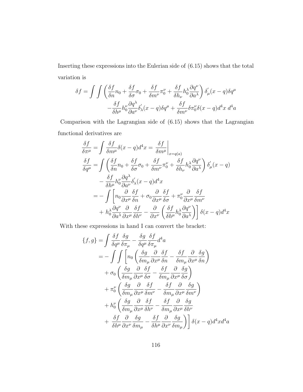Inserting these expressions into the Eulerian side of [\(6.15\)](#page-123-0) shows that the total variation is

$$
\delta f = \int \int \left( \frac{\delta f}{\delta n} n_0 + \frac{\delta f}{\delta \sigma} \sigma_0 + \frac{\delta f}{\delta m^\nu} \pi_0^\nu + \frac{\delta f}{\delta h_\nu} h_0^\lambda \frac{\partial q^\nu}{\partial a^\lambda} \right) \delta_\mu^\prime(x - q) \delta q^\mu - \frac{\delta f}{\delta h^\mu} h_0^\nu \frac{\partial q^\lambda}{\partial a^\nu} \delta_\lambda^\prime(x - q) \delta q^\mu + \frac{\delta f}{\delta m^\nu} \delta \pi_0^\nu \delta(x - q) d^4 x \ d^4 a
$$

Comparison with the Lagrangian side of [\(6.15\)](#page-123-0) shows that the Lagrangian functional derivatives are

$$
\frac{\delta f}{\delta \pi^{\mu}} = \int \frac{\delta f}{\delta m^{\mu}} \delta(x - q) d^{4}x = \frac{\delta f}{\delta m^{\mu}} \Big|_{x = q(a)}
$$
  

$$
\frac{\delta f}{\delta q^{\mu}} = \int \left( \frac{\delta f}{\delta n} n_{0} + \frac{\delta f}{\delta \sigma} \sigma_{0} + \frac{\delta f}{\delta m^{\nu}} n_{0}^{\nu} + \frac{\delta f}{\delta h_{\nu}} h_{0}^{\lambda} \frac{\partial q^{\nu}}{\partial a^{\lambda}} \right) \delta_{\mu}^{\prime}(x - q)
$$

$$
- \frac{\delta f}{\delta h^{\mu}} h_{0}^{\nu} \frac{\partial q^{\lambda}}{\partial a^{\nu}} \delta_{\lambda}^{\prime}(x - q) d^{4}x
$$

$$
= - \int \left[ n_{0} \frac{\partial}{\partial x^{\mu}} \frac{\delta f}{\delta n} + \sigma_{0} \frac{\partial}{\partial x^{\mu}} \frac{\delta f}{\delta \sigma} + n_{0}^{\nu} \frac{\partial}{\partial x^{\mu}} \frac{\delta f}{\delta m^{\nu}} \right. \\ + h_{0}^{\lambda} \frac{\partial q^{\nu}}{\partial a^{\lambda}} \frac{\partial}{\partial x^{\mu}} \frac{\delta f}{\delta h^{\nu}} - \frac{\partial}{\partial x^{\nu}} \left( \frac{\delta f}{\delta h^{\mu}} h_{0}^{\lambda} \frac{\partial q^{\nu}}{\partial a^{\lambda}} \right) \right] \delta(x - q) d^{4}x
$$

With these expressions in hand I can convert the bracket:

$$
\{f,g\} = \int \frac{\delta f}{\delta q^{\mu}} \frac{\delta g}{\delta \pi_{\mu}} - \frac{\delta g}{\delta q^{\mu}} \frac{\delta f}{\delta \pi_{\mu}} d^{4}a
$$
  
\n
$$
= - \int \int \left[ n_{0} \left( \frac{\delta g}{\delta m_{\mu}} \frac{\partial}{\partial x^{\mu}} \frac{\delta f}{\delta n} - \frac{\delta f}{\delta m_{\mu}} \frac{\partial}{\partial x^{\mu}} \frac{\delta g}{\delta n} \right) \right.
$$
  
\n
$$
+ \sigma_{0} \left( \frac{\delta g}{\delta m_{\mu}} \frac{\partial}{\partial x^{\mu}} \frac{\delta f}{\delta \sigma} - \frac{\delta f}{\delta m_{\mu}} \frac{\partial}{\partial x^{\mu}} \frac{\delta g}{\delta \sigma} \right)
$$
  
\n
$$
+ \pi_{0}^{\nu} \left( \frac{\delta g}{\delta m_{\mu}} \frac{\partial}{\partial x^{\mu}} \frac{\delta f}{\delta m^{\nu}} - \frac{\delta f}{\delta m_{\mu}} \frac{\partial}{\partial x^{\mu}} \frac{\delta g}{\delta m^{\nu}} \right)
$$
  
\n
$$
+ h_{0}^{\nu} \left( \frac{\delta g}{\delta m_{\mu}} \frac{\partial}{\partial x^{\mu}} \frac{\delta f}{\delta h^{\nu}} - \frac{\delta f}{\delta m_{\mu}} \frac{\partial}{\partial x^{\mu}} \frac{\delta g}{\delta h^{\nu}} \right)
$$
  
\n
$$
+ \frac{\delta f}{\delta h^{\mu}} \frac{\partial}{\partial x^{\nu}} \frac{\delta g}{\delta m_{\mu}} - \frac{\delta f}{\delta h^{\mu}} \frac{\partial}{\partial x^{\nu}} \frac{\delta g}{\delta m_{\mu}} \right) \left[ \delta (x - q) d^{4}x d^{4}a \right]
$$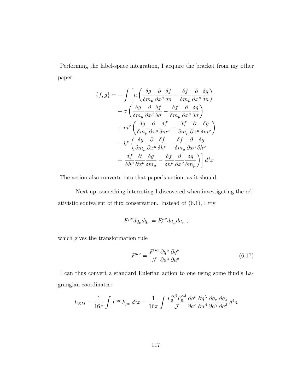Performing the label-space integration, I acquire the bracket from my other paper:

$$
\{f,g\} = -\int \left[ n \left( \frac{\delta g}{\delta m_{\mu}} \frac{\partial}{\partial x^{\mu}} \frac{\delta f}{\delta n} - \frac{\delta f}{\delta m_{\mu}} \frac{\partial}{\partial x^{\mu}} \frac{\delta g}{\delta n} \right) \right. \\
\left. + \sigma \left( \frac{\delta g}{\delta m_{\mu}} \frac{\partial}{\partial x^{\mu}} \frac{\delta f}{\delta \sigma} - \frac{\delta f}{\delta m_{\mu}} \frac{\partial}{\partial x^{\mu}} \frac{\delta g}{\delta \sigma} \right) \right. \\
\left. + m^{\nu} \left( \frac{\delta g}{\delta m_{\mu}} \frac{\partial}{\partial x^{\mu}} \frac{\delta f}{\delta m^{\nu}} - \frac{\delta f}{\delta m_{\mu}} \frac{\partial}{\partial x^{\mu}} \frac{\delta g}{\delta m^{\nu}} \right) \right. \\
\left. + h^{\nu} \left( \frac{\delta g}{\delta m_{\mu}} \frac{\partial}{\partial x^{\mu}} \frac{\delta f}{\delta h^{\nu}} - \frac{\delta f}{\delta m_{\mu}} \frac{\partial}{\partial x^{\mu}} \frac{\delta g}{\delta h^{\nu}} \right) \right. \\
\left. + \frac{\delta f}{\delta h^{\mu}} \frac{\partial}{\partial x^{\nu}} \frac{\delta g}{\delta m_{\mu}} - \frac{\delta f}{\delta h^{\mu}} \frac{\partial}{\partial x^{\nu}} \frac{\delta g}{\delta m_{\mu}} \right) \right] d^{4}x
$$

The action also converts into that paper's action, as it should.

Next up, something interesting I discovered when investigating the relativistic equivalent of flux conservation. Instead of [\(6.1\)](#page-112-0), I try

$$
F^{\mu\nu}dq_{\mu}dq_{\nu} = F_0^{\mu\nu}da_{\mu}da_{\nu} ,
$$

which gives the transformation rule

<span id="page-125-0"></span>
$$
F^{\mu\nu} = \frac{F^{\lambda\sigma}}{\mathcal{J}} \frac{\partial q^{\mu}}{\partial a^{\lambda}} \frac{\partial q^{\nu}}{\partial a^{\sigma}}
$$
(6.17)

I can thus convert a standard Eulerian action to one using some fluid's Lagrangian coordinates:

$$
L_{EM} = \frac{1}{16\pi} \int F^{\mu\nu} F_{\mu\nu} d^4x = \frac{1}{16\pi} \int \frac{F_0^{\alpha\beta} F_0^{\gamma\delta}}{\mathcal{J}} \frac{\partial q^{\nu}}{\partial a^{\alpha}} \frac{\partial q^{\lambda}}{\partial a^{\beta}} \frac{\partial q_{\nu}}{\partial a^{\delta}} \frac{\partial q_{\lambda}}{\partial a^{\delta}} d^4a
$$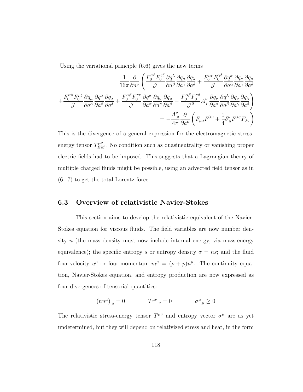Using the variational principle [\(6.6\)](#page-114-1) gives the new terms

$$
\frac{1}{16\pi} \frac{\partial}{\partial a^{\nu}} \left( \frac{F_0^{\nu\beta} F_0^{\gamma\delta}}{\mathcal{J}} \frac{\partial q_{\mu}}{\partial a^{\beta}} \frac{\partial q_{\lambda}}{\partial a^{\gamma}} + \frac{F_0^{\alpha\nu} F_0^{\gamma\delta}}{\mathcal{J}} \frac{\partial q^{\sigma}}{\partial a^{\alpha}} \frac{\partial q_{\sigma}}{\partial a^{\gamma}} \frac{\partial q_{\mu}}{\partial a^{\delta}} \right) + \frac{F_0^{\alpha\beta} F_0^{\nu\delta}}{\mathcal{J}} \frac{\partial q_{\mu}}{\partial a^{\alpha}} \frac{\partial q_{\lambda}}{\partial a^{\beta}} + \frac{F_0^{\alpha\beta} F_0^{\gamma\nu}}{\mathcal{J}} \frac{\partial q^{\sigma}}{\partial a^{\alpha}} \frac{\partial q_{\sigma}}{\partial a^{\gamma}} \frac{\partial q_{\mu}}{\partial a^{\beta}} - \frac{F_0^{\alpha\beta} F_0^{\gamma\delta}}{\mathcal{J}^2} A^{\nu}_{\mu} \frac{\partial q_{\nu}}{\partial a^{\alpha}} \frac{\partial q^{\lambda}}{\partial a^{\beta}} \frac{\partial q_{\nu}}{\partial a^{\delta}} \frac{\partial q_{\lambda}}{\partial a^{\delta}} \right) = -\frac{A^{\nu}_{\mu}}{4\pi} \frac{\partial}{\partial a^{\nu}} \left( F_{\mu\lambda} F^{\lambda\nu} + \frac{1}{4} \delta^{\nu}_{\mu} F^{\lambda\sigma} F_{\lambda\sigma} \right)
$$

This is the divergence of a general expression for the electromagnetic stressenergy tensor  $T_{EM}^{\mu\nu}$ . No condition such as quasineutrality or vanishing proper electric fields had to be imposed. This suggests that a Lagrangian theory of multiple charged fluids might be possible, using an advected field tensor as in [\(6.17\)](#page-125-0) to get the total Lorentz force.

#### 6.3 Overview of relativistic Navier-Stokes

This section aims to develop the relativistic equivalent of the Navier-Stokes equation for viscous fluids. The field variables are now number density  $n$  (the mass density must now include internal energy, via mass-energy equivalence); the specific entropy s or entropy density  $\sigma = ns$ ; and the fluid four-velocity  $u^{\mu}$  or four-momentum  $m^{\mu} = (\rho + p)u^{\mu}$ . The continuity equation, Navier-Stokes equation, and entropy production are now expressed as four-divergences of tensorial quantities:

$$
(nu^{\mu})_{,\mu} = 0 \qquad \qquad T^{\mu\nu}_{\quad ,\nu} = 0 \qquad \qquad \sigma^{\mu}_{\quad ,\mu} \ge 0
$$

The relativistic stress-energy tensor  $T^{\mu\nu}$  and entropy vector  $\sigma^{\mu}$  are as yet undetermined, but they will depend on relativized stress and heat, in the form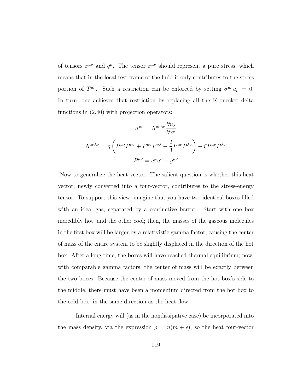of tensors  $\sigma^{\mu\nu}$  and  $q^{\mu}$ . The tensor  $\sigma^{\mu\nu}$  should represent a pure stress, which means that in the local rest frame of the fluid it only contributes to the stress portion of  $T^{\mu\nu}$ . Such a restriction can be enforced by setting  $\sigma^{\mu\nu}u_{\nu} = 0$ . In turn, one achieves that restriction by replacing all the Kronecker delta functions in [\(2.40\)](#page-46-0) with projection operators:

$$
\sigma^{\mu\nu} = \Lambda^{\mu\nu\lambda\sigma} \frac{\partial u_{\lambda}}{\partial x^{\sigma}}
$$

$$
\Lambda^{\mu\nu\lambda\sigma} = \eta \left( P^{\mu\lambda} P^{\nu\sigma} + P^{\mu\sigma} P^{\nu\lambda} - \frac{2}{3} P^{\mu\nu} P^{\lambda\sigma} \right) + \zeta P^{\mu\nu} P^{\lambda\sigma}
$$

$$
P^{\mu\nu} = u^{\mu} u^{\nu} - g^{\mu\nu}
$$

Now to generalize the heat vector. The salient question is whether this heat vector, newly converted into a four-vector, contributes to the stress-energy tensor. To support this view, imagine that you have two identical boxes filled with an ideal gas, separated by a conductive barrier. Start with one box incredibly hot, and the other cool; then, the masses of the gaseous molecules in the first box will be larger by a relativistic gamma factor, causing the center of mass of the entire system to be slightly displaced in the direction of the hot box. After a long time, the boxes will have reached thermal equilibrium; now, with comparable gamma factors, the center of mass will be exactly between the two boxes. Because the center of mass moved from the hot box's side to the middle, there must have been a momentum directed from the hot box to the cold box, in the same direction as the heat flow.

Internal energy will (as in the nondissipative case) be incorporated into the mass density, via the expression  $\rho = n(m + \epsilon)$ , so the heat four-vector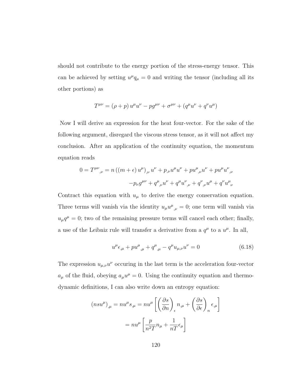should not contribute to the energy portion of the stress-energy tensor. This can be achieved by setting  $u^{\mu}q_{\mu}=0$  and writing the tensor (including all its other portions) as

$$
T^{\mu\nu} = (\rho + p) u^{\mu} u^{\nu} - p g^{\mu\nu} + \sigma^{\mu\nu} + (q^{\mu} u^{\nu} + q^{\nu} u^{\mu})
$$

Now I will derive an expression for the heat four-vector. For the sake of the following argument, disregard the viscous stress tensor, as it will not affect my conclusion. After an application of the continuity equation, the momentum equation reads

$$
0 = T^{\mu\nu}{}_{,\nu} = n ((m + \epsilon) u^{\mu})_{,\nu} u^{\nu} + p_{,\nu} u^{\mu} u^{\nu} + p u^{\mu}{}_{,\nu} u^{\nu} + p u^{\mu} u^{\nu}{}_{,\nu}
$$

$$
-p_{\nu} g^{\mu\nu} + q^{\mu}{}_{,\nu} u^{\nu} + q^{\mu} u^{\nu}{}_{,\nu} + q^{\nu}{}_{,\nu} u^{\mu} + q^{\nu} u^{\mu}{}_{\nu}
$$

Contract this equation with  $u_{\mu}$  to derive the energy conservation equation. Three terms will vanish via the identity  $u_{\mu}u^{\mu}{}_{,\nu}=0$ ; one term will vanish via  $u_{\mu}q^{\mu}=0$ ; two of the remaining pressure terms will cancel each other; finally, a use of the Leibniz rule will transfer a derivative from a  $q^{\mu}$  to a  $u^{\mu}$ . In all,

<span id="page-128-0"></span>
$$
u^{\mu} \epsilon_{,\mu} + p u^{\mu}_{,\mu} + q^{\mu}_{,\mu} - q^{\mu} u_{\mu,\nu} u^{\nu} = 0 \tag{6.18}
$$

The expression  $u_{\mu,\nu}u^{\nu}$  occuring in the last term is the acceleration four-vector  $a_{\mu}$  of the fluid, obeying  $a_{\mu}u^{\mu}=0$ . Using the continuity equation and thermodynamic definitions, I can also write down an entropy equation:

$$
(nsu^{\mu})_{,\mu} = nu^{\mu}s_{,\mu} = nu^{\mu} \left[ \left( \frac{\partial s}{\partial n} \right)_{\epsilon} n_{,\mu} + \left( \frac{\partial s}{\partial \epsilon} \right)_{n} \epsilon_{,\mu} \right]
$$

$$
= nu^{\mu} \left[ \frac{p}{n^2 T} n_{\mu} + \frac{1}{n T} \epsilon_{\mu} \right]
$$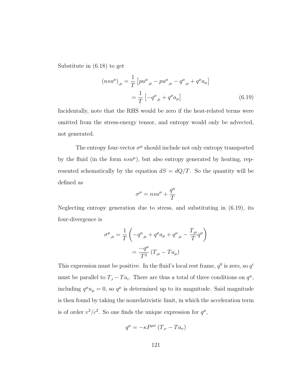Substitute in [\(6.18\)](#page-128-0) to get

<span id="page-129-0"></span>
$$
(nsu^{\mu})_{,\mu} = \frac{1}{T} \left[ p u^{\mu}_{,\mu} - p u^{\mu}_{,\mu} - q^{\mu}_{,\mu} + q^{\mu} a_{\mu} \right]
$$

$$
= \frac{1}{T} \left[ -q^{\mu}_{,\mu} + q^{\mu} a_{\mu} \right]
$$
(6.19)

Incidentally, note that the RHS would be zero if the heat-related terms were omitted from the stress-energy tensor, and entropy would only be advected, not generated.

The entropy four-vector  $\sigma^{\mu}$  should include not only entropy transported by the fluid (in the form  $nsu^{\mu}$ ), but also entropy generated by heating, represented schematically by the equation  $dS = dQ/T$ . So the quantity will be defined as

$$
\sigma^\mu=n s u^\mu+\frac{q^\mu}{T}
$$

Neglecting entropy generation due to stress, and substituting in [\(6.19\)](#page-129-0), its four-divergence is

$$
\sigma^{\mu}{}_{,\mu} = \frac{1}{T} \left( -q^{\mu}{}_{,\mu} + q^{\mu} a_{\mu} + q^{\mu}{}_{,\mu} - \frac{T_{,\mu}}{T} q^{\mu} \right)
$$

$$
= \frac{-q^{\mu}}{T^2} \left( T_{,\mu} - T a_{\mu} \right)
$$

This expression must be positive. In the fluid's local rest frame,  $q^0$  is zero, so  $q^i$ must be parallel to  $T_{i} - Ta_{i}$ . There are thus a total of three conditions on  $q^{\mu}$ , including  $q^{\mu}u_{\mu} = 0$ , so  $q^{\mu}$  is determined up to its magnitude. Said magnitude is then found by taking the nonrelativistic limit, in which the acceleration term is of order  $v^2/c^2$ . So one finds the unique expression for  $q^{\mu}$ ,

$$
q^{\mu} = -\kappa P^{\mu\nu} \left( T_{,\nu} - T a_{\nu} \right)
$$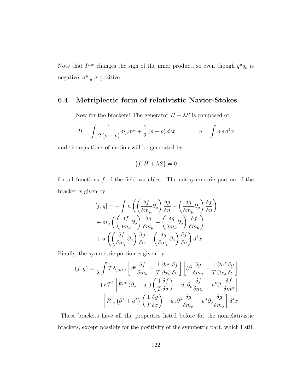Note that  $P^{\mu\nu}$  changes the sign of the inner product, so even though  $q^{\mu}q_{\mu}$  is negative,  $\sigma^{\mu}_{,\mu}$  is positive.

### 6.4 Metriplectic form of relativistic Navier-Stokes

Now for the brackets! The generator  $H + \lambda S$  is composed of

$$
H = \int \frac{1}{2(\rho + p)} m_{\mu} m^{\mu} + \frac{1}{2} (p - \rho) d^{4}x \qquad S = \int n \, s \, d^{4}x
$$

and the equations of motion will be generated by

$$
\{f, H + \lambda S\} = 0
$$

for all functions  $f$  of the field variables. The antisymmetric portion of the bracket is given by

$$
[f,g] = -\int n \left( \left( \frac{\delta f}{\delta m_{\mu}} \partial_{\mu} \right) \frac{\delta g}{\delta n} - \left( \frac{\delta g}{\delta m_{\mu}} \partial_{\mu} \right) \frac{\delta f}{\delta n} \right) + m_{\mu} \left( \left( \frac{\delta f}{\delta m_{\nu}} \partial_{\nu} \right) \frac{\delta g}{\delta m_{\mu}} - \left( \frac{\delta g}{\delta m_{\nu}} \partial_{\nu} \right) \frac{\delta f}{\delta m_{\mu}} \right) + \sigma \left( \left( \frac{\delta f}{\delta m_{\mu}} \partial_{\mu} \right) \frac{\delta g}{\delta \sigma} - \left( \frac{\delta g}{\delta m_{\mu}} \partial_{\mu} \right) \frac{\delta f}{\delta \sigma} \right) d^{4}x
$$

Finally, the symmetric portion is given by

$$
(f,g) = \frac{1}{\lambda} \int T\Lambda_{\mu\nu\lambda\sigma} \left[ \partial^{\mu} \frac{\delta f}{\delta m_{\nu}} - \frac{1}{T} \frac{\partial u^{\mu}}{\partial x_{\nu}} \frac{\delta f}{\delta \sigma} \right] \left[ \partial^{\lambda} \frac{\delta g}{\delta m_{\sigma}} - \frac{1}{T} \frac{\partial u^{\lambda}}{\partial x_{\sigma}} \frac{\delta g}{\delta \sigma} \right]
$$

$$
+ \kappa T^{2} \left[ P^{\mu\nu} \left( \partial_{\nu} + a_{\nu} \right) \left( \frac{1}{T} \frac{\delta f}{\delta \sigma} \right) - u_{\nu} \partial_{\mu} \frac{\delta f}{\delta m_{\nu}} - u^{\nu} \partial_{\nu} \frac{\delta f}{\delta m^{\mu}} \right]
$$

$$
\left[ P_{\nu\lambda} \left( \partial^{\lambda} + a^{\lambda} \right) \left( \frac{1}{T} \frac{\delta g}{\delta \sigma} \right) - u_{\sigma} \partial^{\lambda} \frac{\delta g}{\delta m_{\sigma}} - u^{\sigma} \partial_{\sigma} \frac{\delta g}{\delta m_{\lambda}} \right] d^{4}x
$$

These brackets have all the properties listed before for the nonrelativistic brackets, except possibly for the positivity of the symmetric part, which I still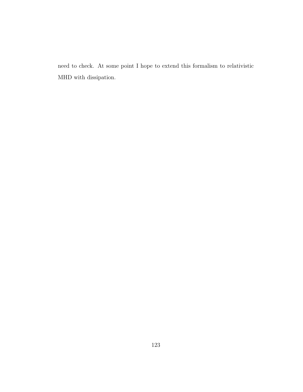need to check. At some point I hope to extend this formalism to relativistic MHD with dissipation.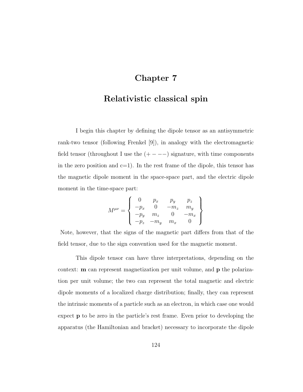# Chapter 7

### Relativistic classical spin

I begin this chapter by defining the dipole tensor as an antisymmetric rank-two tensor (following Frenkel [\[9\]](#page-176-2)), in analogy with the electromagnetic field tensor (throughout I use the  $(+ - - -)$ ) signature, with time components in the zero position and  $c=1$ ). In the rest frame of the dipole, this tensor has the magnetic dipole moment in the space-space part, and the electric dipole moment in the time-space part:

$$
M^{\mu\nu} = \begin{Bmatrix} 0 & p_x & p_y & p_z \\ -p_x & 0 & -m_z & m_y \\ -p_y & m_z & 0 & -m_x \\ -p_z & -m_y & m_x & 0 \end{Bmatrix}
$$

Note, however, that the signs of the magnetic part differs from that of the field tensor, due to the sign convention used for the magnetic moment.

This dipole tensor can have three interpretations, depending on the context: m can represent magnetization per unit volume, and p the polarization per unit volume; the two can represent the total magnetic and electric dipole moments of a localized charge distribution; finally, they can represent the intrinsic moments of a particle such as an electron, in which case one would expect p to be zero in the particle's rest frame. Even prior to developing the apparatus (the Hamiltonian and bracket) necessary to incorporate the dipole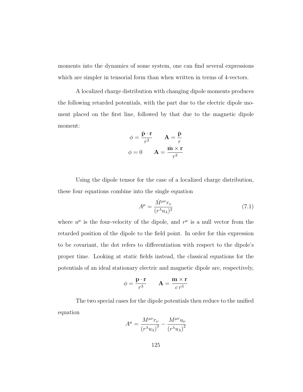moments into the dynamics of some system, one can find several expressions which are simpler in tensorial form than when written in terms of 4-vectors.

A localized charge distribution with changing dipole moments produces the following retarded potentials, with the part due to the electric dipole moment placed on the first line, followed by that due to the magnetic dipole moment:

$$
\phi = \frac{\dot{\mathbf{p}} \cdot \mathbf{r}}{r^2} \qquad \mathbf{A} = \frac{\dot{\mathbf{p}}}{r}
$$

$$
\phi = 0 \qquad \mathbf{A} = \frac{\dot{\mathbf{m}} \times \mathbf{r}}{r^2}
$$

Using the dipole tensor for the case of a localized charge distribution, these four equations combine into the single equation

<span id="page-133-0"></span>
$$
A^{\mu} = \frac{\dot{M}^{\mu\nu}r_{\nu}}{(r^{\lambda}u_{\lambda})^2} \tag{7.1}
$$

where  $u^{\mu}$  is the four-velocity of the dipole, and  $r^{\mu}$  is a null vector from the retarded position of the dipole to the field point. In order for this expression to be covariant, the dot refers to differentiation with respect to the dipole's proper time. Looking at static fields instead, the classical equations for the potentials of an ideal stationary electric and magnetic dipole are, respectively,

$$
\phi = \frac{\mathbf{p} \cdot \mathbf{r}}{r^3} \qquad \mathbf{A} = \frac{\mathbf{m} \times \mathbf{r}}{c r^3}
$$

The two special cases for the dipole potentials then reduce to the unified equation

$$
A^{\mu} = \frac{M^{\mu\nu}r_{\nu}}{(r^{\lambda}u_{\lambda})^3} - \frac{M^{\mu\nu}u_{\nu}}{(r^{\lambda}u_{\lambda})^2}
$$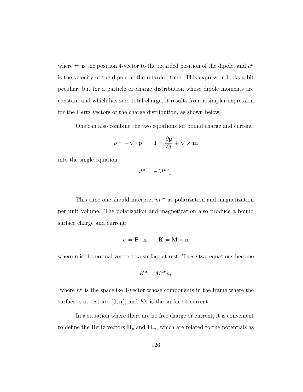where  $r^{\mu}$  is the position 4-vector to the retarded position of the dipole, and  $u^{\mu}$ is the velocity of the dipole at the retarded time. This expression looks a bit peculiar, but for a particle or charge distribution whose dipole moments are constant and which has zero total charge, it results from a simpler expression for the Hertz vectors of the charge distribution, as shown below.

One can also combine the two equations for bound charge and current,

$$
\rho = -\nabla \cdot \mathbf{p} \qquad \mathbf{J} = \frac{\partial \mathbf{p}}{\partial t} + \nabla \times \mathbf{m}
$$

into the single equation

$$
J^{\mu} = -M^{\mu\nu}{}_{,\nu}
$$

This time one should interpret  $m^{\mu\nu}$  as polarization and magnetization per unit volume. The polarization and magnetization also produce a bound surface charge and current:

$$
\sigma = \mathbf{P} \cdot \mathbf{n} \qquad \mathbf{K} = \mathbf{M} \times \mathbf{n}
$$

where **n** is the normal vector to a surface at rest. These two equations become

$$
K^\mu = M^{\mu\nu} n_\nu
$$

where  $n^{\mu}$  is the spacelike 4-vector whose components in the frame where the surface is at rest are  $(0, n)$ , and  $K^{\mu}$  is the surface 4-current.

In a situation where there are no free charge or current, it is convenient to define the Hertz vectors  $\Pi_e$  and  $\Pi_m$ , which are related to the potentials as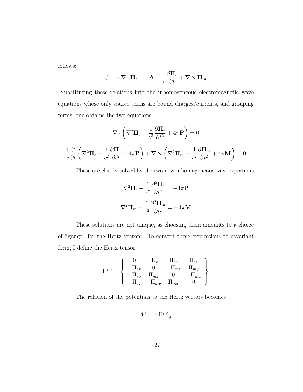follows:

$$
\phi = -\nabla \cdot \mathbf{\Pi}_e \qquad \mathbf{A} = \frac{1}{c} \frac{\partial \mathbf{\Pi}_e}{\partial t} + \nabla \times \mathbf{\Pi}_m
$$

Substituting these relations into the inhomogeneous electromagnetic wave equations whose only source terms are bound charges/currents, and grouping terms, one obtains the two equations

$$
\nabla \cdot \left( \nabla^2 \mathbf{\Pi}_e - \frac{1}{c^2} \frac{\partial \mathbf{\Pi}_e}{\partial t^2} + 4\pi \mathbf{P} \right) = 0
$$

$$
\frac{1}{c} \frac{\partial}{\partial t} \left( \nabla^2 \mathbf{\Pi}_e - \frac{1}{c^2} \frac{\partial \mathbf{\Pi}_e}{\partial t^2} + 4\pi \mathbf{P} \right) + \nabla \times \left( \nabla^2 \mathbf{\Pi}_m - \frac{1}{c^2} \frac{\partial \mathbf{\Pi}_m}{\partial t^2} + 4\pi \mathbf{M} \right) = 0
$$

These are clearly solved by the two new inhomogeneous wave equations

$$
\nabla^2 \Pi_e - \frac{1}{c^2} \frac{\partial^2 \Pi_e}{\partial t^2} = -4\pi \mathbf{P}
$$

$$
\nabla^2 \Pi_m - \frac{1}{c^2} \frac{\partial^2 \Pi_m}{\partial t^2} = -4\pi \mathbf{M}
$$

These solutions are not unique, as choosing them amounts to a choice of "gauge" for the Hertz vectors. To convert these expressions to covariant form, I define the Hertz tensor

$$
\Pi^{\mu\nu} = \left\{ \begin{array}{ccc} 0 & \Pi_{ex} & \Pi_{ey} & \Pi_{ez} \\ -\Pi_{ex} & 0 & -\Pi_{mz} & \Pi_{my} \\ -\Pi_{ey} & \Pi_{mz} & 0 & -\Pi_{mx} \\ -\Pi_{ez} & -\Pi_{my} & \Pi_{mx} & 0 \end{array} \right\}
$$

The relation of the potentials to the Hertz vectors becomes

$$
A^\mu=-\Pi^{\mu\nu}{}_{,\nu}
$$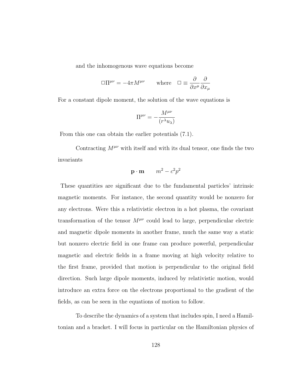and the inhomogenous wave equations become

$$
\Box \Pi^{\mu\nu} = -4\pi M^{\mu\nu} \qquad \text{where} \quad \Box \equiv \frac{\partial}{\partial x^{\mu}} \frac{\partial}{\partial x_{\mu}}
$$

For a constant dipole moment, the solution of the wave equations is

$$
\Pi^{\mu\nu} = -\frac{M^{\mu\nu}}{(r^{\lambda}u_{\lambda})}
$$

From this one can obtain the earlier potentials [\(7.1\)](#page-133-0).

Contracting  $M^{\mu\nu}$  with itself and with its dual tensor, one finds the two invariants

$$
\mathbf{p} \cdot \mathbf{m} \qquad m^2 - c^2 p^2
$$

These quantities are significant due to the fundamental particles' intrinsic magnetic moments. For instance, the second quantity would be nonzero for any electrons. Were this a relativistic electron in a hot plasma, the covariant transformation of the tensor  $M^{\mu\nu}$  could lead to large, perpendicular electric and magnetic dipole moments in another frame, much the same way a static but nonzero electric field in one frame can produce powerful, perpendicular magnetic and electric fields in a frame moving at high velocity relative to the first frame, provided that motion is perpendicular to the original field direction. Such large dipole moments, induced by relativistic motion, would introduce an extra force on the electrons proportional to the gradient of the fields, as can be seen in the equations of motion to follow.

To describe the dynamics of a system that includes spin, I need a Hamiltonian and a bracket. I will focus in particular on the Hamiltonian physics of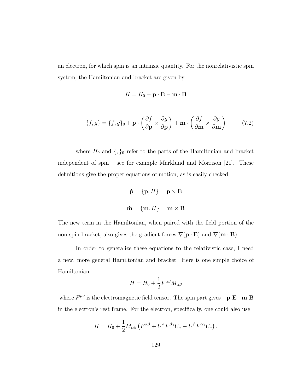an electron, for which spin is an intrinsic quantity. For the nonrelativistic spin system, the Hamiltonian and bracket are given by

$$
H = H_0 - \mathbf{p} \cdot \mathbf{E} - \mathbf{m} \cdot \mathbf{B}
$$

<span id="page-137-0"></span>
$$
\{f,g\} = \{f,g\}_0 + \mathbf{p} \cdot \left(\frac{\partial f}{\partial \mathbf{p}} \times \frac{\partial g}{\partial \mathbf{p}}\right) + \mathbf{m} \cdot \left(\frac{\partial f}{\partial \mathbf{m}} \times \frac{\partial g}{\partial \mathbf{m}}\right) \tag{7.2}
$$

where  $H_0$  and  $\{,\}_0$  refer to the parts of the Hamiltonian and bracket independent of spin – see for example Marklund and Morrison [\[21\]](#page-177-0). These definitions give the proper equations of motion, as is easily checked:

$$
\dot{\mathbf{p}} = \{\mathbf{p}, H\} = \mathbf{p} \times \mathbf{E}
$$

$$
\dot{\mathbf{m}} = \{\mathbf{m}, H\} = \mathbf{m} \times \mathbf{B}
$$

The new term in the Hamiltonian, when paired with the field portion of the non-spin bracket, also gives the gradient forces  $\nabla(\mathbf{p} \cdot \mathbf{E})$  and  $\nabla(\mathbf{m} \cdot \mathbf{B})$ .

In order to generalize these equations to the relativistic case, I need a new, more general Hamiltonian and bracket. Here is one simple choice of Hamiltonian:

$$
H = H_0 + \frac{1}{2} F^{\alpha\beta} M_{\alpha\beta}
$$

where  $F^{\mu\nu}$  is the electromagnetic field tensor. The spin part gives  $-\mathbf{p} \cdot \mathbf{E} - \mathbf{m} \cdot \mathbf{B}$ in the electron's rest frame. For the electron, specifically, one could also use

$$
H = H_0 + \frac{1}{2} M_{\alpha\beta} \left( F^{\alpha\beta} + U^{\alpha} F^{\beta\gamma} U_{\gamma} - U^{\beta} F^{\alpha\gamma} U_{\gamma} \right).
$$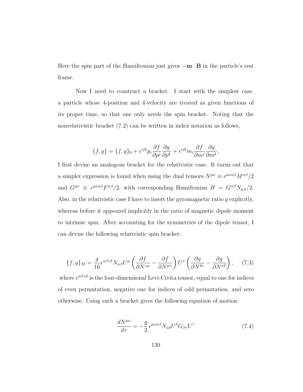Here the spin part of the Hamiltonian just gives  $-\mathbf{m} \cdot \mathbf{B}$  in the particle's rest frame.

Now I need to construct a bracket. I start with the simplest case, a particle whose 4-position and 4-velocity are treated as given functions of its proper time, so that one only needs the spin bracket. Noting that the nonrelativistic bracket [\(7.2\)](#page-137-0) can be written in index notation as follows,

$$
\{f,g\} = \{f,g\}_0 + \epsilon^{ijk} p_i \frac{\partial f}{\partial p^j} \frac{\partial g}{\partial p^k} + \epsilon^{ijk} m_i \frac{\partial f}{\partial m^j} \frac{\partial g}{\partial m^k},\
$$

I first devise an analogous bracket for the relativistic case. It turns out that a simpler expression is found when using the dual tensors  $N^{\mu\nu} \equiv \epsilon^{\mu\nu\alpha\beta} M^{\alpha\beta}/2$ and  $G^{\mu\nu} \equiv \epsilon^{\mu\nu\alpha\beta} F^{\alpha\beta}/2$ , with corresponding Hamiltonian  $H = G^{\alpha\beta} N_{\alpha\beta}/2$ . Also, in the relativistic case I have to insert the gyromagnetic ratio g explicitly, whereas before it appeared implicitly in the ratio of magnetic dipole moment to intrinsic spin. After accounting for the symmetries of the dipole tensor, I can devise the following relativistic spin bracket:

<span id="page-138-1"></span>
$$
\{f,g\}_M = \frac{g}{16} \epsilon^{\alpha\beta\gamma\delta} N_{\alpha\beta} U^{\mu} \left(\frac{\partial f}{\partial N^{\gamma\mu}} - \frac{\partial f}{\partial N^{\mu\gamma}}\right) U^{\nu} \left(\frac{\partial g}{\partial N^{\delta\nu}} - \frac{\partial g}{\partial N^{\nu\delta}}\right), \quad (7.3)
$$

where  $\epsilon^{\alpha\beta\gamma\delta}$  is the four-dimensional Levi-Civita tensor, equal to one for indices of even permutation, negative one for indices of odd permutation, and zero otherwise. Using such a bracket gives the following equation of motion:

<span id="page-138-0"></span>
$$
\frac{dN^{\mu\nu}}{d\tau} = -\frac{g}{2} \epsilon^{\mu\nu\alpha\beta} N_{\alpha\delta} U^{\delta} G_{\beta\gamma} U^{\gamma} \tag{7.4}
$$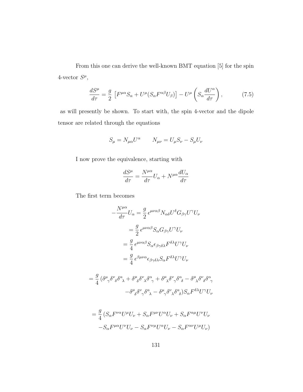From this one can derive the well-known BMT equation [\[5\]](#page-175-0) for the spin 4-vector  $S^{\mu}$ ,

<span id="page-139-0"></span>
$$
\frac{dS^{\mu}}{d\tau} = \frac{g}{2} \left[ F^{\mu\alpha} S_{\alpha} + U^{\mu} (S_{\alpha} F^{\alpha\beta} U_{\beta}) \right] - U^{\mu} \left( S_{\alpha} \frac{dU^{\alpha}}{d\tau} \right), \tag{7.5}
$$

as will presently be shown. To start with, the spin 4-vector and the dipole tensor are related through the equations

$$
S_{\mu} = N_{\mu\alpha}U^{\alpha} \qquad N_{\mu\nu} = U_{\mu}S_{\nu} - S_{\mu}U_{\nu}
$$

I now prove the equivalence, starting with

$$
\frac{dS^\mu}{d\tau} = \frac{N^{\mu\alpha}}{d\tau} U_\alpha + N^{\mu\alpha} \frac{dU_\alpha}{d\tau}
$$

The first term becomes

$$
-\frac{N^{\mu\alpha}}{d\tau}U_{\alpha} = \frac{g}{2} \epsilon^{\mu\nu\alpha\beta} N_{\alpha\delta} U^{\delta} G_{\beta\gamma} U^{\gamma} U_{\nu}
$$

$$
= \frac{g}{2} \epsilon^{\mu\nu\alpha\beta} S_{\alpha} G_{\beta\gamma} U^{\gamma} U_{\nu}
$$

$$
= \frac{g}{4} \epsilon^{\mu\nu\alpha\beta} S_{\alpha} \epsilon_{\beta\gamma\delta\lambda} F^{\delta\lambda} U^{\gamma} U_{\nu}
$$

$$
= \frac{g}{4} \epsilon^{\beta\mu\nu\alpha} \epsilon_{\beta\gamma\delta\lambda} S_{\alpha} F^{\delta\lambda} U^{\gamma} U_{\nu}
$$

$$
=\frac{g}{4}\,(\delta^{\mu}_{\phantom{\mu}\gamma}\delta^{\nu}_{\phantom{\nu}\delta}\delta^{\alpha}_{\phantom{\alpha}\lambda}+\delta^{\mu}_{\phantom{\mu}\delta}\delta^{\nu}_{\phantom{\nu}\lambda}\delta^{\alpha}_{\phantom{\alpha}\gamma}+\delta^{\mu}_{\phantom{\mu}\lambda}\delta^{\nu}_{\phantom{\nu}\gamma}\delta^{\alpha}_{\phantom{\alpha}\delta}-\delta^{\mu}_{\phantom{\mu}\lambda}\delta^{\nu}_{\phantom{\nu}\delta}\delta^{\alpha}_{\phantom{\alpha}\gamma} \\ -\delta^{\mu}_{\phantom{\mu}\delta}\delta^{\nu}_{\phantom{\nu}\gamma}\delta^{\alpha}_{\phantom{\alpha}\lambda}-\delta^{\mu}_{\phantom{\mu}\gamma}\delta^{\nu}_{\phantom{\nu}\lambda}\delta^{\alpha}_{\phantom{\alpha}\delta})S_{\alpha}F^{\delta\lambda}U^{\gamma}U_{\nu}
$$

$$
= \frac{g}{4} \left( S_{\alpha} F^{\nu \alpha} U^{\mu} U_{\nu} + S_{\alpha} F^{\mu \nu} U^{\alpha} U_{\nu} + S_{\alpha} F^{\alpha \mu} U^{\nu} U_{\nu} \right. \\ \left. - S_{\alpha} F^{\mu \alpha} U^{\nu} U_{\nu} - S_{\alpha} F^{\nu \mu} U^{\alpha} U_{\nu} - S_{\alpha} F^{\alpha \nu} U^{\mu} U_{\nu} \right)
$$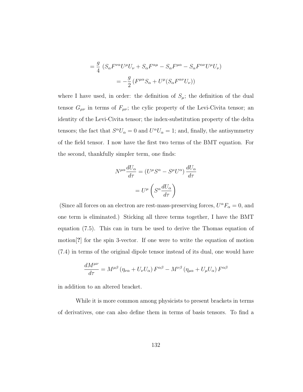$$
= \frac{g}{4} \left( S_{\alpha} F^{\nu \alpha} U^{\mu} U_{\nu} + S_{\alpha} F^{\alpha \mu} - S_{\alpha} F^{\mu \alpha} - S_{\alpha} F^{\alpha \nu} U^{\mu} U_{\nu} \right)
$$

$$
= -\frac{g}{2} \left( F^{\mu \alpha} S_{\alpha} + U^{\mu} (S_{\alpha} F^{\alpha \nu} U_{\nu}) \right)
$$

where I have used, in order: the definition of  $S_{\mu}$ ; the definition of the dual tensor  $G_{\mu\nu}$  in terms of  $F_{\mu\nu}$ ; the cylic property of the Levi-Civita tensor; an identity of the Levi-Civita tensor; the index-substitution property of the delta tensors; the fact that  $S^{\alpha}U_{\alpha} = 0$  and  $U^{\alpha}U_{\alpha} = 1$ ; and, finally, the antisymmetry of the field tensor. I now have the first two terms of the BMT equation. For the second, thankfully simpler term, one finds:

$$
N^{\mu\alpha} \frac{dU_{\alpha}}{d\tau} = (U^{\mu} S^{\alpha} - S^{\mu} U^{\alpha}) \frac{dU_{\alpha}}{d\tau}
$$

$$
= U^{\mu} \left( S^{\alpha} \frac{dU_{\alpha}}{d\tau} \right)
$$

(Since all forces on an electron are rest-mass-preserving forces,  $U^{\alpha}F_{\alpha} = 0$ , and one term is eliminated.) Sticking all three terms together, I have the BMT equation [\(7.5\)](#page-139-0). This can in turn be used to derive the Thomas equation of motion[?] for the spin 3-vector. If one were to write the equation of motion [\(7.4\)](#page-138-0) in terms of the original dipole tensor instead of its dual, one would have

$$
\frac{dM^{\mu\nu}}{d\tau}=M^{\mu\beta}\left(\eta_{\nu\alpha}+U_{\nu}U_{\alpha}\right)F^{\alpha\beta}-M^{\nu\beta}\left(\eta_{\mu\alpha}+U_{\mu}U_{\alpha}\right)F^{\alpha\beta}
$$

in addition to an altered bracket.

While it is more common among physicists to present brackets in terms of derivatives, one can also define them in terms of basis tensors. To find a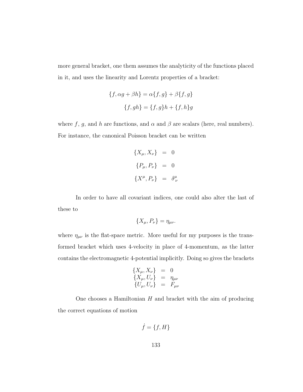more general bracket, one them assumes the analyticity of the functions placed in it, and uses the linearity and Lorentz properties of a bracket:

$$
\{f, \alpha g + \beta h\} = \alpha \{f, g\} + \beta \{f, g\}
$$

$$
\{f, gh\} = \{f, g\}h + \{f, h\}g
$$

where f, g, and h are functions, and  $\alpha$  and  $\beta$  are scalars (here, real numbers). For instance, the canonical Poisson bracket can be written

$$
\{X_{\mu}, X_{\nu}\} = 0
$$
  

$$
\{P_{\mu}, P_{\nu}\} = 0
$$
  

$$
\{X^{\mu}, P_{\nu}\} = \delta^{\mu}_{\nu}
$$

In order to have all covariant indices, one could also alter the last of these to

$$
\{X_{\mu}, P_{\nu}\} = \eta_{\mu\nu}.
$$

where  $\eta_{\mu\nu}$  is the flat-space metric. More useful for my purposes is the transformed bracket which uses 4-velocity in place of 4-momentum, as the latter contains the electromagnetic 4-potential implicitly. Doing so gives the brackets

$$
\begin{array}{rcl}\n\{X_{\mu}, X_{\nu}\} & = & 0 \\
\{X_{\mu}, U_{\nu}\} & = & \eta_{\mu\nu} \\
\{U_{\mu}, U_{\nu}\} & = & F_{\mu\nu}\n\end{array}
$$

One chooses a Hamiltonian  $H$  and bracket with the aim of producing the correct equations of motion

$$
\dot{f} = \{f, H\}
$$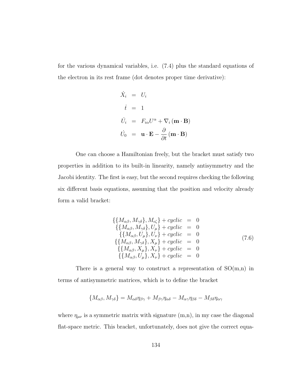for the various dynamical variables, i.e. [\(7.4\)](#page-138-0) plus the standard equations of the electron in its rest frame (dot denotes proper time derivative):

$$
\dot{X}_i = U_i
$$
\n
$$
\dot{t} = 1
$$
\n
$$
\dot{U}_i = F_{i\alpha}U^{\alpha} + \nabla_i (\mathbf{m} \cdot \mathbf{B})
$$
\n
$$
\dot{U}_0 = \mathbf{u} \cdot \mathbf{E} - \frac{\partial}{\partial t} (\mathbf{m} \cdot \mathbf{B})
$$

One can choose a Hamiltonian freely, but the bracket must satisfy two properties in addition to its built-in linearity, namely antisymmetry and the Jacobi identity. The first is easy, but the second requires checking the following six different basis equations, assuming that the position and velocity already form a valid bracket:

<span id="page-142-0"></span>
$$
\begin{aligned}\n\{\{M_{\alpha\beta}, M_{\gamma\delta}\}, M_{\epsilon\zeta}\} + cyclic &= 0\\ \{\{M_{\alpha\beta}, M_{\gamma\delta}\}, U_{\mu}\} + cyclic &= 0\\ \{\{M_{\alpha\beta}, U_{\mu}\}, U_{\nu}\} + cyclic &= 0\\ \{\{M_{\alpha\beta}, M_{\gamma\delta}\}, X_{\mu}\} + cyclic &= 0\\ \{\{M_{\alpha\beta}, X_{\mu}\}, X_{\nu}\} + cyclic &= 0\\ \{\{M_{\alpha\beta}, U_{\mu}\}, X_{\nu}\} + cyclic &= 0\\
\end{aligned} \tag{7.6}
$$

There is a general way to construct a representation of  $SO(m,n)$  in terms of antisymmetric matrices, which is to define the bracket

$$
\{M_{\alpha\beta},M_{\gamma\delta}\}=M_{\alpha\delta}\eta_{\beta\gamma}+M_{\beta\gamma}\eta_{\alpha\delta}-M_{\alpha\gamma}\eta_{\beta\delta}-M_{\beta\delta}\eta_{\alpha\gamma}
$$

where  $\eta_{\mu\nu}$  is a symmetric matrix with signature (m,n), in my case the diagonal flat-space metric. This bracket, unfortunately, does not give the correct equa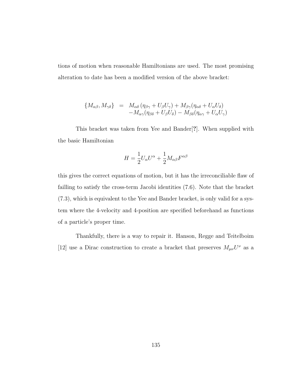tions of motion when reasonable Hamiltonians are used. The most promising alteration to date has been a modified version of the above bracket:

$$
\begin{array}{rcl}\n\{M_{\alpha\beta}, M_{\gamma\delta}\} & = & M_{\alpha\delta} \left(\eta_{\beta\gamma} + U_{\beta} U_{\gamma}\right) + M_{\beta\gamma} (\eta_{\alpha\delta} + U_{\alpha} U_{\delta}) \\
&- M_{\alpha\gamma} (\eta_{\beta\delta} + U_{\beta} U_{\delta}) - M_{\beta\delta} (\eta_{\alpha\gamma} + U_{\alpha} U_{\gamma})\n\end{array}
$$

This bracket was taken from Yee and Bander[?]. When supplied with the basic Hamiltonian

$$
H = \frac{1}{2}U_{\alpha}U^{\alpha} + \frac{1}{2}M_{\alpha\beta}F^{\alpha\beta}
$$

this gives the correct equations of motion, but it has the irreconciliable flaw of failling to satisfy the cross-term Jacobi identities [\(7.6\)](#page-142-0). Note that the bracket [\(7.3\)](#page-138-1), which is equivalent to the Yee and Bander bracket, is only valid for a system where the 4-velocity and 4-position are specified beforehand as functions of a particle's proper time.

Thankfully, there is a way to repair it. Hanson, Regge and Teitelboim [\[12\]](#page-176-3) use a Dirac construction to create a bracket that preserves  $M_{\mu\nu}U^{\nu}$  as a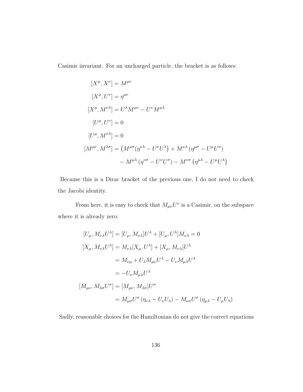Casimir invariant. For an uncharged particle, the bracket is as follows:

$$
[X^{\mu}, X^{\nu}] = M^{\mu\nu}
$$
  
\n
$$
[X^{\mu}, U^{\nu}] = \eta^{\mu\nu}
$$
  
\n
$$
[X^{\mu}, M^{\nu\lambda}] = U^{\lambda} M^{\mu\nu} - U^{\nu} M^{\mu\lambda}
$$
  
\n
$$
[U^{\mu}, U^{\nu}] = 0
$$
  
\n
$$
[U^{\mu}, M^{\nu\lambda}] = 0
$$
  
\n
$$
[M^{\mu\nu}, M^{\lambda\sigma}] = (M^{\mu\sigma} (\eta^{\nu\lambda} - U^{\nu} U^{\lambda}) + M^{\nu\lambda} (\eta^{\mu\sigma} - U^{\mu} U^{\sigma})
$$
  
\n
$$
- M^{\mu\lambda} (\eta^{\nu\sigma} - U^{\nu} U^{\sigma}) - M^{\nu\sigma} (\eta^{\mu\lambda} - U^{\mu} U^{\lambda})
$$

Because this is a Dirac bracket of the previous one, I do not need to check the Jacobi identity.

From here, it is easy to check that  $M_{\mu\nu}U^{\nu}$  is a Casimir, on the subspace where it is already zero:

$$
[U_{\mu}, M_{\nu\lambda}U^{\lambda}] = [U_{\mu}, M_{\nu\lambda}]U^{\lambda} + [U_{\mu}, U^{\lambda}]M_{\nu\lambda} = 0
$$
  
\n
$$
[X_{\mu}, M_{\nu\lambda}U^{\lambda}] = M_{\nu\lambda}[X_{\mu}, U^{\lambda}] + [X_{\mu}, M_{\nu\lambda}]U^{\lambda}
$$
  
\n
$$
= M_{\nu\mu} + U_{\lambda}M_{\mu\nu}U^{\lambda} - U_{\nu}M_{\mu\lambda}U^{\lambda}
$$
  
\n
$$
= -U_{\nu}M_{\mu\lambda}U^{\lambda}
$$
  
\n
$$
[M_{\mu\nu}, M_{\lambda\sigma}U^{\sigma}] = [M_{\mu\nu}, M_{\lambda\sigma}]U^{\sigma}
$$
  
\n
$$
= M_{\mu\sigma}U^{\sigma} (\eta_{\nu\lambda} - U_{\nu}U_{\lambda}) - M_{\nu\sigma}U^{\sigma} (\eta_{\mu\lambda} - U_{\mu}U_{\lambda})
$$

Sadly, reasonable choices for the Hamiltonian do not give the correct equations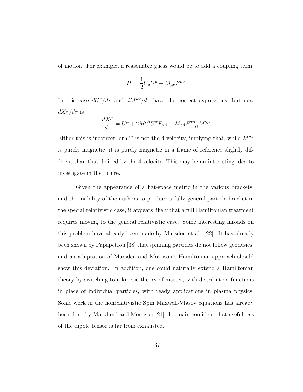of motion. For example, a reasonable guess would be to add a coupling term:

$$
H = \frac{1}{2}U_{\mu}U^{\mu} + M_{\mu\nu}F^{\mu\nu}
$$

In this case  $dU^{\mu}/d\tau$  and  $dM^{\mu\nu}/d\tau$  have the correct expressions, but now  $dX^{\mu}/d\tau$  is

$$
\frac{dX^{\mu}}{d\tau}=U^{\mu}+2M^{\mu\beta}U^{\alpha}F_{\alpha\beta}+M_{\alpha\beta}F^{\alpha\beta}_{\quad ,\gamma}M^{\gamma\mu}
$$

Either this is incorrect, or  $U^{\mu}$  is not the 4-velocity, implying that, while  $M^{\mu\nu}$ is purely magnetic, it is purely magnetic in a frame of reference slightly different than that defined by the 4-velocity. This may be an interesting idea to investigate in the future.

Given the appearance of a flat-space metric in the various brackets, and the inability of the authors to produce a fully general particle bracket in the special relativistic case, it appears likely that a full Hamiltonian treatment requires moving to the general relativistic case. Some interesting inroads on this problem have already been made by Marsden et al. [\[22\]](#page-177-0). It has already been shown by Papapetrou [\[38\]](#page-179-0) that spinning particles do not follow geodesics, and an adaptation of Marsden and Morrison's Hamiltonian approach should show this deviation. In addition, one could naturally extend a Hamiltonian theory by switching to a kinetic theory of matter, with distribution functions in place of individual particles, with ready applications in plasma physics. Some work in the nonrelativistic Spin Maxwell-Vlasov equations has already been done by Marklund and Morrison [\[21\]](#page-177-1). I remain confident that usefulness of the dipole tensor is far from exhausted.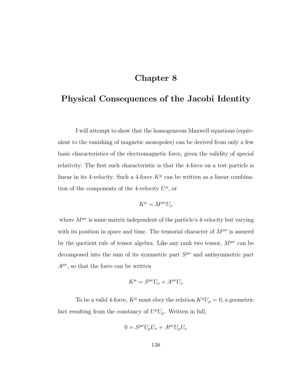## Chapter 8

## <span id="page-146-0"></span>Physical Consequences of the Jacobi Identity

I will attempt to show that the homogeneous Maxwell equations (equivalent to the vanishing of magnetic monopoles) can be derived from only a few basic characteristics of the electromagnetic force, given the validity of special relativity. The first such characteristic is that the 4-force on a test particle is linear in its 4-velocity. Such a 4-force  $K^{\mu}$  can be written as a linear combination of the components of the 4-velocity  $U^{\mu}$ , or

$$
K^\mu = M^{\mu\nu} U_\nu
$$

where  $M^{\mu\nu}$  is some matrix independent of the particle's 4-velocity but varying with its position in space and time. The tensorial character of  $M^{\mu\nu}$  is assured by the quotient rule of tensor algebra. Like any rank two tensor,  $M^{\mu\nu}$  can be decomposed into the sum of its symmetric part  $S^{\mu\nu}$  and antisymmetric part  $A^{\mu\nu}$ , so that the force can be written

$$
K^{\mu} = S^{\mu\nu} U_{\nu} + A^{\mu\nu} U_{\nu}
$$

To be a valid 4-force,  $K^\mu$  must obey the relation  $K^\mu U_\mu=0,$  a geometric fact resulting from the constancy of  $U^{\mu}U_{\mu}$ . Written in full,

$$
0 = S^{\mu\nu} U_{\mu} U_{\nu} + A^{\mu\nu} U_{\mu} U_{\nu}
$$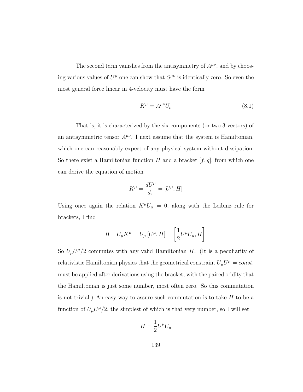The second term vanishes from the antisymmetry of  $A^{\mu\nu}$ , and by choosing various values of  $U^{\mu}$  one can show that  $S^{\mu\nu}$  is identically zero. So even the most general force linear in 4-velocity must have the form

<span id="page-147-0"></span>
$$
K^{\mu} = A^{\mu\nu} U_{\nu} \tag{8.1}
$$

That is, it is characterized by the six components (or two 3-vectors) of an antisymmetric tensor  $A^{\mu\nu}$ . I next assume that the system is Hamiltonian, which one can reasonably expect of any physical system without dissipation. So there exist a Hamiltonian function  $H$  and a bracket  $[f, g]$ , from which one can derive the equation of motion

$$
K^\mu=\frac{dU^\mu}{d\tau}=[U^\mu,H]
$$

Using once again the relation  $K^{\mu}U_{\mu} = 0$ , along with the Leibniz rule for brackets, I find

$$
0 = U_{\mu} K^{\mu} = U_{\mu} [U^{\mu}, H] = \left[ \frac{1}{2} U^{\mu} U_{\mu}, H \right]
$$

So  $U_{\mu}U^{\mu}/2$  commutes with any valid Hamiltonian H. (It is a peculiarity of relativistic Hamiltonian physics that the geometrical constraint  $U_{\mu}U^{\mu} = const.$ must be applied after derivations using the bracket, with the paired oddity that the Hamiltonian is just some number, most often zero. So this commutation is not trivial.) An easy way to assure such commutation is to take  $H$  to be a function of  $U_{\mu}U^{\mu}/2$ , the simplest of which is that very number, so I will set

$$
H = \frac{1}{2} U^{\mu} U_{\mu}
$$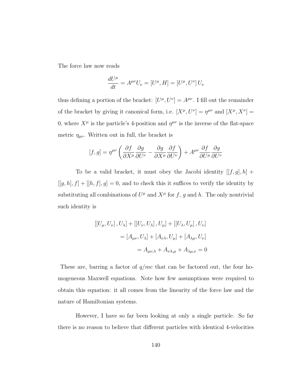The force law now reads

$$
\frac{dU^{\mu}}{dt} = A^{\mu\nu}U_{\nu} = [U^{\mu}, H] = [U^{\mu}, U^{\nu}]U_{\nu}
$$

thus defining a portion of the bracket:  $[U^{\mu}, U^{\nu}] = A^{\mu\nu}$ . I fill out the remainder of the bracket by giving it canonical form, i.e.  $[X^{\mu}, U^{\nu}] = \eta^{\mu\nu}$  and  $[X^{\mu}, X^{\nu}] =$ 0, where  $X^{\mu}$  is the particle's 4-position and  $\eta^{\mu\nu}$  is the inverse of the flat-space metric  $\eta_{\mu\nu}$ . Written out in full, the bracket is

$$
[f,g]=\eta^{\mu\nu}\left(\frac{\partial f}{\partial X^{\mu}}\frac{\partial g}{\partial U^{\nu}}-\frac{\partial g}{\partial X^{\mu}}\frac{\partial f}{\partial U^{\nu}}\right)+A^{\mu\nu}\frac{\partial f}{\partial U^{\mu}}\frac{\partial g}{\partial U^{\nu}}
$$

To be a valid bracket, it must obey the Jacobi identity  $[[f, g], h]$  +  $[[g, h], f] + [[h, f], g] = 0$ , and to check this it suffices to verify the identity by substituting all combinations of  $U^{\mu}$  and  $X^{\mu}$  for f, g and h. The only nontrivial such identity is

$$
\begin{aligned} \left[ [U_{\mu}, U_{\nu}], U_{\lambda} \right] + \left[ [U_{\nu}, U_{\lambda}], U_{\mu} \right] + \left[ [U_{\lambda}, U_{\mu}], U_{\nu} \right] \\ = \left[ A_{\mu\nu}, U_{\lambda} \right] + \left[ A_{\nu\lambda}, U_{\mu} \right] + \left[ A_{\lambda\mu}, U_{\nu} \right] \\ = A_{\mu\nu,\lambda} + A_{\nu\lambda,\mu} + A_{\lambda\mu,\nu} = 0 \end{aligned}
$$

These are, barring a factor of  $q/mc$  that can be factored out, the four homogeneous Maxwell equations. Note how few assumptions were required to obtain this equation: it all comes from the linearity of the force law and the nature of Hamiltonian systems.

However, I have so far been looking at only a single particle. So far there is no reason to believe that different particles with identical 4-velocities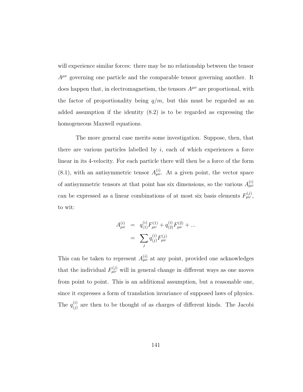will experience similar forces: there may be no relationship between the tensor  $A^{\mu\nu}$  governing one particle and the comparable tensor governing another. It does happen that, in electromagnetism, the tensors  $A^{\mu\nu}$  are proportional, with the factor of proportionality being  $q/m$ , but this must be regarded as an added assumption if the identity (8.2) is to be regarded as expressing the homogeneous Maxwell equations.

The more general case merits some investigation. Suppose, then, that there are various particles labelled by  $i$ , each of which experiences a force linear in its 4-velocity. For each particle there will then be a force of the form [\(8.1\)](#page-147-0), with an antisymmetric tensor  $A_{\mu\nu}^{(i)}$ . At a given point, the vector space of antisymmetric tensors at that point has six dimensions, so the various  $A_{\mu\nu}^{(i)}$ can be expressed as a linear combinations of at most six basis elements  $F_{\mu\nu}^{(j)}$ , to wit:

$$
A_{\mu\nu}^{(i)} = q_{(1)}^{(i)} F_{\mu\nu}^{(1)} + q_{(2)}^{(i)} F_{\mu\nu}^{(2)} + \dots
$$
  
= 
$$
\sum_{j} q_{(j)}^{(i)} F_{\mu\nu}^{(j)}
$$

This can be taken to represent  $A_{\mu\nu}^{(i)}$  at any point, provided one acknowledges that the individual  $F_{\mu\nu}^{(j)}$  will in general change in different ways as one moves from point to point. This is an additional assumption, but a reasonable one, since it expresses a form of translation invariance of supposed laws of physics. The  $q_{(i)}^{(i)}$  $\binom{1}{j}$  are then to be thought of as charges of different kinds. The Jacobi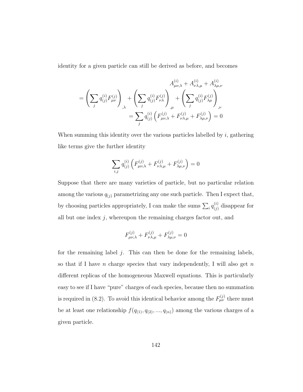identity for a given particle can still be derived as before, and becomes

$$
A_{\mu\nu,\lambda}^{(i)} + A_{\nu\lambda,\mu}^{(i)} + A_{\lambda\mu,\nu}^{(i)}
$$
  
= 
$$
\left(\sum_{j} q_{(j)}^{(i)} F_{\mu\nu}^{(j)}\right)_{,\lambda} + \left(\sum_{j} q_{(j)}^{(i)} F_{\nu\lambda}^{(j)}\right)_{,\mu} + \left(\sum_{j} q_{(j)}^{(i)} F_{\lambda\mu}^{(j)}\right)_{,\nu}
$$
  
= 
$$
\sum_{j} q_{(j)}^{(i)} \left(F_{\mu\nu,\lambda}^{(j)} + F_{\nu\lambda,\mu}^{(j)} + F_{\lambda\mu,\nu}^{(j)}\right) = 0
$$

When summing this identity over the various particles labelled by  $i$ , gathering like terms give the further identity

$$
\sum_{i,j} q_{(j)}^{(i)} \left( F_{\mu\nu,\lambda}^{(j)} + F_{\nu\lambda,\mu}^{(j)} + F_{\lambda\mu,\nu}^{(j)} \right) = 0
$$

Suppose that there are many varieties of particle, but no particular relation among the various  $q_{(j)}$  parametrizing any one such particle. Then I expect that, by choosing particles appropriately, I can make the sums  $\sum_i q_{(j)}^{(i)}$  $\binom{y}{j}$  disappear for all but one index  $j$ , whereupon the remaining charges factor out, and

$$
F^{(j)}_{\mu\nu,\lambda}+F^{(j)}_{\nu\lambda,\mu}+F^{(j)}_{\lambda\mu,\nu}=0
$$

for the remaining label  $j$ . This can then be done for the remaining labels, so that if I have n charge species that vary independently, I will also get  $n$ different replicas of the homogeneous Maxwell equations. This is particularly easy to see if I have "pure" charges of each species, because then no summation is required in (8.2). To avoid this identical behavior among the  $F_{\mu\nu}^{(j)}$  there must be at least one relationship  $f(q_{(1)}, q_{(2)}, ..., q_{(n)})$  among the various charges of a given particle.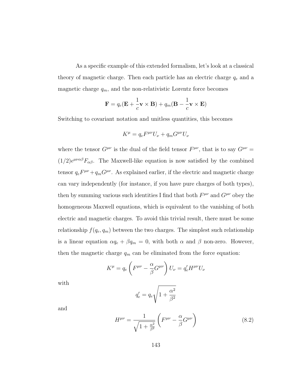As a specific example of this extended formalism, let's look at a classical theory of magnetic charge. Then each particle has an electric charge  $q_e$  and a magnetic charge  $q_m$ , and the non-relativistic Lorentz force becomes

$$
\mathbf{F} = q_e(\mathbf{E} + \frac{1}{c}\mathbf{v} \times \mathbf{B}) + q_m(\mathbf{B} - \frac{1}{c}\mathbf{v} \times \mathbf{E})
$$

Switching to covariant notation and unitless quantities, this becomes

$$
K^{\mu} = q_e F^{\mu\nu} U_{\nu} + q_m G^{\mu\nu} U_{\nu}
$$

where the tensor  $G^{\mu\nu}$  is the dual of the field tensor  $F^{\mu\nu}$ , that is to say  $G^{\mu\nu}$  =  $(1/2) \epsilon^{\mu\nu\alpha\beta} F_{\alpha\beta}$ . The Maxwell-like equation is now satisfied by the combined tensor  $q_e F^{\mu\nu} + q_m G^{\mu\nu}$ . As explained earlier, if the electric and magnetic charge can vary independently (for instance, if you have pure charges of both types), then by summing various such identities I find that both  $F^{\mu\nu}$  and  $G^{\mu\nu}$  obey the homogeneous Maxwell equations, which is equivalent to the vanishing of both electric and magnetic charges. To avoid this trivial result, there must be some relationship  $f(q_e, q_m)$  between the two charges. The simplest such relationship is a linear equation  $\alpha q_e + \beta q_m = 0$ , with both  $\alpha$  and  $\beta$  non-zero. However, then the magnetic charge  $q_m$  can be eliminated from the force equation:

$$
K^{\mu} = q_e \left( F^{\mu\nu} - \frac{\alpha}{\beta} G^{\mu\nu} \right) U_{\nu} = q'_e H^{\mu\nu} U_{\nu}
$$

with

$$
q'_e = q_e \sqrt{1+\frac{\alpha^2}{\beta^2}}
$$

and

<span id="page-151-0"></span>
$$
H^{\mu\nu} = \frac{1}{\sqrt{1 + \frac{\alpha^2}{\beta^2}}} \left( F^{\mu\nu} - \frac{\alpha}{\beta} G^{\mu\nu} \right) \tag{8.2}
$$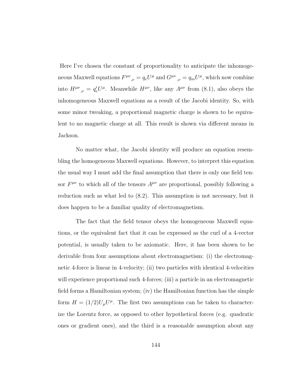Here I've chosen the constant of proportionality to anticipate the inhomogeneous Maxwell equations  $F^{\mu\nu}{}_{,\nu} = q_e U^{\mu}$  and  $G^{\mu\nu}{}_{,\nu} = q_m U^{\mu}$ , which now combine into  $H^{\mu\nu}{}_{,\nu} = q'_e U^{\mu}$ . Meanwhile  $H^{\mu\nu}$ , like any  $A^{\mu\nu}$  from [\(8.1\)](#page-147-0), also obeys the inhomogeneous Maxwell equations as a result of the Jacobi identity. So, with some minor tweaking, a proportional magnetic charge is shown to be equivalent to no magnetic charge at all. This result is shown via different means in Jackson.

No matter what, the Jacobi identity will produce an equation resembling the homogeneous Maxwell equations. However, to interpret this equation the usual way I must add the final assumption that there is only one field tensor  $F^{\mu\nu}$  to which all of the tensors  $A^{\mu\nu}$  are proportional, possibly following a reduction such as what led to [\(8.2\)](#page-151-0). This assumption is not necessary, but it does happen to be a familiar quality of electromagnetism.

The fact that the field tensor obeys the homogeneous Maxwell equations, or the equivalent fact that it can be expressed as the curl of a 4-vector potential, is usually taken to be axiomatic. Here, it has been shown to be derivable from four assumptions about electromagnetism: (i) the electromagnetic 4-force is linear in 4-velocity; (ii) two particles with identical 4-velocities will experience proportional such 4-forces; (iii) a particle in an electromagnetic field forms a Hamiltonian system; (iv) the Hamiltonian function has the simple form  $H = (1/2)U_{\mu}U^{\mu}$ . The first two assumptions can be taken to characterize the Lorentz force, as opposed to other hypothetical forces (e.g. quadratic ones or gradient ones), and the third is a reasonable assumption about any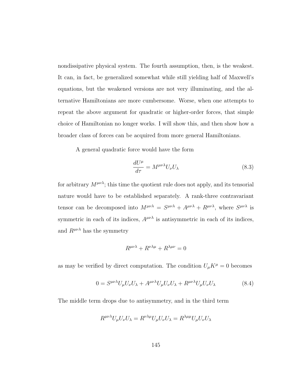nondissipative physical system. The fourth assumption, then, is the weakest. It can, in fact, be generalized somewhat while still yielding half of Maxwell's equations, but the weakened versions are not very illuminating, and the alternative Hamiltonians are more cumbersome. Worse, when one attempts to repeat the above argument for quadratic or higher-order forces, that simple choice of Hamiltonian no longer works. I will show this, and then show how a broader class of forces can be acquired from more general Hamiltonians.

A general quadratic force would have the form

<span id="page-153-1"></span>
$$
\frac{dU^{\mu}}{d\tau} = M^{\mu\nu\lambda} U_{\nu} U_{\lambda}
$$
\n(8.3)

for arbitrary  $M^{\mu\nu\lambda}$ ; this time the quotient rule does not apply, and its tensorial nature would have to be established separately. A rank-three contravariant tensor can be decomposed into  $M^{\mu\nu\lambda} = S^{\mu\nu\lambda} + A^{\mu\nu\lambda} + R^{\mu\nu\lambda}$ , where  $S^{\mu\nu\lambda}$  is symmetric in each of its indices,  $A^{\mu\nu\lambda}$  is antisymmetric in each of its indices, and  $R^{\mu\nu\lambda}$  has the symmetry

$$
R^{\mu\nu\lambda} + R^{\nu\lambda\mu} + R^{\lambda\mu\nu} = 0
$$

as may be verified by direct computation. The condition  $U_\mu K^\mu=0$  becomes

<span id="page-153-0"></span>
$$
0 = S^{\mu\nu\lambda} U_{\mu} U_{\nu} U_{\lambda} + A^{\mu\nu\lambda} U_{\mu} U_{\nu} U_{\lambda} + R^{\mu\nu\lambda} U_{\mu} U_{\nu} U_{\lambda}
$$
\n(8.4)

The middle term drops due to antisymmetry, and in the third term

$$
R^{\mu\nu\lambda}U_{\mu}U_{\nu}U_{\lambda} = R^{\nu\lambda\mu}U_{\mu}U_{\nu}U_{\lambda} = R^{\lambda\mu\mu}U_{\mu}U_{\nu}U_{\lambda}
$$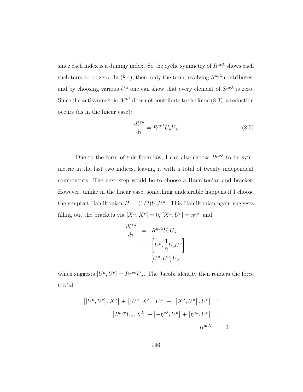since each index is a dummy index. So the cyclic symmetry of  $R^{\mu\nu\lambda}$  shows each such term to be zero. In [\(8.4\)](#page-153-0), then, only the term involving  $S^{\mu\nu\lambda}$  contributes, and by choosing various  $U^{\mu}$  one can show that every element of  $S^{\mu\nu\lambda}$  is zero. Since the antisymmetric  $A^{\mu\nu\lambda}$  does not contribute to the force [\(8.3\)](#page-153-1), a reduction occurs (as in the linear case):

<span id="page-154-0"></span>
$$
\frac{dU^{\mu}}{d\tau} = R^{\mu\nu\lambda} U_{\nu} U_{\lambda} \tag{8.5}
$$

Due to the form of this force law, I can also choose  $R^{\mu\nu\lambda}$  to be symmetric in the last two indices, leaving it with a total of twenty independent components. The next step would be to choose a Hamiltonian and bracket. However, unlike in the linear case, something undesirable happens if I choose the simplest Hamiltonian  $H = (1/2)U_{\mu}U^{\mu}$ . This Hamiltonian again suggests filling out the brackets via  $[X^{\mu}, X^{\nu}] = 0$ ,  $[X^{\mu}, U^{\nu}] = \eta^{\mu\nu}$ , and

$$
\frac{dU^{\mu}}{d\tau} = R^{\mu\nu\lambda} U_{\nu} U_{\lambda}
$$

$$
= \left[ U^{\mu}, \frac{1}{2} U_{\nu} U^{\nu} \right]
$$

$$
= \left[ U^{\mu}, U^{\nu} \right] U_{\nu}
$$

which suggests  $[U^{\mu}, U^{\nu}] = R^{\mu\nu\sigma} U_{\sigma}$ . The Jacobi identity then renders the force trivial:

$$
\begin{aligned}\n\left[ \left[ U^{\mu}, U^{\nu} \right], X^{\lambda} \right] + \left[ \left[ U^{\nu}, X^{\lambda} \right], U^{\mu} \right] + \left[ \left[ X^{\lambda}, U^{\mu} \right], U^{\nu} \right] &= \\
\left[ R^{\mu\nu\sigma} U_{\sigma}, X^{\lambda} \right] + \left[ -\eta^{\nu\lambda}, U^{\mu} \right] + \left[ \eta^{\lambda\mu}, U^{\nu} \right] &= \\
R^{\mu\nu\lambda} &= 0\n\end{aligned}
$$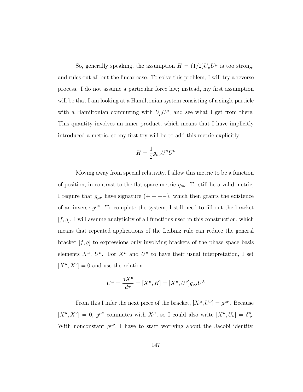So, generally speaking, the assumption  $H = (1/2)U_{\mu}U^{\mu}$  is too strong, and rules out all but the linear case. To solve this problem, I will try a reverse process. I do not assume a particular force law; instead, my first assumption will be that I am looking at a Hamiltonian system consisting of a single particle with a Hamiltonian commuting with  $U_{\mu}U^{\mu}$ , and see what I get from there. This quantity involves an inner product, which means that I have implicitly introduced a metric, so my first try will be to add this metric explicitly:

$$
H = \frac{1}{2} g_{\mu\nu} U^{\mu} U^{\nu}
$$

Moving away from special relativity, I allow this metric to be a function of position, in contrast to the flat-space metric  $\eta_{\mu\nu}$ . To still be a valid metric, I require that  $g_{\mu\nu}$  have signature  $(+ - - -)$ , which then grants the existence of an inverse  $g^{\mu\nu}$ . To complete the system, I still need to fill out the bracket  $[f, g]$ . I will assume analyticity of all functions used in this construction, which means that repeated applications of the Leibniz rule can reduce the general bracket  $[f, g]$  to expressions only involving brackets of the phase space basis elements  $X^{\mu}$ ,  $U^{\mu}$ . For  $X^{\mu}$  and  $U^{\mu}$  to have their usual interpretation, I set  $[X^{\mu}, X^{\nu}] = 0$  and use the relation

$$
U^{\mu} = \frac{dX^{\mu}}{d\tau} = [X^{\mu}, H] = [X^{\mu}, U^{\nu}]g_{\nu\lambda}U^{\lambda}
$$

From this I infer the next piece of the bracket,  $[X^{\mu}, U^{\nu}] = g^{\mu\nu}$ . Because  $[X^{\mu}, X^{\nu}] = 0$ ,  $g^{\mu\nu}$  commutes with  $X^{\mu}$ , so I could also write  $[X^{\mu}, U_{\nu}] = \delta^{\mu}_{\nu}$ . With nonconstant  $g^{\mu\nu}$ , I have to start worrying about the Jacobi identity.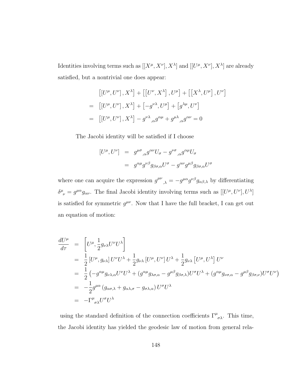Identities involving terms such as  $[[X^{\mu}, X^{\nu}], X^{\lambda}]$  and  $[[U^{\mu}, X^{\nu}], X^{\lambda}]$  are already satisfied, but a nontrivial one does appear:

$$
\begin{aligned}\n\left[ \left[ U^{\mu}, U^{\nu} \right], X^{\lambda} \right] + \left[ \left[ U^{\nu}, X^{\lambda} \right], U^{\mu} \right] + \left[ \left[ X^{\lambda}, U^{\mu} \right], U^{\nu} \right] \\
= \left[ \left[ U^{\mu}, U^{\nu} \right], X^{\lambda} \right] + \left[ -g^{\nu\lambda}, U^{\mu} \right] + \left[ g^{\lambda\mu}, U^{\nu} \right] \\
= \left[ \left[ U^{\mu}, U^{\nu} \right], X^{\lambda} \right] - g^{\nu\lambda}, g^{\alpha\mu} + g^{\mu\lambda}, g^{\alpha\nu} = 0\n\end{aligned}
$$

The Jacobi identity will be satisfied if I choose

$$
[U^{\mu}, U^{\nu}] = g^{\mu\sigma}{}_{,\alpha} g^{\alpha\nu} U_{\sigma} - g^{\nu\sigma}{}_{,\alpha} g^{\alpha\mu} U_{\sigma}
$$

$$
= g^{\alpha\mu} g^{\nu\beta} g_{\beta\sigma,\alpha} U^{\sigma} - g^{\alpha\nu} g^{\mu\beta} g_{\beta\sigma,\alpha} U^{\sigma}
$$

where one can acquire the expression  $g^{\mu\nu}{}_{,\lambda} = -g^{\mu\alpha}g^{\nu\beta}g_{\alpha\beta,\lambda}$  by differentiating  $\delta^{\mu}_{\ \nu} = g^{\mu\alpha} g_{\alpha\nu}$ . The final Jacobi identity involving terms such as  $[[U^{\mu}, U^{\nu}], U^{\lambda}]$ is satisfied for symmetric  $g^{\mu\nu}$ . Now that I have the full bracket, I can get out an equation of motion:

$$
\frac{dU^{\mu}}{d\tau} = \left[ U^{\mu}, \frac{1}{2} g_{\nu\lambda} U^{\nu} U^{\lambda} \right]
$$
\n
$$
= \frac{1}{2} \left[ U^{\mu}, g_{\nu\lambda} \right] U^{\nu} U^{\lambda} + \frac{1}{2} g_{\nu\lambda} \left[ U^{\mu}, U^{\nu} \right] U^{\lambda} + \frac{1}{2} g_{\nu\lambda} \left[ U^{\mu}, U^{\lambda} \right] U^{\nu}
$$
\n
$$
= \frac{1}{2} \left( -g^{\alpha\mu} g_{\nu\lambda,\alpha} U^{\nu} U^{\lambda} + (g^{\alpha\mu} g_{\lambda\sigma,\alpha} - g^{\mu\beta} g_{\beta\sigma,\lambda}) U^{\sigma} U^{\lambda} + (g^{\alpha\mu} g_{\nu\sigma,\alpha} - g^{\mu\beta} g_{\beta\sigma,\nu}) U^{\sigma} U^{\nu} \right)
$$
\n
$$
= -\frac{1}{2} g^{\mu\alpha} \left( g_{\alpha\sigma,\lambda} + g_{\alpha\lambda,\sigma} - g_{\sigma\lambda,\alpha} \right) U^{\sigma} U^{\lambda}
$$
\n
$$
= -\Gamma^{\mu}{}_{\sigma\lambda} U^{\sigma} U^{\lambda}
$$

using the standard definition of the connection coefficients  $\Gamma^{\mu}{}_{\sigma\lambda}$ . This time, the Jacobi identity has yielded the geodesic law of motion from general rela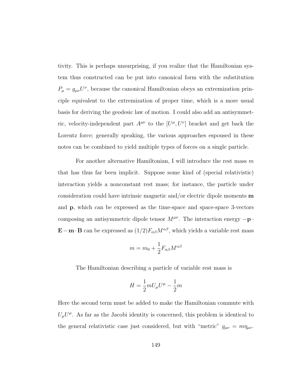tivity. This is perhaps unsurprising, if you realize that the Hamiltonian system thus constructed can be put into canonical form with the substitution  $P_{\mu} = g_{\mu\nu}U^{\nu}$ , because the canonical Hamiltonian obeys an extremization principle equivalent to the extremization of proper time, which is a more usual basis for deriving the geodesic law of motion. I could also add an antisymmetric, velocity-independent part  $A^{\mu\nu}$  to the  $[U^{\mu}, U^{\nu}]$  bracket and get back the Lorentz force; generally speaking, the various approaches espoused in these notes can be combined to yield multiple types of forces on a single particle.

For another alternative Hamiltonian, I will introduce the rest mass  $m$ that has thus far been implicit. Suppose some kind of (special relativistic) interaction yields a nonconstant rest mass; for instance, the particle under consideration could have intrinsic magnetic and/or electric dipole moments  $\mathbf m$ and p, which can be expressed as the time-space and space-space 3-vectors composing an antisymmetric dipole tensor  $M^{\mu\nu}$ . The interaction energy  $-\mathbf{p}$ . E−m⋅B can be expressed as  $(1/2)F_{\alpha\beta}M^{\alpha\beta}$ , which yields a variable rest mass

$$
m = m_0 + \frac{1}{2} F_{\alpha\beta} M^{\alpha\beta}
$$

The Hamiltonian describing a particle of variable rest mass is

$$
H = \frac{1}{2}mU_{\mu}U^{\mu} - \frac{1}{2}m
$$

Here the second term must be added to make the Hamiltonian commute with  $U_{\mu}U^{\mu}$ . As far as the Jacobi identity is concerned, this problem is identical to the general relativistic case just considered, but with "metric"  $g_{\mu\nu} = m\eta_{\mu\nu}$ .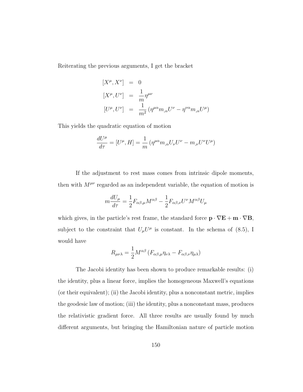Reiterating the previous arguments, I get the bracket

$$
[X^{\mu}, X^{\nu}] = 0
$$
  
\n
$$
[X^{\mu}, U^{\nu}] = \frac{1}{m} \eta^{\mu\nu}
$$
  
\n
$$
[U^{\mu}, U^{\nu}] = \frac{1}{m^2} (\eta^{\mu\alpha} m_{,\alpha} U^{\nu} - \eta^{\nu\alpha} m_{,\alpha} U^{\mu})
$$

This yields the quadratic equation of motion

$$
\frac{dU^{\mu}}{d\tau} = [U^{\mu}, H] = \frac{1}{m} \left( \eta^{\mu\alpha} m_{,\alpha} U_{\nu} U^{\nu} - m_{,\nu} U^{\nu} U^{\mu} \right)
$$

If the adjustment to rest mass comes from intrinsic dipole moments, then with  $M^{\mu\nu}$  regarded as an independent variable, the equation of motion is

$$
m\frac{dU_{\mu}}{d\tau} = \frac{1}{2}F_{\alpha\beta,\mu}M^{\alpha\beta} - \frac{1}{2}F_{\alpha\beta,\nu}U^{\nu}M^{\alpha\beta}U_{\mu}
$$

which gives, in the particle's rest frame, the standard force  $\mathbf{p} \cdot \nabla \mathbf{E} + \mathbf{m} \cdot \nabla \mathbf{B}$ , subject to the constraint that  $U_{\mu}U^{\mu}$  is constant. In the schema of [\(8.5\)](#page-154-0), I would have

$$
R_{\mu\nu\lambda} = \frac{1}{2} M^{\alpha\beta} \left( F_{\alpha\beta,\mu} \eta_{\nu\lambda} - F_{\alpha\beta,\nu} \eta_{\mu\lambda} \right)
$$

The Jacobi identity has been shown to produce remarkable results: (i) the identity, plus a linear force, implies the homogeneous Maxwell's equations (or their equivalent); (ii) the Jacobi identity, plus a nonconstant metric, implies the geodesic law of motion; (iii) the identity, plus a nonconstant mass, produces the relativistic gradient force. All three results are usually found by much different arguments, but bringing the Hamiltonian nature of particle motion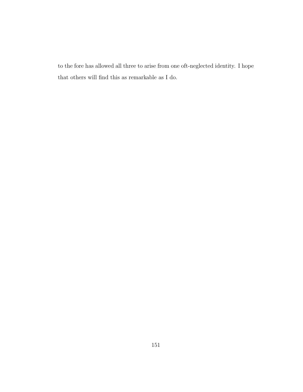to the fore has allowed all three to arise from one oft-neglected identity. I hope that others will find this as remarkable as I do.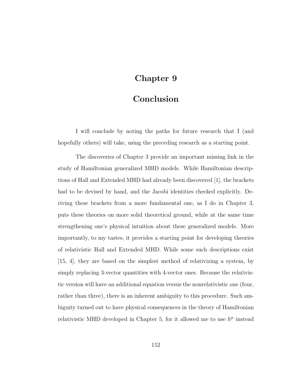### Chapter 9

### Conclusion

I will conclude by noting the paths for future research that I (and hopefully others) will take, using the preceding research as a starting point.

The discoveries of Chapter [3](#page-53-0) provide an important missing link in the study of Hamiltonian generalized MHD models. While Hamiltonian descriptions of Hall and Extended MHD had already been discovered [\[1\]](#page-175-0), the brackets had to be devised by hand, and the Jacobi identities checked explicitly. Deriving these brackets from a more fundamental one, as I do in Chapter [3,](#page-53-0) puts these theories on more solid theoretical ground, while at the same time strengthening one's physical intuition about these generalized models. More importantly, to my tastes, it provides a starting point for developing theories of relativistic Hall and Extended MHD. While some such descriptions exist [\[15,](#page-176-0) [4\]](#page-175-1), they are based on the simplest method of relativizing a system, by simply replacing 3-vector quantities with 4-vector ones. Because the relativistic version will have an additional equation versus the nonrelativistic one (four, rather than three), there is an inherent ambiguity to this procedure. Such ambiguity turned out to have physical consequences in the theory of Hamiltonian relativistic MHD developed in Chapter [5,](#page-80-0) for it allowed me to use  $h^{\mu}$  instead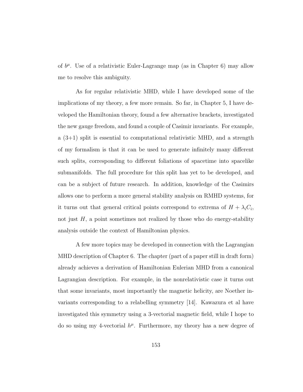of  $b^{\mu}$ . Use of a relativistic Euler-Lagrange map (as in Chapter [6\)](#page-111-0) may allow me to resolve this ambiguity.

As for regular relativistic MHD, while I have developed some of the implications of my theory, a few more remain. So far, in Chapter [5,](#page-80-0) I have developed the Hamiltonian theory, found a few alternative brackets, investigated the new gauge freedom, and found a couple of Casimir invariants. For example, a  $(3+1)$  split is essential to computational relativistic MHD, and a strength of my formalism is that it can be used to generate infinitely many different such splits, corresponding to different foliations of spacetime into spacelike submanifolds. The full procedure for this split has yet to be developed, and can be a subject of future research. In addition, knowledge of the Casimirs allows one to perform a more general stability analysis on RMHD systems, for it turns out that general critical points correspond to extrema of  $H + \lambda_i C_i$ , not just  $H$ , a point sometimes not realized by those who do energy-stability analysis outside the context of Hamiltonian physics.

A few more topics may be developed in connection with the Lagrangian MHD description of Chapter [6.](#page-111-0) The chapter (part of a paper still in draft form) already achieves a derivation of Hamiltonian Eulerian MHD from a canonical Lagrangian description. For example, in the nonrelativistic case it turns out that some invariants, most importantly the magnetic helicity, are Noether invariants corresponding to a relabelling symmetry [\[14\]](#page-176-1). Kawazura et al have investigated this symmetry using a 3-vectorial magnetic field, while I hope to do so using my 4-vectorial  $h^{\mu}$ . Furthermore, my theory has a new degree of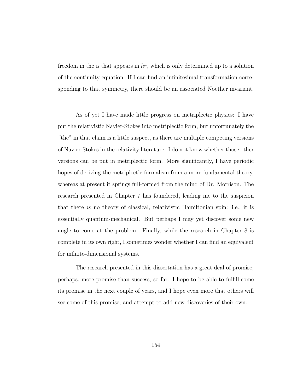freedom in the  $\alpha$  that appears in  $h^{\mu}$ , which is only determined up to a solution of the continuity equation. If I can find an infinitesimal transformation corresponding to that symmetry, there should be an associated Noether invariant.

As of yet I have made little progress on metriplectic physics: I have put the relativistic Navier-Stokes into metriplectic form, but unfortunately the "the" in that claim is a little suspect, as there are multiple competing versions of Navier-Stokes in the relativity literature. I do not know whether those other versions can be put in metriplectic form. More significantly, I have periodic hopes of deriving the metriplectic formalism from a more fundamental theory, whereas at present it springs full-formed from the mind of Dr. Morrison. The research presented in Chapter [7](#page-132-0) has foundered, leading me to the suspicion that there is no theory of classical, relativistic Hamiltonian spin: i.e., it is essentially quantum-mechanical. But perhaps I may yet discover some new angle to come at the problem. Finally, while the research in Chapter [8](#page-146-0) is complete in its own right, I sometimes wonder whether I can find an equivalent for infinite-dimensional systems.

The research presented in this dissertation has a great deal of promise; perhaps, more promise than success, so far. I hope to be able to fulfill some its promise in the next couple of years, and I hope even more that others will see some of this promise, and attempt to add new discoveries of their own.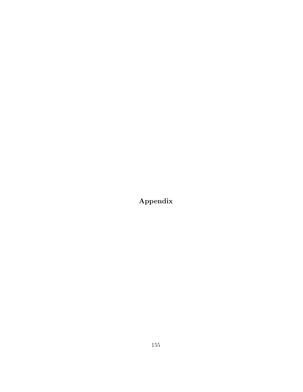Appendix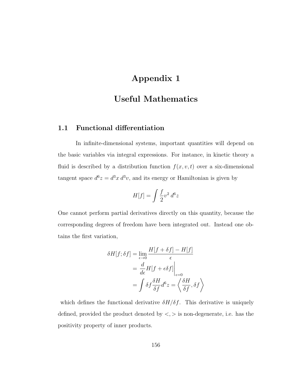# Appendix 1

# Useful Mathematics

#### 1.1 Functional differentiation

In infinite-dimensional systems, important quantities will depend on the basic variables via integral expressions. For instance, in kinetic theory a fluid is described by a distribution function  $f(x, v, t)$  over a six-dimensional tangent space  $d^6z = d^3x d^3v$ , and its energy or Hamiltonian is given by

$$
H[f] = \int \frac{f}{2} v^2 d^6 z
$$

One cannot perform partial derivatives directly on this quantity, because the corresponding degrees of freedom have been integrated out. Instead one obtains the first variation,

$$
\delta H[f; \delta f] = \lim_{\epsilon \to 0} \frac{H[f + \delta f] - H[f]}{\epsilon}
$$

$$
= \frac{d}{d\epsilon} H[f + \epsilon \delta f] \Big|_{\epsilon = 0}
$$

$$
= \int \delta f \frac{\delta H}{\delta f} d^6 z = \left\langle \frac{\delta H}{\delta f}, \delta f \right\rangle
$$

which defines the functional derivative  $\delta H/\delta f$ . This derivative is uniquely defined, provided the product denoted by  $\langle , \rangle$  is non-degenerate, i.e. has the positivity property of inner products.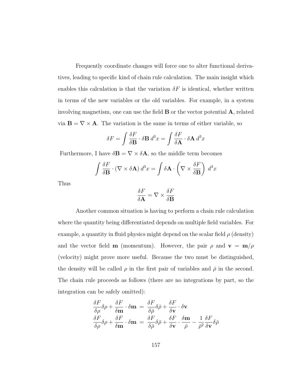Frequently coordinate changes will force one to alter functional derivatives, leading to specific kind of chain rule calculation. The main insight which enables this calculation is that the variation  $\delta F$  is identical, whether written in terms of the new variables or the old variables. For example, in a system involving magnetism, one can use the field  $\bf{B}$  or the vector potential  $\bf{A}$ , related via  $\mathbf{B} = \nabla \times \mathbf{A}$ . The variation is the same in terms of either variable, so

$$
\delta F = \int \frac{\delta F}{\delta \mathbf{B}} \cdot \delta \mathbf{B} \, d^3 x = \int \frac{\delta F}{\delta \mathbf{A}} \cdot \delta \mathbf{A} \, d^3 x
$$

Furthermore, I have  $\delta \mathbf{B} = \nabla \times \delta \mathbf{A}$ , so the middle term becomes

$$
\int \frac{\delta F}{\delta \mathbf{B}} \cdot (\nabla \times \delta \mathbf{A}) d^3 x = \int \delta \mathbf{A} \cdot \left( \nabla \times \frac{\delta F}{\delta \mathbf{B}} \right) d^3 x
$$

Thus

$$
\frac{\delta F}{\delta \mathbf{A}} = \nabla \times \frac{\delta F}{\delta \mathbf{B}}
$$

Another common situation is having to perform a chain rule calculation where the quantity being differentiated depends on multiple field variables. For example, a quantity in fluid physics might depend on the scalar field  $\rho$  (density) and the vector field **m** (momentum). However, the pair  $\rho$  and  $\mathbf{v} = \mathbf{m}/\rho$ (velocity) might prove more useful. Because the two must be distinguished, the density will be called  $\rho$  in the first pair of variables and  $\bar{\rho}$  in the second. The chain rule proceeds as follows (there are no integrations by part, so the integration can be safely omitted):

$$
\frac{\delta F}{\delta \rho} \delta \rho + \frac{\delta F}{\delta \mathbf{m}} \cdot \delta \mathbf{m} = \frac{\delta F}{\delta \bar{\rho}} \delta \bar{\rho} + \frac{\delta F}{\delta \mathbf{v}} \cdot \delta \mathbf{v}
$$

$$
\frac{\delta F}{\delta \rho} \delta \rho + \frac{\delta F}{\delta \mathbf{m}} \cdot \delta \mathbf{m} = \frac{\delta F}{\delta \bar{\rho}} \delta \bar{\rho} + \frac{\delta F}{\delta \mathbf{v}} \cdot \frac{\delta \mathbf{m}}{\bar{\rho}} - \frac{1}{\bar{\rho}^2} \frac{\delta F}{\delta \mathbf{v}} \delta \bar{\rho}
$$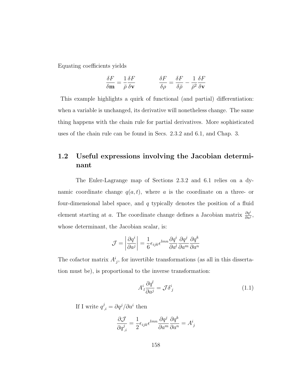Equating coefficients yields

$$
\frac{\delta F}{\delta \mathbf{m}} = \frac{1}{\bar{\rho}} \frac{\delta F}{\delta \mathbf{v}} \qquad \qquad \frac{\delta F}{\delta \rho} = \frac{\delta F}{\delta \bar{\rho}} - \frac{1}{\bar{\rho}^2} \frac{\delta F}{\delta \mathbf{v}}
$$

This example highlights a quirk of functional (and partial) differentiation: when a variable is unchanged, its derivative will nonetheless change. The same thing happens with the chain rule for partial derivatives. More sophisticated uses of the chain rule can be found in Secs. [2.3.2](#page-30-0) and [6.1,](#page-111-1) and Chap. [3.](#page-53-0)

#### 1.2 Useful expressions involving the Jacobian determinant

The Euler-Lagrange map of Sections [2.3.2](#page-30-0) and [6.1](#page-111-1) relies on a dynamic coordinate change  $q(a, t)$ , where a is the coordinate on a three- or four-dimensional label space, and  $q$  typically denotes the position of a fluid element starting at a. The coordinate change defines a Jacobian matrix  $\frac{\partial q^i}{\partial a^j}$ , whose determinant, the Jacobian scalar, is:

$$
\mathcal{J} = \left| \frac{\partial q^i}{\partial a^j} \right| = \frac{1}{6} \epsilon_{ijk} \epsilon^{lmn} \frac{\partial q^i}{\partial a^l} \frac{\partial q^j}{\partial a^m} \frac{\partial q^k}{\partial a^n}
$$

The cofactor matrix  $A^i_j$ , for invertible transformations (as all in this dissertation must be), is proportional to the inverse transformation:

<span id="page-166-0"></span>
$$
A^i_{\ l}\frac{\partial q^l}{\partial a^j} = \mathcal{J}\delta^i_{\ j} \tag{1.1}
$$

If I write  $q^j_{\,i} = \partial q^j / \partial a^i$  then

$$
\frac{\partial \mathcal{J}}{\partial q^j_{,i}} = \frac{1}{2} \epsilon_{ijk} \epsilon^{lmn} \frac{\partial q^j}{\partial a^m} \frac{\partial q^k}{\partial a^n} = A^i_{\ j}
$$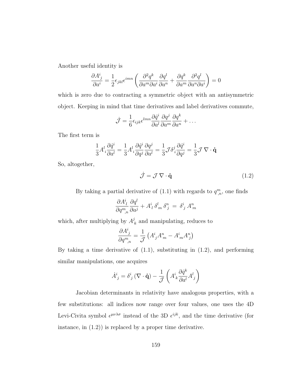Another useful identity is

$$
\frac{\partial A^i_j}{\partial a^i} = \frac{1}{2} \epsilon_{jkl} \epsilon^{imn} \left( \frac{\partial^2 q^k}{\partial a^m \partial a^i} \frac{\partial q^l}{\partial a^n} + \frac{\partial q^k}{\partial a^m} \frac{\partial^2 q^l}{\partial a^n \partial a^i} \right) = 0
$$

which is zero due to contracting a symmetric object with an antisymmetric object. Keeping in mind that time derivatives and label derivatives commute,

$$
\dot{\mathcal{J}} = \frac{1}{6} \epsilon_{ijk} \epsilon^{lmn} \frac{\partial \dot{q}^i}{\partial a^l} \frac{\partial q^j}{\partial a^m} \frac{\partial q^k}{\partial a^n} + \dots
$$

The first term is

$$
\frac{1}{3}A^l_i\frac{\partial \dot{q}^i}{\partial a^l} = \frac{1}{3}A^l_i\frac{\partial \dot{q}^i}{\partial q^j}\frac{\partial q^j}{\partial a^l} = \frac{1}{3}\mathcal{J}\delta^j_i\frac{\partial \dot{q}^i}{\partial q^j} = \frac{1}{3}\mathcal{J}\,\nabla\cdot\dot{\mathbf{q}}
$$

So, altogether,

<span id="page-167-0"></span>
$$
\dot{\mathcal{J}} = \mathcal{J} \, \nabla \cdot \dot{\mathbf{q}} \tag{1.2}
$$

By taking a partial derivative of  $(1.1)$  with regards to  $q_{n}^{m}$ , one finds

$$
\frac{\partial A^i_{\ l}}{\partial q^m_{\ ,n}} \frac{\partial q^l}{\partial a^j} + A^i_{\ l} \delta^l_{\ m} \delta^n_{\ j} \ = \ \delta^i_{\ j} \, A^n_{\ m}
$$

which, after multiplying by  $A^j$  $k_{k}$  and manipulating, reduces to

$$
\frac{\partial A^i_j}{\partial q^m_{\ ,n}} = \frac{1}{\mathcal{J}} \left( A^i_{\ j} A^n_{\ m} - A^i_{\ m} A^n_{\ j} \right)
$$

By taking a time derivative of  $(1.1)$ , substituting in  $(1.2)$ , and performing similar manipulations, one acquires

$$
\dot{A}^i_{\ j} = \delta^i_{\ j} \left( \nabla \cdot \dot{\mathbf{q}} \right) - \frac{1}{\mathcal{J}} \left( A^i_{\ k} \frac{\partial \dot{q}^k}{\partial a^l} A^l_{\ j} \right)
$$

Jacobian determinants in relativity have analogous properties, with a few substitutions: all indices now range over four values, one uses the 4D Levi-Civita symbol  $\epsilon^{\mu\nu\lambda\sigma}$  instead of the 3D  $\epsilon^{ijk}$ , and the time derivative (for instance, in [\(1.2\)](#page-167-0)) is replaced by a proper time derivative.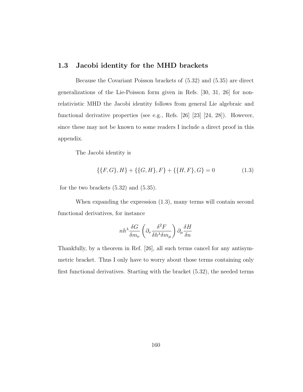#### 1.3 Jacobi identity for the MHD brackets

Because the Covariant Poisson brackets of [\(5.32\)](#page-91-0) and [\(5.35\)](#page-94-0) are direct generalizations of the Lie-Poisson form given in Refs. [\[30,](#page-178-0) [31,](#page-178-1) [26\]](#page-178-2) for nonrelativistic MHD the Jacobi identity follows from general Lie algebraic and functional derivative properties (see e.g., Refs. [\[26\]](#page-178-2) [\[23\]](#page-177-2) [\[24,](#page-177-3) [28\]](#page-178-3)). However, since these may not be known to some readers I include a direct proof in this appendix.

The Jacobi identity is

<span id="page-168-0"></span>
$$
\{\{F,G\},H\} + \{\{G,H\},F\} + \{\{H,F\},G\} = 0 \tag{1.3}
$$

for the two brackets  $(5.32)$  and  $(5.35)$ .

When expanding the expression [\(1.3\)](#page-168-0), many terms will contain second functional derivatives, for instance

$$
nh^{\lambda}\frac{\delta G}{\delta m_{\nu}}\left(\partial_{\nu}\frac{\delta^2 F}{\delta h^{\lambda}\delta m_{\mu}}\right)\partial_{\mu}\frac{\delta H}{\delta n}
$$

Thankfully, by a theorem in Ref. [\[26\]](#page-178-2), all such terms cancel for any antisymmetric bracket. Thus I only have to worry about those terms containing only first functional derivatives. Starting with the bracket [\(5.32\)](#page-91-0), the needed terms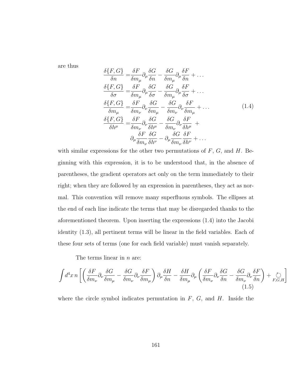are thus

<span id="page-169-0"></span>
$$
\frac{\delta\{F,G\}}{\delta n} = \frac{\delta F}{\delta m_{\mu}} \partial_{\mu} \frac{\delta G}{\delta n} - \frac{\delta G}{\delta m_{\mu}} \partial_{\mu} \frac{\delta F}{\delta n} + \dots
$$
\n
$$
\frac{\delta\{F,G\}}{\delta \sigma} = \frac{\delta F}{\delta m_{\mu}} \partial_{\mu} \frac{\delta G}{\delta \sigma} - \frac{\delta G}{\delta m_{\mu}} \partial_{\mu} \frac{\delta F}{\delta \sigma} + \dots
$$
\n
$$
\frac{\delta\{F,G\}}{\delta m_{\mu}} = \frac{\delta F}{\delta m_{\nu}} \partial_{\nu} \frac{\delta G}{\delta m_{\mu}} - \frac{\delta G}{\delta m_{\nu}} \partial_{\nu} \frac{\delta F}{\delta m_{\mu}} + \dots
$$
\n
$$
\frac{\delta\{F,G\}}{\delta h^{\mu}} = \frac{\delta F}{\delta m_{\nu}} \partial_{\nu} \frac{\delta G}{\delta h^{\mu}} - \frac{\delta G}{\delta m_{\nu}} \partial_{\nu} \frac{\delta F}{\delta h^{\mu}} + \partial_{\mu} \frac{\delta F}{\delta m_{\nu}} \frac{\delta G}{\delta h^{\nu}} - \partial_{\mu} \frac{\delta G}{\delta m_{\nu}} \frac{\delta F}{\delta h^{\nu}} + \dots
$$
\n(1.4)

with similar expressions for the other two permutations of  $F$ ,  $G$ , and  $H$ . Beginning with this expression, it is to be understood that, in the absence of parentheses, the gradient operators act only on the term immediately to their right; when they are followed by an expression in parentheses, they act as normal. This convention will remove many superfluous symbols. The ellipses at the end of each line indicate the terms that may be disregarded thanks to the aforementioned theorem. Upon inserting the expressions [\(1.4\)](#page-169-0) into the Jacobi identity [\(1.3\)](#page-168-0), all pertinent terms will be linear in the field variables. Each of these four sets of terms (one for each field variable) must vanish separately.

The terms linear in  $n$  are:

<span id="page-169-1"></span>
$$
\int d^4x \, n \left[ \left( \frac{\delta F}{\delta m_\nu} \partial_\nu \frac{\delta G}{\delta m_\mu} - \frac{\delta G}{\delta m_\nu} \partial_\nu \frac{\delta F}{\delta m_\mu} \right) \partial_\mu \frac{\delta H}{\delta n} - \frac{\delta H}{\delta m_\mu} \partial_\mu \left( \frac{\delta F}{\delta m_\nu} \partial_\nu \frac{\delta G}{\delta n} - \frac{\delta G}{\delta m_\nu} \partial_\nu \frac{\delta F}{\delta n} \right) + \underset{F,G,H}{\circlearrowright} \right]
$$
\n(1.5)

where the circle symbol indicates permutation in  $F$ ,  $G$ , and  $H$ . Inside the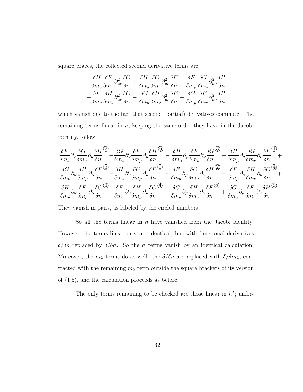square braces, the collected second derivative terms are

$$
-\frac{\delta H}{\delta m_{\mu}}\frac{\delta F}{\delta m_{\nu}}\partial^{2}_{\mu\nu}\frac{\delta G}{\delta n}+\frac{\delta H}{\delta m_{\mu}}\frac{\delta G}{\delta m_{\nu}}\partial^{2}_{\mu\nu}\frac{\delta F}{\delta n}-\frac{\delta F}{\delta m_{\mu}}\frac{\delta G}{\delta m_{\nu}}\partial^{2}_{\mu\nu}\frac{\delta H}{\delta n}\\+\frac{\delta F}{\delta m_{\mu}}\frac{\delta H}{\delta m_{\nu}}\partial^{2}_{\mu\nu}\frac{\delta G}{\delta n}-\frac{\delta G}{\delta m_{\mu}}\frac{\delta H}{\delta m_{\nu}}\partial^{2}_{\mu\nu}\frac{\delta F}{\delta n}+\frac{\delta G}{\delta m_{\mu}}\frac{\delta F}{\delta m_{\nu}}\partial^{2}_{\mu\nu}\frac{\delta H}{\delta n}
$$

which vanish due to the fact that second (partial) derivatives commute. The remaining terms linear in  $n$ , keeping the same order they have in the Jacobi identity, follow:

$$
\frac{\delta F}{\delta m_{\nu}}\partial_{\nu}\frac{\delta G}{\delta m_{\mu}}\partial_{\mu}\frac{\delta H}{\delta n}^{\textcircled{2}}-\frac{\delta G}{\delta m_{\nu}}\partial_{\nu}\frac{\delta F}{\delta m_{\mu}}\partial_{\mu}\frac{\delta H}{\delta n}^{\textcircled{6}}-\frac{\delta H}{\delta m_{\mu}}\partial_{\mu}\frac{\delta F}{\delta m_{\nu}}\partial_{\nu}\frac{\delta G}{\delta n}^{\textcircled{6}}+\frac{\delta H}{\delta m_{\mu}}\partial_{\mu}\frac{\delta G}{\delta m_{\nu}}\partial_{\nu}\frac{\delta F}{\delta n}^{\textcircled{6}}+\frac{\delta G}{\delta m_{\nu}}\partial_{\nu}\frac{\delta F}{\delta m_{\mu}}\partial_{\nu}\frac{\delta F}{\delta m_{\mu}}^{\textcircled{6}}-\frac{\delta H}{\delta m_{\nu}}\partial_{\nu}\frac{\delta G}{\delta m_{\mu}}\partial_{\mu}\frac{\delta F}{\delta n}^{\textcircled{6}}-\frac{\delta F}{\delta m_{\mu}}\partial_{\mu}\frac{\delta G}{\delta m_{\nu}}\partial_{\nu}\frac{\delta H}{\delta n}^{\textcircled{6}}+\frac{\delta F}{\delta m_{\mu}}\partial_{\mu}\frac{\delta H}{\delta m_{\nu}}\partial_{\nu}\frac{\delta G}{\delta n}^{\textcircled{6}}+\frac{\delta H}{\delta m_{\nu}}\partial_{\nu}\frac{\delta G}{\delta n}^{\textcircled{6}}+\frac{\delta H}{\delta m_{\nu}}\partial_{\nu}\frac{\delta F}{\delta m_{\nu}}\partial_{\nu}\frac{\delta F}{\delta n}^{\textcircled{6}}-\frac{\delta G}{\delta m_{\mu}}\partial_{\mu}\frac{\delta H}{\delta m_{\nu}}\partial_{\nu}\frac{\delta F}{\delta n}^{\textcircled{6}}+\frac{\delta G}{\delta m_{\mu}}\partial_{\mu}\frac{\delta F}{\delta m_{\nu}}\partial_{\nu}\frac{\delta F}{\delta n}^{\textcircled{6}}+\frac{\delta G}{\delta m_{\mu}}\partial_{\mu}\frac{\delta F}{\delta m_{\nu}}\partial_{\nu}\frac{\delta H}{\delta n}^{\textcircled{6}}+\frac{\delta G}{\delta m_{\mu}}\partial_{\mu}\frac{\delta F}{\delta m_{\nu}}^{\textcircled{6}}+\frac{\delta G}{\delta m_{\mu}}\partial_{\mu}\frac{\delta F}{\delta m_{\nu}}^{\text
$$

They vanish in pairs, as labeled by the circled numbers.

So all the terms linear in  $n$  have vanished from the Jacobi identity. However, the terms linear in  $\sigma$  are identical, but with functional derivatives δ/δn replaced by δ/δσ. So the σ terms vanish by an identical calculation. Moreover, the  $m_{\lambda}$  terms do as well: the  $\delta/\delta n$  are replaced with  $\delta/\delta m_{\lambda}$ , contracted with the remaining  $m<sub>\lambda</sub>$  term outside the square brackets of its version of [\(1.5\)](#page-169-1), and the calculation proceeds as before.

The only terms remaining to be checked are those linear in  $h^{\lambda}$ ; unfor-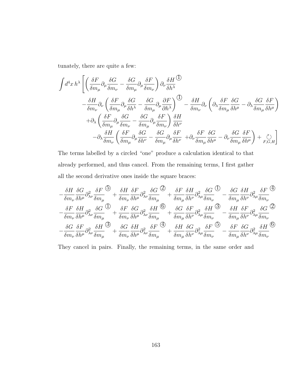tunately, there are quite a few:

$$
\begin{split} \int &d^4x\,h^{\lambda}\left[\left(\frac{\delta F}{\delta m_{\mu}}\partial_{\mu}\frac{\delta G}{\delta m_{\nu}}-\frac{\delta G}{\delta m_{\mu}}\partial_{\mu}\frac{\delta F}{\delta m_{\nu}}\right)\partial_{\nu}\frac{\delta H}{\delta h^{\lambda}}\right.\\ &\left. -\frac{\delta H}{\delta m_{\nu}}\partial_{\nu}\left(\frac{\delta F}{\delta m_{\mu}}\partial_{\mu}\frac{\delta G}{\delta h^{\lambda}}-\frac{\delta G}{\delta m_{\mu}}\partial_{\mu}\frac{\partial F}{\partial h^{\lambda}}\right)^{\text{}}\right]-\frac{\delta H}{\delta m_{\nu}}\partial_{\nu}\left(\partial_{\lambda}\frac{\delta F}{\delta m_{\mu}}\frac{\delta G}{\delta h^{\mu}}-\partial_{\lambda}\frac{\delta G}{\delta m_{\mu}}\frac{\delta F}{\delta h^{\mu}}\right)\\ &\left. +\partial_{\lambda}\left(\frac{\delta F}{\delta m_{\mu}}\partial_{\mu}\frac{\delta G}{\delta m_{\nu}}-\frac{\delta G}{\delta m_{\mu}}\partial_{\mu}\frac{\delta F}{\delta m_{\nu}}\right)\frac{\delta H}{\delta h^{\nu}}\\ &\left. -\partial_{\lambda}\frac{\delta H}{\delta m_{\nu}}\left(\frac{\delta F}{\delta m_{\mu}}\partial_{\mu}\frac{\delta G}{\delta h^{\nu}}-\frac{\delta G}{\delta m_{\mu}}\partial_{\mu}\frac{\delta F}{\delta h^{\nu}}\right.\right.\\ \left.+\partial_{\nu}\frac{\delta G}{\delta m_{\mu}}\frac{\delta F}{\delta h^{\mu}}\right)+\sum_{F,G,H}\right] \end{split}
$$

The terms labelled by a circled "one" produce a calculation identical to that already performed, and thus cancel. From the remaining terms, I first gather all the second derivative ones inside the square braces:

$$
-\frac{\delta H}{\delta m_{\nu}}\frac{\delta G}{\delta h^{\mu}}\partial^{2}_{\lambda \nu}\frac{\delta F}{\delta m_{\mu}}\bigg|^{2} + \frac{\delta H}{\delta m_{\nu}}\frac{\delta F}{\delta h^{\mu}}\partial^{2}_{\lambda \nu}\frac{\delta G}{\delta m_{\mu}}\bigg|^{2} + \frac{\delta F}{\delta m_{\mu}}\frac{\delta H}{\delta h^{\nu}}\partial^{2}_{\lambda \mu}\frac{\delta G}{\delta m_{\nu}}\bigg|^{2} - \frac{\delta G}{\delta m_{\mu}}\frac{\delta H}{\delta h^{\nu}}\partial^{2}_{\lambda \mu}\frac{\delta F}{\delta m_{\nu}}\bigg|^{2} - \frac{\delta F}{\delta m_{\nu}}\frac{\delta H}{\delta h^{\nu}}\partial^{2}_{\lambda \nu}\frac{\delta G}{\delta m_{\mu}}\bigg|^{2} + \frac{\delta F}{\delta m_{\nu}}\frac{\delta G}{\delta h^{\mu}}\partial^{2}_{\lambda \nu}\frac{\delta H}{\delta m_{\mu}}\bigg|^{2} + \frac{\delta G}{\delta m_{\mu}}\frac{\delta F}{\delta h^{\nu}}\partial^{2}_{\lambda \mu}\frac{\delta H}{\delta m_{\nu}}\bigg|^{2} - \frac{\delta H}{\delta m_{\mu}}\frac{\delta F}{\delta h^{\nu}}\partial^{2}_{\lambda \mu}\frac{\delta G}{\delta m_{\nu}}\bigg|^{2} - \frac{\delta G}{\delta m_{\nu}}\frac{\delta F}{\delta h^{\nu}}\partial^{2}_{\lambda \nu}\frac{\delta H}{\delta m_{\mu}}\bigg|^{2} + \frac{\delta G}{\delta m_{\nu}}\frac{\delta F}{\delta h^{\nu}}\partial^{2}_{\lambda \mu}\frac{\delta F}{\delta m_{\nu}}\bigg|^{2} - \frac{\delta F}{\delta m_{\mu}}\frac{\delta G}{\delta h^{\nu}}\partial^{2}_{\lambda \mu}\frac{\delta H}{\delta m_{\nu}}\bigg|^{2}
$$

They cancel in pairs. Finally, the remaining terms, in the same order and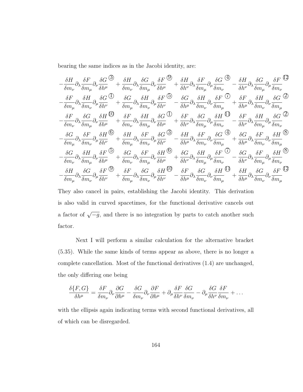bearing the same indices as in the Jacobi identity, are:

$$
-\frac{\delta H}{\delta m_{\nu}}\partial_{\lambda}\frac{\delta F}{\delta m_{\mu}}\partial_{\nu}\frac{\delta G}{\delta h^{\mu}}+\frac{\delta H}{\delta m_{\nu}}\partial_{\lambda}\frac{\delta G}{\delta m_{\mu}}\partial_{\nu}\frac{\delta F}{\delta h^{\mu}}+\frac{\delta H}{\delta h^{\nu}}\partial_{\lambda}\frac{\delta F}{\delta m_{\mu}}\partial_{\mu}\frac{\delta G}{\delta m_{\nu}}\frac{\Phi}{\delta m_{\nu}}-\frac{\delta H}{\delta h^{\nu}}\partial_{\lambda}\frac{\delta G}{\delta m_{\mu}}\partial_{\mu}\frac{\delta F}{\delta m_{\nu}}\frac{\Phi}{\delta m_{\nu}}\frac{\Phi}{\delta m_{\nu}}\frac{\Phi}{\delta m_{\nu}}\frac{\Phi}{\delta m_{\nu}}\frac{\Phi}{\delta m_{\nu}}\frac{\Phi}{\delta m_{\nu}}\frac{\Phi}{\delta m_{\nu}}\frac{\Phi}{\delta m_{\nu}}\frac{\Phi}{\delta m_{\nu}}\frac{\Phi}{\delta m_{\nu}}\frac{\Phi}{\delta m_{\nu}}\frac{\Phi}{\delta m_{\nu}}\frac{\Phi}{\delta m_{\nu}}\frac{\Phi}{\delta m_{\nu}}\frac{\Phi}{\delta m_{\nu}}\frac{\Phi}{\delta m_{\nu}}\frac{\Phi}{\delta m_{\nu}}\frac{\Phi}{\delta m_{\nu}}\frac{\Phi}{\delta m_{\nu}}\frac{\Phi}{\delta m_{\nu}}\frac{\Phi}{\delta m_{\nu}}\frac{\Phi}{\delta m_{\nu}}\frac{\Phi}{\delta m_{\nu}}\frac{\Phi}{\delta m_{\nu}}\frac{\Phi}{\delta m_{\nu}}\frac{\Phi}{\delta m_{\nu}}\frac{\Phi}{\delta m_{\nu}}\frac{\Phi}{\delta m_{\nu}}\frac{\Phi}{\delta m_{\nu}}\frac{\Phi}{\delta m_{\nu}}\frac{\Phi}{\delta m_{\nu}}\frac{\Phi}{\delta m_{\nu}}\frac{\Phi}{\delta m_{\nu}}\frac{\Phi}{\delta m_{\nu}}\frac{\Phi}{\delta m_{\nu}}\frac{\Phi}{\delta m_{\nu}}\frac{\Phi}{\delta m_{\nu}}\frac{\Phi}{\delta m_{\nu}}\frac{\Phi}{\delta m_{\nu}}\frac{\Phi}{\delta m_{\nu}}\frac{\Phi}{\delta m_{\nu}}\frac{\Phi}{\delta m_{\nu}}\frac{\Phi}{\delta m_{\nu}}\frac{\Phi}{\delta m_{\nu}}\frac{\Phi}{\delta m_{\nu}}\frac{\Phi}{\delta m_{\nu
$$

They also cancel in pairs, establishing the Jacobi identity. This derivation is also valid in curved spacetimes, for the functional derivative cancels out a factor of  $\sqrt{-g}$ , and there is no integration by parts to catch another such factor.

Next I will perform a similar calculation for the alternative bracket [\(5.35\)](#page-94-0). While the same kinds of terms appear as above, there is no longer a complete cancellation. Most of the functional derivatives [\(1.4\)](#page-169-0) are unchanged, the only differing one being

$$
\frac{\delta\{F,G\}}{\delta h^{\mu}} = \frac{\delta F}{\delta m_{\nu}} \partial_{\nu} \frac{\partial G}{\partial h^{\mu}} - \frac{\delta G}{\delta m_{\nu}} \partial_{\nu} \frac{\partial F}{\partial h^{\mu}} + \partial_{\mu} \frac{\delta F}{\delta h^{\nu}} \frac{\delta G}{\delta m_{\nu}} - \partial_{\mu} \frac{\delta G}{\delta h^{\nu}} \frac{\delta F}{\delta m_{\nu}} + \dots
$$

with the ellipsis again indicating terms with second functional derivatives, all of which can be disregarded.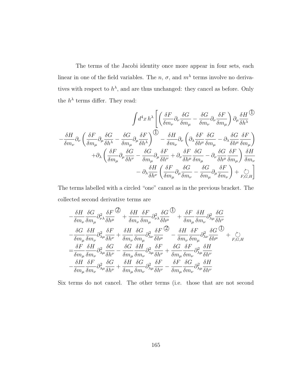The terms of the Jacobi identity once more appear in four sets, each linear in one of the field variables. The  $n, \sigma$ , and  $m<sup>\lambda</sup>$  terms involve no derivatives with respect to  $h^{\lambda}$ , and are thus unchanged: they cancel as before. Only the  $h^{\lambda}$  terms differ. They read:

$$
\begin{split} \int &d^4x\,h^{\lambda}\left[\left(\frac{\delta F}{\delta m_{\nu}}\partial_{\nu}\frac{\delta G}{\delta m_{\mu}}-\frac{\delta G}{\delta m_{\nu}}\partial_{\nu}\frac{\delta F}{\delta m_{\mu}}\right)\partial_{\mu}\frac{\delta H}{\delta h^{\lambda}}\right.\\ &\left.-\frac{\delta H}{\delta m_{\nu}}\partial_{\nu}\left(\frac{\delta F}{\delta m_{\mu}}\partial_{\mu}\frac{\delta G}{\delta h^{\lambda}}-\frac{\delta G}{\delta m_{\mu}}\partial_{\mu}\frac{\delta F}{\delta h^{\lambda}}\right)^{\bigodot}-\frac{\delta H}{\delta m_{\nu}}\partial_{\nu}\left(\partial_{\lambda}\frac{\delta F}{\delta h^{\mu}}\frac{\delta G}{\delta m_{\mu}}-\partial_{\lambda}\frac{\delta G}{\delta h^{\mu}}\frac{\delta F}{\delta m_{\mu}}\right)\\ &\left.+\partial_{\lambda}\left(\frac{\delta F}{\delta m_{\mu}}\partial_{\mu}\frac{\delta G}{\delta h^{\nu}}-\frac{\delta G}{\delta m_{\mu}}\partial_{\mu}\frac{\delta F}{\delta h^{\nu}}+\partial_{\nu}\frac{\delta F}{\delta h^{\mu}}\frac{\delta G}{\delta m_{\mu}}-\partial_{\nu}\frac{\delta G}{\delta h^{\mu}}\frac{\delta F}{\delta m_{\mu}}\right)\frac{\delta H}{\delta m_{\nu}}\\ &\left.-\partial_{\lambda}\frac{\delta H}{\delta h^{\nu}}\left(\frac{\delta F}{\delta m_{\mu}}\partial_{\mu}\frac{\delta G}{\delta m_{\nu}}-\frac{\delta G}{\delta m_{\mu}}\partial_{\mu}\frac{\delta F}{\delta m_{\nu}}\right)+\mathop{\circlearrowright.}_{F,G,H}\right] \end{split}
$$

The terms labelled with a circled "one" cancel as in the previous bracket. The collected second derivative terms are

$$
\begin{split} &-\frac{\delta H}{\delta m_{\nu}}\frac{\delta G}{\delta m_{\mu}}\partial^2_{\nu\lambda}\frac{\delta F}{\delta h^{\mu}}\mathop{\mathop{\vphantom{\bigl(}\sum_{\vphantom{\overline{J}}}{}^{}}{+}}\frac{\delta H}{\delta m_{\nu}}\frac{\delta F}{\delta m_{\mu}}\partial^2_{\nu\lambda}\frac{\delta G}{\delta h^{\mu}}\mathop{\mathop{\vphantom{\bigl(}\sum_{\vphantom{\overline{J}}}{}^{}}{+}}\frac{\delta F}{\delta m_{\mu}}\frac{\delta H}{\delta m_{\nu}}\partial^2_{\lambda\mu}\frac{\delta G}{\delta h^{\nu}}\\ &-\frac{\delta G}{\delta m_{\mu}}\frac{\delta H}{\delta m_{\nu}}\partial^2_{\lambda\mu}\frac{\delta F}{\delta h^{\nu}}+\frac{\delta H}{\delta m_{\nu}}\frac{\delta G}{\delta m_{\mu}}\partial^2_{\lambda\nu}\frac{\delta F}{\delta h^{\mu}}\mathop{\mathop{\vphantom{\bigl(}\sum_{\vphantom{\overline{J}}}{}^{}}{+}}\frac{\delta H}{\delta m_{\nu}}\frac{\delta F}{\delta m_{\mu}}\partial^2_{\lambda\nu}\frac{\delta G}{\delta h^{\mu}}\mathop{\mathop{\vphantom{\bigl(}\sum_{\vphantom{\overline{J}}}{}^{}}{+}}\frac{\delta H}{\delta m_{\mu}}\partial^2_{\lambda\mu}\frac{\delta G}{\delta h^{\nu}}\mathop{\mathop{\vphantom{\bigl(}\sum_{\vphantom{\overline{J}}}{}^{}}{+}}\frac{\delta G}{\delta m_{\mu}}\frac{\delta F}{\delta m_{\nu}}\partial^2_{\lambda\mu}\frac{\delta F}{\delta h^{\nu}}\\ &-\frac{\delta H}{\delta m_{\mu}}\frac{\delta F}{\delta m_{\nu}}\partial^2_{\lambda\mu}\frac{\delta G}{\delta h^{\nu}}+\frac{\delta H}{\delta m_{\mu}}\frac{\delta G}{\delta m_{\nu}}\partial^2_{\lambda\mu}\frac{\delta F}{\delta h^{\nu}}-\frac{\delta F}{\delta m_{\mu}}\frac{\delta G}{\delta m_{\nu}}\partial^2_{\lambda\mu}\frac{\delta H}{\delta h^{\nu}}\\ \end{split}
$$

Six terms do not cancel. The other terms (i.e. those that are not second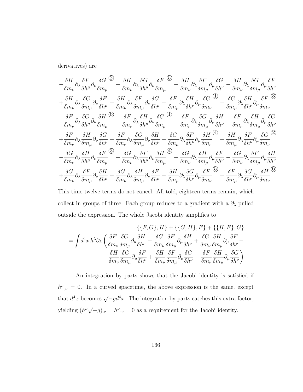derivatives) are

$$
-\frac{\delta H}{\delta m_{\nu}}\partial_{\lambda}\frac{\delta F}{\delta h^{\mu}}\partial_{\nu}\frac{\delta G}{\delta m_{\mu}}\frac{\partial}{\partial\sigma}+\frac{\delta H}{\delta m_{\nu}}\partial_{\lambda}\frac{\delta G}{\delta h^{\mu}}\partial_{\nu}\frac{\delta F}{\delta m_{\mu}}\frac{\partial}{\partial\sigma}+\frac{\delta H}{\delta m_{\nu}}\partial_{\lambda}\frac{\delta F}{\delta m_{\mu}}\partial_{\mu}\frac{\delta G}{\delta h^{\nu}}-\frac{\delta H}{\delta m_{\nu}}\partial_{\lambda}\frac{\delta G}{\delta m_{\mu}}\partial_{\mu}\frac{\delta G}{\delta h^{\nu}}\\+\frac{\delta H}{\delta m_{\nu}}\partial_{\lambda}\frac{\delta G}{\delta m_{\mu}}\partial_{\nu}\frac{\delta F}{\delta h^{\mu}}-\frac{\delta H}{\delta m_{\nu}}\partial_{\lambda}\frac{\delta F}{\delta m_{\mu}}\partial_{\nu}\frac{\delta G}{\delta h^{\mu}}-\frac{\delta F}{\delta m_{\mu}}\partial_{\lambda}\frac{\delta H}{\delta h^{\nu}}\partial_{\mu}\frac{\delta G}{\delta m_{\nu}}\frac{\partial}{\partial\sigma}\frac{\delta H}{\delta m_{\nu}}\frac{\delta G}{\delta h^{\nu}}\frac{\partial}{\delta m_{\nu}}\frac{\delta G}{\delta h^{\nu}}\frac{\partial}{\delta m_{\nu}}\frac{\delta G}{\delta h^{\nu}}\frac{\partial}{\delta m_{\nu}}\frac{\delta G}{\delta m_{\nu}}\frac{\delta G}{\delta m_{\nu}}\frac{\delta G}{\delta m_{\nu}}\frac{\delta G}{\delta m_{\nu}}\frac{\delta G}{\delta m_{\nu}}\frac{\delta G}{\delta m_{\nu}}\frac{\delta G}{\delta m_{\nu}}\frac{\delta G}{\delta m_{\nu}}\frac{\delta G}{\delta m_{\nu}}\frac{\delta G}{\delta m_{\nu}}\frac{\delta G}{\delta m_{\nu}}\frac{\delta G}{\delta m_{\nu}}\frac{\delta G}{\delta m_{\nu}}\frac{\delta G}{\delta m_{\nu}}\frac{\delta G}{\delta m_{\nu}}\frac{\delta G}{\delta m_{\nu}}\frac{\delta G}{\delta m_{\nu}}\frac{\delta G}{\delta m_{\nu}}\frac{\delta G}{\delta m_{\nu}}\frac{\delta G}{\delta m_{\nu}}\frac{\delta G}{\delta m_{\nu}}\frac{\delta G}{\delta m_{\nu}}\frac{\delta G}{\delta m_{\nu
$$

This time twelve terms do not cancel. All told, eighteen terms remain, which collect in groups of three. Each group reduces to a gradient with a  $\partial_\lambda$  pulled outside the expression. The whole Jacobi identity simplifies to

$$
\{ \{F, G\}, H \} + \{ \{G, H \}, F \} + \{ \{H, F \}, G \}
$$
\n
$$
= \int d^4x \, h^\lambda \partial_\lambda \left( \frac{\delta F}{\delta m_\nu} \frac{\delta G}{\delta m_\mu} \partial_\mu \frac{\delta H}{\delta h^\nu} - \frac{\delta G}{\delta m_\nu} \frac{\delta F}{\delta m_\mu} \partial_\mu \frac{\delta H}{\delta h^\nu} + \frac{\delta G}{\delta m_\nu} \frac{\delta H}{\delta m_\mu} \partial_\mu \frac{\delta F}{\delta h^\nu} - \frac{\delta H}{\delta m_\nu} \frac{\delta G}{\delta m_\mu} \partial_\mu \frac{\delta F}{\delta h^\nu} + \frac{\delta H}{\delta m_\nu} \frac{\delta F}{\delta m_\mu} \partial_\mu \frac{\delta G}{\delta h^\nu} - \frac{\delta F}{\delta m_\nu} \frac{\delta H}{\delta m_\mu} \partial_\mu \frac{\delta G}{\delta h^\nu} \right)
$$

An integration by parts shows that the Jacobi identity is satisfied if  $h^{\nu}{}_{,\nu} = 0$ . In a curved spacetime, the above expression is the same, except that  $d^4x$  becomes  $\sqrt{-g}d^4x$ . The integration by parts catches this extra factor, yielding  $(h^{\nu}\sqrt{-g})_{,\nu} = h^{\nu}_{;\nu} = 0$  as a requirement for the Jacobi identity.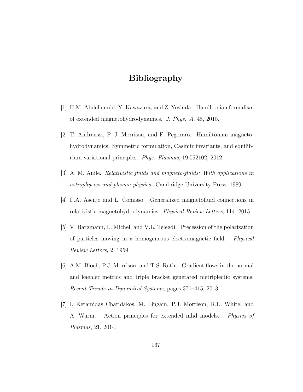# Bibliography

- <span id="page-175-0"></span>[1] H.M. Abdelhamid, Y. Kawazura, and Z. Yoshida. Hamiltonian formalism of extended magnetohydrodynamics. J. Phys. A, 48, 2015.
- [2] T. Andreussi, P. J. Morrison, and F. Pegoraro. Hamiltonian magnetohydrodynamics: Symmetric formulation, Casimir invariants, and equilibrium variational principles. Phys. Plasmas, 19:052102, 2012.
- [3] A. M. Anile. Relativistic fluids and magneto-fluids: With applications in astrophysics and plasma physics. Cambridge University Press, 1989.
- <span id="page-175-1"></span>[4] F.A. Asenjo and L. Comisso. Generalized magnetofluid connections in relativistic magnetohydrodynamics. Physical Review Letters, 114, 2015.
- [5] V. Bargmann, L. Michel, and V.L. Telegdi. Precession of the polarization of particles moving in a homogeneous electromagnetic field. Physical Review Letters, 2, 1959.
- [6] A.M. Bloch, P.J. Morrison, and T.S. Ratiu. Gradient flows in the normal and kaehler metrics and triple bracket generated metriplectic systems. Recent Trends in Dynamical Systems, pages 371–415, 2013.
- [7] I. Keramidas Charidakos, M. Lingam, P.J. Morrison, R.L. White, and A. Wurm. Action principles for extended mhd models. *Physics of* Plasmas, 21, 2014.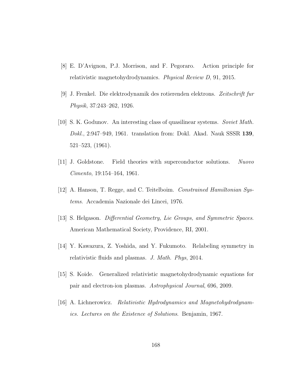- [8] E. D'Avignon, P.J. Morrison, and F. Pegoraro. Action principle for relativistic magnetohydrodynamics. Physical Review D, 91, 2015.
- [9] J. Frenkel. Die elektrodynamik des rotierenden elektrons. Zeitschrift fur Physik, 37:243–262, 1926.
- [10] S. K. Godunov. An interesting class of quasilinear systems. Soviet Math. Dokl., 2:947–949, 1961. translation from: Dokl. Akad. Nauk SSSR 139, 521–523, (1961).
- [11] J. Goldstone. Field theories with superconductor solutions. Nuovo Cimento, 19:154–164, 1961.
- [12] A. Hanson, T. Regge, and C. Teitelboim. Constrained Hamiltonian Systems. Accademia Nazionale dei Lincei, 1976.
- [13] S. Helgason. Differential Geometry, Lie Groups, and Symmetric Spaces. American Mathematical Society, Providence, RI, 2001.
- <span id="page-176-1"></span>[14] Y. Kawazura, Z. Yoshida, and Y. Fukumoto. Relabeling symmetry in relativistic fluids and plasmas. J. Math. Phys, 2014.
- <span id="page-176-0"></span>[15] S. Koide. Generalized relativistic magnetohydrodynamic equations for pair and electron-ion plasmas. Astrophysical Journal, 696, 2009.
- [16] A. Lichnerowicz. Relativistic Hydrodynamics and Magnetohydrodynamics. Lectures on the Existence of Solutions. Benjamin, 1967.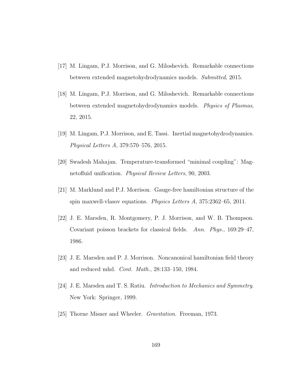- [17] M. Lingam, P.J. Morrison, and G. Miloshevich. Remarkable connections between extended magnetohydrodynamics models. Submitted, 2015.
- [18] M. Lingam, P.J. Morrison, and G. Miloshevich. Remarkable connections between extended magnetohydrodynamics models. Physics of Plasmas, 22, 2015.
- [19] M. Lingam, P.J. Morrison, and E. Tassi. Inertial magnetohydrodynamics. Physical Letters A, 379:570–576, 2015.
- [20] Swadesh Mahajan. Temperature-transformed "minimal coupling": Magnetofluid unification. Physical Review Letters, 90, 2003.
- <span id="page-177-1"></span>[21] M. Marklund and P.J. Morrison. Gauge-free hamiltonian structure of the spin maxwell-vlasov equations. Physics Letters  $A$ , 375:2362–65, 2011.
- <span id="page-177-0"></span>[22] J. E. Marsden, R. Montgomery, P. J. Morrison, and W. B. Thompson. Covariant poisson brackets for classical fields. Ann. Phys., 169:29–47, 1986.
- <span id="page-177-2"></span>[23] J. E. Marsden and P. J. Morrison. Noncanonical hamiltonian field theory and reduced mhd. Cont. Math., 28:133–150, 1984.
- <span id="page-177-3"></span>[24] J. E. Marsden and T. S. Ratiu. Introduction to Mechanics and Symmetry. New York: Springer, 1999.
- [25] Thorne Misner and Wheeler. Gravitation. Freeman, 1973.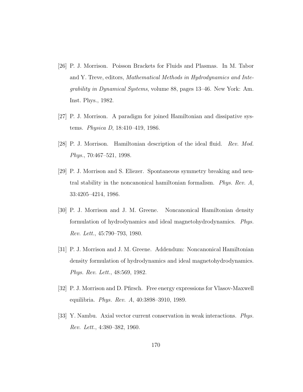- <span id="page-178-2"></span>[26] P. J. Morrison. Poisson Brackets for Fluids and Plasmas. In M. Tabor and Y. Treve, editors, Mathematical Methods in Hydrodynamics and Integrability in Dynamical Systems, volume 88, pages 13–46. New York: Am. Inst. Phys., 1982.
- [27] P. J. Morrison. A paradigm for joined Hamiltonian and dissipative systems. Physica D, 18:410–419, 1986.
- <span id="page-178-3"></span>[28] P. J. Morrison. Hamiltonian description of the ideal fluid. Rev. Mod. Phys., 70:467–521, 1998.
- [29] P. J. Morrison and S. Eliezer. Spontaneous symmetry breaking and neutral stability in the noncanonical hamiltonian formalism. Phys. Rev. A, 33:4205–4214, 1986.
- <span id="page-178-0"></span>[30] P. J. Morrison and J. M. Greene. Noncanonical Hamiltonian density formulation of hydrodynamics and ideal magnetohydrodynamics. Phys. Rev. Lett., 45:790–793, 1980.
- <span id="page-178-1"></span>[31] P. J. Morrison and J. M. Greene. Addendum: Noncanonical Hamiltonian density formulation of hydrodynamics and ideal magnetohydrodynamics. Phys. Rev. Lett., 48:569, 1982.
- [32] P. J. Morrison and D. Pfirsch. Free energy expressions for Vlasov-Maxwell equilibria. Phys. Rev. A, 40:3898–3910, 1989.
- [33] Y. Nambu. Axial vector current conservation in weak interactions. Phys. Rev. Lett., 4:380–382, 1960.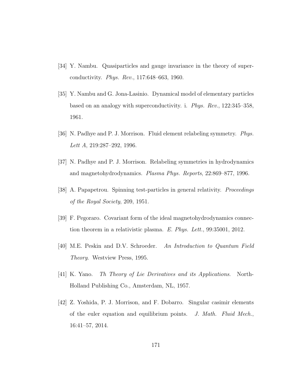- [34] Y. Nambu. Quasiparticles and gauge invariance in the theory of superconductivity. Phys. Rev., 117:648–663, 1960.
- [35] Y. Nambu and G. Jona-Lasinio. Dynamical model of elementary particles based on an analogy with superconductivity. i. Phys. Rev., 122:345–358, 1961.
- [36] N. Padhye and P. J. Morrison. Fluid element relabeling symmetry. Phys. Lett A, 219:287–292, 1996.
- [37] N. Padhye and P. J. Morrison. Relabeling symmetries in hydrodynamics and magnetohydrodynamics. Plasma Phys. Reports, 22:869–877, 1996.
- <span id="page-179-0"></span>[38] A. Papapetrou. Spinning test-particles in general relativity. Proceedings of the Royal Society, 209, 1951.
- [39] F. Pegoraro. Covariant form of the ideal magnetohydrodynamics connection theorem in a relativistic plasma. E. Phys. Lett., 99:35001, 2012.
- [40] M.E. Peskin and D.V. Schroeder. An Introduction to Quantum Field Theory. Westview Press, 1995.
- [41] K. Yano. Th Theory of Lie Derivatives and its Applications. North-Holland Publishing Co., Amsterdam, NL, 1957.
- [42] Z. Yoshida, P. J. Morrison, and F. Dobarro. Singular casimir elements of the euler equation and equilibrium points. J. Math. Fluid Mech., 16:41–57, 2014.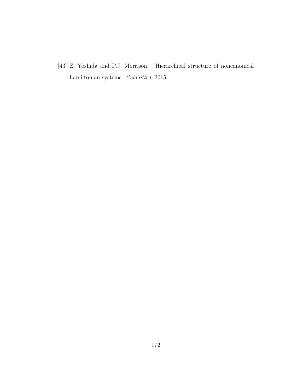[43] Z. Yoshida and P.J. Morrison. Hierarchical structure of noncanonical hamiltonian systems. Submitted, 2015.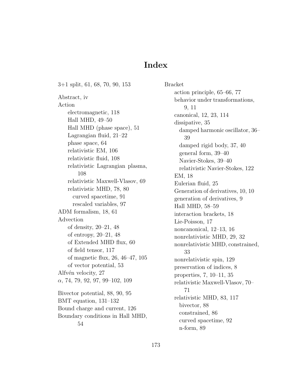## Index

3+1 split, [61,](#page-69-0) [68,](#page-76-0) [70,](#page-78-0) [90,](#page-98-0) [153](#page-161-0) Abstract, [iv](#page-3-0) Action electromagnetic, [118](#page-126-0) Hall MHD, [49](#page-57-0)[–50](#page-58-0) Hall MHD (phase space), [51](#page-59-0) Lagrangian fluid, [21–](#page-29-0)[22](#page-30-0) phase space, [64](#page-72-0) relativistic EM, [106](#page-114-0) relativistic fluid, [108](#page-116-0) relativistic Lagrangian plasma, [108](#page-116-0) relativistic Maxwell-Vlasov, [69](#page-77-0) relativistic MHD, [78,](#page-86-0) [80](#page-88-0) curved spacetime, [91](#page-99-0) rescaled variables, [97](#page-105-0) ADM formalism, [18,](#page-26-0) [61](#page-69-0) Advection of density, [20](#page-28-0)[–21,](#page-29-0) [48](#page-56-0) of entropy, [20–](#page-28-0)[21,](#page-29-0) [48](#page-56-0) of Extended MHD flux, [60](#page-68-0) of field tensor, [117](#page-125-0) of magnetic flux, [26,](#page-34-0) [46–](#page-54-0)[47,](#page-55-0) [105](#page-113-0) of vector potential, [53](#page-61-0) Alfvén velocity, [27](#page-35-0)  $\alpha$ , [74,](#page-82-0) [79,](#page-87-0) [92,](#page-100-0) [97,](#page-105-0) [99–](#page-107-0)[102,](#page-110-0) [109](#page-117-0) Bivector potential, [88,](#page-96-0) [90,](#page-98-0) [95](#page-103-0) BMT equation, [131–](#page-139-0)[132](#page-140-0) Bound charge and current, [126](#page-134-0) Boundary conditions in Hall MHD, [54](#page-62-0)

Bracket action principle, [65–](#page-73-0)[66,](#page-74-0) [77](#page-85-0) behavior under transformations, [9,](#page-17-0) [11](#page-19-0) canonical, [12,](#page-20-0) [23,](#page-31-0) [114](#page-122-0) dissipative, [35](#page-43-0) damped harmonic oscillator, [36–](#page-44-0) [39](#page-47-0) damped rigid body, [37,](#page-45-0) [40](#page-48-0) general form, [39](#page-47-0)[–40](#page-48-0) Navier-Stokes, [39](#page-47-0)[–40](#page-48-0) relativistic Navier-Stokes, [122](#page-130-0) EM, [18](#page-26-0) Eulerian fluid, [25](#page-33-0) Generation of derivatives, [10,](#page-18-0) 10 generation of derivatives, [9](#page-17-0) Hall MHD, [58–](#page-66-0)[59](#page-67-0) interaction brackets, [18](#page-26-0) Lie-Poisson, [17](#page-25-0) noncanonical, [12–](#page-20-0)[13,](#page-21-0) [16](#page-24-0) nonrelativistic MHD, [29,](#page-37-0) [32](#page-40-0) nonrelativistic MHD, constrained, [33](#page-41-0) nonrelativistic spin, [129](#page-137-0) preservation of indices, [8](#page-16-0) properties, [7,](#page-15-0) [10](#page-18-0)[–11,](#page-19-0) [35](#page-43-0) relativistic Maxwell-Vlasov, [70–](#page-78-0) [71](#page-79-0) relativistic MHD, [83,](#page-91-0) [117](#page-125-0) bivector, [88](#page-96-0) constrained, [86](#page-94-0) curved spacetime, [92](#page-100-0) n-form, [89](#page-97-0)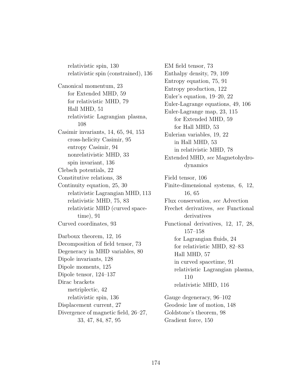relativistic spin, [130](#page-138-0) relativistic spin (constrained), [136](#page-144-0) Canonical momentum, [23](#page-31-0) for Extended MHD, [59](#page-67-0) for relativistic MHD, [79](#page-87-0) Hall MHD, [51](#page-59-0) relativistic Lagrangian plasma, [108](#page-116-0) Casimir invariants, [14,](#page-22-0) [65,](#page-73-0) [94,](#page-102-0) [153](#page-161-0) cross-helicity Casimir, [95](#page-103-0) entropy Casimir, [94](#page-102-0) nonrelativistic MHD, [33](#page-41-0) spin invariant, [136](#page-144-0) Clebsch potentials, [22](#page-30-0) Constitutive relations, [38](#page-46-0) Continuity equation, [25,](#page-33-0) [30](#page-38-0) relativistic Lagrangian MHD, [113](#page-121-0) relativistic MHD, [75,](#page-83-0) [83](#page-91-0) relativistic MHD (curved spacetime), [91](#page-99-0) Curved coordinates, [93](#page-101-0) Darboux theorem, [12,](#page-20-0) [16](#page-24-0) Decomposition of field tensor, [73](#page-81-0) Degeneracy in MHD variables, [80](#page-88-0) Dipole invariants, [128](#page-136-0) Dipole moments, [125](#page-133-0) Dipole tensor, [124](#page-132-0)[–137](#page-145-0) Dirac brackets metriplectic, [42](#page-50-0) relativistic spin, [136](#page-144-0) Displacement current, [27](#page-35-0) Divergence of magnetic field, [26–](#page-34-0)[27,](#page-35-0) [33,](#page-41-0) [47,](#page-55-0) [84,](#page-92-0) [87,](#page-95-0) [95](#page-103-0)

EM field tensor, [73](#page-81-0) Enthalpy density, [79,](#page-87-0) [109](#page-117-0) Entropy equation, [75,](#page-83-0) [91](#page-99-0) Entropy production, [122](#page-130-0) Euler's equation, [19](#page-27-0)[–20,](#page-28-0) [22](#page-30-0) Euler-Lagrange equations, [49,](#page-57-0) [106](#page-114-0) Euler-Lagrange map, [23,](#page-31-0) [115](#page-123-0) for Extended MHD, [59](#page-67-0) for Hall MHD, [53](#page-61-0) Eulerian variables, [19,](#page-27-0) [22](#page-30-0) in Hall MHD, [53](#page-61-0) in relativistic MHD, [78](#page-86-0) Extended MHD, see Magnetohydrodynamics Field tensor, [106](#page-114-0) Finite-dimensional systems, [6,](#page-14-0) [12,](#page-20-0) [16,](#page-24-0) [65](#page-73-0) Flux conservation, see Advection Frechet derivatives, see Functional derivatives Functional derivatives, [12,](#page-20-0) [17,](#page-25-0) [28,](#page-36-0) [157–](#page-165-0)[158](#page-166-0) for Lagrangian fluids, [24](#page-32-0) for relativistic MHD, [82–](#page-90-0)[83](#page-91-0) Hall MHD, [57](#page-65-0) in curved spacetime, [91](#page-99-0) relativistic Lagrangian plasma, [110](#page-118-0) relativistic MHD, [116](#page-124-0) Gauge degeneracy, [96–](#page-104-0)[102](#page-110-0) Geodesic law of motion, [148](#page-156-0) Goldstone's theorem, [98](#page-106-0)

Gradient force, [150](#page-158-0)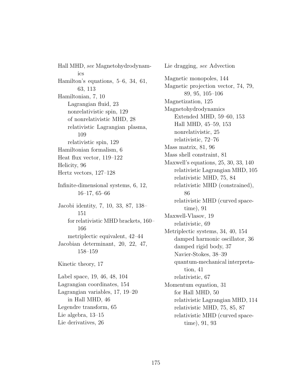Hall MHD, see Magnetohydrodynamics Hamilton's equations, [5](#page-13-0)[–6,](#page-14-0) [34,](#page-42-0) [61,](#page-69-0) [63,](#page-71-0) [113](#page-121-0) Hamiltonian, [7,](#page-15-0) [10](#page-18-0) Lagrangian fluid, [23](#page-31-0) nonrelativistic spin, [129](#page-137-0) of nonrelativistic MHD, [28](#page-36-0) relativistic Lagrangian plasma, [109](#page-117-0) relativistic spin, [129](#page-137-0) Hamiltonian formalism, [6](#page-14-0) Heat flux vector, [119](#page-127-0)[–122](#page-130-0) Helicity, [96](#page-104-0) Hertz vectors, [127–](#page-135-0)[128](#page-136-0) Infinite-dimensional systems, [6,](#page-14-0) [12,](#page-20-0) [16–](#page-24-0)[17,](#page-25-0) [65–](#page-73-0)[66](#page-74-0) Jacobi identity, [7,](#page-15-0) [10,](#page-18-0) [33,](#page-41-0) [87,](#page-95-0) [138–](#page-146-0) [151](#page-159-0) for relativistic MHD brackets, [160–](#page-168-0) [166](#page-174-0) metriplectic equivalent, [42–](#page-50-0)[44](#page-52-0) Jacobian determinant, [20,](#page-28-0) [22,](#page-30-0) [47,](#page-55-0) [158](#page-166-0)[–159](#page-167-0) Kinetic theory, [17](#page-25-0) Label space, [19,](#page-27-0) [46,](#page-54-0) [48,](#page-56-0) [104](#page-112-0) Lagrangian coordinates, [154](#page-162-0) Lagrangian variables, [17,](#page-25-0) [19–](#page-27-0)[20](#page-28-0) in Hall MHD, [46](#page-54-0) Legendre transform, [65](#page-73-0) Lie algebra, [13–](#page-21-0)[15](#page-23-0) Lie derivatives, [26](#page-34-0)

Lie dragging, see Advection Magnetic monopoles, [144](#page-152-0) Magnetic projection vector, [74,](#page-82-0) [79,](#page-87-0) [89,](#page-97-0) [95,](#page-103-0) [105–](#page-113-0)[106](#page-114-0) Magnetization, [125](#page-133-0) Magnetohydrodynamics Extended MHD, [59](#page-67-0)[–60,](#page-68-0) [153](#page-161-0) Hall MHD, [45–](#page-53-0)[59,](#page-67-0) [153](#page-161-0) nonrelativistic, [25](#page-33-0) relativistic, [72–](#page-80-0)[76](#page-84-0) Mass matrix, [81,](#page-89-0) [96](#page-104-0) Mass shell constraint, [81](#page-89-0) Maxwell's equations, [25,](#page-33-0) [30,](#page-38-0) [33,](#page-41-0) [140](#page-148-0) relativistic Lagrangian MHD, [105](#page-113-0) relativistic MHD, [75,](#page-83-0) [84](#page-92-0) relativistic MHD (constrained), [86](#page-94-0) relativistic MHD (curved spacetime), [91](#page-99-0) Maxwell-Vlasov, [19](#page-27-0) relativistic, [69](#page-77-0) Metriplectic systems, [34,](#page-42-0) [40,](#page-48-0) [154](#page-162-0) damped harmonic oscillator, [36](#page-44-0) damped rigid body, [37](#page-45-0) Navier-Stokes, [38](#page-46-0)[–39](#page-47-0) quantum-mechanical interpretation, [41](#page-49-0) relativistic, [67](#page-75-0) Momentum equation, [31](#page-39-0) for Hall MHD, [50](#page-58-0) relativistic Lagrangian MHD, [114](#page-122-0) relativistic MHD, [75,](#page-83-0) [85,](#page-93-0) [87](#page-95-0) relativistic MHD (curved spacetime), [91,](#page-99-0) [93](#page-101-0)